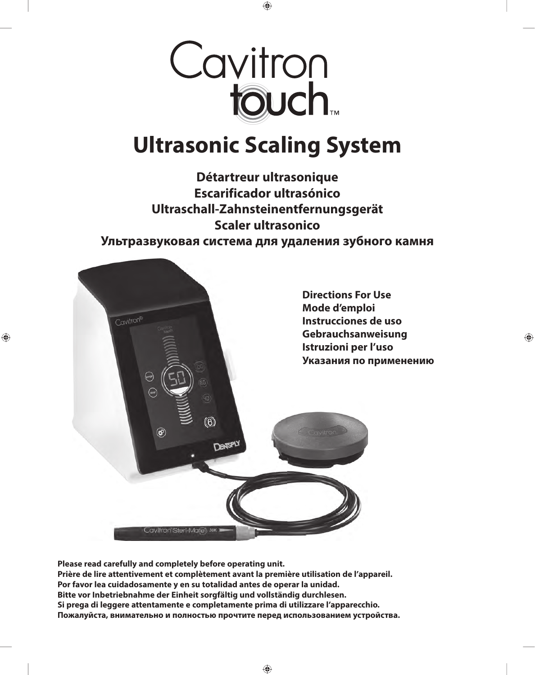

## **Ultrasonic Scaling System**

**Détartreur ultrasonique Escarificador ultrasónico Ultraschall-Zahnsteinentfernungsgerät Scaler ultrasonico Ультразвуковая система для удаления зубного камня**



**Please read carefully and completely before operating unit. Prière de lire attentivement et complètement avant la première utilisation de l'appareil. Por favor lea cuidadosamente y en su totalidad antes de operar la unidad. Bitte vor Inbetriebnahme der Einheit sorgfältig und vollständig durchlesen. Si prega di leggere attentamente e completamente prima di utilizzare l'apparecchio. Пожалуйста, внимательно и полностью прочтите перед использованием устройства.**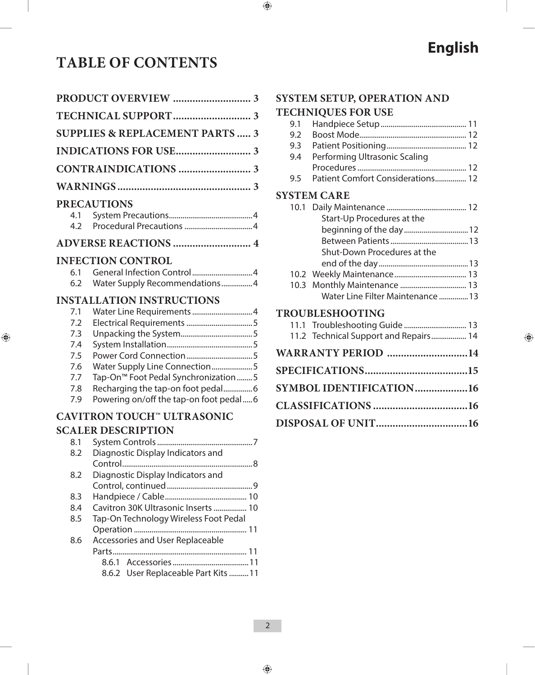### **TABLE OF CONTENTS**

|     | <b>SUPPLIES &amp; REPLACEMENT PARTS  3</b>      |
|-----|-------------------------------------------------|
|     |                                                 |
|     |                                                 |
|     |                                                 |
|     | <b>PRECAUTIONS</b>                              |
| 4.1 |                                                 |
| 4.2 |                                                 |
|     |                                                 |
|     | <b>INFECTION CONTROL</b>                        |
| 6.1 |                                                 |
| 6.2 | Water Supply Recommendations4                   |
|     | <b>INSTALLATION INSTRUCTIONS</b>                |
| 7.1 | Water Line Requirements 4                       |
| 7.2 |                                                 |
| 7.3 |                                                 |
| 7.4 |                                                 |
| 7.5 | Power Cord Connection5                          |
| 7.6 | Water Supply Line Connection5                   |
| 7.7 | Tap-On <sup>™</sup> Foot Pedal Synchronization5 |
| 7.8 | Recharging the tap-on foot pedal6               |
| 7.9 | Powering on/off the tap-on foot pedal6          |
|     | CAVITRON TOUCH™ ULTRASONIC                      |
|     | <b>SCALER DESCRIPTION</b>                       |
|     |                                                 |
| 8.2 | Diagnostic Display Indicators and               |
|     | Control                                         |
| 8.2 | Diagnostic Display Indicators and               |
|     |                                                 |
| 8.3 |                                                 |
| 8.4 | Cavitron 30K Ultrasonic Inserts  10             |
| 8.5 | Tap-On Technology Wireless Foot Pedal           |
|     |                                                 |
| 8.6 | <b>Accessories and User Replaceable</b>         |
|     |                                                 |
|     |                                                 |
|     | 8.6.2 User Replaceable Part Kits  11            |

### **SYSTEM SETUP, OPERATION AND**

#### **TECHNIQUES FOR USE**

|      | <b>TECHNIQUES FOR USE</b>             |
|------|---------------------------------------|
| 9.1  |                                       |
| 9.2  |                                       |
| 9.3  |                                       |
| 9.4  | Performing Ultrasonic Scaling         |
|      |                                       |
| 9.5  | Patient Comfort Considerations 12     |
|      | <b>SYSTEM CARE</b>                    |
|      |                                       |
|      | Start-Up Procedures at the            |
|      | beginning of the day 12               |
|      |                                       |
|      | Shut-Down Procedures at the           |
|      |                                       |
|      |                                       |
| 10.3 | Monthly Maintenance  13               |
|      | Water Line Filter Maintenance  13     |
|      | TROUBLESHOOTING                       |
|      | 11.1 Troubleshooting Guide  13        |
|      | 11.2 Technical Support and Repairs 14 |
|      | WARRANTY PERIOD 14                    |
|      |                                       |
|      | SYMBOL IDENTIFICATION16               |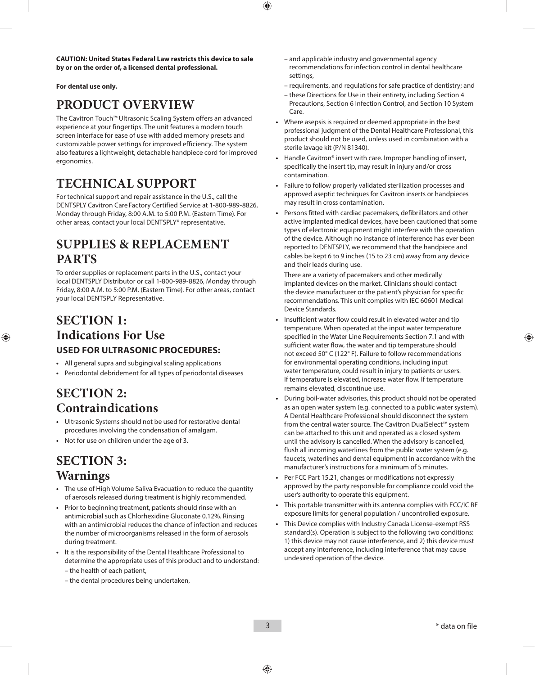**CAUTION: United States Federal Law restricts this device to sale by or on the order of, a licensed dental professional.**

#### **For dental use only.**

### **PRODUCT OVERVIEW**

The Cavitron Touch™ Ultrasonic Scaling System offers an advanced experience at your fingertips. The unit features a modern touch screen interface for ease of use with added memory presets and customizable power settings for improved efficiency. The system also features a lightweight, detachable handpiece cord for improved ergonomics.

### **TECHNICAL SUPPORT**

For technical support and repair assistance in the U.S., call the DENTSPLY Cavitron CareFactory Certified Service at 1-800-989-8826, Monday through Friday, 8:00 A.M. to 5:00 P.M. (Eastern Time). For other areas, contact your local DENTSPLY® representative.

### **SUPPLIES & REPLACEMENT PARTS**

To order supplies or replacement parts in the U.S., contact your local DENTSPLY Distributor or call 1-800-989-8826, Monday through Friday, 8:00 A.M. to 5:00 P.M. (Eastern Time). For other areas, contact your local DENTSPLY Representative.

### **SECTION 1: Indications For Use USED FOR ULTRASONIC PROCEDURES:**

- **•**  All general supra and subgingival scaling applications
- **•**  Periodontal debridement for all types of periodontal diseases

### **SECTION 2: Contraindications**

- **•**  Ultrasonic Systems should not be used for restorative dental procedures involving the condensation of amalgam.
- **•**  Not for use on children under the age of 3.

### **SECTION 3: Warnings**

- **•**  The use of High Volume Saliva Evacuation to reduce the quantity of aerosols released during treatment is highly recommended.
- **•**  Prior to beginning treatment, patients should rinse with an antimicrobial such as Chlorhexidine Gluconate 0.12%. Rinsing with an antimicrobial reduces the chance of infection and reduces the number of microorganisms released in the form of aerosols during treatment.
- **•**  It is the responsibility of the Dental Healthcare Professional to determine the appropriate uses of this product and to understand:
	- the health of each patient,
	- the dental procedures being undertaken,
- and applicable industry and governmental agency recommendations for infection control in dental healthcare settings,
- requirements, and regulations for safe practice of dentistry; and
- these Directions for Use in their entirety, including Section 4 Precautions, Section 6 Infection Control, and Section 10 System Care.
- **•**  Where asepsis is required or deemed appropriate in the best professional judgment of the Dental Healthcare Professional, this product should not be used, unless used in combination with a sterile lavage kit (P/N 81340).
- Handle Cavitron<sup>®</sup> insert with care. Improper handling of insert, specifically the insert tip, may result in injury and/or cross contamination.
- Failure to follow properly validated sterilization processes and approved aseptic techniques for Cavitron inserts or handpieces may result in cross contamination.
- Persons fitted with cardiac pacemakers, defibrillators and other active implanted medical devices, have been cautioned that some types of electronic equipment might interfere with the operation of the device. Although no instance of interference has ever been reported to DENTSPLY, we recommend that the handpiece and cables be kept 6 to 9 inches (15 to 23 cm) away from any device and their leads during use.

 There are a variety of pacemakers and other medically implanted devices on the market. Clinicians should contact the device manufacturer or the patient's physician for specific recommendations. This unit complies with IEC 60601 Medical Device Standards.

- Insufficient water flow could result in elevated water and tip temperature. When operated at the input water temperature specified in the Water Line Requirements Section 7.1 and with sufficient water flow, the water and tip temperature should not exceed 50° C (122° F). Failure to follow recommendations for environmental operating conditions, including input water temperature, could result in injury to patients or users. If temperature is elevated, increase water flow. If temperature remains elevated, discontinue use.
- **•**  During boil-water advisories, this product should not be operated as an open water system (e.g. connected to a public water system). A Dental Healthcare Professional should disconnect the system from the central water source. The Cavitron DualSelect™ system can be attached to this unit and operated as a closed system until the advisory is cancelled. When the advisory is cancelled, flush all incoming waterlines from the public water system (e.g. faucets, waterlines and dental equipment) in accordance with the manufacturer's instructions for a minimum of 5 minutes.
- **•**  Per FCC Part 15.21, changes or modifications not expressly approved by the party responsible for compliance could void the user's authority to operate this equipment.
- This portable transmitter with its antenna complies with FCC/IC RF exposure limits for general population / uncontrolled exposure.
- **This Device complies with Industry Canada License-exempt RSS** standard(s). Operation is subject to the following two conditions: 1) this device may not cause interference, and 2) this device must accept any interference, including interference that may cause undesired operation of the device.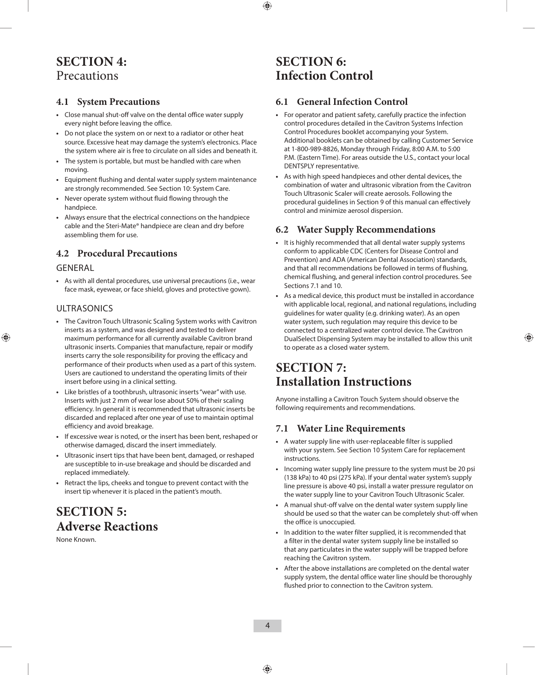### **SECTION 4:** Precautions

#### **4.1 System Precautions**

- **•**  Close manual shut-off valve on the dental office water supply every night before leaving the office.
- **•**  Do not place the system on or next to a radiator or other heat source. Excessive heat may damage the system's electronics. Place the system where air is free to circulate on all sides and beneath it.
- **•**  The system is portable, but must be handled with care when moving.
- **•**  Equipment flushing and dental water supply system maintenance are strongly recommended. See Section 10: System Care.
- **•**  Never operate system without fluid flowing through the handpiece.
- **•**  Always ensure that the electrical connections on the handpiece cable and the Steri-Mate® handpiece are clean and dry before assembling them for use.

#### **4.2 Procedural Precautions**

#### **GENERAL**

**•**  As with all dental procedures, use universal precautions (i.e., wear face mask, eyewear, or face shield, gloves and protective gown).

#### ULTRASONICS

- **•**  The Cavitron Touch Ultrasonic Scaling System works with Cavitron inserts as a system, and was designed and tested to deliver maximum performance for all currently available Cavitron brand ultrasonic inserts. Companies that manufacture, repair or modify inserts carry the sole responsibility for proving the efficacy and performance of their products when used as a part of this system. Users are cautioned to understand the operating limits of their insert before using in a clinical setting.
- **•**  Like bristles of a toothbrush, ultrasonic inserts "wear" with use. Inserts with just 2 mm of wear lose about 50% of their scaling efficiency. In general it is recommended that ultrasonic inserts be discarded and replaced after one year of use to maintain optimal efficiency and avoid breakage.
- **•**  If excessive wear is noted, or the insert has been bent, reshaped or otherwise damaged, discard the insert immediately.
- **•**  Ultrasonic insert tips that have been bent, damaged, or reshaped are susceptible to in-use breakage and should be discarded and replaced immediately.
- **•**  Retract the lips, cheeks and tongue to prevent contact with the insert tip whenever it is placed in the patient's mouth.

### **SECTION 5: Adverse Reactions**

None Known.

### **SECTION 6: Infection Control**

#### **6.1 General Infection Control**

- **•**  For operator and patient safety, carefully practice the infection control procedures detailed in the Cavitron Systems Infection Control Procedures booklet accompanying your System. Additional booklets can be obtained by calling Customer Service at 1-800-989-8826, Monday through Friday, 8:00 A.M. to 5:00 P.M. (Eastern Time). For areas outside the U.S., contact your local DENTSPLY representative.
- **•**  As with high speed handpieces and other dental devices, the combination of water and ultrasonic vibration from the Cavitron Touch Ultrasonic Scaler will create aerosols. Following the procedural guidelines in Section 9 of this manual can effectively control and minimize aerosol dispersion.

#### **6.2 Water Supply Recommendations**

- **•**  It is highly recommended that all dental water supply systems conform to applicable CDC (Centers for Disease Control and Prevention) and ADA (American Dental Association) standards, and that all recommendations be followed in terms of flushing, chemical flushing, and general infection control procedures. See Sections 7.1 and 10.
- As a medical device, this product must be installed in accordance with applicable local, regional, and national regulations, including guidelines for water quality (e.g. drinking water). As an open water system, such regulation may require this device to be connected to a centralized water control device. The Cavitron DualSelect Dispensing System may be installed to allow this unit to operate as a closed water system.

### **SECTION 7: Installation Instructions**

Anyone installing a Cavitron Touch System should observe the following requirements and recommendations.

#### **7.1 Water Line Requirements**

- **•**  A water supply line with user-replaceable filter is supplied with your system. See Section 10 System Care for replacement instructions.
- **•**  Incoming water supply line pressure to the system must be 20 psi (138 kPa) to 40 psi (275 kPa). If your dental water system's supply line pressure is above 40 psi, install a water pressure regulator on the water supply line to your Cavitron Touch Ultrasonic Scaler.
- **•**  A manual shut-off valve on the dental water system supply line should be used so that the water can be completely shut-off when the office is unoccupied.
- **•**  In addition to the water filter supplied, it is recommended that a filter in the dental water system supply line be installed so that any particulates in the water supply will be trapped before reaching the Cavitron system.
- **•**  After the above installations are completed on the dental water supply system, the dental office water line should be thoroughly flushed prior to connection to the Cavitron system.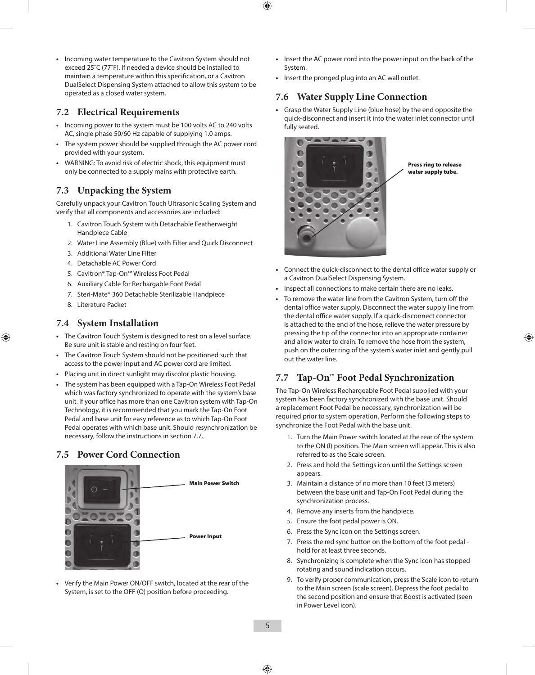**•**  Incoming water temperature to the Cavitron System should not exceed 25˚C (77˚F). If needed a device should be installed to maintain a temperature within this specification, or a Cavitron DualSelect Dispensing System attached to allow this system to be operated as a closed water system.

#### **7.2 Electrical Requirements**

- **•**  Incoming power to the system must be 100 volts AC to 240 volts AC, single phase 50/60 Hz capable of supplying 1.0 amps.
- **•**  The system power should be supplied through the AC power cord provided with your system.
- **•**  WARNING: To avoid risk of electric shock, this equipment must only be connected to a supply mains with protective earth.

#### **7.3 Unpacking the System**

Carefully unpack your Cavitron Touch Ultrasonic Scaling System and verify that all components and accessories are included:

- 1. Cavitron Touch System with Detachable Featherweight Handpiece Cable
- 2. Water Line Assembly (Blue) with Filter and Quick Disconnect
- 3. Additional Water Line Filter
- 4. Detachable AC Power Cord
- 5. Cavitron® Tap-On™ Wireless Foot Pedal
- 6. Auxiliary Cable for Rechargable Foot Pedal
- 7. Steri-Mate® 360 Detachable Sterilizable Handpiece
- 8. Literature Packet

#### **7.4 System Installation**

- **•**  The Cavitron Touch System is designed to rest on a level surface. Be sure unit is stable and resting on four feet.
- The Cavitron Touch System should not be positioned such that access to the power input and AC power cord are limited.
- **•**  Placing unit in direct sunlight may discolor plastic housing.
- **•**  The system has been equipped with a Tap-On Wireless Foot Pedal which was factory synchronized to operate with the system's base unit. If your office has more than one Cavitron system with Tap-On Technology, it is recommended that you mark the Tap-On Foot Pedal and base unit for easy reference as to which Tap-On Foot Pedal operates with which base unit. Should resynchronization be necessary, follow the instructions in section 7.7.

#### **7.5 Power Cord Connection**



**•**  Verify the Main Power ON/OFF switch, located at the rear of the System, is set to the OFF (O) position before proceeding.

- **•**  Insert the AC power cord into the power input on the back of the System.
- **•**  Insert the pronged plug into an AC wall outlet.

#### **7.6 Water Supply Line Connection**

**•**  Grasp the Water Supply Line (blue hose) by the end opposite the quick-disconnect and insert it into the water inlet connector until fully seated.



Press ring to release water supply tube.

- **•**  Connect the quick-disconnect to the dental office water supply or a Cavitron DualSelect Dispensing System.
- Inspect all connections to make certain there are no leaks.
- To remove the water line from the Cavitron System, turn off the dental office water supply. Disconnect the water supply line from the dental office water supply. If a quick-disconnect connector is attached to the end of the hose, relieve the water pressure by pressing the tip of the connector into an appropriate container and allow water to drain. To remove the hose from the system, push on the outer ring of the system's water inlet and gently pull out the water line.

#### **7.7 Tap-On™ Foot Pedal Synchronization**

The Tap-On Wireless Rechargeable Foot Pedal supplied with your system has been factory synchronized with the base unit. Should a replacement Foot Pedal be necessary, synchronization will be required prior to system operation. Perform the following steps to synchronize the Foot Pedal with the base unit.

- 1. Turn the Main Power switch located at the rear of the system to the ON (I) position. The Main screen will appear. This is also referred to as the Scale screen.
- 2. Press and hold the Settings icon until the Settings screen appears.
- 3. Maintain a distance of no more than 10 feet (3 meters) between the base unit and Tap-On Foot Pedal during the synchronization process.
- 4. Remove any inserts from the handpiece.
- 5. Ensure the foot pedal power is ON.
- 6. Press the Sync icon on the Settings screen.
- 7. Press the red sync button on the bottom of the foot pedal hold for at least three seconds.
- 8. Synchronizing is complete when the Sync icon has stopped rotating and sound indication occurs.
- 9. To verify proper communication, press the Scale icon to return to the Main screen (scale screen). Depress the foot pedal to the second position and ensure that Boost is activated (seen in Power Level icon).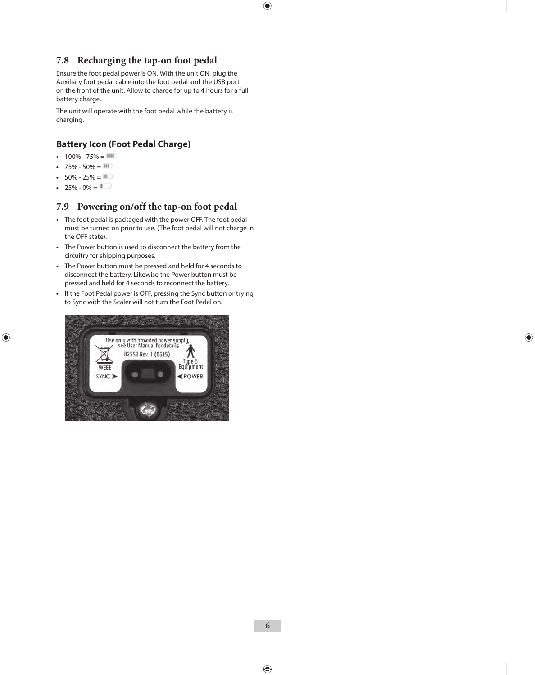#### **7.8 Recharging the tap-on foot pedal**

Ensure the foot pedal power is ON. With the unit ON, plug the Auxiliary foot pedal cable into the foot pedal and the USB port on the front of the unit. Allow to charge for up to 4 hours for a full battery charge.

The unit will operate with the foot pedal while the battery is charging.

#### **Battery Icon (Foot Pedal Charge)**

- $100\% 75\% = 11$
- $75\% 50\% = 111$
- $50\% 25\% = 11$
- 25% 0% =  $\blacksquare$

#### **7.9 Powering on/off the tap-on foot pedal**

- **•**  The foot pedal is packaged with the power OFF. The foot pedal must be turned on prior to use. (The foot pedal will not charge in the OFF state).
- **•**  The Power button is used to disconnect the battery from the circuitry for shipping purposes.
- **•**  The Power button must be pressed and held for 4 seconds to disconnect the battery. Likewise the Power button must be pressed and held for 4 seconds to reconnect the battery.
- **•**  If the Foot Pedal power is OFF, pressing the Sync button or trying to Sync with the Scaler will not turn the Foot Pedal on.

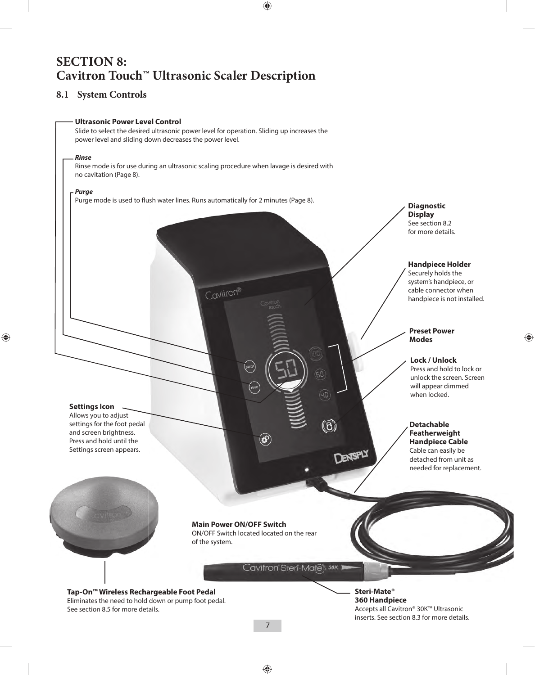### **SECTION 8: Cavitron Touch™ Ultrasonic Scaler Description**

#### **8.1 System Controls**

#### **Ultrasonic Power Level Control**

Slide to select the desired ultrasonic power level for operation. Sliding up increases the power level and sliding down decreases the power level.

#### *Rinse*

Rinse mode is for use during an ultrasonic scaling procedure when lavage is desired with no cavitation (Page 8).

Cavitron®

#### *Purge*

Purge mode is used to flush water lines. Runs automatically for 2 minutes (Page 8). **Diagnostic** *Diagnostic* 

**Display** See section 8.2 for more details.

#### **Handpiece Holder**

Securely holds the system's handpiece, or cable connector when handpiece is not installed.

#### **Preset Power Modes**

#### **Lock / Unlock**

Press and hold to lock or unlock the screen. Screen will appear dimmed when locked.

#### **Detachable Featherweight Handpiece Cable**

Cable can easily be detached from unit as needed for replacement.



**Settings Icon** Allows you to adjust settings for the foot pedal and screen brightness. Press and hold until the Settings screen appears.

**Main Power ON/OFF Switch**

ON/OFF Switch located located on the rear of the system.

 $\circledast$ 

Cavitron Steri-Mates 30K 1

 $\overline{D}$ 

DENTSPLY

**Tap-On™ Wireless Rechargeable Foot Pedal** Eliminates the need to hold down or pump foot pedal. See section 8.5 for more details.

**Steri-Mate® 360 Handpiece**  Accepts all Cavitron® 30K™ Ultrasonic inserts. See section 8.3 for more details.

7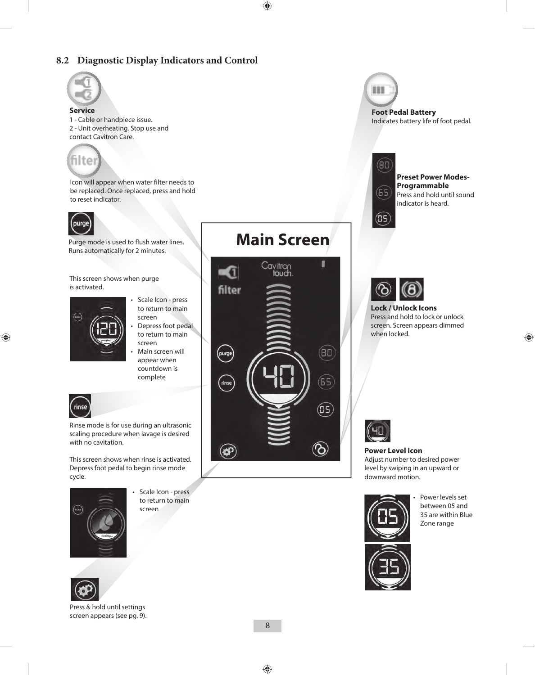#### **8.2 Diagnostic Display Indicators and Control**



#### **Service**

1 - Cable or handpiece issue. 2 - Unit overheating. Stop use and contact Cavitron Care.



Icon will appear when water filter needs to be replaced. Once replaced, press and hold to reset indicator.



Purge mode is used to flush water lines. Runs automatically for 2 minutes.

This screen shows when purge is activated.



- Scale Icon press to return to main screen
- Depress foot pedal to return to main screen
- Main screen will appear when countdown is complete



Rinse mode is for use during an ultrasonic scaling procedure when lavage is desired with no cavitation.

This screen shows when rinse is activated. Depress foot pedal to begin rinse mode cycle.



• Scale Icon - press to return to main screen



Press & hold until settings screen appears (see pg. 9).

### **Main Screen**



111 **Foot Pedal Battery**

Indicates battery life of foot pedal.



(DS)

#### **Preset Power Modes-Programmable** Press and hold until sound indicator is heard.



**Lock / Unlock Icons** Press and hold to lock or unlock screen. Screen appears dimmed when locked.



#### **Power Level Icon** Adjust number to desired power level by swiping in an upward or downward motion.



Power levels set between 05 and 35 are within Blue Zone range

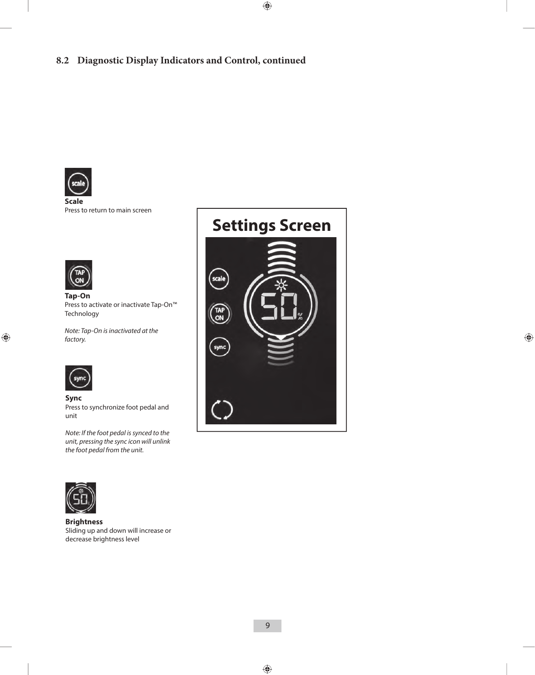

**Scale**  Press to return to main screen



**Tap-On** Press to activate or inactivate Tap-On™ Technology

*Note: Tap-On is inactivated at the factory.*



**Sync** Press to synchronize foot pedal and unit

*Note: If the foot pedal is synced to the unit, pressing the sync icon will unlink the foot pedal from the unit.*



**Brightness** Sliding up and down will increase or decrease brightness level

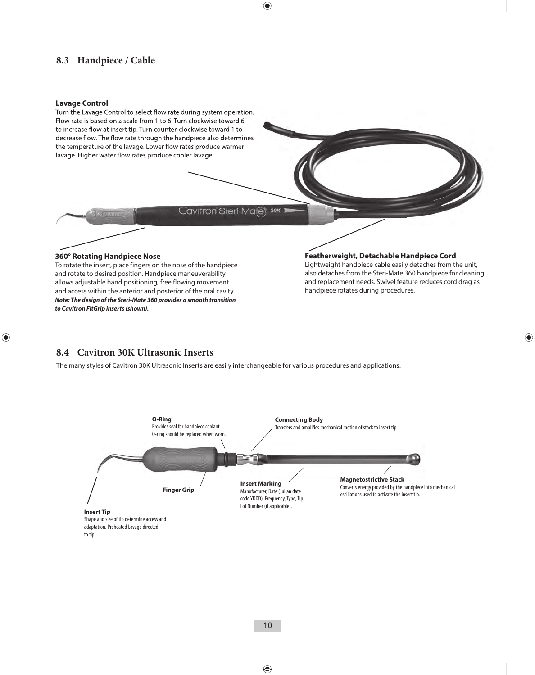#### **8.3 Handpiece / Cable**

#### **Lavage Control**



and rotate to desired position. Handpiece maneuverability allows adjustable hand positioning, free flowing movement and access within the anterior and posterior of the oral cavity. *Note: The design of the Steri-Mate 360 provides a smooth transition to Cavitron FitGrip inserts (shown).*

also detaches from the Steri-Mate 360 handpiece for cleaning and replacement needs. Swivel feature reduces cord drag as handpiece rotates during procedures.

#### **8.4 Cavitron 30K Ultrasonic Inserts**

The many styles of Cavitron 30K Ultrasonic Inserts are easily interchangeable for various procedures and applications.



to tip.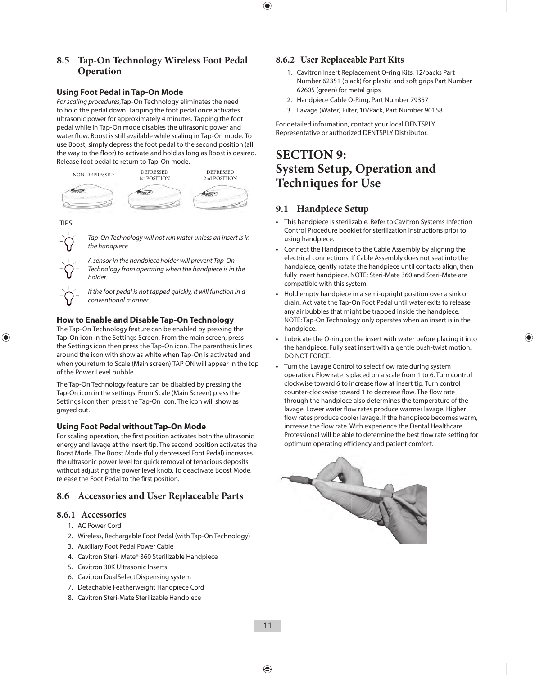#### **8.5 Tap-On Technology Wireless Foot Pedal Operation**

#### **Using Foot Pedal in Tap-On Mode**

*For scaling procedures*,Tap-On Technology eliminates the need to hold the pedal down. Tapping the foot pedal once activates ultrasonic power for approximately 4 minutes. Tapping the foot pedal while in Tap-On mode disables the ultrasonic power and water flow. Boost is still available while scaling in Tap-On mode. To use Boost, simply depress the foot pedal to the second position (all the way to the floor) to activate and hold as long as Boost is desired. Release foot pedal to return to Tap-On mode.



TIPS:



*Tap-On Technology will not run water unless an insert is in the handpiece*

*A sensor in the handpiece holder will prevent Tap-On Technology from operating when the handpiece is in the holder.*

*If the foot pedal is not tapped quickly, it will function in a conventional manner.*

#### **How to Enable and Disable Tap-On Technology**

The Tap-On Technology feature can be enabled by pressing the Tap-On icon in the Settings Screen. From the main screen, press the Settings icon then press the Tap-On icon. The parenthesis lines around the icon with show as white when Tap-On is activated and when you return to Scale (Main screen) TAP ON will appear in the top of the Power Level bubble.

The Tap-On Technology feature can be disabled by pressing the Tap-On icon in the settings. From Scale (Main Screen) press the Settings icon then press the Tap-On icon. The icon will show as grayed out.

#### **Using Foot Pedal without Tap-On Mode**

For scaling operation, the first position activates both the ultrasonic energy and lavage at the insert tip. The second position activates the Boost Mode. The Boost Mode (fully depressed Foot Pedal) increases the ultrasonic power level for quick removal of tenacious deposits without adjusting the power level knob. To deactivate Boost Mode, release the Foot Pedal to the first position.

#### **8.6 Accessories and User Replaceable Parts**

#### **8.6.1 Accessories**

- 1. AC Power Cord
- 2. Wireless, Rechargable Foot Pedal (with Tap-On Technology)
- 3. Auxiliary Foot Pedal Power Cable
- 4. Cavitron Steri- Mate® 360 Sterilizable Handpiece
- 5. Cavitron 30K Ultrasonic Inserts
- 6. Cavitron DualSelect Dispensing system
- 7. Detachable Featherweight Handpiece Cord
- 8. Cavitron Steri-Mate Sterilizable Handpiece

#### **8.6.2 User Replaceable Part Kits**

- 1. Cavitron Insert Replacement O-ring Kits, 12/packs Part Number 62351 (black) for plastic and soft grips Part Number 62605 (green) for metal grips
- 2. Handpiece Cable O-Ring, Part Number 79357
- 3. Lavage (Water) Filter, 10/Pack, Part Number 90158

For detailed information, contact your local DENTSPLY Representative or authorized DENTSPLY Distributor.

### **SECTION 9: System Setup, Operation and Techniques for Use**

#### **9.1 Handpiece Setup**

- **•**  This handpiece is sterilizable. Refer to Cavitron Systems Infection Control Procedure booklet for sterilization instructions prior to using handpiece.
- **•**  Connect the Handpiece to the Cable Assembly by aligning the electrical connections. If Cable Assembly does not seat into the handpiece, gently rotate the handpiece until contacts align, then fully insert handpiece. NOTE: Steri-Mate 360 and Steri-Mate are compatible with this system.
- **•**  Hold empty handpiece in a semi-upright position over a sink or drain. Activate the Tap-On Foot Pedal until water exits to release any air bubbles that might be trapped inside the handpiece. NOTE: Tap-On Technology only operates when an insert is in the handpiece.
- **•**  Lubricate the O-ring on the insert with water before placing it into the handpiece. Fully seat insert with a gentle push-twist motion. DO NOT FORCE.
- Turn the Lavage Control to select flow rate during system operation. Flow rate is placed on a scale from 1 to 6. Turn control clockwise toward 6 to increase flow at insert tip. Turn control counter-clockwise toward 1 to decrease flow. The flow rate through the handpiece also determines the temperature of the lavage. Lower water flow rates produce warmer lavage. Higher flow rates produce cooler lavage. If the handpiece becomes warm, increase the flow rate. With experience the Dental Healthcare Professional will be able to determine the best flow rate setting for optimum operating efficiency and patient comfort.

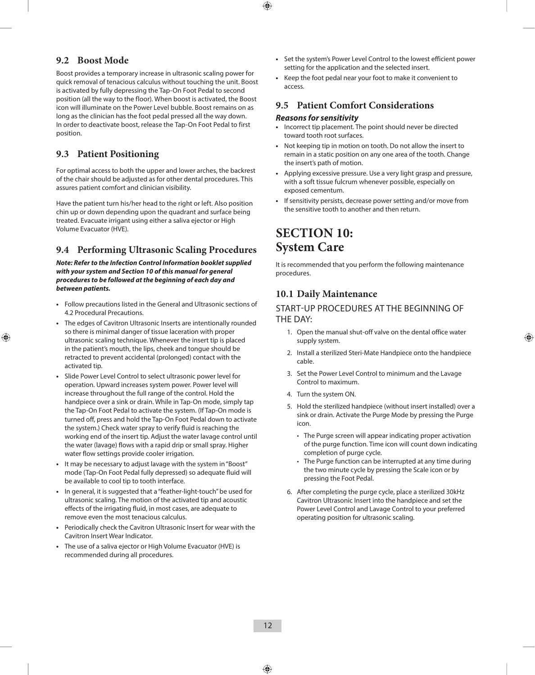#### **9.2 Boost Mode**

Boost provides a temporary increase in ultrasonic scaling power for quick removal of tenacious calculus without touching the unit. Boost is activated by fully depressing the Tap-On Foot Pedal to second position (all the way to the floor). When boost is activated, the Boost icon will illuminate on the Power Level bubble. Boost remains on as long as the clinician has the foot pedal pressed all the way down. In order to deactivate boost, release the Tap-On Foot Pedal to first position.

#### **9.3 Patient Positioning**

For optimal access to both the upper and lower arches, the backrest of the chair should be adjusted as for other dental procedures. This assures patient comfort and clinician visibility.

Have the patient turn his/her head to the right or left. Also position chin up or down depending upon the quadrant and surface being treated. Evacuate irrigant using either a saliva ejector or High Volume Evacuator (HVE).

#### **9.4 Performing Ultrasonic Scaling Procedures**

*Note: Refer to the Infection Control Information booklet supplied with your system and Section 10 of this manual for general procedures to be followed at the beginning of each day and between patients.*

- **•**  Follow precautions listed in the General and Ultrasonic sections of 4.2 Procedural Precautions.
- **•**  The edges of Cavitron Ultrasonic Inserts are intentionally rounded so there is minimal danger of tissue laceration with proper ultrasonic scaling technique. Whenever the insert tip is placed in the patient's mouth, the lips, cheek and tongue should be retracted to prevent accidental (prolonged) contact with the activated tip.
- **•**  Slide Power Level Control to select ultrasonic power level for operation. Upward increases system power. Power level will increase throughout the full range of the control. Hold the handpiece over a sink or drain. While in Tap-On mode, simply tap the Tap-On Foot Pedal to activate the system. (If Tap-On mode is turned off, press and hold the Tap-On Foot Pedal down to activate the system.) Check water spray to verify fluid is reaching the working end of the insert tip. Adjust the water lavage control until the water (lavage) flows with a rapid drip or small spray. Higher water flow settings provide cooler irrigation.
- **•**  It may be necessary to adjust lavage with the system in "Boost" mode (Tap-On Foot Pedal fully depressed) so adequate fluid will be available to cool tip to tooth interface.
- **•**  In general, it is suggested that a "feather-light-touch" be used for ultrasonic scaling. The motion of the activated tip and acoustic effects of the irrigating fluid, in most cases, are adequate to remove even the most tenacious calculus.
- **•**  Periodically check the Cavitron Ultrasonic Insert for wear with the Cavitron Insert Wear Indicator.
- The use of a saliva ejector or High Volume Evacuator (HVE) is recommended during all procedures.
- **•**  Set the system's Power Level Control to the lowest efficient power setting for the application and the selected insert.
- Keep the foot pedal near your foot to make it convenient to access.

#### **9.5 Patient Comfort Considerations**

#### *Reasons for sensitivity*

- **•**  Incorrect tip placement. The point should never be directed toward tooth root surfaces.
- **•**  Not keeping tip in motion on tooth. Do not allow the insert to remain in a static position on any one area of the tooth. Change the insert's path of motion.
- **•**  Applying excessive pressure. Use a very light grasp and pressure, with a soft tissue fulcrum whenever possible, especially on exposed cementum.
- If sensitivity persists, decrease power setting and/or move from the sensitive tooth to another and then return.

### **SECTION 10: System Care**

It is recommended that you perform the following maintenance procedures.

#### **10.1 Daily Maintenance**

#### START-UP PROCEDURES AT THE BEGINNING OF THE DAY:

- 1. Open the manual shut-off valve on the dental office water supply system.
- 2. Install a sterilized Steri-Mate Handpiece onto the handpiece cable.
- 3. Set the Power Level Control to minimum and the Lavage Control to maximum.
- 4. Turn the system ON.
- 5. Hold the sterilized handpiece (without insert installed) over a sink or drain. Activate the Purge Mode by pressing the Purge icon.
	- The Purge screen will appear indicating proper activation of the purge function. Time icon will count down indicating completion of purge cycle.
	- The Purge function can be interrupted at any time during the two minute cycle by pressing the Scale icon or by pressing the Foot Pedal.
- 6. After completing the purge cycle, place a sterilized 30kHz Cavitron Ultrasonic Insert into the handpiece and set the Power Level Control and Lavage Control to your preferred operating position for ultrasonic scaling.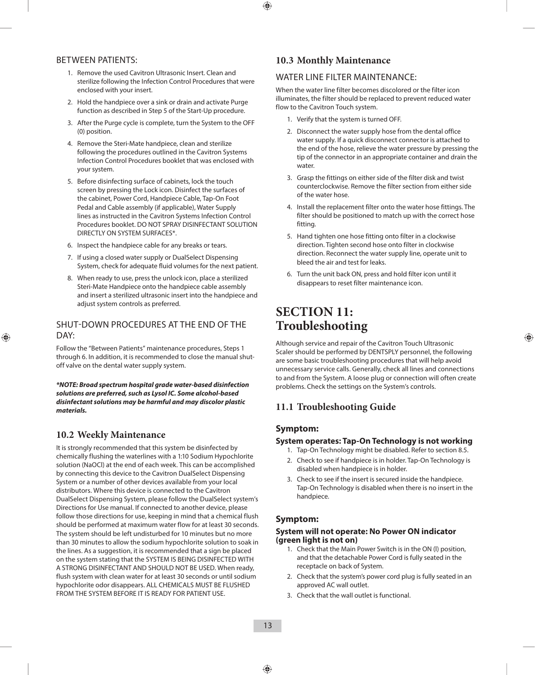#### BETWEEN PATIENTS:

- 1. Remove the used Cavitron Ultrasonic Insert. Clean and sterilize following the Infection Control Procedures that were enclosed with your insert.
- 2. Hold the handpiece over a sink or drain and activate Purge function as described in Step 5 of the Start-Up procedure.
- 3. After the Purge cycle is complete, turn the System to the OFF (0) position.
- 4. Remove the Steri-Mate handpiece, clean and sterilize following the procedures outlined in the Cavitron Systems Infection Control Procedures booklet that was enclosed with your system.
- 5. Before disinfecting surface of cabinets, lock the touch screen by pressing the Lock icon. Disinfect the surfaces of the cabinet, Power Cord, Handpiece Cable, Tap-On Foot Pedal and Cable assembly (if applicable), Water Supply lines as instructed in the Cavitron Systems Infection Control Procedures booklet. DO NOT SPRAY DISINFECTANT SOLUTION DIRECTLY ON SYSTEM SURFACES\*.
- 6. Inspect the handpiece cable for any breaks or tears.
- 7. If using a closed water supply or DualSelect Dispensing System, check for adequate fluid volumes for the next patient.
- 8. When ready to use, press the unlock icon, place a sterilized Steri-Mate Handpiece onto the handpiece cable assembly and insert a sterilized ultrasonic insert into the handpiece and adjust system controls as preferred.

#### SHUT-DOWN PROCEDURES AT THE END OF THE DAY:

Follow the "Between Patients" maintenance procedures, Steps 1 through 6. In addition, it is recommended to close the manual shutoff valve on the dental water supply system.

*\*NOTE: Broad spectrum hospital grade water-based disinfection solutions are preferred, such as Lysol IC. Some alcohol-based disinfectant solutions may be harmful and may discolor plastic materials.*

#### **10.2 Weekly Maintenance**

It is strongly recommended that this system be disinfected by chemically flushing the waterlines with a 1:10 Sodium Hypochlorite solution (NaOCl) at the end of each week. This can be accomplished by connecting this device to the Cavitron DualSelect Dispensing System or a number of other devices available from your local distributors. Where this device is connected to the Cavitron DualSelect Dispensing System, please follow the DualSelect system's Directions for Use manual. If connected to another device, please follow those directions for use, keeping in mind that a chemical flush should be performed at maximum water flow for at least 30 seconds. The system should be left undisturbed for 10 minutes but no more than 30 minutes to allow the sodium hypochlorite solution to soak in the lines. As a suggestion, it is recommended that a sign be placed on the system stating that the SYSTEM IS BEING DISINFECTED WITH A STRONG DISINFECTANT AND SHOULD NOT BE USED. When ready, flush system with clean water for at least 30 seconds or until sodium hypochlorite odor disappears. ALL CHEMICALS MUST BE FLUSHED FROM THE SYSTEM BEFORE IT IS READY FOR PATIENT USE.

#### **10.3 Monthly Maintenance**

#### WATER LINE FILTER MAINTENANCE:

When the water line filter becomes discolored or the filter icon illuminates, the filter should be replaced to prevent reduced water flow to the Cavitron Touch system.

- 1. Verify that the system is turned OFF.
- 2. Disconnect the water supply hose from the dental office water supply. If a quick disconnect connector is attached to the end of the hose, relieve the water pressure by pressing the tip of the connector in an appropriate container and drain the water.
- 3. Grasp the fittings on either side of the filter disk and twist counterclockwise. Remove the filter section from either side of the water hose.
- 4. Install the replacement filter onto the water hose fittings. The filter should be positioned to match up with the correct hose fitting.
- 5. Hand tighten one hose fitting onto filter in a clockwise direction. Tighten second hose onto filter in clockwise direction. Reconnect the water supply line, operate unit to bleed the air and test for leaks.
- 6. Turn the unit back ON, press and hold filter icon until it disappears to reset filter maintenance icon.

### **SECTION 11: Troubleshooting**

Although service and repair of the Cavitron Touch Ultrasonic Scaler should be performed by DENTSPLY personnel, the following are some basic troubleshooting procedures that will help avoid unnecessary service calls. Generally, check all lines and connections to and from the System. A loose plug or connection will often create problems. Check the settings on the System's controls.

#### **11.1 Troubleshooting Guide**

#### **Symptom:**

#### **System operates: Tap-On Technology is not working**

- 1. Tap-On Technology might be disabled. Refer to section 8.5.
- 2. Check to see if handpiece is in holder. Tap-On Technology is disabled when handpiece is in holder.
- 3. Check to see if the insert is secured inside the handpiece. Tap-On Technology is disabled when there is no insert in the handpiece.

#### **Symptom:**

#### **System will not operate: No Power ON indicator (green light is not on)**

- 1. Check that the Main Power Switch is in the ON (l) position, and that the detachable Power Cord is fully seated in the receptacle on back of System.
- 2. Check that the system's power cord plug is fully seated in an approved AC wall outlet.
- 3. Check that the wall outlet is functional.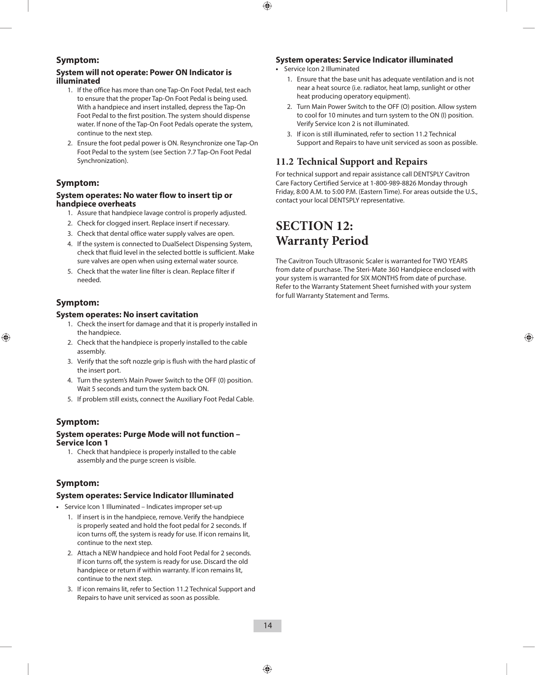#### **Symptom:**

#### **System will not operate: Power ON Indicator is illuminated**

- 1. If the office has more than one Tap-On Foot Pedal, test each to ensure that the proper Tap-On Foot Pedal is being used. With a handpiece and insert installed, depress the Tap-On Foot Pedal to the first position. The system should dispense water. If none of the Tap-On Foot Pedals operate the system, continue to the next step.
- 2. Ensure the foot pedal power is ON. Resynchronize one Tap-On Foot Pedal to the system (see Section 7.7 Tap-On Foot Pedal Synchronization).

#### **Symptom:**

#### **System operates: No water flow to insert tip or handpiece overheats**

- 1. Assure that handpiece lavage control is properly adjusted.
- 2. Check for clogged insert. Replace insert if necessary.
- 3. Check that dental office water supply valves are open.
- 4. If the system is connected to DualSelect Dispensing System, check that fluid level in the selected bottle is sufficient. Make sure valves are open when using external water source.
- 5. Check that the water line filter is clean. Replace filter if needed.

#### **Symptom:**

#### **System operates: No insert cavitation**

- 1. Check the insert for damage and that it is properly installed in the handpiece.
- 2. Check that the handpiece is properly installed to the cable assembly.
- 3. Verify that the soft nozzle grip is flush with the hard plastic of the insert port.
- 4. Turn the system's Main Power Switch to the OFF (0) position. Wait 5 seconds and turn the system back ON.
- 5. If problem still exists, connect the Auxiliary Foot Pedal Cable.

#### **Symptom:**

#### **System operates: Purge Mode will not function – Service Icon 1**

1. Check that handpiece is properly installed to the cable assembly and the purge screen is visible.

#### **Symptom:**

#### **System operates: Service Indicator Illuminated**

- **•**  Service Icon 1 Illuminated Indicates improper set-up
	- 1. If insert is in the handpiece, remove. Verify the handpiece is properly seated and hold the foot pedal for 2 seconds. If icon turns off, the system is ready for use. If icon remains lit, continue to the next step.
	- 2. Attach a NEW handpiece and hold Foot Pedal for 2 seconds. If icon turns off, the system is ready for use. Discard the old handpiece or return if within warranty. If icon remains lit, continue to the next step.
	- 3. If icon remains lit, refer to Section 11.2 Technical Support and Repairs to have unit serviced as soon as possible.

#### **System operates: Service Indicator illuminated**

- **•**  Service Icon 2 Illuminated
	- 1. Ensure that the base unit has adequate ventilation and is not near a heat source (i.e. radiator, heat lamp, sunlight or other heat producing operatory equipment).
	- 2. Turn Main Power Switch to the OFF (O) position. Allow system to cool for 10 minutes and turn system to the ON (I) position. Verify Service Icon 2 is not illuminated.
	- 3. If icon is still illuminated, refer to section 11.2 Technical Support and Repairs to have unit serviced as soon as possible.

### **11.2 Technical Support and Repairs**

For technical support and repair assistance call DENTSPLY Cavitron Care Factory Certified Service at 1-800-989-8826 Monday through Friday, 8:00 A.M. to 5:00 P.M. (Eastern Time). For areas outside the U.S., contact your local DENTSPLY representative.

### **SECTION 12: Warranty Period**

The Cavitron Touch Ultrasonic Scaler is warranted for TWO YEARS from date of purchase. The Steri-Mate 360 Handpiece enclosed with your system is warranted for SIX MONTHS from date of purchase. Refer to the Warranty Statement Sheet furnished with your system for full Warranty Statement and Terms.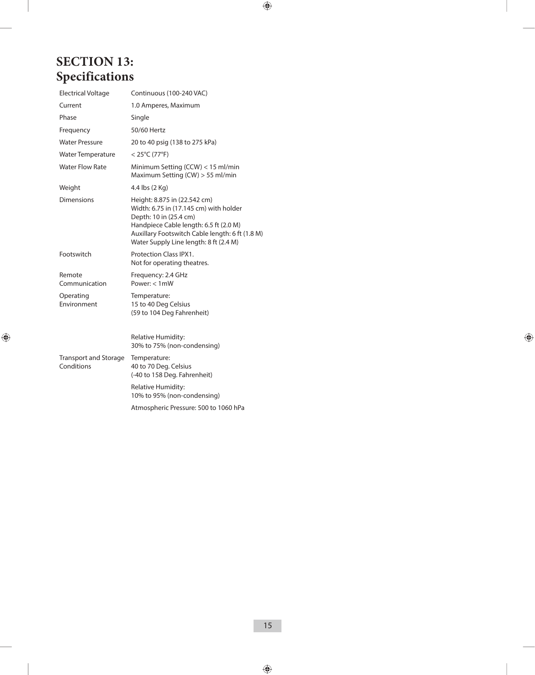### **SECTION 13: Specifications**

| <b>Electrical Voltage</b>                  | Continuous (100-240 VAC)                                                                                                                                                                                                                |
|--------------------------------------------|-----------------------------------------------------------------------------------------------------------------------------------------------------------------------------------------------------------------------------------------|
| Current                                    | 1.0 Amperes, Maximum                                                                                                                                                                                                                    |
| Phase                                      | Single                                                                                                                                                                                                                                  |
| Frequency                                  | 50/60 Hertz                                                                                                                                                                                                                             |
| <b>Water Pressure</b>                      | 20 to 40 psig (138 to 275 kPa)                                                                                                                                                                                                          |
| Water Temperature                          | $<$ 25°C (77°F)                                                                                                                                                                                                                         |
| <b>Water Flow Rate</b>                     | Minimum Setting (CCW) < 15 ml/min<br>Maximum Setting (CW) > 55 ml/min                                                                                                                                                                   |
| Weight                                     | 4.4 lbs (2 Kg)                                                                                                                                                                                                                          |
| Dimensions                                 | Height: 8.875 in (22.542 cm)<br>Width: 6.75 in (17.145 cm) with holder<br>Depth: 10 in (25.4 cm)<br>Handpiece Cable length: 6.5 ft (2.0 M)<br>Auxillary Footswitch Cable length: 6 ft (1.8 M)<br>Water Supply Line length: 8 ft (2.4 M) |
| Footswitch                                 | <b>Protection Class IPX1.</b><br>Not for operating theatres.                                                                                                                                                                            |
| Remote<br>Communication                    | Frequency: 2.4 GHz<br>Power: $< 1$ mW                                                                                                                                                                                                   |
| Operating<br>Environment                   | Temperature:<br>15 to 40 Deg Celsius<br>(59 to 104 Deg Fahrenheit)                                                                                                                                                                      |
|                                            | Relative Humidity:<br>30% to 75% (non-condensing)                                                                                                                                                                                       |
| <b>Transport and Storage</b><br>Conditions | Temperature:<br>40 to 70 Deg. Celsius<br>(-40 to 158 Deg. Fahrenheit)                                                                                                                                                                   |
|                                            | Relative Humidity:<br>10% to 95% (non-condensing)                                                                                                                                                                                       |
|                                            | Atmospheric Pressure: 500 to 1060 hPa                                                                                                                                                                                                   |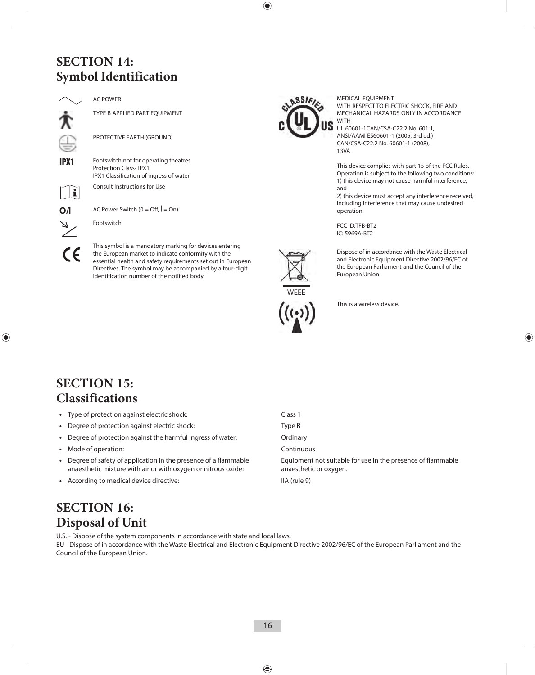### **SECTION 14: Symbol Identification**

AC POWER

TYPE B APPLIED PART EQUIPMENT

PROTECTIVE EARTH (GROUND)

**IPX1** Footswitch not for operating theatres Protection Class- IPX1 IPX1 Classification of ingress of water

Consult Instructions for Use

 $\mathbf i$ **O/I** AC Power Switch  $(0 = \text{Off}, \mid = \text{On})$ 

 $\epsilon$ 

Footswitch

This symbol is a mandatory marking for devices entering the European market to indicate conformity with the essential health and safety requirements set out in European Directives. The symbol may be accompanied by a four-digit identification number of the notified body.



MEDICAL EQUIPMENT WITH RESPECT TO ELECTRIC SHOCK, FIRE AND MECHANICAL HAZARDS ONLY IN ACCORDANCE **WITH** 

UL 60601-1CAN/CSA-C22.2 No. 601.1, ANSI/AAMI ES60601-1 (2005, 3rd ed.) CAN/CSA-C22.2 No. 60601-1 (2008), 13VA

This device complies with part 15 of the FCC Rules. Operation is subject to the following two conditions: 1) this device may not cause harmful interference, and

2) this device must accept any interference received, including interference that may cause undesired operation.

FCC ID:TFB-BT2 IC: 5969A-BT2



Dispose of in accordance with the Waste Electrical and Electronic Equipment Directive 2002/96/EC of the European Parliament and the Council of the European Union



This is a wireless device.

### **SECTION 15: Classifications**

- **•**  Type of protection against electric shock: Class 1
- Degree of protection against electric shock: Type B
- Degree of protection against the harmful ingress of water: **Ordinary**
- Mode of operation: **Continuous Continuous Continuous**
- **•**  Degree of safety of application in the presence of a flammable anaesthetic mixture with air or with oxygen or nitrous oxide:
- According to medical device directive: **IIA** (rule 9)

Equipment not suitable for use in the presence of flammable anaesthetic or oxygen.

### **SECTION 16: Disposal of Unit**

U.S. - Dispose of the system components in accordance with state and local laws. EU - Dispose of in accordance with the Waste Electrical and Electronic Equipment Directive 2002/96/EC of the European Parliament and the Council of the European Union.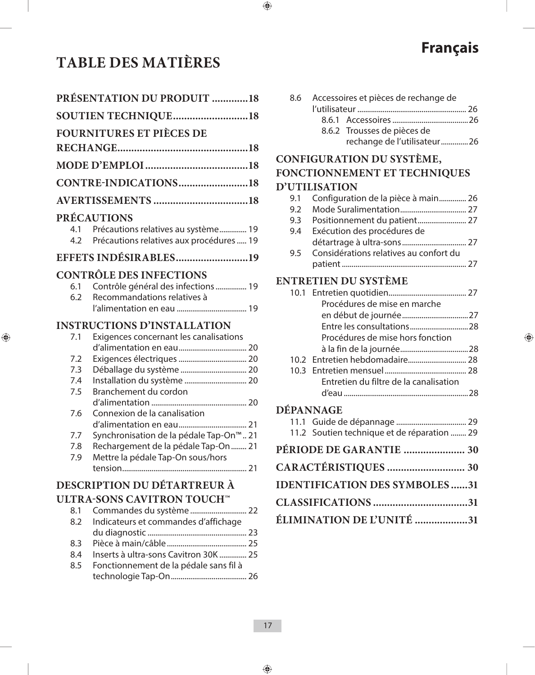### **TABLE DES MATIÈRES**

|                            | <b>PRÉSENTATION DU PRODUIT 18</b>                                                   |  |  |
|----------------------------|-------------------------------------------------------------------------------------|--|--|
| <b>SOUTIEN TECHNIQUE18</b> |                                                                                     |  |  |
|                            | <b>FOURNITURES ET PIÈCES DE</b>                                                     |  |  |
|                            |                                                                                     |  |  |
|                            |                                                                                     |  |  |
|                            | CONTRE-INDICATIONS18                                                                |  |  |
|                            |                                                                                     |  |  |
|                            | <b>PRÉCAUTIONS</b>                                                                  |  |  |
| 4.1                        | Précautions relatives au système 19<br>4.2 Précautions relatives aux procédures  19 |  |  |
|                            | <b>EFFETS INDÉSIRABLES19</b>                                                        |  |  |
|                            | <b>CONTRÔLE DES INFECTIONS</b>                                                      |  |  |
| 6.1                        | Contrôle général des infections  19                                                 |  |  |
| 6.2                        | Recommandations relatives à                                                         |  |  |
|                            |                                                                                     |  |  |
|                            | <b>INSTRUCTIONS D'INSTALLATION</b>                                                  |  |  |
| 7.1                        | Exigences concernant les canalisations                                              |  |  |
|                            |                                                                                     |  |  |
| 7.2<br>7.3                 | Déballage du système  20                                                            |  |  |
| 7.4                        | Installation du système  20                                                         |  |  |
| 7.5                        | Branchement du cordon                                                               |  |  |
|                            |                                                                                     |  |  |
| 7.6                        | Connexion de la canalisation                                                        |  |  |
|                            |                                                                                     |  |  |
| 7.7                        | Synchronisation de la pédale Tap-On™ 21                                             |  |  |
| 7.8<br>7.9                 | Rechargement de la pédale Tap-On  21<br>Mettre la pédale Tap-On sous/hors           |  |  |
|                            |                                                                                     |  |  |
|                            | DESCRIPTION DU DÉTARTREUR À                                                         |  |  |
|                            | ULTRA-SONS CAVITRON TOUCH™                                                          |  |  |
| 8.1                        | Commandes du système  22                                                            |  |  |
| 8.2                        | Indicateurs et commandes d'affichage                                                |  |  |
|                            |                                                                                     |  |  |
| 8.3                        |                                                                                     |  |  |
| 8.4                        | Inserts à ultra-sons Cavitron 30K  25                                               |  |  |
| 8.5                        | Fonctionnement de la pédale sans fil à                                              |  |  |
|                            |                                                                                     |  |  |

|  | 8.6 Accessoires et pièces de rechange de |  |
|--|------------------------------------------|--|
|  |                                          |  |
|  |                                          |  |
|  | 8.6.2 Trousses de pièces de              |  |
|  | rechange de l'utilisateur26              |  |

**Français**

### **CONFIGURATION DU SYSTÈME, FONCTIONNEMENT ET TECHNIQUES D'UTILISATION**

| 9.1 | Configuration de la pièce à main 26    |  |
|-----|----------------------------------------|--|
| 9.2 |                                        |  |
| 9.3 |                                        |  |
| 9.4 | Exécution des procédures de            |  |
|     |                                        |  |
| 9.5 | Considérations relatives au confort du |  |
|     |                                        |  |

#### **ENTRETIEN DU SYSTÈME**

|           | Procédures de mise en marche           |  |
|-----------|----------------------------------------|--|
|           |                                        |  |
|           |                                        |  |
|           | Procédures de mise hors fonction       |  |
|           |                                        |  |
|           |                                        |  |
|           |                                        |  |
|           | Entretien du filtre de la canalisation |  |
|           |                                        |  |
| DÉPANNAGE |                                        |  |

|  | 11.2 Soutien technique et de réparation  29 |  |
|--|---------------------------------------------|--|
|  | PÉRIODE DE GARANTIE  30                     |  |
|  | CARACTÉRISTIQUES  30                        |  |
|  | <b>IDENTIFICATION DES SYMBOLES31</b>        |  |
|  |                                             |  |
|  | ÉLIMINATION DE L'UNITÉ 31                   |  |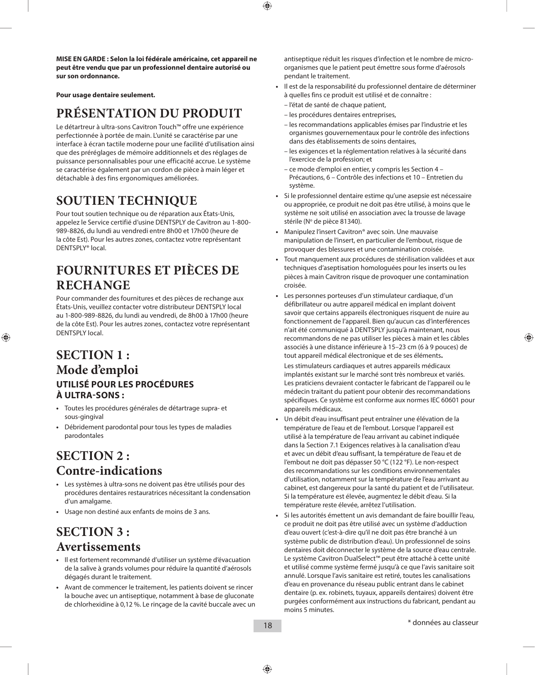**MISE EN GARDE : Selon la loi fédérale américaine, cet appareil ne peut être vendu que par un professionnel dentaire autorisé ou sur son ordonnance.**

**Pour usage dentaire seulement.**

### **PRÉSENTATION DU PRODUIT**

Le détartreur à ultra-sons Cavitron Touch™ offre une expérience perfectionnée à portée de main. L'unité se caractérise par une interface à écran tactile moderne pour une facilité d'utilisation ainsi que des préréglages de mémoire additionnels et des réglages de puissance personnalisables pour une efficacité accrue. Le système se caractérise également par un cordon de pièce à main léger et détachable à des fins ergonomiques améliorées.

### **SOUTIEN TECHNIQUE**

Pour tout soutien technique ou de réparation aux États-Unis, appelez le Service certifié d'usine DENTSPLY de Cavitron au 1-800- 989-8826, du lundi au vendredi entre 8h00 et 17h00 (heure de la côte Est). Pour les autres zones, contactez votre représentant DENTSPLY® local.

### **FOURNITURES ET PIÈCES DE RECHANGE**

Pour commander des fournitures et des pièces de rechange aux États-Unis, veuillez contacter votre distributeur DENTSPLY local au 1-800-989-8826, du lundi au vendredi, de 8h00 à 17h00 (heure de la côte Est). Pour les autres zones, contactez votre représentant DENTSPLY local.

### **SECTION 1 : Mode d'emploi UTILISÉ POUR LES PROCÉDURES À ULTRA-SONS :**

- **•**  Toutes les procédures générales de détartrage supra- et sous-gingival
- **•**  Débridement parodontal pour tous les types de maladies parodontales

### **SECTION 2 : Contre-indications**

- **•**  Les systèmes à ultra-sons ne doivent pas être utilisés pour des procédures dentaires restauratrices nécessitant la condensation d'un amalgame.
- **•**  Usage non destiné aux enfants de moins de 3 ans.

### **SECTION 3 : Avertissements**

- **•**  Il est fortement recommandé d'utiliser un système d'évacuation de la salive à grands volumes pour réduire la quantité d'aérosols dégagés durant le traitement.
- **•**  Avant de commencer le traitement, les patients doivent se rincer la bouche avec un antiseptique, notamment à base de gluconate de chlorhexidine à 0,12 %. Le rinçage de la cavité buccale avec un

antiseptique réduit les risques d'infection et le nombre de microorganismes que le patient peut émettre sous forme d'aérosols pendant le traitement.

- Il est de la responsabilité du professionnel dentaire de déterminer à quelles fins ce produit est utilisé et de connaître :
	- l'état de santé de chaque patient,
- les procédures dentaires entreprises,
- les recommandations applicables émises par l'industrie et les organismes gouvernementaux pour le contrôle des infections dans des établissements de soins dentaires,
- les exigences et la réglementation relatives à la sécurité dans l'exercice de la profession; et
- ce mode d'emploi en entier, y compris les Section 4 Précautions, 6 – Contrôle des infections et 10 – Entretien du système.
- **•**  Si le professionnel dentaire estime qu'une asepsie est nécessaire ou appropriée, ce produit ne doit pas être utilisé, à moins que le système ne soit utilisé en association avec la trousse de lavage stérile (Nº de pièce 81340).
- **•**  Manipulez l'insert Cavitron® avec soin. Une mauvaise manipulation de l'insert, en particulier de l'embout, risque de provoquer des blessures et une contamination croisée.
- Tout manquement aux procédures de stérilisation validées et aux techniques d'aseptisation homologuées pour les inserts ou les pièces à main Cavitron risque de provoquer une contamination croisée.
- **•**  Les personnes porteuses d'un stimulateur cardiaque, d'un défibrillateur ou autre appareil médical en implant doivent savoir que certains appareils électroniques risquent de nuire au fonctionnement de l'appareil. Bien qu'aucun cas d'interférences n'ait été communiqué à DENTSPLY jusqu'à maintenant, nous recommandons de ne pas utiliser les pièces à main et les câbles associés à une distance inférieure à 15–23 cm (6 à 9 pouces) de tout appareil médical électronique et de ses éléments**.**

 Les stimulateurs cardiaques et autres appareils médicaux implantés existant sur le marché sont très nombreux et variés. Les praticiens devraient contacter le fabricant de l'appareil ou le médecin traitant du patient pour obtenir des recommandations spécifiques. Ce système est conforme aux normes IEC 60601 pour appareils médicaux.

- Un débit d'eau insuffisant peut entraîner une élévation de la température de l'eau et de l'embout. Lorsque l'appareil est utilisé à la température de l'eau arrivant au cabinet indiquée dans la Section 7.1 Exigences relatives à la canalisation d'eau et avec un débit d'eau suffisant, la température de l'eau et de l'embout ne doit pas dépasser 50 °C (122 °F). Le non-respect des recommandations sur les conditions environnementales d'utilisation, notamment sur la température de l'eau arrivant au cabinet, est dangereux pour la santé du patient et de l'utilisateur. Si la température est élevée, augmentez le débit d'eau. Si la température reste élevée, arrêtez l'utilisation.
- Si les autorités émettent un avis demandant de faire bouillir l'eau, ce produit ne doit pas être utilisé avec un système d'adduction d'eau ouvert (c'est-à-dire qu'il ne doit pas être branché à un système public de distribution d'eau). Un professionnel de soins dentaires doit déconnecter le système de la source d'eau centrale. Le système Cavitron DualSelect™ peut être attaché à cette unité et utilisé comme système fermé jusqu'à ce que l'avis sanitaire soit annulé. Lorsque l'avis sanitaire est retiré, toutes les canalisations d'eau en provenance du réseau public entrant dans le cabinet dentaire (p. ex. robinets, tuyaux, appareils dentaires) doivent être purgées conformément aux instructions du fabricant, pendant au moins 5 minutes.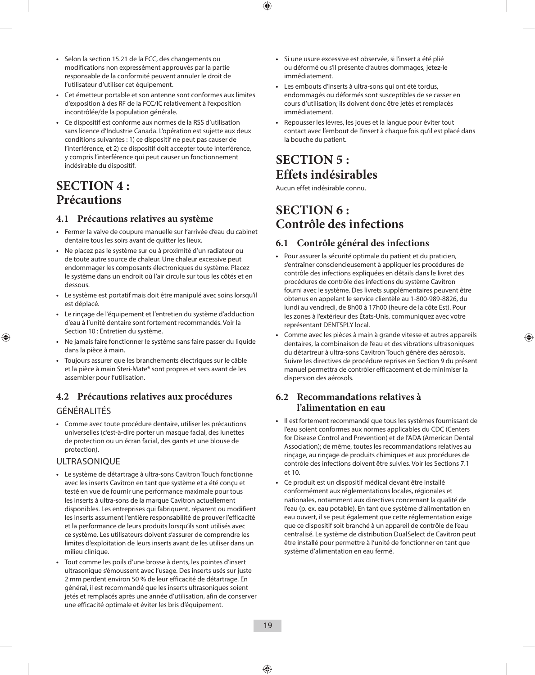- **•**  Selon la section 15.21 de la FCC, des changements ou modifications non expressément approuvés par la partie responsable de la conformité peuvent annuler le droit de l'utilisateur d'utiliser cet équipement.
- **•**  Cet émetteur portable et son antenne sont conformes aux limites d'exposition à des RF de la FCC/IC relativement à l'exposition incontrôlée/de la population générale.
- **•**  Ce dispositif est conforme aux normes de la RSS d'utilisation sans licence d'Industrie Canada. L'opération est sujette aux deux conditions suivantes : 1) ce dispositif ne peut pas causer de l'interférence, et 2) ce dispositif doit accepter toute interférence, y compris l'interférence qui peut causer un fonctionnement indésirable du dispositif.

### **SECTION 4 : Précautions**

#### **4.1 Précautions relatives au système**

- **•**  Fermer la valve de coupure manuelle sur l'arrivée d'eau du cabinet dentaire tous les soirs avant de quitter les lieux.
- **•**  Ne placez pas le système sur ou à proximité d'un radiateur ou de toute autre source de chaleur. Une chaleur excessive peut endommager les composants électroniques du système. Placez le système dans un endroit où l'air circule sur tous les côtés et en dessous.
- **•**  Le système est portatif mais doit être manipulé avec soins lorsqu'il est déplacé.
- **•**  Le rinçage de l'équipement et l'entretien du système d'adduction d'eau à l'unité dentaire sont fortement recommandés. Voir la Section 10 : Entretien du système.
- **•**  Ne jamais faire fonctionner le système sans faire passer du liquide dans la pièce à main.
- **•**  Toujours assurer que les branchements électriques sur le câble et la pièce à main Steri-Mate® sont propres et secs avant de les assembler pour l'utilisation.

#### **4.2 Précautions relatives aux procédures**

#### GÉNÉRALITÉS

**•**  Comme avec toute procédure dentaire, utiliser les précautions universelles (c'est-à-dire porter un masque facial, des lunettes de protection ou un écran facial, des gants et une blouse de protection).

#### ULTRASONIQUE

- **•**  Le système de détartrage à ultra-sons Cavitron Touch fonctionne avec les inserts Cavitron en tant que système et a été conçu et testé en vue de fournir une performance maximale pour tous les inserts à ultra-sons de la marque Cavitron actuellement disponibles. Les entreprises qui fabriquent, réparent ou modifient les inserts assument l'entière responsabilité de prouver l'efficacité et la performance de leurs produits lorsqu'ils sont utilisés avec ce système. Les utilisateurs doivent s'assurer de comprendre les limites d'exploitation de leurs inserts avant de les utiliser dans un milieu clinique.
- **•**  Tout comme les poils d'une brosse à dents, les pointes d'insert ultrasonique s'émoussent avec l'usage. Des inserts usés sur juste 2 mm perdent environ 50 % de leur efficacité de détartrage. En général, il est recommandé que les inserts ultrasoniques soient jetés et remplacés après une année d'utilisation, afin de conserver une efficacité optimale et éviter les bris d'équipement.
- **•**  Si une usure excessive est observée, si l'insert a été plié ou déformé ou s'il présente d'autres dommages, jetez-le immédiatement.
- **•**  Les embouts d'inserts à ultra-sons qui ont été tordus, endommagés ou déformés sont susceptibles de se casser en cours d'utilisation; ils doivent donc être jetés et remplacés immédiatement.
- **•**  Repousser les lèvres, les joues et la langue pour éviter tout contact avec l'embout de l'insert à chaque fois qu'il est placé dans la bouche du patient.

### **SECTION 5 : Effets indésirables**

Aucun effet indésirable connu.

### **SECTION 6 : Contrôle des infections**

#### **6.1 Contrôle général des infections**

- **•**  Pour assurer la sécurité optimale du patient et du praticien, s'entraîner consciencieusement à appliquer les procédures de contrôle des infections expliquées en détails dans le livret des procédures de contrôle des infections du système Cavitron fourni avec le système. Des livrets supplémentaires peuvent être obtenus en appelant le service clientèle au 1-800-989-8826, du lundi au vendredi, de 8h00 à 17h00 (heure de la côte Est). Pour les zones à l'extérieur des États-Unis, communiquez avec votre représentant DENTSPLY local.
- **•**  Comme avec les pièces à main à grande vitesse et autres appareils dentaires, la combinaison de l'eau et des vibrations ultrasoniques du détartreur à ultra-sons Cavitron Touch génère des aérosols. Suivre les directives de procédure reprises en Section 9 du présent manuel permettra de contrôler efficacement et de minimiser la dispersion des aérosols.

#### **6.2 Recommandations relatives à l'alimentation en eau**

- **•**  Il est fortement recommandé que tous les systèmes fournissant de l'eau soient conformes aux normes applicables du CDC (Centers for Disease Control and Prevention) et de l'ADA (American Dental Association); de même, toutes les recommandations relatives au rinçage, au rinçage de produits chimiques et aux procédures de contrôle des infections doivent être suivies. Voir les Sections 7.1  $p + 10$
- **•**  Ce produit est un dispositif médical devant être installé conformément aux réglementations locales, régionales et nationales, notamment aux directives concernant la qualité de l'eau (p. ex. eau potable). En tant que système d'alimentation en eau ouvert, il se peut également que cette réglementation exige que ce dispositif soit branché à un appareil de contrôle de l'eau centralisé. Le système de distribution DualSelect de Cavitron peut être installé pour permettre à l'unité de fonctionner en tant que système d'alimentation en eau fermé.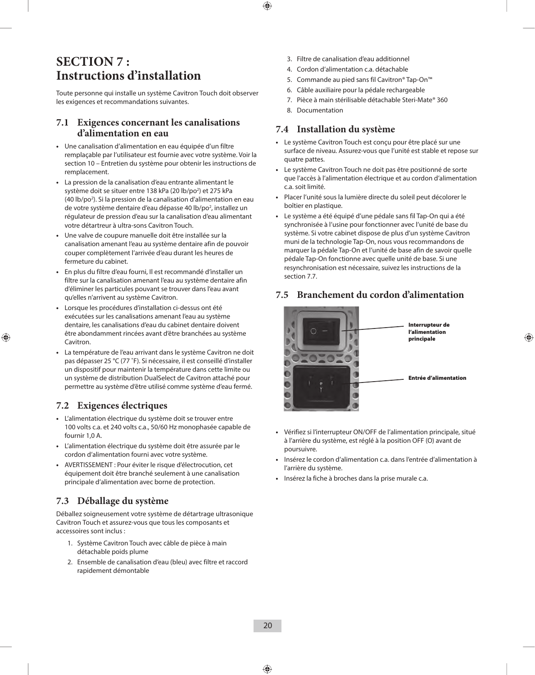### **SECTION 7 : Instructions d'installation**

Toute personne qui installe un système Cavitron Touch doit observer les exigences et recommandations suivantes.

#### **7.1 Exigences concernant les canalisations d'alimentation en eau**

- **•**  Une canalisation d'alimentation en eau équipée d'un filtre remplaçable par l'utilisateur est fournie avec votre système. Voir la section 10 – Entretien du système pour obtenir les instructions de remplacement.
- **•**  La pression de la canalisation d'eau entrante alimentant le système doit se situer entre 138 kPa (20 lb/po<sup>2</sup>) et 275 kPa (40 lb/po2 ). Si la pression de la canalisation d'alimentation en eau de votre système dentaire d'eau dépasse 40 lb/po<sup>2</sup>, installez un régulateur de pression d'eau sur la canalisation d'eau alimentant votre détartreur à ultra-sons Cavitron Touch.
- **•**  Une valve de coupure manuelle doit être installée sur la canalisation amenant l'eau au système dentaire afin de pouvoir couper complètement l'arrivée d'eau durant les heures de fermeture du cabinet.
- **•**  En plus du filtre d'eau fourni, Il est recommandé d'installer un filtre sur la canalisation amenant l'eau au système dentaire afin d'éliminer les particules pouvant se trouver dans l'eau avant qu'elles n'arrivent au système Cavitron.
- **•**  Lorsque les procédures d'installation ci-dessus ont été exécutées sur les canalisations amenant l'eau au système dentaire, les canalisations d'eau du cabinet dentaire doivent être abondamment rincées avant d'être branchées au système Cavitron.
- **•**  La température de l'eau arrivant dans le système Cavitron ne doit pas dépasser 25 °C (77 ˚F). Si nécessaire, il est conseillé d'installer un dispositif pour maintenir la température dans cette limite ou un système de distribution DualSelect de Cavitron attaché pour permettre au système d'être utilisé comme système d'eau fermé.

#### **7.2 Exigences électriques**

- **•**  L'alimentation électrique du système doit se trouver entre 100 volts c.a. et 240 volts c.a., 50/60 Hz monophasée capable de fournir 1,0 A.
- L'alimentation électrique du système doit être assurée par le cordon d'alimentation fourni avec votre système.
- **•**  AVERTISSEMENT : Pour éviter le risque d'électrocution, cet équipement doit être branché seulement à une canalisation principale d'alimentation avec borne de protection.

#### **7.3 Déballage du système**

Déballez soigneusement votre système de détartrage ultrasonique Cavitron Touch et assurez-vous que tous les composants et accessoires sont inclus :

- 1. Système Cavitron Touch avec câble de pièce à main détachable poids plume
- 2. Ensemble de canalisation d'eau (bleu) avec filtre et raccord rapidement démontable
- 3. Filtre de canalisation d'eau additionnel
- 4. Cordon d'alimentation c.a. détachable
- 5. Commande au pied sans fil Cavitron® Tap-On™
- 6. Câble auxiliaire pour la pédale rechargeable
- 7. Pièce à main stérilisable détachable Steri-Mate® 360
- 8. Documentation

#### **7.4 Installation du système**

- **•**  Le système Cavitron Touch est conçu pour être placé sur une surface de niveau. Assurez-vous que l'unité est stable et repose sur quatre pattes.
- **•**  Le système Cavitron Touch ne doit pas être positionné de sorte que l'accès à l'alimentation électrique et au cordon d'alimentation c.a. soit limité.
- **•**  Placer l'unité sous la lumière directe du soleil peut décolorer le boîtier en plastique.
- **•**  Le système a été équipé d'une pédale sans fil Tap-On qui a été synchronisée à l'usine pour fonctionner avec l'unité de base du système. Si votre cabinet dispose de plus d'un système Cavitron muni de la technologie Tap-On, nous vous recommandons de marquer la pédale Tap-On et l'unité de base afin de savoir quelle pédale Tap-On fonctionne avec quelle unité de base. Si une resynchronisation est nécessaire, suivez les instructions de la section 7.7.

#### **7.5 Branchement du cordon d'alimentation**



- **•**  Vérifiez si l'interrupteur ON/OFF de l'alimentation principale, situé à l'arrière du système, est réglé à la position OFF (O) avant de poursuivre.
- **•**  Insérez le cordon d'alimentation c.a. dans l'entrée d'alimentation à l'arrière du système.
- **•**  Insérez la fiche à broches dans la prise murale c.a.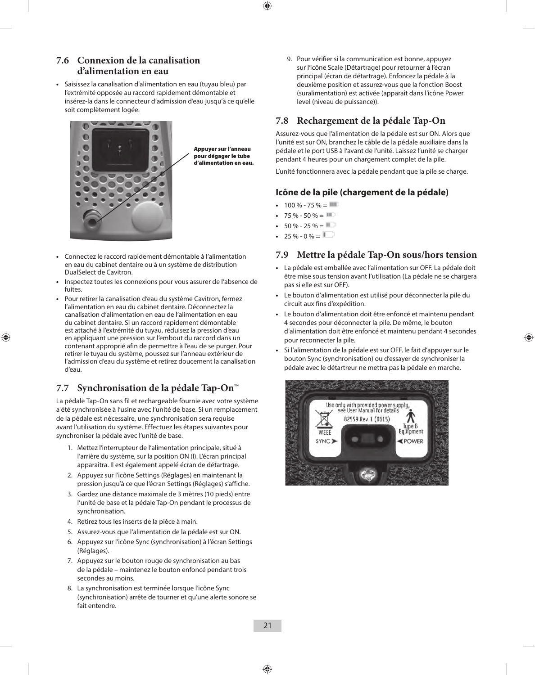#### **7.6 Connexion de la canalisation d'alimentation en eau**

**•**  Saisissez la canalisation d'alimentation en eau (tuyau bleu) par l'extrémité opposée au raccord rapidement démontable et insérez-la dans le connecteur d'admission d'eau jusqu'à ce qu'elle soit complètement logée.



Appuyer sur l'anneau pour dégager le tube d'alimentation en eau.

- **•**  Connectez le raccord rapidement démontable à l'alimentation en eau du cabinet dentaire ou à un système de distribution DualSelect de Cavitron.
- Inspectez toutes les connexions pour vous assurer de l'absence de fuites.
- Pour retirer la canalisation d'eau du système Cavitron, fermez l'alimentation en eau du cabinet dentaire. Déconnectez la canalisation d'alimentation en eau de l'alimentation en eau du cabinet dentaire. Si un raccord rapidement démontable est attaché à l'extrémité du tuyau, réduisez la pression d'eau en appliquant une pression sur l'embout du raccord dans un contenant approprié afin de permettre à l'eau de se purger. Pour retirer le tuyau du système, poussez sur l'anneau extérieur de l'admission d'eau du système et retirez doucement la canalisation d'eau.

#### **7.7 Synchronisation de la pédale Tap-On™**

La pédale Tap-On sans fil et rechargeable fournie avec votre système a été synchronisée à l'usine avec l'unité de base. Si un remplacement de la pédale est nécessaire, une synchronisation sera requise avant l'utilisation du système. Effectuez les étapes suivantes pour synchroniser la pédale avec l'unité de base.

- 1. Mettez l'interrupteur de l'alimentation principale, situé à l'arrière du système, sur la position ON (I). L'écran principal apparaîtra. Il est également appelé écran de détartrage.
- 2. Appuyez sur l'icône Settings (Réglages) en maintenant la pression jusqu'à ce que l'écran Settings (Réglages) s'affiche.
- 3. Gardez une distance maximale de 3 mètres (10 pieds) entre l'unité de base et la pédale Tap-On pendant le processus de synchronisation.
- 4. Retirez tous les inserts de la pièce à main.
- 5. Assurez-vous que l'alimentation de la pédale est sur ON.
- 6. Appuyez sur l'icône Sync (synchronisation) à l'écran Settings (Réglages).
- 7. Appuyez sur le bouton rouge de synchronisation au bas de la pédale – maintenez le bouton enfoncé pendant trois secondes au moins.
- 8. La synchronisation est terminée lorsque l'icône Sync (synchronisation) arrête de tourner et qu'une alerte sonore se fait entendre.

9. Pour vérifier si la communication est bonne, appuyez sur l'icône Scale (Détartrage) pour retourner à l'écran principal (écran de détartrage). Enfoncez la pédale à la deuxième position et assurez-vous que la fonction Boost (suralimentation) est activée (apparaît dans l'icône Power level (niveau de puissance)).

#### **7.8 Rechargement de la pédale Tap-On**

Assurez-vous que l'alimentation de la pédale est sur ON. Alors que l'unité est sur ON, branchez le câble de la pédale auxiliaire dans la pédale et le port USB à l'avant de l'unité. Laissez l'unité se charger pendant 4 heures pour un chargement complet de la pile.

L'unité fonctionnera avec la pédale pendant que la pile se charge.

#### **Icône de la pile (chargement de la pédale)**

- $100 \% 75 \% = 111$
- $75\% 50\% =$
- $50 \% 25 \% = 11$
- $25 \% 0 \% = 25$

#### **7.9 Mettre la pédale Tap-On sous/hors tension**

- **•**  La pédale est emballée avec l'alimentation sur OFF. La pédale doit être mise sous tension avant l'utilisation (La pédale ne se chargera pas si elle est sur OFF).
- **•**  Le bouton d'alimentation est utilisé pour déconnecter la pile du circuit aux fins d'expédition.
- **•**  Le bouton d'alimentation doit être enfoncé et maintenu pendant 4 secondes pour déconnecter la pile. De même, le bouton d'alimentation doit être enfoncé et maintenu pendant 4 secondes pour reconnecter la pile.
- Si l'alimentation de la pédale est sur OFF, le fait d'appuyer sur le bouton Sync (synchronisation) ou d'essayer de synchroniser la pédale avec le détartreur ne mettra pas la pédale en marche.

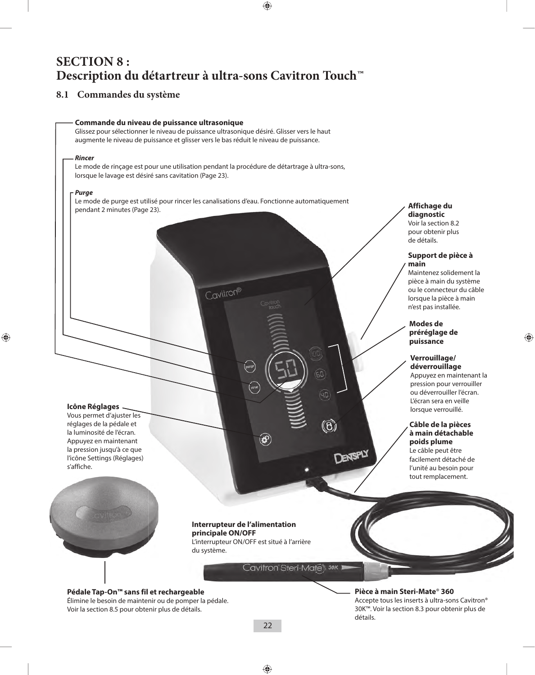### **SECTION 8 : Description du détartreur à ultra-sons Cavitron Touch™**

#### **8.1 Commandes du système**



#### **Pièce à main Steri-Mate**® **360**  Accepte tous les inserts à ultra-sons Cavitron® 30K™. Voir la section 8.3 pour obtenir plus de détails.

**diagnostic** Voir la section 8.2 pour obtenir plus de détails.

**main**

**Support de pièce à** 

Maintenez solidement la pièce à main du système ou le connecteur du câble lorsque la pièce à main n'est pas installée.

**Modes de préréglage de puissance**

**Verrouillage/ déverrouillage** Appuyez en maintenant la pression pour verrouiller ou déverrouiller l'écran. L'écran sera en veille lorsque verrouillé.

**Câble de la pièces à main détachable poids plume** Le câble peut être facilement détaché de l'unité au besoin pour tout remplacement.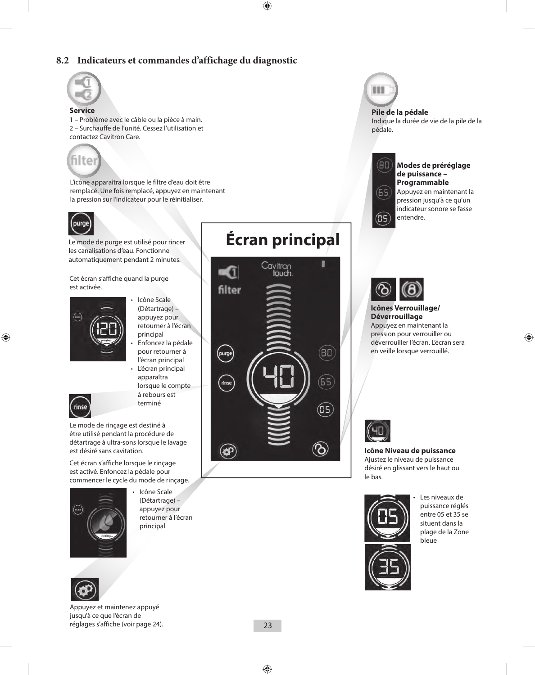#### **8.2 Indicateurs et commandes d'affichage du diagnostic**



#### **Service**

1 – Problème avec le câble ou la pièce à main. 2 – Surchauffe de l'unité. Cessez l'utilisation et contactez Cavitron Care.



L'icône apparaîtra lorsque le filtre d'eau doit être remplacé. Une fois remplacé, appuyez en maintenant la pression sur l'indicateur pour le réinitialiser.



Le mode de purge est utilisé pour rincer les canalisations d'eau. Fonctionne automatiquement pendant 2 minutes.

Cet écran s'affiche quand la purge est activée.



- • Icône Scale (Détartrage) – appuyez pour retourner à l'écran principal
- Enfoncez la pédale pour retourner à l'écran principal
- L'écran principal apparaîtra lorsque le compte à rebours est terminé

rinse Le mode de rinçage est destiné à être utilisé pendant la procédure de détartrage à ultra-sons lorsque le lavage

est désiré sans cavitation.

Cet écran s'affiche lorsque le rinçage est activé. Enfoncez la pédale pour commencer le cycle du mode de rinçage.



(Détartrage) – appuyez pour retourner à l'écran principal



• Icône Scale 



Appuyez et maintenez appuyé jusqu'à ce que l'écran de réglages s'affiche (voir page 24).

## **Écran principal**





**Pile de la pédale** Indique la durée de vie de la pile de la pédale.



(05

#### **Modes de préréglage de puissance – Programmable** Appuyez en maintenant la pression jusqu'à ce qu'un indicateur sonore se fasse



entendre.

#### **Icônes Verrouillage/ Déverrouillage**

Appuyez en maintenant la pression pour verrouiller ou déverrouiller l'écran. L'écran sera en veille lorsque verrouillé.



**Icône Niveau de puissance** Ajustez le niveau de puissance désiré en glissant vers le haut ou le bas.



Les niveaux de puissance réglés entre 05 et 35 se situent dans la plage de la Zone bleue

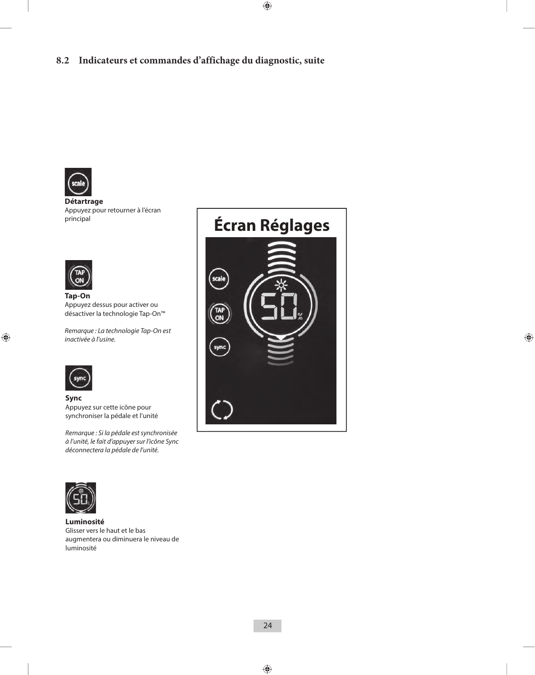

**Détartrage**  Appuyez pour retourner à l'écran principal



**Tap-On** Appuyez dessus pour activer ou désactiver la technologie Tap-On™

*Remarque : La technologie Tap-On est inactivée à l'usine.*



**Sync** Appuyez sur cette icône pour synchroniser la pédale et l'unité

*Remarque : Si la pédale est synchronisée à l'unité, le fait d'appuyer sur l'icône Sync déconnectera la pédale de l'unité.*





**Luminosité** Glisser vers le haut et le bas augmentera ou diminuera le niveau de luminosité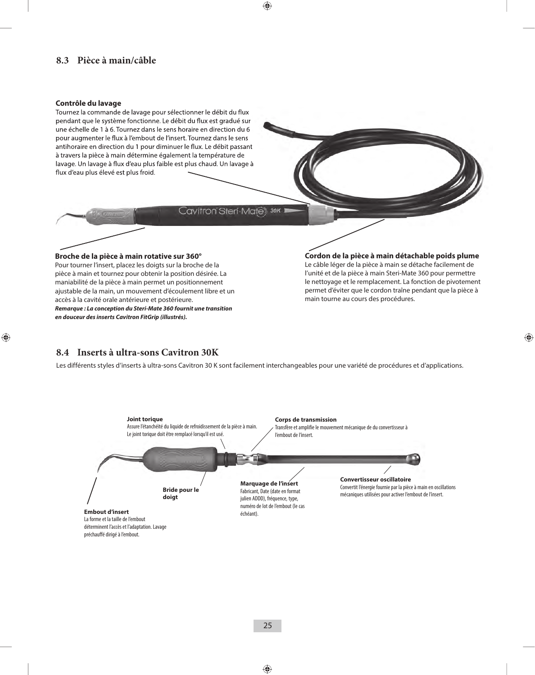#### **8.3 Pièce à main/câble**

#### **Contrôle du lavage**

Tournez la commande de lavage pour sélectionner le débit du flux pendant que le système fonctionne. Le débit du flux est gradué sur une échelle de 1 à 6. Tournez dans le sens horaire en direction du 6 pour augmenter le flux à l'embout de l'insert. Tournez dans le sens antihoraire en direction du 1 pour diminuer le flux. Le débit passant à travers la pièce à main détermine également la température de lavage. Un lavage à flux d'eau plus faible est plus chaud. Un lavage à flux d'eau plus élevé est plus froid.

Cavitron Steri-Mates 30K

#### **Broche de la pièce à main rotative sur 360°**

Pour tourner l'insert, placez les doigts sur la broche de la pièce à main et tournez pour obtenir la position désirée. La maniabilité de la pièce à main permet un positionnement ajustable de la main, un mouvement d'écoulement libre et un accès à la cavité orale antérieure et postérieure. *Remarque : La conception du Steri-Mate 360 fournit une transition* 

*en douceur des inserts Cavitron FitGrip (illustrés).*

#### **Cordon de la pièce à main détachable poids plume**

Le câble léger de la pièce à main se détache facilement de l'unité et de la pièce à main Steri-Mate 360 pour permettre le nettoyage et le remplacement. La fonction de pivotement permet d'éviter que le cordon traîne pendant que la pièce à main tourne au cours des procédures.

#### **8.4 Inserts à ultra-sons Cavitron 30K**

Les différents styles d'inserts à ultra-sons Cavitron 30 K sont facilement interchangeables pour une variété de procédures et d'applications.

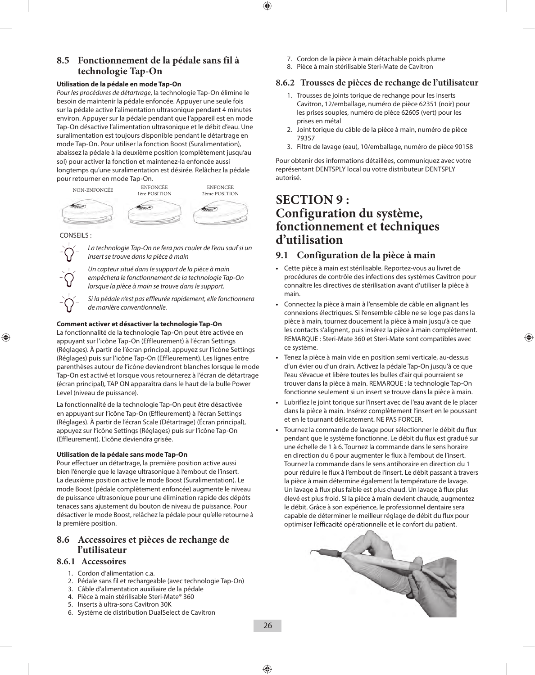#### **8.5 Fonctionnement de la pédale sans fil à technologie Tap-On**

#### **Utilisation de la pédale en mode Tap-On**

*Pour les procédures de détartrage*, la technologie Tap-On élimine le besoin de maintenir la pédale enfoncée. Appuyer une seule fois sur la pédale active l'alimentation ultrasonique pendant 4 minutes environ. Appuyer sur la pédale pendant que l'appareil est en mode Tap-On désactive l'alimentation ultrasonique et le débit d'eau. Une suralimentation est toujours disponible pendant le détartrage en mode Tap-On. Pour utiliser la fonction Boost (Suralimentation), abaissez la pédale à la deuxième position (complètement jusqu'au sol) pour activer la fonction et maintenez-la enfoncée aussi longtemps qu'une suralimentation est désirée. Relâchez la pédale pour retourner en mode Tap-On.



CONSEILS :



*La technologie Tap-On ne fera pas couler de l'eau sauf si un insert se trouve dans la pièce à main*

*Un capteur situé dans le support de la pièce à main empêchera le fonctionnement de la technologie Tap-On lorsque la pièce à main se trouve dans le support.*

*Si la pédale n'est pas effleurée rapidement, elle fonctionnera de manière conventionnelle.*

#### **Comment activer et désactiver la technologie Tap-On**

La fonctionnalité de la technologie Tap-On peut être activée en appuyant sur l'icône Tap-On (Effleurement) à l'écran Settings (Réglages). À partir de l'écran principal, appuyez sur l'icône Settings (Réglages) puis sur l'icône Tap-On (Effleurement). Les lignes entre parenthèses autour de l'icône deviendront blanches lorsque le mode Tap-On est activé et lorsque vous retournerez à l'écran de détartrage (écran principal), TAP ON apparaîtra dans le haut de la bulle Power Level (niveau de puissance).

La fonctionnalité de la technologie Tap-On peut être désactivée en appuyant sur l'icône Tap-On (Effleurement) à l'écran Settings (Réglages). À partir de l'écran Scale (Détartrage) (Écran principal), appuyez sur l'icône Settings (Réglages) puis sur l'icône Tap-On (Effleurement). L'icône deviendra grisée.

#### **Utilisation de la pédale sans mode Tap-On**

Pour effectuer un détartrage, la première position active aussi bien l'énergie que le lavage ultrasonique à l'embout de l'insert. La deuxième position active le mode Boost (Suralimentation). Le mode Boost (pédale complètement enfoncée) augmente le niveau de puissance ultrasonique pour une élimination rapide des dépôts tenaces sans ajustement du bouton de niveau de puissance. Pour désactiver le mode Boost, relâchez la pédale pour qu'elle retourne à la première position.

#### **8.6 Accessoires et pièces de rechange de l'utilisateur**

#### **8.6.1 Accessoires**

- 1. Cordon d'alimentation c.a.
- 2. Pédale sans fil et rechargeable (avec technologie Tap-On)
- 3. Câble d'alimentation auxiliaire de la pédale
- 4. Pièce à main stérilisable Steri-Mate® 360
- 5. Inserts à ultra-sons Cavitron 30K
- 
- 
- 
- 6. Système de distribution DualSelect de Cavitron
- 7. Cordon de la pièce à main détachable poids plume
- 8. Pièce à main stérilisable Steri-Mate de Cavitron

#### **8.6.2 Trousses de pièces de rechange de l'utilisateur**

- 1. Trousses de joints torique de rechange pour les inserts Cavitron, 12/emballage, numéro de pièce 62351 (noir) pour les prises souples, numéro de pièce 62605 (vert) pour les prises en métal
- 2. Joint torique du câble de la pièce à main, numéro de pièce 79357
- 3. Filtre de lavage (eau), 10/emballage, numéro de pièce 90158

Pour obtenir des informations détaillées, communiquez avec votre représentant DENTSPLY local ou votre distributeur DENTSPLY autorisé.

### **SECTION 9 : Configuration du système, fonctionnement et techniques d'utilisation**

#### **9.1 Configuration de la pièce à main**

- **•**  Cette pièce à main est stérilisable. Reportez-vous au livret de procédures de contrôle des infections des systèmes Cavitron pour connaître les directives de stérilisation avant d'utiliser la pièce à main.
- Connectez la pièce à main à l'ensemble de câble en alignant les connexions électriques. Si l'ensemble câble ne se loge pas dans la pièce à main, tournez doucement la pièce à main jusqu'à ce que les contacts s'alignent, puis insérez la pièce à main complètement. REMARQUE : Steri-Mate 360 et Steri-Mate sont compatibles avec ce système.
- **•**  Tenez la pièce à main vide en position semi verticale, au-dessus d'un évier ou d'un drain. Activez la pédale Tap-On jusqu'à ce que l'eau s'évacue et libère toutes les bulles d'air qui pourraient se trouver dans la pièce à main. REMARQUE : la technologie Tap-On fonctionne seulement si un insert se trouve dans la pièce à main.
- **•**  Lubrifiez le joint torique sur l'insert avec de l'eau avant de le placer dans la pièce à main. Insérez complètement l'insert en le poussant et en le tournant délicatement. NE PAS FORCER.
- Tournez la commande de lavage pour sélectionner le débit du flux pendant que le système fonctionne. Le débit du flux est gradué sur une échelle de 1 à 6. Tournez la commande dans le sens horaire en direction du 6 pour augmenter le flux à l'embout de l'insert. Tournez la commande dans le sens antihoraire en direction du 1 pour réduire le flux à l'embout de l'insert. Le débit passant à travers la pièce à main détermine également la température de lavage. Un lavage à flux plus faible est plus chaud. Un lavage à flux plus élevé est plus froid. Si la pièce à main devient chaude, augmentez le débit. Grâce à son expérience, le professionnel dentaire sera capable de déterminer le meilleur réglage de débit du flux pour optimiser l'efficacité opérationnelle et le confort du patient.

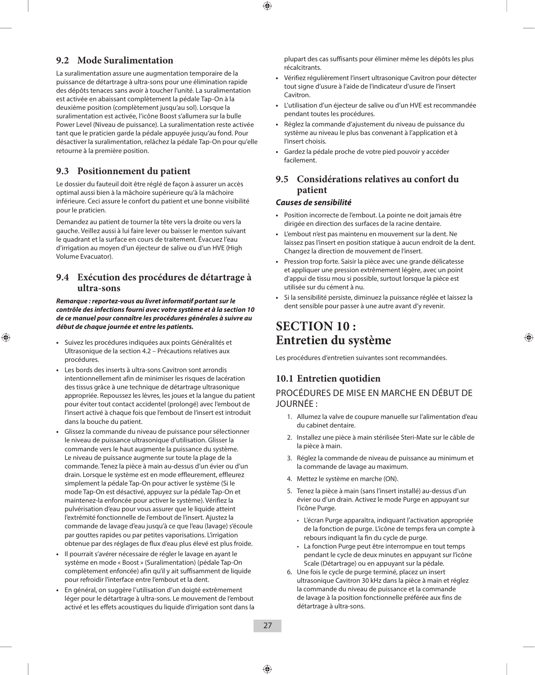#### **9.2 Mode Suralimentation**

La suralimentation assure une augmentation temporaire de la puissance de détartrage à ultra-sons pour une élimination rapide des dépôts tenaces sans avoir à toucher l'unité. La suralimentation est activée en abaissant complètement la pédale Tap-On à la deuxième position (complètement jusqu'au sol). Lorsque la suralimentation est activée, l'icône Boost s'allumera sur la bulle Power Level (Niveau de puissance). La suralimentation reste activée tant que le praticien garde la pédale appuyée jusqu'au fond. Pour désactiver la suralimentation, relâchez la pédale Tap-On pour qu'elle retourne à la première position.

#### **9.3 Positionnement du patient**

Le dossier du fauteuil doit être réglé de façon à assurer un accès optimal aussi bien à la mâchoire supérieure qu'à la mâchoire inférieure. Ceci assure le confort du patient et une bonne visibilité pour le praticien.

Demandez au patient de tourner la tête vers la droite ou vers la gauche. Veillez aussi à lui faire lever ou baisser le menton suivant le quadrant et la surface en cours de traitement. Évacuez l'eau d'irrigation au moyen d'un éjecteur de salive ou d'un HVE (High Volume Evacuator).

#### **9.4 Exécution des procédures de détartrage à ultra-sons**

*Remarque : reportez-vous au livret informatif portant sur le contrôle des infections fourni avec votre système et à la section 10 de ce manuel pour connaître les procédures générales à suivre au début de chaque journée et entre les patients.*

- **•**  Suivez les procédures indiquées aux points Généralités et Ultrasonique de la section 4.2 – Précautions relatives aux procédures.
- **•**  Les bords des inserts à ultra-sons Cavitron sont arrondis intentionnellement afin de minimiser les risques de lacération des tissus grâce à une technique de détartrage ultrasonique appropriée. Repoussez les lèvres, les joues et la langue du patient pour éviter tout contact accidentel (prolongé) avec l'embout de l'insert activé à chaque fois que l'embout de l'insert est introduit dans la bouche du patient.
- **•**  Glissez la commande du niveau de puissance pour sélectionner le niveau de puissance ultrasonique d'utilisation. Glisser la commande vers le haut augmente la puissance du système. Le niveau de puissance augmente sur toute la plage de la commande. Tenez la pièce à main au-dessus d'un évier ou d'un drain. Lorsque le système est en mode effleurement, effleurez simplement la pédale Tap-On pour activer le système (Si le mode Tap-On est désactivé, appuyez sur la pédale Tap-On et maintenez-la enfoncée pour activer le système). Vérifiez la pulvérisation d'eau pour vous assurer que le liquide atteint l'extrémité fonctionnelle de l'embout de l'insert. Ajustez la commande de lavage d'eau jusqu'à ce que l'eau (lavage) s'écoule par gouttes rapides ou par petites vaporisations. L'irrigation obtenue par des réglages de flux d'eau plus élevé est plus froide.
- **•**  Il pourrait s'avérer nécessaire de régler le lavage en ayant le système en mode « Boost » (Suralimentation) (pédale Tap-On complètement enfoncée) afin qu'il y ait suffisamment de liquide pour refroidir l'interface entre l'embout et la dent.
- **•**  En général, on suggère l'utilisation d'un doigté extrêmement léger pour le détartrage à ultra-sons. Le mouvement de l'embout activé et les effets acoustiques du liquide d'irrigation sont dans la

plupart des cas suffisants pour éliminer même les dépôts les plus récalcitrants.

- **•**  Vérifiez régulièrement l'insert ultrasonique Cavitron pour détecter tout signe d'usure à l'aide de l'indicateur d'usure de l'insert Cavitron.
- **•**  L'utilisation d'un éjecteur de salive ou d'un HVE est recommandée pendant toutes les procédures.
- **•**  Réglez la commande d'ajustement du niveau de puissance du système au niveau le plus bas convenant à l'application et à l'insert choisis.
- Gardez la pédale proche de votre pied pouvoir y accéder facilement.

#### **9.5 Considérations relatives au confort du patient**

#### *Causes de sensibilité*

- **•**  Position incorrecte de l'embout. La pointe ne doit jamais être dirigée en direction des surfaces de la racine dentaire.
- L'embout n'est pas maintenu en mouvement sur la dent. Ne laissez pas l'insert en position statique à aucun endroit de la dent. Changez la direction de mouvement de l'insert.
- **•**  Pression trop forte. Saisir la pièce avec une grande délicatesse et appliquer une pression extrêmement légère, avec un point d'appui de tissu mou si possible, surtout lorsque la pièce est utilisée sur du cément à nu.
- **•**  Si la sensibilité persiste, diminuez la puissance réglée et laissez la dent sensible pour passer à une autre avant d'y revenir.

### **SECTION 10 : Entretien du système**

Les procédures d'entretien suivantes sont recommandées.

#### **10.1 Entretien quotidien**

PROCÉDURES DE MISE EN MARCHE EN DÉBUT DE JOURNÉE :

- 1. Allumez la valve de coupure manuelle sur l'alimentation d'eau du cabinet dentaire.
- 2. Installez une pièce à main stérilisée Steri-Mate sur le câble de la pièce à main.
- 3. Réglez la commande de niveau de puissance au minimum et la commande de lavage au maximum.
- 4. Mettez le système en marche (ON).
- 5. Tenez la pièce à main (sans l'insert installé) au-dessus d'un évier ou d'un drain. Activez le mode Purge en appuyant sur l'icône Purge.
	- L'écran Purge apparaîtra, indiquant l'activation appropriée de la fonction de purge. L'icône de temps fera un compte à rebours indiquant la fin du cycle de purge.
	- La fonction Purge peut être interrompue en tout temps pendant le cycle de deux minutes en appuyant sur l'icône Scale (Détartrage) ou en appuyant sur la pédale.
- 6. Une fois le cycle de purge terminé, placez un insert ultrasonique Cavitron 30 kHz dans la pièce à main et réglez la commande du niveau de puissance et la commande de lavage à la position fonctionnelle préférée aux fins de détartrage à ultra-sons.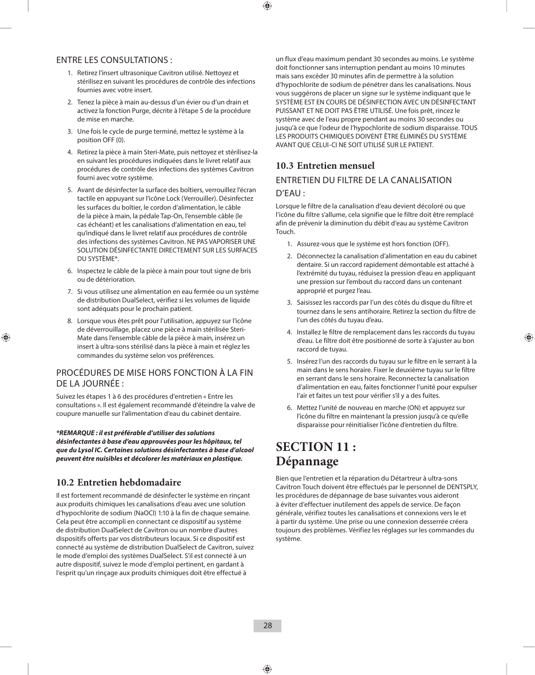#### ENTRE LES CONSULTATIONS :

- 1. Retirez l'insert ultrasonique Cavitron utilisé. Nettoyez et stérilisez en suivant les procédures de contrôle des infections fournies avec votre insert.
- 2. Tenez la pièce à main au-dessus d'un évier ou d'un drain et activez la fonction Purge, décrite à l'étape 5 de la procédure de mise en marche.
- 3. Une fois le cycle de purge terminé, mettez le système à la position OFF (0).
- 4. Retirez la pièce à main Steri-Mate, puis nettoyez et stérilisez-la en suivant les procédures indiquées dans le livret relatif aux procédures de contrôle des infections des systèmes Cavitron fourni avec votre système.
- 5. Avant de désinfecter la surface des boîtiers, verrouillez l'écran tactile en appuyant sur l'icône Lock (Verrouiller). Désinfectez les surfaces du boîtier, le cordon d'alimentation, le câble de la pièce à main, la pédale Tap-On, l'ensemble câble (le cas échéant) et les canalisations d'alimentation en eau, tel qu'indiqué dans le livret relatif aux procédures de contrôle des infections des systèmes Cavitron. NE PAS VAPORISER UNE SOLUTION DÉSINFECTANTE DIRECTEMENT SUR LES SURFACES DU SYSTÈME\*.
- 6. Inspectez le câble de la pièce à main pour tout signe de bris ou de détérioration.
- 7. Si vous utilisez une alimentation en eau fermée ou un système de distribution DualSelect, vérifiez si les volumes de liquide sont adéquats pour le prochain patient.
- 8. Lorsque vous êtes prêt pour l'utilisation, appuyez sur l'icône de déverrouillage, placez une pièce à main stérilisée Steri-Mate dans l'ensemble câble de la pièce à main, insérez un insert à ultra-sons stérilisé dans la pièce à main et réglez les commandes du système selon vos préférences.

#### PROCÉDURES DE MISE HORS FONCTION À LA FIN DE LA JOURNÉE :

Suivez les étapes 1 à 6 des procédures d'entretien « Entre les consultations ». Il est également recommandé d'éteindre la valve de coupure manuelle sur l'alimentation d'eau du cabinet dentaire.

*\*REMARQUE : il est préférable d'utiliser des solutions désinfectantes à base d'eau approuvées pour les hôpitaux, tel que du Lysol IC. Certaines solutions désinfectantes à base d'alcool peuvent être nuisibles et décolorer les matériaux en plastique.*

#### **10.2 Entretien hebdomadaire**

Il est fortement recommandé de désinfecter le système en rinçant aux produits chimiques les canalisations d'eau avec une solution d'hypochlorite de sodium (NaOCI) 1:10 à la fin de chaque semaine. Cela peut être accompli en connectant ce dispositif au système de distribution DualSelect de Cavitron ou un nombre d'autres dispositifs offerts par vos distributeurs locaux. Si ce dispositif est connecté au système de distribution DualSelect de Cavitron, suivez le mode d'emploi des systèmes DualSelect. S'il est connecté à un autre dispositif, suivez le mode d'emploi pertinent, en gardant à l'esprit qu'un rinçage aux produits chimiques doit être effectué à

un flux d'eau maximum pendant 30 secondes au moins. Le système doit fonctionner sans interruption pendant au moins 10 minutes mais sans excéder 30 minutes afin de permettre à la solution d'hypochlorite de sodium de pénétrer dans les canalisations. Nous vous suggérons de placer un signe sur le système indiquant que le SYSTÈME EST EN COURS DE DÉSINFECTION AVEC UN DÉSINFECTANT PUISSANT ET NE DOIT PAS ÊTRE UTILISÉ. Une fois prêt, rincez le système avec de l'eau propre pendant au moins 30 secondes ou jusqu'à ce que l'odeur de l'hypochlorite de sodium disparaisse. TOUS LES PRODUITS CHIMIQUES DOIVENT ÊTRE ÉLIMINÉS DU SYSTÈME AVANT QUE CELUI-CI NE SOIT UTILISÉ SUR LE PATIENT.

#### **10.3 Entretien mensuel**

#### ENTRETIEN DU FILTRE DE LA CANALISATION

#### D'EAU :

Lorsque le filtre de la canalisation d'eau devient décoloré ou que l'icône du filtre s'allume, cela signifie que le filtre doit être remplacé afin de prévenir la diminution du débit d'eau au système Cavitron Touch.

- 1. Assurez-vous que le système est hors fonction (OFF).
- 2. Déconnectez la canalisation d'alimentation en eau du cabinet dentaire. Si un raccord rapidement démontable est attaché à l'extrémité du tuyau, réduisez la pression d'eau en appliquant une pression sur l'embout du raccord dans un contenant approprié et purgez l'eau.
- 3. Saisissez les raccords par l'un des côtés du disque du filtre et tournez dans le sens antihoraire. Retirez la section du filtre de l'un des côtés du tuyau d'eau.
- 4. Installez le filtre de remplacement dans les raccords du tuyau d'eau. Le filtre doit être positionné de sorte à s'ajuster au bon raccord de tuyau.
- 5. Insérez l'un des raccords du tuyau sur le filtre en le serrant à la main dans le sens horaire. Fixer le deuxième tuyau sur le filtre en serrant dans le sens horaire. Reconnectez la canalisation d'alimentation en eau, faites fonctionner l'unité pour expulser l'air et faites un test pour vérifier s'il y a des fuites.
- 6. Mettez l'unité de nouveau en marche (ON) et appuyez sur l'icône du filtre en maintenant la pression jusqu'à ce qu'elle disparaisse pour réinitialiser l'icône d'entretien du filtre.

### **SECTION 11 : Dépannage**

Bien que l'entretien et la réparation du Détartreur à ultra-sons Cavitron Touch doivent être effectués par le personnel de DENTSPLY, les procédures de dépannage de base suivantes vous aideront à éviter d'effectuer inutilement des appels de service. De façon générale, vérifiez toutes les canalisations et connexions vers le et à partir du système. Une prise ou une connexion desserrée créera toujours des problèmes. Vérifiez les réglages sur les commandes du système.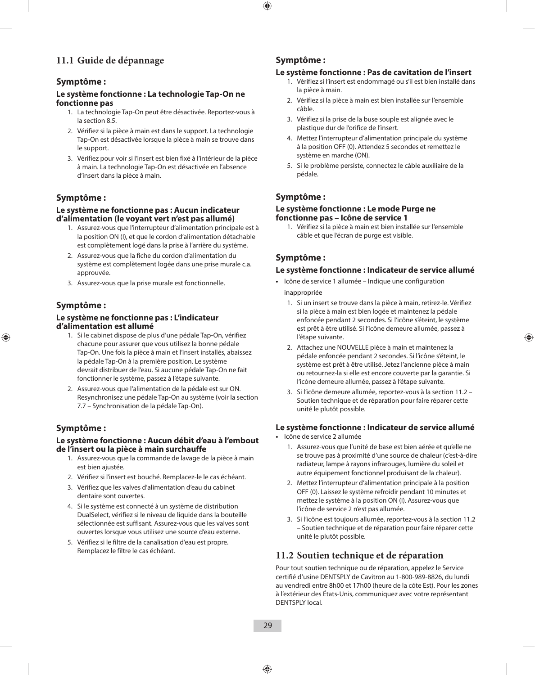#### **11.1 Guide de dépannage**

#### **Symptôme :**

#### **Le système fonctionne : La technologie Tap-On ne fonctionne pas**

- 1. La technologie Tap-On peut être désactivée. Reportez-vous à la section 8.5.
- 2. Vérifiez si la pièce à main est dans le support. La technologie Tap-On est désactivée lorsque la pièce à main se trouve dans le support.
- 3. Vérifiez pour voir si l'insert est bien fixé à l'intérieur de la pièce à main. La technologie Tap-On est désactivée en l'absence d'insert dans la pièce à main.

#### **Symptôme :**

#### **Le système ne fonctionne pas : Aucun indicateur d'alimentation (le voyant vert n'est pas allumé)**

- 1. Assurez-vous que l'interrupteur d'alimentation principale est à la position ON (I), et que le cordon d'alimentation détachable est complètement logé dans la prise à l'arrière du système.
- 2. Assurez-vous que la fiche du cordon d'alimentation du système est complètement logée dans une prise murale c.a. approuvée.
- 3. Assurez-vous que la prise murale est fonctionnelle.

#### **Symptôme :**

#### **Le système ne fonctionne pas : L'indicateur d'alimentation est allumé**

- 1. Si le cabinet dispose de plus d'une pédale Tap-On, vérifiez chacune pour assurer que vous utilisez la bonne pédale Tap-On. Une fois la pièce à main et l'insert installés, abaissez la pédale Tap-On à la première position. Le système devrait distribuer de l'eau. Si aucune pédale Tap-On ne fait fonctionner le système, passez à l'étape suivante.
- 2. Assurez-vous que l'alimentation de la pédale est sur ON. Resynchronisez une pédale Tap-On au système (voir la section 7.7 – Synchronisation de la pédale Tap-On).

#### **Symptôme :**

#### **Le système fonctionne : Aucun débit d'eau à l'embout de l'insert ou la pièce à main surchauffe**

- 1. Assurez-vous que la commande de lavage de la pièce à main est bien ajustée.
- 2. Vérifiez si l'insert est bouché. Remplacez-le le cas échéant.
- 3. Vérifiez que les valves d'alimentation d'eau du cabinet dentaire sont ouvertes.
- 4. Si le système est connecté à un système de distribution DualSelect, vérifiez si le niveau de liquide dans la bouteille sélectionnée est suffisant. Assurez-vous que les valves sont ouvertes lorsque vous utilisez une source d'eau externe.
- 5. Vérifiez si le filtre de la canalisation d'eau est propre. Remplacez le filtre le cas échéant.

#### **Symptôme :**

#### **Le système fonctionne : Pas de cavitation de l'insert**

- 1. Vérifiez si l'insert est endommagé ou s'il est bien installé dans la pièce à main.
- 2. Vérifiez si la pièce à main est bien installée sur l'ensemble câble.
- 3. Vérifiez si la prise de la buse souple est alignée avec le plastique dur de l'orifice de l'insert.
- 4. Mettez l'interrupteur d'alimentation principale du système à la position OFF (0). Attendez 5 secondes et remettez le système en marche (ON).
- 5. Si le problème persiste, connectez le câble auxiliaire de la pédale.

#### **Symptôme :**

#### **Le système fonctionne : Le mode Purge ne fonctionne pas – Icône de service 1**

1. Vérifiez si la pièce à main est bien installée sur l'ensemble câble et que l'écran de purge est visible.

#### **Symptôme :**

#### **Le système fonctionne : Indicateur de service allumé**

- **•**  Icône de service 1 allumée Indique une configuration inappropriée
	- 1. Si un insert se trouve dans la pièce à main, retirez-le. Vérifiez si la pièce à main est bien logée et maintenez la pédale enfoncée pendant 2 secondes. Si l'icône s'éteint, le système est prêt à être utilisé. Si l'icône demeure allumée, passez à l'étape suivante.
	- 2. Attachez une NOUVELLE pièce à main et maintenez la pédale enfoncée pendant 2 secondes. Si l'icône s'éteint, le système est prêt à être utilisé. Jetez l'ancienne pièce à main ou retournez-la si elle est encore couverte par la garantie. Si l'icône demeure allumée, passez à l'étape suivante.
	- 3. Si l'icône demeure allumée, reportez-vous à la section 11.2 Soutien technique et de réparation pour faire réparer cette unité le plutôt possible.

#### **Le système fonctionne : Indicateur de service allumé**

- **•**  Icône de service 2 allumée
	- 1. Assurez-vous que l'unité de base est bien aérée et qu'elle ne se trouve pas à proximité d'une source de chaleur (c'est-à-dire radiateur, lampe à rayons infrarouges, lumière du soleil et autre équipement fonctionnel produisant de la chaleur).
	- 2. Mettez l'interrupteur d'alimentation principale à la position OFF (0). Laissez le système refroidir pendant 10 minutes et mettez le système à la position ON (I). Assurez-vous que l'icône de service 2 n'est pas allumée.
	- 3. Si l'icône est toujours allumée, reportez-vous à la section 11.2 – Soutien technique et de réparation pour faire réparer cette unité le plutôt possible.

#### **11.2 Soutien technique et de réparation**

Pour tout soutien technique ou de réparation, appelez le Service certifié d'usine DENTSPLY de Cavitron au 1-800-989-8826, du lundi au vendredi entre 8h00 et 17h00 (heure de la côte Est). Pour les zones à l'extérieur des États-Unis, communiquez avec votre représentant DENTSPLY local.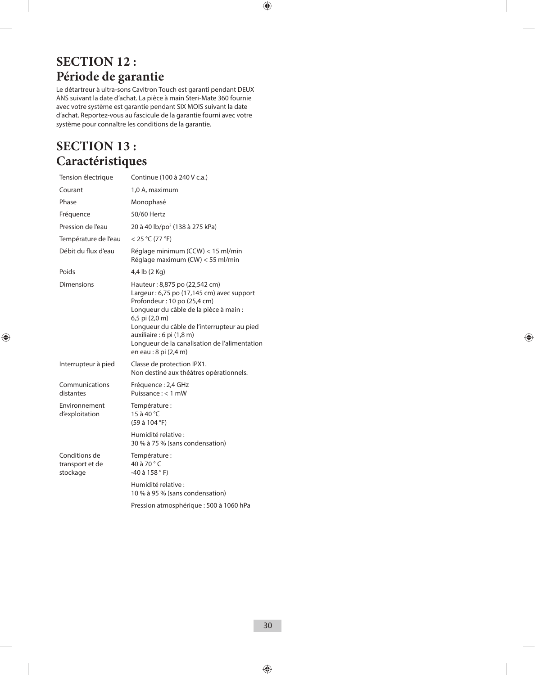### **SECTION 12 : Période de garantie**

Le détartreur à ultra-sons Cavitron Touch est garanti pendant DEUX ANS suivant la date d'achat. La pièce à main Steri-Mate 360 fournie avec votre système est garantie pendant SIX MOIS suivant la date d'achat. Reportez-vous au fascicule de la garantie fourni avec votre système pour connaître les conditions de la garantie.

### **SECTION 13 : Caractéristiques**

| Tension électrique                           | Continue (100 à 240 V c.a.)                                                                                                                                                                                                                                                                                                 |
|----------------------------------------------|-----------------------------------------------------------------------------------------------------------------------------------------------------------------------------------------------------------------------------------------------------------------------------------------------------------------------------|
| Courant                                      | 1,0 A, maximum                                                                                                                                                                                                                                                                                                              |
| Phase                                        | Monophasé                                                                                                                                                                                                                                                                                                                   |
| Fréquence                                    | 50/60 Hertz                                                                                                                                                                                                                                                                                                                 |
| Pression de l'eau                            | 20 à 40 lb/po <sup>2</sup> (138 à 275 kPa)                                                                                                                                                                                                                                                                                  |
| Température de l'eau                         | < 25 °C (77 °F)                                                                                                                                                                                                                                                                                                             |
| Débit du flux d'eau                          | Réglage minimum (CCW) < 15 ml/min<br>Réglage maximum (CW) < 55 ml/min                                                                                                                                                                                                                                                       |
| Poids                                        | 4,4 lb (2 Kg)                                                                                                                                                                                                                                                                                                               |
| Dimensions                                   | Hauteur: 8,875 po (22,542 cm)<br>Largeur: 6,75 po (17,145 cm) avec support<br>Profondeur: 10 po (25,4 cm)<br>Longueur du câble de la pièce à main :<br>6,5 pi (2,0 m)<br>Longueur du câble de l'interrupteur au pied<br>auxiliaire : 6 pi (1,8 m)<br>Longueur de la canalisation de l'alimentation<br>en eau : 8 pi (2,4 m) |
| Interrupteur à pied                          | Classe de protection IPX1.<br>Non destiné aux théâtres opérationnels.                                                                                                                                                                                                                                                       |
| Communications<br>distantes                  | Fréquence : 2,4 GHz<br>Puissance $:$ < 1 mW                                                                                                                                                                                                                                                                                 |
| Environnement<br>d'exploitation              | Température :<br>15 à 40 °C<br>(59 à 104 °F)                                                                                                                                                                                                                                                                                |
|                                              | Humidité relative :<br>30 % à 75 % (sans condensation)                                                                                                                                                                                                                                                                      |
| Conditions de<br>transport et de<br>stockage | Température :<br>40 à 70 °C<br>$-40$ à 158 °F)                                                                                                                                                                                                                                                                              |
|                                              | Humidité relative :<br>10 % à 95 % (sans condensation)                                                                                                                                                                                                                                                                      |
|                                              | Pression atmosphérique : 500 à 1060 hPa                                                                                                                                                                                                                                                                                     |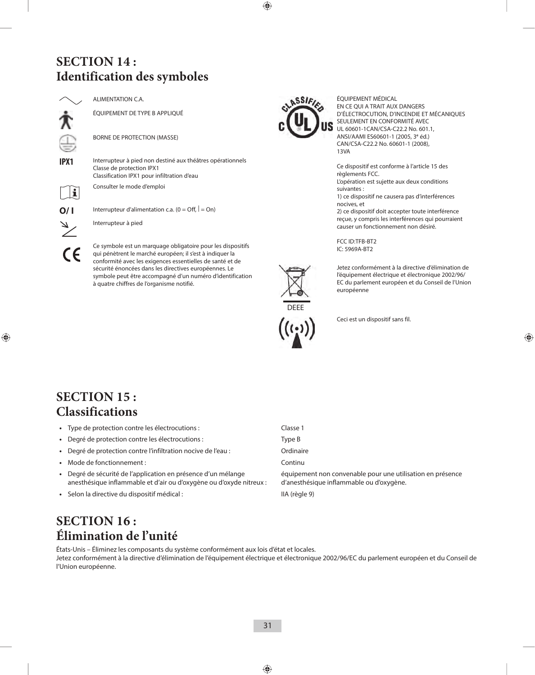### **SECTION 14 : Identification des symboles**

ALIMENTATION C.A.

ÉQUIPEMENT DE TYPE B APPLIQUÉ

BORNE DE PROTECTION (MASSE)

**IPX1** Interrupteur à pied non destiné aux théâtres opérationnels Classe de protection IPX1 Classification IPX1 pour infiltration d'eau

Consulter le mode d'emploi



**O/ I** Interrupteur d'alimentation c.a.  $(0 = \text{Off}, | = \text{On})$ 

Interrupteur à pied

Ce symbole est un marquage obligatoire pour les dispositifs qui pénètrent le marché européen; il s'est à indiquer la conformité avec les exigences essentielles de santé et de sécurité énoncées dans les directives européennes. Le symbole peut être accompagné d'un numéro d'identification à quatre chiffres de l'organisme notifié.



ÉQUIPEMENT MÉDICAL EN CE QUI A TRAIT AUX DANGERS D'ÉLECTROCUTION, D'INCENDIE ET MÉCANIQUES SEULEMENT EN CONFORMITÉ AVEC UL 60601-1CAN/CSA-C22.2 No. 601.1, ANSI/AAMI ES60601-1 (2005, 3**<sup>e</sup>** éd.) CAN/CSA-C22.2 No. 60601-1 (2008), 13VA

Ce dispositif est conforme à l'article 15 des règlements FCC. L'opération est sujette aux deux conditions suivantes :

1) ce dispositif ne causera pas d'interférences nocives, et

2) ce dispositif doit accepter toute interférence reçue, y compris les interférences qui pourraient causer un fonctionnement non désiré.

FCC ID:TFB-BT2 IC: 5969A-BT2



Jetez conformément à la directive d'élimination de l'équipement électrique et électronique 2002/96/ EC du parlement européen et du Conseil de l'Union européenne

Ceci est un dispositif sans fil.

### **SECTION 15 : Classifications**

- **•**  Type de protection contre les électrocutions : Classe 1
- Degré de protection contre les électrocutions : Type B
- Degré de protection contre l'infiltration nocive de l'eau : **Ordinaire**
- **•**  Mode de fonctionnement : Continu
- **•**  Degré de sécurité de l'application en présence d'un mélange anesthésique inflammable et d'air ou d'oxygène ou d'oxyde nitreux :
- **•**  Selon la directive du dispositif médical : IIA (règle 9)

équipement non convenable pour une utilisation en présence d'anesthésique inflammable ou d'oxygène.

### **SECTION 16 : Élimination de l'unité**

États-Unis – Éliminez les composants du système conformément aux lois d'état et locales. Jetez conformément à la directive d'élimination de l'équipement électrique et électronique 2002/96/EC du parlement européen et du Conseil de l'Union européenne.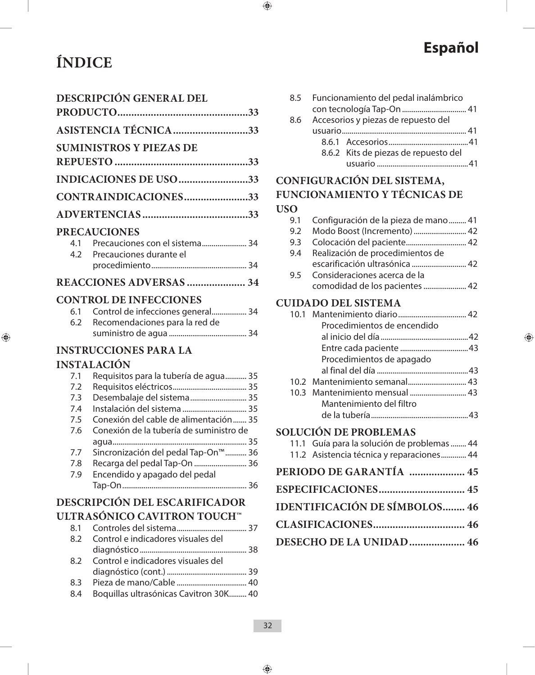# **ÍNDICE Español**

|     | <b>DESCRIPCIÓN GENERAL DEL</b>     |  |
|-----|------------------------------------|--|
|     |                                    |  |
|     | ASISTENCIA TÉCNICA 33              |  |
|     | <b>SUMINISTROS Y PIEZAS DE</b>     |  |
|     |                                    |  |
|     | INDICACIONES DE USO 33             |  |
|     | CONTRAINDICACIONES33               |  |
|     |                                    |  |
|     | <b>PRECAUCIONES</b>                |  |
|     | 4.1 Precauciones con el sistema 34 |  |
| 4.2 | Precauciones durante el            |  |
|     |                                    |  |
|     | <b>REACCIONES ADVERSAS  34</b>     |  |
|     | <b>CONTROL DE INFECCIONES</b>      |  |
| 6.1 | Control de infecciones general 34  |  |
| 6.2 | Recomendaciones para la red de     |  |
|     |                                    |  |
|     | <b>INSTRUCCIONES PARA LA</b>       |  |
|     | INICTAT A CIÓNI                    |  |

### **INSTALACIÓN**

| Requisitos para la tubería de agua 35           |  |
|-------------------------------------------------|--|
|                                                 |  |
| Desembalaje del sistema 35                      |  |
| Instalación del sistema  35                     |  |
| Conexión del cable de alimentación 35           |  |
| Conexión de la tubería de suministro de         |  |
|                                                 |  |
| Sincronización del pedal Tap-On <sup>™</sup> 36 |  |
| Recarga del pedal Tap-On  36                    |  |
| Encendido y apagado del pedal                   |  |
|                                                 |  |
| <b>DESCRIPCIÓN DEL ESCARIFICADOR</b>            |  |
|                                                 |  |

## **ULTRASÓNICO CAVITRON TOUCH™**

| 8.1 |                                        |  |
|-----|----------------------------------------|--|
| 8.2 | Control e indicadores visuales del     |  |
|     |                                        |  |
| 8.2 | Control e indicadores visuales del     |  |
|     |                                        |  |
| 8.3 |                                        |  |
| 8.4 | Boquillas ultrasónicas Cavitron 30K 40 |  |

|     | 8.5 Funcionamiento del pedal inalámbrico |  |
|-----|------------------------------------------|--|
|     |                                          |  |
| 8.6 | Accesorios y piezas de repuesto del      |  |
|     |                                          |  |
|     |                                          |  |
|     | 8.6.2 Kits de piezas de repuesto del     |  |
|     |                                          |  |

### **CONFIGURACIÓN DEL SISTEMA, FUNCIONAMIENTO Y TÉCNICAS DE USO**

|               | 9.1 Configuración de la pieza de mano 41 |  |
|---------------|------------------------------------------|--|
| $9.2^{\circ}$ | Modo Boost (Incremento)  42              |  |
| 9.3           | Colocación del paciente 42               |  |
| 9.4           | Realización de procedimientos de         |  |
|               | escarificación ultrasónica  42           |  |
| 9.5           | Consideraciones acerca de la             |  |
|               | comodidad de los pacientes  42           |  |

### **CUIDADO DEL SISTEMA**

| CUIDADO DEL SISTEMA                         |  |
|---------------------------------------------|--|
|                                             |  |
| Procedimientos de encendido                 |  |
|                                             |  |
|                                             |  |
| Procedimientos de apagado                   |  |
|                                             |  |
| 10.2 Mantenimiento semanal 43               |  |
| 10.3 Mantenimiento mensual  43              |  |
| Mantenimiento del filtro                    |  |
|                                             |  |
| <b>SOLUCIÓN DE PROBLEMAS</b>                |  |
| 11.1 Guía para la solución de problemas  44 |  |
| 11.2 Asistencia técnica y reparaciones 44   |  |
| PERIODO DE GARANTÍA  45                     |  |
|                                             |  |
| <b>IDENTIFICACIÓN DE SÍMBOLOS 46</b>        |  |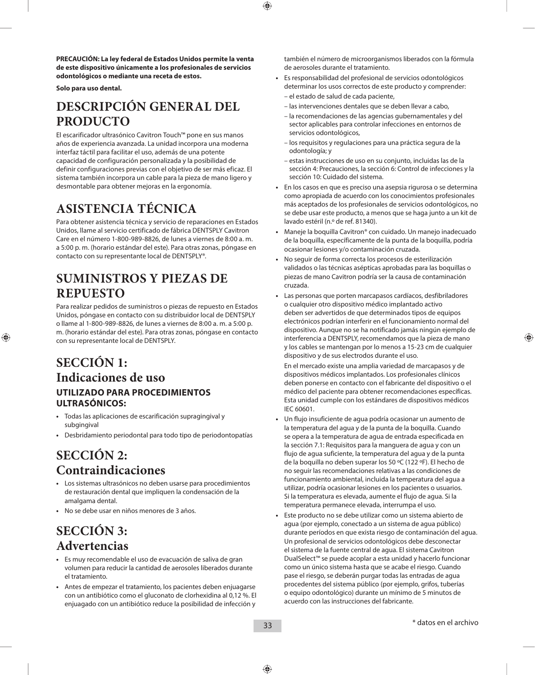**PRECAUCIÓN: La ley federal de Estados Unidos permite la venta de este dispositivo únicamente a los profesionales de servicios odontológicos o mediante una receta de estos.**

**Solo para uso dental.**

### **DESCRIPCIÓN GENERAL DEL PRODUCTO**

El escarificador ultrasónico Cavitron Touch™ pone en sus manos años de experiencia avanzada. La unidad incorpora una moderna interfaz táctil para facilitar el uso, además de una potente capacidad de configuración personalizada y la posibilidad de definir configuraciones previas con el objetivo de ser más eficaz. El sistema también incorpora un cable para la pieza de mano ligero y desmontable para obtener mejoras en la ergonomía.

### **ASISTENCIA TÉCNICA**

Para obtener asistencia técnica y servicio de reparaciones en Estados Unidos, llame al servicio certificado de fábrica DENTSPLY Cavitron Care en el número 1-800-989-8826, de lunes a viernes de 8:00 a. m. a 5:00 p. m. (horario estándar del este). Para otras zonas, póngase en contacto con su representante local de DENTSPLY®.

### **SUMINISTROS Y PIEZAS DE REPUESTO**

Para realizar pedidos de suministros o piezas de repuesto en Estados Unidos, póngase en contacto con su distribuidor local de DENTSPLY o llame al 1-800-989-8826, de lunes a viernes de 8:00 a. m. a 5:00 p. m. (horario estándar del este). Para otras zonas, póngase en contacto con su representante local de DENTSPLY.

### **SECCIÓN 1: Indicaciones de uso UTILIZADO PARA PROCEDIMIENTOS ULTRASÓNICOS:**

- **•**  Todas las aplicaciones de escarificación supragingival y subgingival
- **•**  Desbridamiento periodontal para todo tipo de periodontopatías

### **SECCIÓN 2: Contraindicaciones**

- **•**  Los sistemas ultrasónicos no deben usarse para procedimientos de restauración dental que impliquen la condensación de la amalgama dental.
- **•**  No se debe usar en niños menores de 3 años.

### **SECCIÓN 3: Advertencias**

- **•**  Es muy recomendable el uso de evacuación de saliva de gran volumen para reducir la cantidad de aerosoles liberados durante el tratamiento.
- **•**  Antes de empezar el tratamiento, los pacientes deben enjuagarse con un antibiótico como el gluconato de clorhexidina al 0,12 %. El enjuagado con un antibiótico reduce la posibilidad de infección y

también el número de microorganismos liberados con la fórmula de aerosoles durante el tratamiento.

- **•**  Es responsabilidad del profesional de servicios odontológicos determinar los usos correctos de este producto y comprender:
	- el estado de salud de cada paciente,
	- las intervenciones dentales que se deben llevar a cabo,
	- la recomendaciones de las agencias gubernamentales y del sector aplicables para controlar infecciones en entornos de servicios odontológicos,
	- los requisitos y regulaciones para una práctica segura de la odontología; y
	- estas instrucciones de uso en su conjunto, incluidas las de la sección 4: Precauciones, la sección 6: Control de infecciones y la sección 10: Cuidado del sistema.
- **•**  En los casos en que es preciso una asepsia rigurosa o se determina como apropiada de acuerdo con los conocimientos profesionales más aceptados de los profesionales de servicios odontológicos, no se debe usar este producto, a menos que se haga junto a un kit de lavado estéril (n.º de ref. 81340).
- **•**  Maneje la boquilla Cavitron® con cuidado. Un manejo inadecuado de la boquilla, específicamente de la punta de la boquilla, podría ocasionar lesiones y/o contaminación cruzada.
- No seguir de forma correcta los procesos de esterilización validados o las técnicas asépticas aprobadas para las boquillas o piezas de mano Cavitron podría ser la causa de contaminación cruzada.
- **•**  Las personas que porten marcapasos cardíacos, desfibriladores o cualquier otro dispositivo médico implantado activo deben ser advertidos de que determinados tipos de equipos electrónicos podrían interferir en el funcionamiento normal del dispositivo. Aunque no se ha notificado jamás ningún ejemplo de interferencia a DENTSPLY, recomendamos que la pieza de mano y los cables se mantengan por lo menos a 15-23 cm de cualquier dispositivo y de sus electrodos durante el uso.

 En el mercado existe una amplia variedad de marcapasos y de dispositivos médicos implantados. Los profesionales clínicos deben ponerse en contacto con el fabricante del dispositivo o el médico del paciente para obtener recomendaciones específicas. Esta unidad cumple con los estándares de dispositivos médicos IEC 60601.

- **•**  Un flujo insuficiente de agua podría ocasionar un aumento de la temperatura del agua y de la punta de la boquilla. Cuando se opera a la temperatura de agua de entrada especificada en la sección 7.1: Requisitos para la manguera de agua y con un flujo de agua suficiente, la temperatura del agua y de la punta de la boquilla no deben superar los 50 ºC (122 ºF). El hecho de no seguir las recomendaciones relativas a las condiciones de funcionamiento ambiental, incluida la temperatura del agua a utilizar, podría ocasionar lesiones en los pacientes o usuarios. Si la temperatura es elevada, aumente el flujo de agua. Si la temperatura permanece elevada, interrumpa el uso.
- Este producto no se debe utilizar como un sistema abierto de agua (por ejemplo, conectado a un sistema de agua público) durante períodos en que exista riesgo de contaminación del agua. Un profesional de servicios odontológicos debe desconectar el sistema de la fuente central de agua. El sistema Cavitron DualSelect™ se puede acoplar a esta unidad y hacerlo funcionar como un único sistema hasta que se acabe el riesgo. Cuando pase el riesgo, se deberán purgar todas las entradas de agua procedentes del sistema público (por ejemplo, grifos, tuberías o equipo odontológico) durante un mínimo de 5 minutos de acuerdo con las instrucciones del fabricante.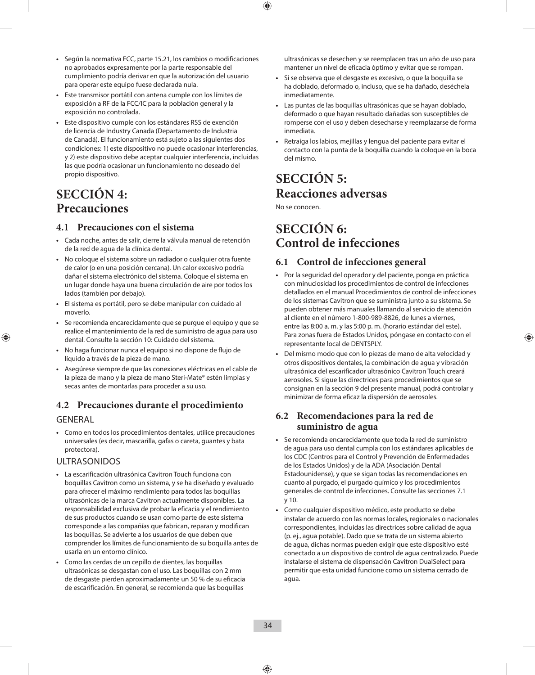- **•**  Según la normativa FCC, parte 15.21, los cambios o modificaciones no aprobados expresamente por la parte responsable del cumplimiento podría derivar en que la autorización del usuario para operar este equipo fuese declarada nula.
- **•**  Este transmisor portátil con antena cumple con los límites de exposición a RF de la FCC/IC para la población general y la exposición no controlada.
- **•**  Este dispositivo cumple con los estándares RSS de exención de licencia de Industry Canada (Departamento de Industria de Canadá). El funcionamiento está sujeto a las siguientes dos condiciones: 1) este dispositivo no puede ocasionar interferencias, y 2) este dispositivo debe aceptar cualquier interferencia, incluidas las que podría ocasionar un funcionamiento no deseado del propio dispositivo.

### **SECCIÓN 4: Precauciones**

#### **4.1 Precauciones con el sistema**

- **•**  Cada noche, antes de salir, cierre la válvula manual de retención de la red de agua de la clínica dental.
- **•**  No coloque el sistema sobre un radiador o cualquier otra fuente de calor (o en una posición cercana). Un calor excesivo podría dañar el sistema electrónico del sistema. Coloque el sistema en un lugar donde haya una buena circulación de aire por todos los lados (también por debajo).
- **•**  El sistema es portátil, pero se debe manipular con cuidado al moverlo.
- **•**  Se recomienda encarecidamente que se purgue el equipo y que se realice el mantenimiento de la red de suministro de agua para uso dental. Consulte la sección 10: Cuidado del sistema.
- **•**  No haga funcionar nunca el equipo si no dispone de flujo de líquido a través de la pieza de mano.
- **•**  Asegúrese siempre de que las conexiones eléctricas en el cable de la pieza de mano y la pieza de mano Steri-Mate® estén limpias y secas antes de montarlas para proceder a su uso.

#### **4.2 Precauciones durante el procedimiento**

#### GENERAL

**•**  Como en todos los procedimientos dentales, utilice precauciones universales (es decir, mascarilla, gafas o careta, guantes y bata protectora).

#### ULTRASONIDOS

- **•**  La escarificación ultrasónica Cavitron Touch funciona con boquillas Cavitron como un sistema, y se ha diseñado y evaluado para ofrecer el máximo rendimiento para todos las boquillas ultrasónicas de la marca Cavitron actualmente disponibles. La responsabilidad exclusiva de probar la eficacia y el rendimiento de sus productos cuando se usan como parte de este sistema corresponde a las compañías que fabrican, reparan y modifican las boquillas. Se advierte a los usuarios de que deben que comprender los límites de funcionamiento de su boquilla antes de usarla en un entorno clínico.
- **•**  Como las cerdas de un cepillo de dientes, las boquillas ultrasónicas se desgastan con el uso. Las boquillas con 2 mm de desgaste pierden aproximadamente un 50 % de su eficacia de escarificación. En general, se recomienda que las boquillas

ultrasónicas se desechen y se reemplacen tras un año de uso para mantener un nivel de eficacia óptimo y evitar que se rompan.

- **•**  Si se observa que el desgaste es excesivo, o que la boquilla se ha doblado, deformado o, incluso, que se ha dañado, deséchela inmediatamente.
- **•**  Las puntas de las boquillas ultrasónicas que se hayan doblado, deformado o que hayan resultado dañadas son susceptibles de romperse con el uso y deben desecharse y reemplazarse de forma inmediata.
- **•**  Retraiga los labios, mejillas y lengua del paciente para evitar el contacto con la punta de la boquilla cuando la coloque en la boca del mismo.

### **SECCIÓN 5: Reacciones adversas**

No se conocen.

### **SECCIÓN 6: Control de infecciones**

#### **6.1 Control de infecciones general**

- **•**  Por la seguridad del operador y del paciente, ponga en práctica con minuciosidad los procedimientos de control de infecciones detallados en el manual Procedimientos de control de infecciones de los sistemas Cavitron que se suministra junto a su sistema. Se pueden obtener más manuales llamando al servicio de atención al cliente en el número 1-800-989-8826, de lunes a viernes, entre las 8:00 a. m. y las 5:00 p. m. (horario estándar del este). Para zonas fuera de Estados Unidos, póngase en contacto con el representante local de DENTSPLY.
- **•**  Del mismo modo que con lo piezas de mano de alta velocidad y otros dispositivos dentales, la combinación de agua y vibración ultrasónica del escarificador ultrasónico Cavitron Touch creará aerosoles. Si sigue las directrices para procedimientos que se consignan en la sección 9 del presente manual, podrá controlar y minimizar de forma eficaz la dispersión de aerosoles.

#### **6.2 Recomendaciones para la red de suministro de agua**

- **•**  Se recomienda encarecidamente que toda la red de suministro de agua para uso dental cumpla con los estándares aplicables de los CDC (Centros para el Control y Prevención de Enfermedades de los Estados Unidos) y de la ADA (Asociación Dental Estadounidense), y que se sigan todas las recomendaciones en cuanto al purgado, el purgado químico y los procedimientos generales de control de infecciones. Consulte las secciones 7.1 y 10.
- **•**  Como cualquier dispositivo médico, este producto se debe instalar de acuerdo con las normas locales, regionales o nacionales correspondientes, incluidas las directrices sobre calidad de agua (p. ej., agua potable). Dado que se trata de un sistema abierto de agua, dichas normas pueden exigir que este dispositivo esté conectado a un dispositivo de control de agua centralizado. Puede instalarse el sistema de dispensación Cavitron DualSelect para permitir que esta unidad funcione como un sistema cerrado de agua.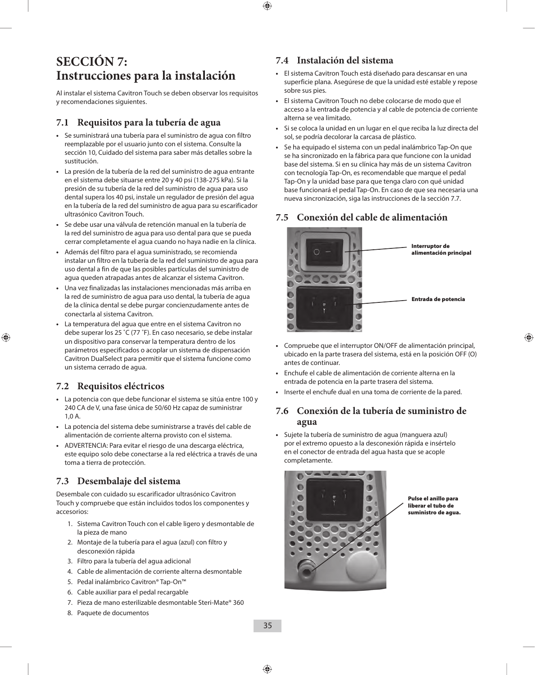### **SECCIÓN 7: Instrucciones para la instalación**

Al instalar el sistema Cavitron Touch se deben observar los requisitos y recomendaciones siguientes.

#### **7.1 Requisitos para la tubería de agua**

- **•**  Se suministrará una tubería para el suministro de agua con filtro reemplazable por el usuario junto con el sistema. Consulte la sección 10, Cuidado del sistema para saber más detalles sobre la sustitución.
- **•**  La presión de la tubería de la red del suministro de agua entrante en el sistema debe situarse entre 20 y 40 psi (138-275 kPa). Si la presión de su tubería de la red del suministro de agua para uso dental supera los 40 psi, instale un regulador de presión del agua en la tubería de la red del suministro de agua para su escarificador ultrasónico Cavitron Touch.
- **•**  Se debe usar una válvula de retención manual en la tubería de la red del suministro de agua para uso dental para que se pueda cerrar completamente el agua cuando no haya nadie en la clínica.
- **•**  Además del filtro para el agua suministrado, se recomienda instalar un filtro en la tubería de la red del suministro de agua para uso dental a fin de que las posibles partículas del suministro de agua queden atrapadas antes de alcanzar el sistema Cavitron.
- **•**  Una vez finalizadas las instalaciones mencionadas más arriba en la red de suministro de agua para uso dental, la tubería de agua de la clínica dental se debe purgar concienzudamente antes de conectarla al sistema Cavitron.
- **•**  La temperatura del agua que entre en el sistema Cavitron no debe superar los 25 ˚C (77 ˚F). En caso necesario, se debe instalar un dispositivo para conservar la temperatura dentro de los parámetros especificados o acoplar un sistema de dispensación Cavitron DualSelect para permitir que el sistema funcione como un sistema cerrado de agua.

#### **7.2 Requisitos eléctricos**

- **•**  La potencia con que debe funcionar el sistema se sitúa entre 100 y 240 CA de V, una fase única de 50/60 Hz capaz de suministrar 1,0 A.
- **•**  La potencia del sistema debe suministrarse a través del cable de alimentación de corriente alterna provisto con el sistema.
- **•**  ADVERTENCIA: Para evitar el riesgo de una descarga eléctrica, este equipo solo debe conectarse a la red eléctrica a través de una toma a tierra de protección.

#### **7.3 Desembalaje del sistema**

Desembale con cuidado su escarificador ultrasónico Cavitron Touch y compruebe que están incluidos todos los componentes y accesorios:

- 1. Sistema Cavitron Touch con el cable ligero y desmontable de la pieza de mano
- 2. Montaje de la tubería para el agua (azul) con filtro y desconexión rápida
- 3. Filtro para la tubería del agua adicional
- 4. Cable de alimentación de corriente alterna desmontable
- 5. Pedal inalámbrico Cavitron® Tap-On™
- 6. Cable auxiliar para el pedal recargable
- 7. Pieza de mano esterilizable desmontable Steri-Mate® 360
- 8. Paquete de documentos

#### **7.4 Instalación del sistema**

- **•**  El sistema Cavitron Touch está diseñado para descansar en una superficie plana. Asegúrese de que la unidad esté estable y repose sobre sus pies.
- **•**  El sistema Cavitron Touch no debe colocarse de modo que el acceso a la entrada de potencia y al cable de potencia de corriente alterna se vea limitado.
- **•**  Si se coloca la unidad en un lugar en el que reciba la luz directa del sol, se podría decolorar la carcasa de plástico.
- **•**  Se ha equipado el sistema con un pedal inalámbrico Tap-On que se ha sincronizado en la fábrica para que funcione con la unidad base del sistema. Si en su clínica hay más de un sistema Cavitron con tecnología Tap-On, es recomendable que marque el pedal Tap-On y la unidad base para que tenga claro con qué unidad base funcionará el pedal Tap-On. En caso de que sea necesaria una nueva sincronización, siga las instrucciones de la sección 7.7.

#### **7.5 Conexión del cable de alimentación**



- **•**  Compruebe que el interruptor ON/OFF de alimentación principal, ubicado en la parte trasera del sistema, está en la posición OFF (O) antes de continuar.
- **•**  Enchufe el cable de alimentación de corriente alterna en la entrada de potencia en la parte trasera del sistema.
- **•**  Inserte el enchufe dual en una toma de corriente de la pared.

#### **7.6 Conexión de la tubería de suministro de agua**

**•**  Sujete la tubería de suministro de agua (manguera azul) por el extremo opuesto a la desconexión rápida e insértelo en el conector de entrada del agua hasta que se acople completamente.



Pulse el anillo para liberar el tubo de suministro de agua.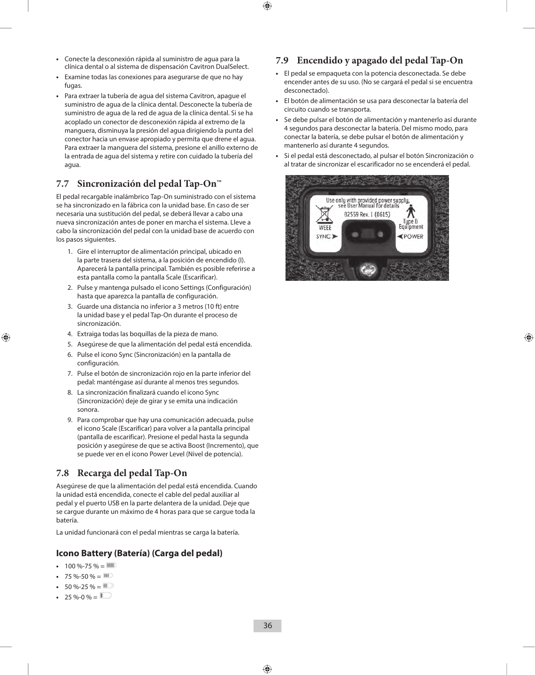- **•**  Conecte la desconexión rápida al suministro de agua para la clínica dental o al sistema de dispensación Cavitron DualSelect.
- **•**  Examine todas las conexiones para asegurarse de que no hay fugas.
- **•**  Para extraer la tubería de agua del sistema Cavitron, apague el suministro de agua de la clínica dental. Desconecte la tubería de suministro de agua de la red de agua de la clínica dental. Si se ha acoplado un conector de desconexión rápida al extremo de la manguera, disminuya la presión del agua dirigiendo la punta del conector hacia un envase apropiado y permita que drene el agua. Para extraer la manguera del sistema, presione el anillo externo de la entrada de agua del sistema y retire con cuidado la tubería del agua.

#### **7.7 Sincronización del pedal Tap-On™**

El pedal recargable inalámbrico Tap-On suministrado con el sistema se ha sincronizado en la fábrica con la unidad base. En caso de ser necesaria una sustitución del pedal, se deberá llevar a cabo una nueva sincronización antes de poner en marcha el sistema. Lleve a cabo la sincronización del pedal con la unidad base de acuerdo con los pasos siguientes.

- 1. Gire el interruptor de alimentación principal, ubicado en la parte trasera del sistema, a la posición de encendido (I). Aparecerá la pantalla principal. También es posible referirse a esta pantalla como la pantalla Scale (Escarificar).
- 2. Pulse y mantenga pulsado el icono Settings (Configuración) hasta que aparezca la pantalla de configuración.
- 3. Guarde una distancia no inferior a 3 metros (10 ft) entre la unidad base y el pedal Tap-On durante el proceso de sincronización.
- 4. Extraiga todas las boquillas de la pieza de mano.
- 5. Asegúrese de que la alimentación del pedal está encendida.
- 6. Pulse el icono Sync (Sincronización) en la pantalla de configuración.
- 7. Pulse el botón de sincronización rojo en la parte inferior del pedal: manténgase así durante al menos tres segundos.
- 8. La sincronización finalizará cuando el icono Sync (Sincronización) deje de girar y se emita una indicación sonora.
- 9. Para comprobar que hay una comunicación adecuada, pulse el icono Scale (Escarificar) para volver a la pantalla principal (pantalla de escarificar). Presione el pedal hasta la segunda posición y asegúrese de que se activa Boost (Incremento), que se puede ver en el icono Power Level (Nivel de potencia).

#### **7.8 Recarga del pedal Tap-On**

Asegúrese de que la alimentación del pedal está encendida. Cuando la unidad está encendida, conecte el cable del pedal auxiliar al pedal y el puerto USB en la parte delantera de la unidad. Deje que se cargue durante un máximo de 4 horas para que se cargue toda la batería.

La unidad funcionará con el pedal mientras se carga la batería.

#### **Icono Battery (Batería) (Carga del pedal)**

- $100 \% 75 \% = 111$
- $75 \% 50 \% = 111$
- $50 \% 25 \% = 11$
- $25 \% 0 \% = \square$

#### **7.9 Encendido y apagado del pedal Tap-On**

- **•**  El pedal se empaqueta con la potencia desconectada. Se debe encender antes de su uso. (No se cargará el pedal si se encuentra desconectado).
- **•**  El botón de alimentación se usa para desconectar la batería del circuito cuando se transporta.
- Se debe pulsar el botón de alimentación y mantenerlo así durante 4 segundos para desconectar la batería. Del mismo modo, para conectar la batería, se debe pulsar el botón de alimentación y mantenerlo así durante 4 segundos.
- **•**  Si el pedal está desconectado, al pulsar el botón Sincronización o al tratar de sincronizar el escarificador no se encenderá el pedal.

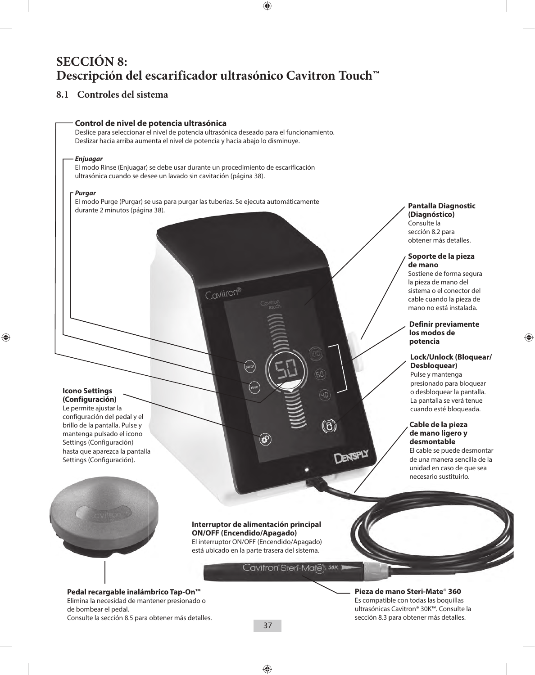## **SECCIÓN 8: Descripción del escarificador ultrasónico Cavitron Touch™**

## **8.1 Controles del sistema**



**Pieza de mano Steri-Mate**® **360**  Es compatible con todas las boquillas ultrasónicas Cavitron® 30K™. Consulte la sección 8.3 para obtener más detalles.

#### **(Diagnóstico)** Consulte la sección 8.2 para obtener más detalles.

#### **Soporte de la pieza de mano**

Sostiene de forma segura la pieza de mano del sistema o el conector del cable cuando la pieza de mano no está instalada.

#### **Definir previamente los modos de potencia**

#### **Lock/Unlock (Bloquear/ Desbloquear)**

Pulse y mantenga presionado para bloquear o desbloquear la pantalla. La pantalla se verá tenue cuando esté bloqueada.

#### **Cable de la pieza de mano ligero y desmontable**

El cable se puede desmontar de una manera sencilla de la unidad en caso de que sea necesario sustituirlo.

Consulte la sección 8.5 para obtener más detalles.

de bombear el pedal.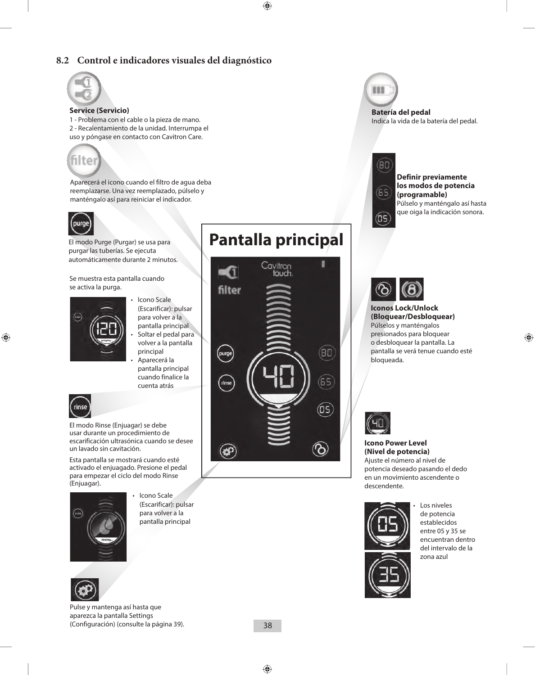## **8.2 Control e indicadores visuales del diagnóstico**



#### **Service (Servicio)**

1 - Problema con el cable o la pieza de mano. 2 - Recalentamiento de la unidad. Interrumpa el uso y póngase en contacto con Cavitron Care.



Aparecerá el icono cuando el filtro de agua deba reemplazarse. Una vez reemplazado, púlselo y manténgalo así para reiniciar el indicador.



El modo Purge (Purgar) se usa para purgar las tuberías. Se ejecuta automáticamente durante 2 minutos.

Se muestra esta pantalla cuando se activa la purga.



- Icono Scale (Escarificar): pulsar para volver a la pantalla principal
- Soltar el pedal para volver a la pantalla principal
- Aparecerá la pantalla principal cuando finalice la cuenta atrás



El modo Rinse (Enjuagar) se debe usar durante un procedimiento de escarificación ultrasónica cuando se desee un lavado sin cavitación.

Esta pantalla se mostrará cuando esté activado el enjuagado. Presione el pedal para empezar el ciclo del modo Rinse



• Icono Scale (Escarificar): pulsar para volver a la pantalla principal





# **Pantalla principal**



111

**Batería del pedal** Indica la vida de la batería del pedal.



**Definir previamente los modos de potencia (programable)** Púlselo y manténgalo así hasta que oiga la indicación sonora.



**Iconos Lock/Unlock (Bloquear/Desbloquear)** Púlselos y manténgalos presionados para bloquear o desbloquear la pantalla. La pantalla se verá tenue cuando esté bloqueada.



### **Icono Power Level (Nivel de potencia)**

Ajuste el número al nivel de potencia deseado pasando el dedo en un movimiento ascendente o descendente.



Los niveles de potencia establecidos entre 05 y 35 se encuentran dentro del intervalo de la zona azul



Pulse y mantenga así hasta que aparezca la pantalla Settings (Configuración) (consulte la página 39).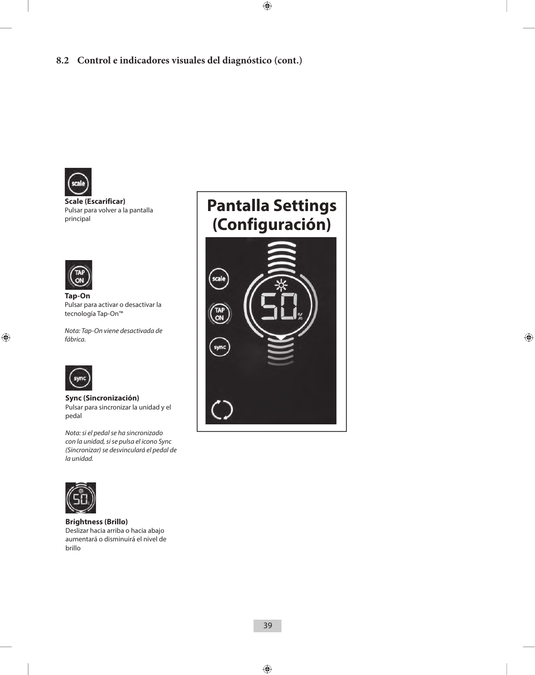

#### **Scale (Escarificar)**  Pulsar para volver a la pantalla principal



**Tap-On** Pulsar para activar o desactivar la tecnología Tap-On™

*Nota: Tap-On viene desactivada de fábrica.*



**Sync (Sincronización)** Pulsar para sincronizar la unidad y el pedal

*Nota: si el pedal se ha sincronizado con la unidad, si se pulsa el icono Sync (Sincronizar) se desvinculará el pedal de la unidad.*



#### **Brightness (Brillo)**

Deslizar hacia arriba o hacia abajo aumentará o disminuirá el nivel de brillo

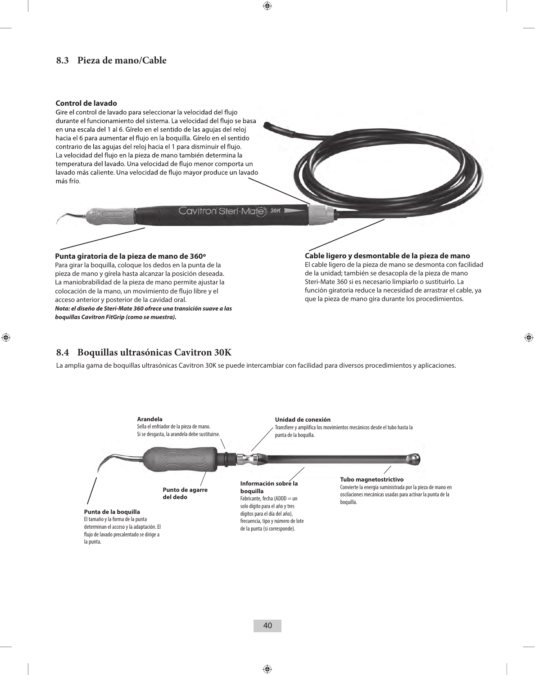## **8.3 Pieza de mano/Cable**

#### **Control de lavado**

Gire el control de lavado para seleccionar la velocidad del flujo durante el funcionamiento del sistema. La velocidad del flujo se basa en una escala del 1 al 6. Gírelo en el sentido de las agujas del reloj hacia el 6 para aumentar el flujo en la boquilla. Gírelo en el sentido contrario de las agujas del reloj hacia el 1 para disminuir el flujo. La velocidad del flujo en la pieza de mano también determina la temperatura del lavado. Una velocidad de flujo menor comporta un lavado más caliente. Una velocidad de flujo mayor produce un lavado más frío.

#### Cavitron Steri-Mate 30K

#### **Punta giratoria de la pieza de mano de 360º** Para girar la boquilla, coloque los dedos en la punta de la pieza de mano y gírela hasta alcanzar la posición deseada. La maniobrabilidad de la pieza de mano permite ajustar la colocación de la mano, un movimiento de flujo libre y el acceso anterior y posterior de la cavidad oral. *Nota: el diseño de Steri-Mate 360 ofrece una transición suave a las*

*boquillas Cavitron FitGrip (como se muestra).*

#### **Cable ligero y desmontable de la pieza de mano**

El cable ligero de la pieza de mano se desmonta con facilidad de la unidad; también se desacopla de la pieza de mano Steri-Mate 360 si es necesario limpiarlo o sustituirlo. La función giratoria reduce la necesidad de arrastrar el cable, ya que la pieza de mano gira durante los procedimientos.

## **8.4 Boquillas ultrasónicas Cavitron 30K**

La amplia gama de boquillas ultrasónicas Cavitron 30K se puede intercambiar con facilidad para diversos procedimientos y aplicaciones.

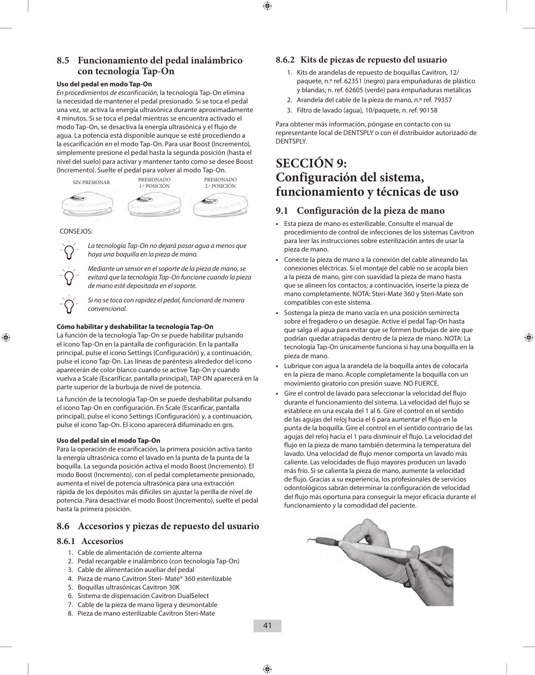### **8.5 Funcionamiento del pedal inalámbrico con tecnología Tap-On**

#### **Uso del pedal en modo Tap-On**

*En procedimientos de escarificación*, la tecnología Tap-On elimina la necesidad de mantener el pedal presionado. Si se toca el pedal una vez, se activa la energía ultrasónica durante aproximadamente 4 minutos. Si se toca el pedal mientras se encuentra activado el modo Tap-On, se desactiva la energía ultrasónica y el flujo de agua. La potencia está disponible aunque se esté procediendo a la escarificación en el modo Tap-On. Para usar Boost (Incremento), simplemente presione el pedal hasta la segunda posición (hasta el nivel del suelo) para activar y mantener tanto como se desee Boost (Incremento). Suelte el pedal para volver al modo Tap-On.



#### CONSEJOS:



*La tecnología Tap-On no dejará pasar agua a menos que haya una boquilla en la pieza de mano.*

*Mediante un sensor en el soporte de la pieza de mano, se evitará que la tecnología Tap-On funcione cuando la pieza de mano esté depositada en el soporte.*

*Si no se toca con rapidez el pedal, funcionará de manera convencional.*

#### **Cómo habilitar y deshabilitar la tecnología Tap-On**

La función de la tecnología Tap-On se puede habilitar pulsando el icono Tap-On en la pantalla de configuración. En la pantalla principal, pulse el icono Settings (Configuración) y, a continuación, pulse el icono Tap-On. Las líneas de paréntesis alrededor del icono aparecerán de color blanco cuando se active Tap-On y cuando vuelva a Scale (Escarificar, pantalla principal), TAP ON aparecerá en la parte superior de la burbuja de nivel de potencia.

La función de la tecnología Tap-On se puede deshabilitar pulsando el icono Tap-On en configuración. En Scale (Escarificar, pantalla principal), pulse el icono Settings (Configuración) y, a continuación, pulse el icono Tap-On. El icono aparecerá difuminado en gris.

#### **Uso del pedal sin el modo Tap-On**

Para la operación de escarificación, la primera posición activa tanto la energía ultrasónica como el lavado en la punta de la punta de la boquilla. La segunda posición activa el modo Boost (Incremento). El modo Boost (Incremento), con el pedal completamente presionado, aumenta el nivel de potencia ultrasónica para una extracción rápida de los depósitos más difíciles sin ajustar la perilla de nivel de potencia. Para desactivar el modo Boost (Incremento), suelte el pedal hasta la primera posición.

### **8.6 Accesorios y piezas de repuesto del usuario**

#### **8.6.1 Accesorios**

- 1. Cable de alimentación de corriente alterna
- 2. Pedal recargable e inalámbrico (con tecnología Tap-On)
- 3. Cable de alimentación auxiliar del pedal
- 4. Pieza de mano Cavitron Steri- Mate® 360 esterilizable
- 5. Boquillas ultrasónicas Cavitron 30K
- 6. Sistema de dispensación Cavitron DualSelect
- 7. Cable de la pieza de mano ligera y desmontable
- 8. Pieza de mano esterilizable Cavitron Steri-Mate

### **8.6.2 Kits de piezas de repuesto del usuario**

- 1. Kits de arandelas de repuesto de boquillas Cavitron, 12/ paquete, n.º ref. 62351 (negro) para empuñaduras de plástico y blandas; n. ref. 62605 (verde) para empuñaduras metálicas
- 2. Arandela del cable de la pieza de mano, n.º ref. 79357
- 3. Filtro de lavado (agua), 10/paquete, n. ref. 90158

Para obtener más información, póngase en contacto con su representante local de DENTSPLY o con el distribuidor autorizado de DENTSPLY.

## **SECCIÓN 9: Configuración del sistema, funcionamiento y técnicas de uso**

### **9.1 Configuración de la pieza de mano**

- **•**  Esta pieza de mano es esterilizable. Consulte el manual de procedimiento de control de infecciones de los sistemas Cavitron para leer las instrucciones sobre esterilización antes de usar la pieza de mano.
- **•**  Conecte la pieza de mano a la conexión del cable alineando las conexiones eléctricas. Si el montaje del cable no se acopla bien a la pieza de mano, gire con suavidad la pieza de mano hasta que se alineen los contactos; a continuación, inserte la pieza de mano completamente. NOTA: Steri-Mate 360 y Steri-Mate son compatibles con este sistema.
- **•**  Sostenga la pieza de mano vacía en una posición semirrecta sobre el fregadero o un desagüe. Active el pedal Tap-On hasta que salga el agua para evitar que se formen burbujas de aire que podrían quedar atrapadas dentro de la pieza de mano. NOTA: La tecnología Tap-On únicamente funciona si hay una boquilla en la pieza de mano.
- Lubrique con agua la arandela de la boquilla antes de colocarla en la pieza de mano. Acople completamente la boquilla con un movimiento giratorio con presión suave. NO FUERCE.
- **•**  Gire el control de lavado para seleccionar la velocidad del flujo durante el funcionamiento del sistema. La velocidad del flujo se establece en una escala del 1 al 6. Gire el control en el sentido de las agujas del reloj hacia el 6 para aumentar el flujo en la punta de la boquilla. Gire el control en el sentido contrario de las agujas del reloj hacia el 1 para disminuir el flujo. La velocidad del flujo en la pieza de mano también determina la temperatura del lavado. Una velocidad de flujo menor comporta un lavado más caliente. Las velocidades de flujo mayores producen un lavado más frío. Si se calienta la pieza de mano, aumente la velocidad de flujo. Gracias a su experiencia, los profesionales de servicios odontológicos sabrán determinar la configuración de velocidad del flujo más oportuna para conseguir la mejor eficacia durante el funcionamiento y la comodidad del paciente.

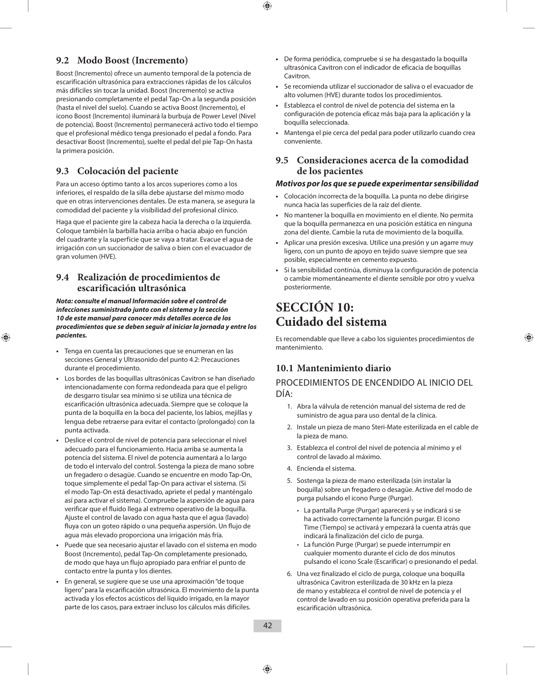## **9.2 Modo Boost (Incremento)**

Boost (Incremento) ofrece un aumento temporal de la potencia de escarificación ultrasónica para extracciones rápidas de los cálculos más difíciles sin tocar la unidad. Boost (Incremento) se activa presionando completamente el pedal Tap-On a la segunda posición (hasta el nivel del suelo). Cuando se activa Boost (Incremento), el icono Boost (Incremento) iluminará la burbuja de Power Level (Nivel de potencia). Boost (Incremento) permanecerá activo todo el tiempo que el profesional médico tenga presionado el pedal a fondo. Para desactivar Boost (Incremento), suelte el pedal del pie Tap-On hasta la primera posición.

## **9.3 Colocación del paciente**

Para un acceso óptimo tanto a los arcos superiores como a los inferiores, el respaldo de la silla debe ajustarse del mismo modo que en otras intervenciones dentales. De esta manera, se asegura la comodidad del paciente y la visibilidad del profesional clínico.

Haga que el paciente gire la cabeza hacia la derecha o la izquierda. Coloque también la barbilla hacia arriba o hacia abajo en función del cuadrante y la superficie que se vaya a tratar. Evacue el agua de irrigación con un succionador de saliva o bien con el evacuador de gran volumen (HVE).

### **9.4 Realización de procedimientos de escarificación ultrasónica**

*Nota: consulte el manual Información sobre el control de infecciones suministrado junto con el sistema y la sección 10 de este manual para conocer más detalles acerca de los procedimientos que se deben seguir al iniciar la jornada y entre los pacientes.*

- **•**  Tenga en cuenta las precauciones que se enumeran en las secciones General y Ultrasonido del punto 4.2: Precauciones durante el procedimiento.
- **•**  Los bordes de las boquillas ultrasónicas Cavitron se han diseñado intencionadamente con forma redondeada para que el peligro de desgarro tisular sea mínimo si se utiliza una técnica de escarificación ultrasónica adecuada. Siempre que se coloque la punta de la boquilla en la boca del paciente, los labios, mejillas y lengua debe retraerse para evitar el contacto (prolongado) con la punta activada.
- **•**  Deslice el control de nivel de potencia para seleccionar el nivel adecuado para el funcionamiento. Hacia arriba se aumenta la potencia del sistema. El nivel de potencia aumentará a lo largo de todo el intervalo del control. Sostenga la pieza de mano sobre un fregadero o desagüe. Cuando se encuentre en modo Tap-On, toque simplemente el pedal Tap-On para activar el sistema. (Si el modo Tap-On está desactivado, apriete el pedal y manténgalo así para activar el sistema). Compruebe la aspersión de agua para verificar que el fluido llega al extremo operativo de la boquilla. Ajuste el control de lavado con agua hasta que el agua (lavado) fluya con un goteo rápido o una pequeña aspersión. Un flujo de agua más elevado proporciona una irrigación más fría.
- **•**  Puede que sea necesario ajustar el lavado con el sistema en modo Boost (Incremento), pedal Tap-On completamente presionado, de modo que haya un flujo apropiado para enfriar el punto de contacto entre la punta y los dientes.
- **•**  En general, se sugiere que se use una aproximación "de toque ligero" para la escarificación ultrasónica. El movimiento de la punta activada y los efectos acústicos del líquido irrigado, en la mayor parte de los casos, para extraer incluso los cálculos más difíciles.
- **•**  De forma periódica, compruebe si se ha desgastado la boquilla ultrasónica Cavitron con el indicador de eficacia de boquillas **Cavitron**
- **•**  Se recomienda utilizar el succionador de saliva o el evacuador de alto volumen (HVE) durante todos los procedimientos.
- **•**  Establezca el control de nivel de potencia del sistema en la configuración de potencia eficaz más baja para la aplicación y la boquilla seleccionada.
- **•**  Mantenga el pie cerca del pedal para poder utilizarlo cuando crea conveniente.

### **9.5 Consideraciones acerca de la comodidad de los pacientes**

#### *Motivos por los que se puede experimentar sensibilidad*

- **•**  Colocación incorrecta de la boquilla. La punta no debe dirigirse nunca hacia las superficies de la raíz del diente.
- **•**  No mantener la boquilla en movimiento en el diente. No permita que la boquilla permanezca en una posición estática en ninguna zona del diente. Cambie la ruta de movimiento de la boquilla.
- **•**  Aplicar una presión excesiva. Utilice una presión y un agarre muy ligero, con un punto de apoyo en tejido suave siempre que sea posible, especialmente en cemento expuesto.
- **•**  Si la sensibilidad continúa, disminuya la configuración de potencia o cambie momentáneamente el diente sensible por otro y vuelva posteriormente.

## **SECCIÓN 10: Cuidado del sistema**

Es recomendable que lleve a cabo los siguientes procedimientos de mantenimiento.

## **10.1 Mantenimiento diario**

### PROCEDIMIENTOS DE ENCENDIDO AL INICIO DEL DÍA:

- 1. Abra la válvula de retención manual del sistema de red de suministro de agua para uso dental de la clínica.
- 2. Instale un pieza de mano Steri-Mate esterilizada en el cable de la pieza de mano.
- 3. Establezca el control del nivel de potencia al mínimo y el control de lavado al máximo.
- 4. Encienda el sistema.
- 5. Sostenga la pieza de mano esterilizada (sin instalar la boquilla) sobre un fregadero o desagüe. Active del modo de purga pulsando el icono Purge (Purgar).
	- La pantalla Purge (Purgar) aparecerá y se indicará si se ha activado correctamente la función purgar. El icono Time (Tiempo) se activará y empezará la cuenta atrás que indicará la finalización del ciclo de purga.
	- La función Purge (Purgar) se puede interrumpir en cualquier momento durante el ciclo de dos minutos pulsando el icono Scale (Escarificar) o presionando el pedal.
- 6. Una vez finalizado el ciclo de purga, coloque una boquilla ultrasónica Cavitron esterilizada de 30 kHz en la pieza de mano y establezca el control de nivel de potencia y el control de lavado en su posición operativa preferida para la escarificación ultrasónica.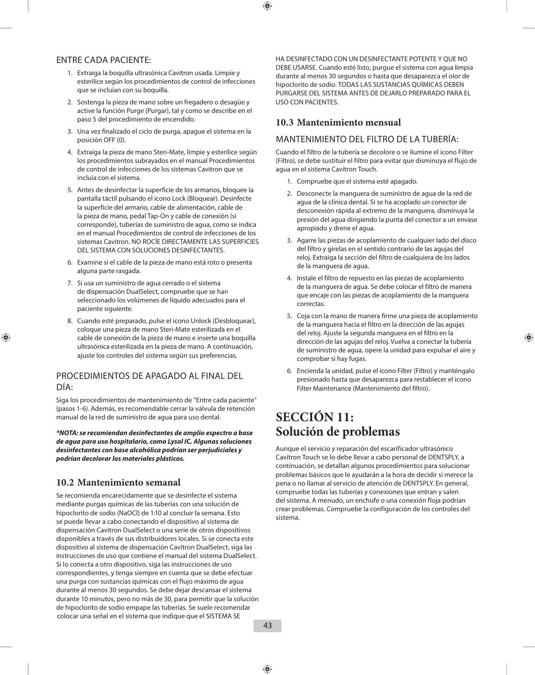### ENTRE CADA PACIENTE:

- 1. Extraiga la boquilla ultrasónica Cavitron usada. Limpie y esterilice según los procedimientos de control de infecciones que se incluían con su boquilla.
- 2. Sostenga la pieza de mano sobre un fregadero o desagüe y active la función Purge (Purgar), tal y como se describe en el paso 5 del procedimiento de encendido.
- 3. Una vez finalizado el ciclo de purga, apague el sistema en la posición OFF (0).
- 4. Extraiga la pieza de mano Steri-Mate, limpie y esterilice según los procedimientos subrayados en el manual Procedimientos de control de infecciones de los sistemas Cavitron que se incluía con el sistema.
- 5. Antes de desinfectar la superficie de los armarios, bloquee la pantalla táctil pulsando el icono Lock (Bloquear). Desinfecte la superficie del armario, cable de alimentación, cable de la pieza de mano, pedal Tap-On y cable de conexión (si corresponde), tuberías de suministro de agua, como se indica en el manual Procedimientos de control de infecciones de los sistemas Cavitron. NO ROCÍE DIRECTAMENTE LAS SUPERFICIES DEL SISTEMA CON SOLUCIONES DESINFECTANTES.
- 6. Examine si el cable de la pieza de mano está roto o presenta alguna parte rasgada.
- 7. Si usa un suministro de agua cerrado o el sistema de dispensación DualSelect, compruebe que se han seleccionado los volúmenes de líquido adecuados para el paciente siguiente.
- 8. Cuando esté preparado, pulse el icono Unlock (Desbloquear), coloque una pieza de mano Steri-Mate esterilizada en el cable de conexión de la pieza de mano e inserte una boquilla ultrasónica esterilizada en la pieza de mano. A continuación, ajuste los controles del sistema según sus preferencias.

## PROCEDIMIENTOS DE APAGADO AL FINAL DEL DÍA:

Siga los procedimientos de mantenimiento de "Entre cada paciente" (pasos 1-6). Además, es recomendable cerrar la válvula de retención manual de la red de suministro de agua para uso dental.

*\*NOTA: se recomiendan desinfectantes de amplio espectro a base de agua para uso hospitalario, como Lysol IC. Algunas soluciones desinfectantes con base alcohólica podrían ser perjudiciales y podrían decolorar los materiales plásticos.*

## **10.2 Mantenimiento semanal**

Se recomienda encarecidamente que se desinfecte el sistema mediante purgas químicas de las tuberías con una solución de hipoclorito de sodio (NaOCl) de 1:10 al concluir la semana. Esto se puede llevar a cabo conectando el dispositivo al sistema de dispensación Cavitron DualSelect o una serie de otros dispositivos disponibles a través de sus distribuidores locales. Si se conecta este dispositivo al sistema de dispensación Cavitron DualSelect, siga las instrucciones de uso que contiene el manual del sistema DualSelect. Si lo conecta a otro dispositivo, siga las instrucciones de uso correspondientes, y tenga siempre en cuenta que se debe efectuar una purga con sustancias químicas con el flujo máximo de agua durante al menos 30 segundos. Se debe dejar descansar el sistema durante 10 minutos, pero no más de 30, para permitir que la solución de hipoclorito de sodio empape las tuberías. Se suele recomendar colocar una señal en el sistema que indique que el SISTEMA SE

HA DESINFECTADO CON UN DESINFECTANTE POTENTE Y QUE NO DEBE USARSE. Cuando esté listo, purgue el sistema con agua limpia durante al menos 30 segundos o hasta que desaparezca el olor de hipoclorito de sodio. TODAS LAS SUSTANCIAS QUÍMICAS DEBEN PURGARSE DEL SISTEMA ANTES DE DEJARLO PREPARADO PARA EL USO CON PACIENTES.

## **10.3 Mantenimiento mensual**

## MANTENIMIENTO DEL FILTRO DE LA TUBERÍA:

Cuando el filtro de la tubería se decolore o se ilumine el icono Filter (Filtro), se debe sustituir el filtro para evitar que disminuya el flujo de agua en el sistema Cavitron Touch.

- 1. Compruebe que el sistema esté apagado.
- 2. Desconecte la manguera de suministro de agua de la red de agua de la clínica dental. Si se ha acoplado un conector de desconexión rápida al extremo de la manguera, disminuya la presión del agua dirigiendo la punta del conector a un envase apropiado y drene el agua.
- 3. Agarre las piezas de acoplamiento de cualquier lado del disco del filtro y gírelas en el sentido contrario de las agujas del reloj. Extraiga la sección del filtro de cualquiera de los lados de la manguera de agua.
- 4. Instale el filtro de repuesto en las piezas de acoplamiento de la manguera de agua. Se debe colocar el filtro de manera que encaje con las piezas de acoplamiento de la manguera correctas.
- 5. Coja con la mano de manera firme una pieza de acoplamiento de la manguera hacia el filtro en la dirección de las agujas del reloj. Ajuste la segunda manguera en el filtro en la dirección de las agujas del reloj. Vuelva a conectar la tubería de suministro de agua, opere la unidad para expulsar el aire y comprobar si hay fugas.
- 6. Encienda la unidad, pulse el icono Filter (Filtro) y manténgalo presionado hasta que desaparezca para restablecer el icono Filter Maintenance (Mantenimiento del filtro).

## **SECCIÓN 11: Solución de problemas**

Aunque el servicio y reparación del escarificador ultrasónico Cavitron Touch se lo debe llevar a cabo personal de DENTSPLY, a continuación, se detallan algunos procedimientos para solucionar problemas básicos que le ayudarán a la hora de decidir si merece la pena o no llamar al servicio de atención de DENTSPLY. En general, compruebe todas las tuberías y conexiones que entran y salen del sistema. A menudo, un enchufe o una conexión floja podrían crear problemas. Compruebe la configuración de los controles del sistema.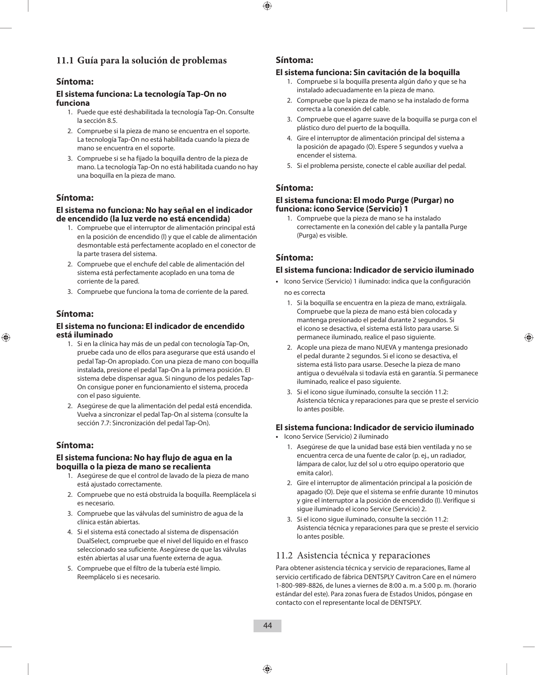## **11.1 Guía para la solución de problemas**

### **Síntoma:**

#### **El sistema funciona: La tecnología Tap-On no funciona**

- 1. Puede que esté deshabilitada la tecnología Tap-On. Consulte la sección 8.5.
- 2. Compruebe si la pieza de mano se encuentra en el soporte. La tecnología Tap-On no está habilitada cuando la pieza de mano se encuentra en el soporte.
- 3. Compruebe si se ha fijado la boquilla dentro de la pieza de mano. La tecnología Tap-On no está habilitada cuando no hay una boquilla en la pieza de mano.

### **Síntoma:**

#### **El sistema no funciona: No hay señal en el indicador de encendido (la luz verde no está encendida)**

- 1. Compruebe que el interruptor de alimentación principal está en la posición de encendido (l) y que el cable de alimentación desmontable está perfectamente acoplado en el conector de la parte trasera del sistema.
- 2. Compruebe que el enchufe del cable de alimentación del sistema está perfectamente acoplado en una toma de corriente de la pared.
- 3. Compruebe que funciona la toma de corriente de la pared.

#### **Síntoma:**

#### **El sistema no funciona: El indicador de encendido está iluminado**

- 1. Si en la clínica hay más de un pedal con tecnología Tap-On, pruebe cada uno de ellos para asegurarse que está usando el pedal Tap-On apropiado. Con una pieza de mano con boquilla instalada, presione el pedal Tap-On a la primera posición. El sistema debe dispensar agua. Si ninguno de los pedales Tap-On consigue poner en funcionamiento el sistema, proceda con el paso siguiente.
- 2. Asegúrese de que la alimentación del pedal está encendida. Vuelva a sincronizar el pedal Tap-On al sistema (consulte la sección 7.7: Sincronización del pedal Tap-On).

### **Síntoma:**

#### **El sistema funciona: No hay flujo de agua en la boquilla o la pieza de mano se recalienta**

- 1. Asegúrese de que el control de lavado de la pieza de mano está ajustado correctamente.
- 2. Compruebe que no está obstruida la boquilla. Reemplácela si es necesario.
- 3. Compruebe que las válvulas del suministro de agua de la clínica están abiertas.
- 4. Si el sistema está conectado al sistema de dispensación DualSelect, compruebe que el nivel del líquido en el frasco seleccionado sea suficiente. Asegúrese de que las válvulas estén abiertas al usar una fuente externa de agua.
- 5. Compruebe que el filtro de la tubería esté limpio. Reemplácelo si es necesario.

#### **Síntoma:**

#### **El sistema funciona: Sin cavitación de la boquilla**

- 1. Compruebe si la boquilla presenta algún daño y que se ha instalado adecuadamente en la pieza de mano.
- 2. Compruebe que la pieza de mano se ha instalado de forma correcta a la conexión del cable.
- 3. Compruebe que el agarre suave de la boquilla se purga con el plástico duro del puerto de la boquilla.
- 4. Gire el interruptor de alimentación principal del sistema a la posición de apagado (O). Espere 5 segundos y vuelva a encender el sistema.
- 5. Si el problema persiste, conecte el cable auxiliar del pedal.

### **Síntoma:**

#### **El sistema funciona: El modo Purge (Purgar) no funciona: icono Service (Servicio) 1**

1. Compruebe que la pieza de mano se ha instalado correctamente en la conexión del cable y la pantalla Purge (Purga) es visible.

### **Síntoma:**

#### **El sistema funciona: Indicador de servicio iluminado**

- **•**  Icono Service (Servicio) 1 iluminado: indica que la configuración no es correcta
	- 1. Si la boquilla se encuentra en la pieza de mano, extráigala. Compruebe que la pieza de mano está bien colocada y mantenga presionado el pedal durante 2 segundos. Si el icono se desactiva, el sistema está listo para usarse. Si permanece iluminado, realice el paso siguiente.
	- 2. Acople una pieza de mano NUEVA y mantenga presionado el pedal durante 2 segundos. Si el icono se desactiva, el sistema está listo para usarse. Deseche la pieza de mano antigua o devuélvala si todavía está en garantía. Si permanece iluminado, realice el paso siguiente.
	- 3. Si el icono sigue iluminado, consulte la sección 11.2: Asistencia técnica y reparaciones para que se preste el servicio lo antes posible.

#### **El sistema funciona: Indicador de servicio iluminado**

- **•**  Icono Service (Servicio) 2 iluminado
	- 1. Asegúrese de que la unidad base está bien ventilada y no se encuentra cerca de una fuente de calor (p. ej., un radiador, lámpara de calor, luz del sol u otro equipo operatorio que emita calor).
	- 2. Gire el interruptor de alimentación principal a la posición de apagado (O). Deje que el sistema se enfríe durante 10 minutos y gire el interruptor a la posición de encendido (I). Verifique si sigue iluminado el icono Service (Servicio) 2.
	- 3. Si el icono sigue iluminado, consulte la sección 11.2: Asistencia técnica y reparaciones para que se preste el servicio lo antes posible.

### 11.2 Asistencia técnica y reparaciones

Para obtener asistencia técnica y servicio de reparaciones, llame al servicio certificado de fábrica DENTSPLY Cavitron Care en el número 1-800-989-8826, de lunes a viernes de 8:00 a. m. a 5:00 p. m. (horario estándar del este). Para zonas fuera de Estados Unidos, póngase en contacto con el representante local de DENTSPLY.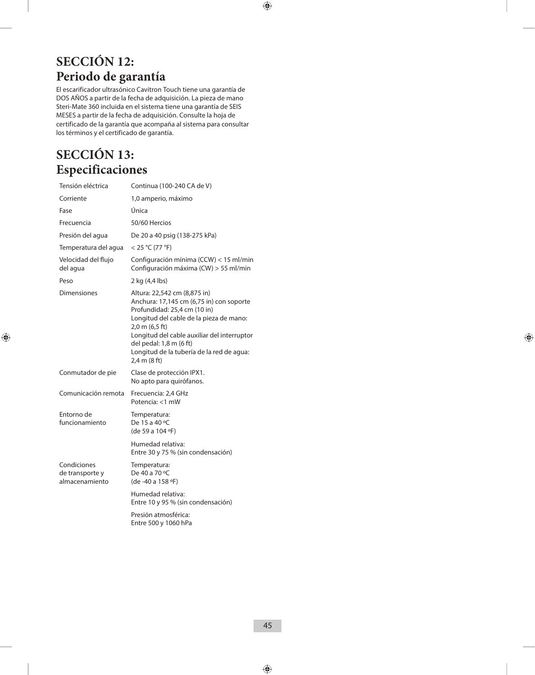## **SECCIÓN 12: Periodo de garantía**

El escarificador ultrasónico Cavitron Touch tiene una garantía de DOS AÑOS a partir de la fecha de adquisición. La pieza de mano Steri-Mate 360 incluida en el sistema tiene una garantía de SEIS MESES a partir de la fecha de adquisición. Consulte la hoja de certificado de la garantía que acompaña al sistema para consultar los términos y el certificado de garantía.

## **SECCIÓN 13: Especificaciones**

| Tensión eléctrica                                | Continua (100-240 CA de V)                                                                                                                                                                                                                                                                                               |
|--------------------------------------------------|--------------------------------------------------------------------------------------------------------------------------------------------------------------------------------------------------------------------------------------------------------------------------------------------------------------------------|
| Corriente                                        | 1,0 amperio, máximo                                                                                                                                                                                                                                                                                                      |
| Fase                                             | Única                                                                                                                                                                                                                                                                                                                    |
| Frecuencia                                       | 50/60 Hercios                                                                                                                                                                                                                                                                                                            |
| Presión del agua                                 | De 20 a 40 psig (138-275 kPa)                                                                                                                                                                                                                                                                                            |
| Temperatura del agua                             | $<$ 25 °C (77 °F)                                                                                                                                                                                                                                                                                                        |
| Velocidad del flujo<br>del agua                  | Configuración mínima (CCW) < 15 ml/min<br>Configuración máxima (CW) > 55 ml/min                                                                                                                                                                                                                                          |
| Peso                                             | 2 kg (4,4 lbs)                                                                                                                                                                                                                                                                                                           |
| <b>Dimensiones</b>                               | Altura: 22,542 cm (8,875 in)<br>Anchura: 17,145 cm (6,75 in) con soporte<br>Profundidad: 25,4 cm (10 in)<br>Longitud del cable de la pieza de mano:<br>2,0 m (6,5 ft)<br>Longitud del cable auxiliar del interruptor<br>del pedal: 1,8 m (6 ft)<br>Longitud de la tubería de la red de agua:<br>$2,4$ m $(8 \text{ ft})$ |
| Conmutador de pie                                | Clase de protección IPX1.<br>No apto para quirófanos.                                                                                                                                                                                                                                                                    |
| Comunicación remota                              | Frecuencia: 2,4 GHz<br>Potencia: <1 mW                                                                                                                                                                                                                                                                                   |
| Entorno de<br>funcionamiento                     | Temperatura:<br>De 15 a 40 °C<br>(de 59 a 104 °F)                                                                                                                                                                                                                                                                        |
|                                                  | Humedad relativa:<br>Entre 30 y 75 % (sin condensación)                                                                                                                                                                                                                                                                  |
| Condiciones<br>de transporte y<br>almacenamiento | Temperatura:<br>De 40 a 70 °C<br>(de -40 a 158 °F)                                                                                                                                                                                                                                                                       |
|                                                  | Humedad relativa:<br>Entre 10 y 95 % (sin condensación)                                                                                                                                                                                                                                                                  |
|                                                  | Presión atmosférica:<br>Entre 500 y 1060 hPa                                                                                                                                                                                                                                                                             |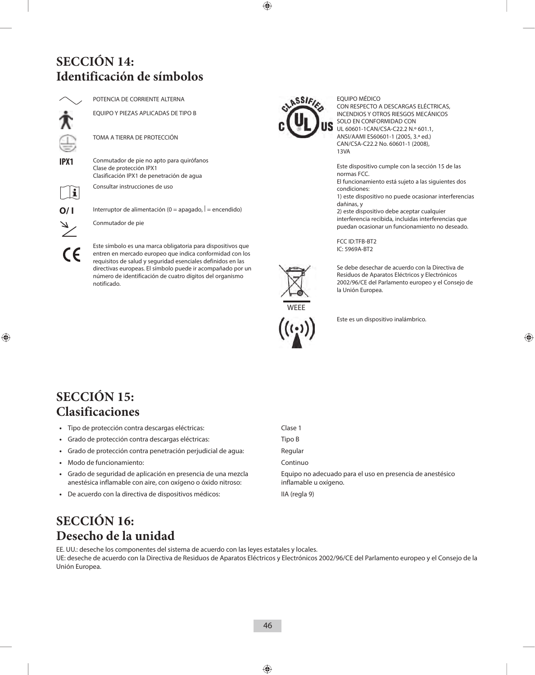## **SECCIÓN 14: Identificación de símbolos**



POTENCIA DE CORRIENTE ALTERNA

EQUIPO Y PIEZAS APLICADAS DE TIPO B

TOMA A TIERRA DE PROTECCIÓN

**IPX1** Conmutador de pie no apto para quirófanos Clase de protección IPX1 Clasificación IPX1 de penetración de agua

Consultar instrucciones de uso

 $\mathbf i$ 

**O/ I** Interruptor de alimentación (0 = apagado,  $|$  = encendido)

Conmutador de pie

Este símbolo es una marca obligatoria para dispositivos que entren en mercado europeo que indica conformidad con los requisitos de salud y seguridad esenciales definidos en las directivas europeas. El símbolo puede ir acompañado por un número de identificación de cuatro dígitos del organismo notificado.



EQUIPO MÉDICO CON RESPECTO A DESCARGAS ELÉCTRICAS, INCENDIOS Y OTROS RIESGOS MECÁNICOS SOLO EN CONFORMIDAD CON UL 60601-1CAN/CSA-C22.2 N.º 601.1, ANSI/AAMI ES60601-1 (2005, 3.ª ed.) CAN/CSA-C22.2 No. 60601-1 (2008), 13VA

Este dispositivo cumple con la sección 15 de las normas FCC.

El funcionamiento está sujeto a las siguientes dos condiciones:

1) este dispositivo no puede ocasionar interferencias dañinas, y

2) este dispositivo debe aceptar cualquier interferencia recibida, incluidas interferencias que puedan ocasionar un funcionamiento no deseado.

FCC ID:TFB-BT2 IC: 5969A-BT2



Se debe desechar de acuerdo con la Directiva de Residuos de Aparatos Eléctricos y Electrónicos 2002/96/CE del Parlamento europeo y el Consejo de la Unión Europea.



Este es un dispositivo inalámbrico.

## **SECCIÓN 15: Clasificaciones**

- **•**  Tipo de protección contra descargas eléctricas: Clase 1
- Grado de protección contra descargas eléctricas: Tipo B
- **•** Grado de protección contra penetración perjudicial de agua: Regular
- **•** Modo de funcionamiento: Continuo
- **•**  Grado de seguridad de aplicación en presencia de una mezcla anestésica inflamable con aire, con oxígeno o óxido nitroso:
- De acuerdo con la directiva de dispositivos médicos: IIA (regla 9)

Equipo no adecuado para el uso en presencia de anestésico inflamable u oxígeno.

## **SECCIÓN 16: Desecho de la unidad**

EE. UU.: deseche los componentes del sistema de acuerdo con las leyes estatales y locales. UE: deseche de acuerdo con la Directiva de Residuos de Aparatos Eléctricos y Electrónicos 2002/96/CE del Parlamento europeo y el Consejo de la Unión Europea.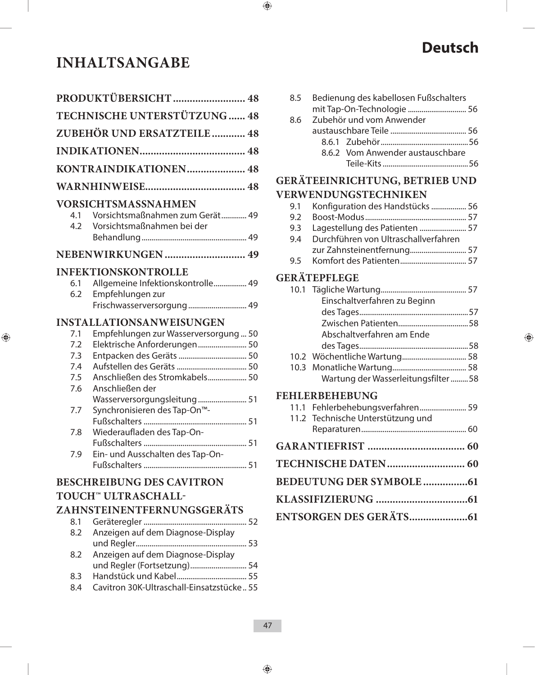## **INHALTSANGABE**

| PRODUKTÜBERSICHT 48          |                                                               |  |
|------------------------------|---------------------------------------------------------------|--|
| TECHNISCHE UNTERSTÜTZUNG  48 |                                                               |  |
|                              | <b>ZUBEHÖR UND ERSATZTEILE  48</b>                            |  |
|                              |                                                               |  |
|                              | KONTRAINDIKATIONEN 48                                         |  |
|                              |                                                               |  |
|                              | <b>VORSICHTSMASSNAHMEN</b>                                    |  |
| 4.1<br>4.2                   | Vorsichtsmaßnahmen zum Gerät 49<br>Vorsichtsmaßnahmen bei der |  |
|                              | NEBENWIRKUNGEN 49                                             |  |
|                              | <b>INFEKTIONSKONTROLLE</b>                                    |  |
| 6.1                          | Allgemeine Infektionskontrolle 49                             |  |
| 6.2                          | Empfehlungen zur<br>Frischwasserversorgung 49                 |  |
|                              | <b>INSTALLATIONSANWEISUNGEN</b>                               |  |
| 7.1                          | Empfehlungen zur Wasserversorgung  50                         |  |
| 7.2                          | Elektrische Anforderungen 50                                  |  |
| 7.3                          |                                                               |  |
| 7.4<br>7.5                   | Anschließen des Stromkabels 50                                |  |
| 7.6                          | Anschließen der                                               |  |
|                              | Wasserversorgungsleitung 51                                   |  |
| 7.7                          | Synchronisieren des Tap-On <sup>™</sup> -                     |  |
|                              |                                                               |  |
| 7.8                          | Wiederaufladen des Tap-On-                                    |  |
| 7.9                          | Ein- und Ausschalten des Tap-On-                              |  |
|                              |                                                               |  |
|                              | <b>BESCHREIBUNG DES CAVITRON</b>                              |  |
|                              | TOUCH <sup>™</sup> ULTRASCHALL-                               |  |
|                              | ZAHNSTEINENTFERNUNGSGERÄTS                                    |  |
| 8.1                          |                                                               |  |
| 8.2                          | Anzeigen auf dem Diagnose-Display                             |  |
| 8.2                          | Anzeigen auf dem Diagnose-Display                             |  |
|                              | und Regler (Fortsetzung) 54                                   |  |
| 8.3                          |                                                               |  |
| 8.4                          | Cavitron 30K-Ultraschall-Einsatzstücke 55                     |  |

# **Deutsch**

| 8.5 | Bedienung des kabellosen Fußschalters |  |
|-----|---------------------------------------|--|
|     | mit Tap-On-Technologie  56            |  |
| 8.6 | Zubehör und vom Anwender              |  |
|     |                                       |  |
|     |                                       |  |
|     | 8.6.2 Vom Anwender austauschbare      |  |
|     |                                       |  |
|     |                                       |  |

## **GERÄTEEINRICHTUNG, BETRIEB UND**

## **VERWENDUNGSTECHNIKEN**

| 9.1 | Konfiguration des Handstücks  56                                                                                                                                                                                                                                                                                  |  |
|-----|-------------------------------------------------------------------------------------------------------------------------------------------------------------------------------------------------------------------------------------------------------------------------------------------------------------------|--|
| 9.2 |                                                                                                                                                                                                                                                                                                                   |  |
| 9.3 | Lagestellung des Patienten  57                                                                                                                                                                                                                                                                                    |  |
| 9.4 | Durchführen von Ultraschallverfahren                                                                                                                                                                                                                                                                              |  |
|     |                                                                                                                                                                                                                                                                                                                   |  |
|     | $\mathcal{L}$ and $\mathcal{L}$ and $\mathcal{L}$ and $\mathcal{L}$ and $\mathcal{L}$ and $\mathcal{L}$ and $\mathcal{L}$ and $\mathcal{L}$ and $\mathcal{L}$ and $\mathcal{L}$ and $\mathcal{L}$ and $\mathcal{L}$ and $\mathcal{L}$ and $\mathcal{L}$ and $\mathcal{L}$ and $\mathcal{L}$ and $\mathcal{L}$ and |  |

9.5 Komfort des Patienten .................................. 57

## **GERÄTEPFLEGE**

| Einschaltverfahren zu Beginn        |  |
|-------------------------------------|--|
|                                     |  |
|                                     |  |
| Abschaltverfahren am Ende           |  |
|                                     |  |
| 10.2 Wöchentliche Wartung 58        |  |
|                                     |  |
| Wartung der Wasserleitungsfilter 58 |  |

## **FEHLERBEHEBUNG**

| 11.1 Fehlerbehebungsverfahren 59<br>11.2 Technische Unterstützung und |  |
|-----------------------------------------------------------------------|--|
|                                                                       |  |
|                                                                       |  |
|                                                                       |  |
|                                                                       |  |
|                                                                       |  |
|                                                                       |  |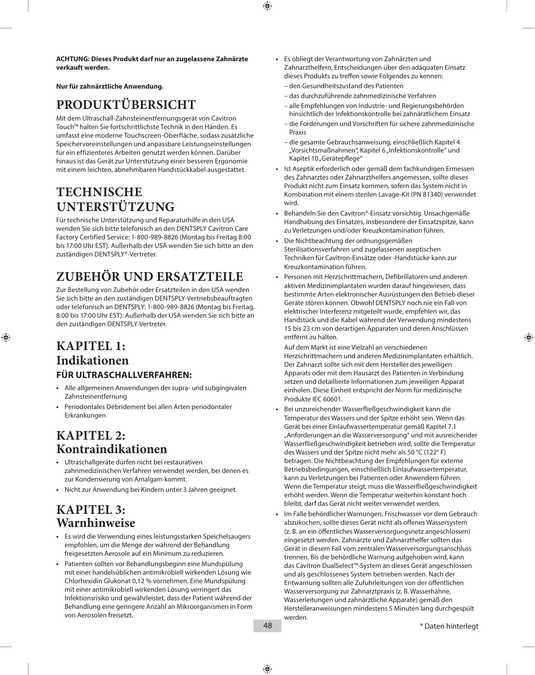**ACHTUNG: Dieses Produkt darf nur an zugelassene Zahnärzte verkauft werden.**

**Nur für zahnärztliche Anwendung.**

## **PRODUKTÜBERSICHT**

Mit dem Ultraschall-Zahnsteinentfernungsgerät von Cavitron Touch™ halten Sie fortschrittlichste Technik in den Händen. Es umfasst eine moderne Touchscreen-Oberfläche, sodass zusätzliche Speichervoreinstellungen und anpassbare Leistungseinstellungen für ein effizienteres Arbeiten genutzt werden können. Darüber hinaus ist das Gerät zur Unterstützung einer besseren Ergonomie mit einem leichten, abnehmbaren Handstückkabel ausgestattet.

## **TECHNISCHE UNTERSTÜTZUNG**

Für technische Unterstützung und Reparaturhilfe in den USA wenden Sie sich bitte telefonisch an den DENTSPLY Cavitron Care Factory Certified Service: 1-800-989-8826 (Montag bis Freitag 8:00 bis 17:00 Uhr EST). Außerhalb der USA wenden Sie sich bitte an den zuständigen DENTSPLY®-Vertreter.

## **ZUBEHÖR UND ERSATZTEILE**

Zur Bestellung von Zubehör oder Ersatzteilen in den USA wenden Sie sich bitte an den zuständigen DENTSPLY-Vertriebsbeauftragten oder telefonisch an DENTSPLY: 1-800-989-8826 (Montag bis Freitag, 8:00 bis 17:00 Uhr EST). Außerhalb der USA wenden Sie sich bitte an den zuständigen DENTSPLY-Vertreter.

## **KAPITEL 1: Indikationen FÜR ULTRASCHALLVERFAHREN:**

- **•**  Alle allgemeinen Anwendungen der supra- und subgingivalen Zahnsteinentfernung
- **•**  Periodontales Débridement bei allen Arten periodontaler Erkrankungen

## **KAPITEL 2: Kontraindikationen**

- **•**  Ultraschallgeräte dürfen nicht bei restaurativen zahnmedizinischen Verfahren verwendet werden, bei denen es zur Kondensierung von Amalgam kommt.
- **•**  Nicht zur Anwendung bei Kindern unter 3 Jahren geeignet.

## **KAPITEL 3: Warnhinweise**

- **•**  Es wird die Verwendung eines leistungsstarken Speichelsaugers empfohlen, um die Menge der während der Behandlung freigesetzten Aerosole auf ein Minimum zu reduzieren.
- **•**  Patienten sollten vor Behandlungsbeginn eine Mundspülung mit einer handelsüblichen antimikrobiell wirkenden Lösung wie Chlorhexidin Glukonat 0,12 % vornehmen. Eine Mundspülung mit einer antimikrobiell wirkenden Lösung verringert das Infektionsrisiko und gewährleistet, dass der Patient während der Behandlung eine geringere Anzahl an Mikroorganismen in Form von Aerosolen freisetzt.
- **•**  Es obliegt der Verantwortung von Zahnärzten und Zahnarzthelfern, Entscheidungen über den adäquaten Einsatz dieses Produkts zu treffen sowie Folgendes zu kennen:
	- den Gesundheitszustand des Patienten
	- das durchzuführende zahnmedizinische Verfahren
	- alle Empfehlungen von Industrie- und Regierungsbehörden hinsichtlich der Infektionskontrolle bei zahnärztlichem Einsatz
	- die Forderungen und Vorschriften für sichere zahnmedizinische Praxis
	- die gesamte Gebrauchsanweisung, einschließlich Kapitel 4 "Vorsichtsmaßnahmen", Kapitel 6 "Infektionskontrolle" und Kapitel 10 "Gerätepflege"
- **•**  Ist Aseptik erforderlich oder gemäß dem fachkundigen Ermessen des Zahnarztes oder Zahnarzthelfers angemessen, sollte dieses Produkt nicht zum Einsatz kommen, sofern das System nicht in Kombination mit einem sterilen Lavage-Kit (PN 81340) verwendet wird.
- **•**  Behandeln Sie den Cavitron®-Einsatz vorsichtig. Unsachgemäße Handhabung des Einsatzes, insbesondere der Einsatzspitze, kann zu Verletzungen und/oder Kreuzkontamination führen.
- Die Nichtbeachtung der ordnungsgemäßen Sterilisationsverfahren und zugelassenen aseptischen Techniken für Cavitron-Einsätze oder -Handstücke kann zur Kreuzkontamination führen.
- **•**  Personen mit Herzschrittmachern, Defibrillatoren und anderen aktiven Medizinimplantaten wurden darauf hingewiesen, dass bestimmte Arten elektronischer Ausrüstungen den Betrieb dieser Geräte stören können. Obwohl DENTSPLY noch nie ein Fall von elektrischer Interferenz mitgeteilt wurde, empfehlen wir, das Handstück und die Kabel während der Verwendung mindestens 15 bis 23 cm von derartigen Apparaten und deren Anschlüssen entfernt zu halten.

 Auf dem Markt ist eine Vielzahl an verschiedenen Herzschrittmachern und anderen Medizinimplantaten erhältlich. Der Zahnarzt sollte sich mit dem Hersteller des jeweiligen Apparats oder mit dem Hausarzt des Patienten in Verbindung setzen und detaillierte Informationen zum jeweiligen Apparat einholen. Diese Einheit entspricht der Norm für medizinische Produkte IEC 60601.

- **•**  Bei unzureichender Wasserfließgeschwindigkeit kann die Temperatur des Wassers und der Spitze erhöht sein. Wenn das Gerät bei einer Einlaufwassertemperatur gemäß Kapitel 7.1 "Anforderungen an die Wasserversorgung" und mit ausreichender Wasserfließgeschwindigkeit betrieben wird, sollte die Temperatur des Wassers und der Spitze nicht mehr als 50 °C (122° F) betragen. Die Nichtbeachtung der Empfehlungen für externe Betriebsbedingungen, einschließlich Einlaufwassertemperatur, kann zu Verletzungen bei Patienten oder Anwendern führen. Wenn die Temperatur steigt, muss die Wasserfließgeschwindigkeit erhöht werden. Wenn die Temperatur weiterhin konstant hoch bleibt, darf das Gerät nicht weiter verwendet werden.
- Im Falle behördlicher Warnungen, Frischwasser vor dem Gebrauch abzukochen, sollte dieses Gerät nicht als offenes Wassersystem (z. B. an ein öffentliches Wasserversorgungsnetz angeschlossen) eingesetzt werden. Zahnärzte und Zahnarzthelfer sollten das Gerät in diesem Fall vom zentralen Wasserversorgungsanschluss trennen. Bis die behördliche Warnung aufgehoben wird, kann das Cavitron DualSelect™-System an dieses Gerät angeschlossen und als geschlossenes System betrieben werden. Nach der Entwarnung sollten alle Zufuhrleitungen von der öffentlichen Wasserversorgung zur Zahnarztpraxis (z. B. Wasserhähne, Wasserleitungen und zahnärztliche Apparate) gemäß den Herstelleranweisungen mindestens 5 Minuten lang durchgespült werden.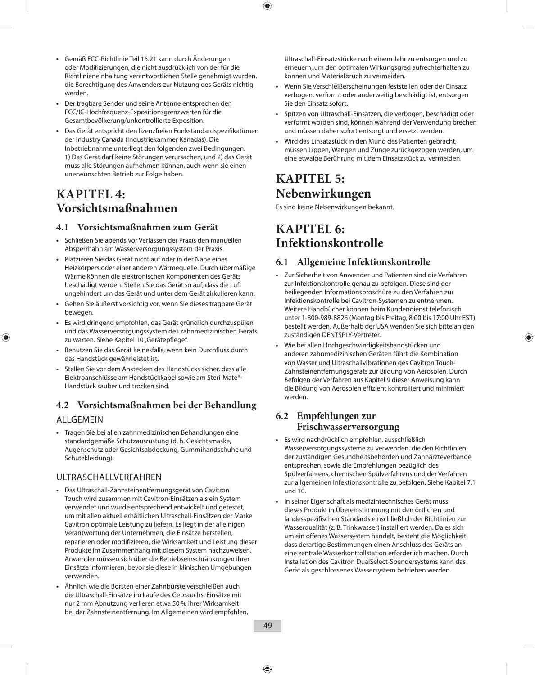- **•**  Gemäß FCC-Richtlinie Teil 15.21 kann durch Änderungen oder Modifizierungen, die nicht ausdrücklich von der für die Richtlinieneinhaltung verantwortlichen Stelle genehmigt wurden, die Berechtigung des Anwenders zur Nutzung des Geräts nichtig werden.
- **•**  Der tragbare Sender und seine Antenne entsprechen den FCC/IC-Hochfrequenz-Expositionsgrenzwerten für die Gesamtbevölkerung/unkontrollierte Exposition.
- **•**  Das Gerät entspricht den lizenzfreien Funkstandardspezifikationen der Industry Canada (Industriekammer Kanadas). Die Inbetriebnahme unterliegt den folgenden zwei Bedingungen: 1) Das Gerät darf keine Störungen verursachen, und 2) das Gerät muss alle Störungen aufnehmen können, auch wenn sie einen unerwünschten Betrieb zur Folge haben.

## **KAPITEL 4: Vorsichtsmaßnahmen**

## **4.1 Vorsichtsmaßnahmen zum Gerät**

- **•**  Schließen Sie abends vor Verlassen der Praxis den manuellen Absperrhahn am Wasserversorgungssystem der Praxis.
- **•**  Platzieren Sie das Gerät nicht auf oder in der Nähe eines Heizkörpers oder einer anderen Wärmequelle. Durch übermäßige Wärme können die elektronischen Komponenten des Geräts beschädigt werden. Stellen Sie das Gerät so auf, dass die Luft ungehindert um das Gerät und unter dem Gerät zirkulieren kann.
- **•**  Gehen Sie äußerst vorsichtig vor, wenn Sie dieses tragbare Gerät bewegen.
- **•**  Es wird dringend empfohlen, das Gerät gründlich durchzuspülen und das Wasserversorgungssystem des zahnmedizinischen Geräts zu warten. Siehe Kapitel 10 "Gerätepflege".
- **•**  Benutzen Sie das Gerät keinesfalls, wenn kein Durchfluss durch das Handstück gewährleistet ist.
- **•**  Stellen Sie vor dem Anstecken des Handstücks sicher, dass alle Elektroanschlüsse am Handstückkabel sowie am Steri-Mate®- Handstück sauber und trocken sind.

## **4.2 Vorsichtsmaßnahmen bei der Behandlung**

### ALLGEMEIN

**•**  Tragen Sie bei allen zahnmedizinischen Behandlungen eine standardgemäße Schutzausrüstung (d. h. Gesichtsmaske, Augenschutz oder Gesichtsabdeckung, Gummihandschuhe und Schutzkleidung).

## ULTRASCHALLVERFAHREN

- **•**  Das Ultraschall-Zahnsteinentfernungsgerät von Cavitron Touch wird zusammen mit Cavitron-Einsätzen als ein System verwendet und wurde entsprechend entwickelt und getestet, um mit allen aktuell erhältlichen Ultraschall-Einsätzen der Marke Cavitron optimale Leistung zu liefern. Es liegt in der alleinigen Verantwortung der Unternehmen, die Einsätze herstellen, reparieren oder modifizieren, die Wirksamkeit und Leistung dieser Produkte im Zusammenhang mit diesem System nachzuweisen. Anwender müssen sich über die Betriebseinschränkungen ihrer Einsätze informieren, bevor sie diese in klinischen Umgebungen verwenden.
- **•**  Ähnlich wie die Borsten einer Zahnbürste verschleißen auch die Ultraschall-Einsätze im Laufe des Gebrauchs. Einsätze mit nur 2 mm Abnutzung verlieren etwa 50 % ihrer Wirksamkeit bei der Zahnsteinentfernung. Im Allgemeinen wird empfohlen,

Ultraschall-Einsatzstücke nach einem Jahr zu entsorgen und zu erneuern, um den optimalen Wirkungsgrad aufrechterhalten zu können und Materialbruch zu vermeiden.

- **•**  Wenn Sie Verschleißerscheinungen feststellen oder der Einsatz verbogen, verformt oder anderweitig beschädigt ist, entsorgen Sie den Einsatz sofort.
- Spitzen von Ultraschall-Einsätzen, die verbogen, beschädigt oder verformt worden sind, können während der Verwendung brechen und müssen daher sofort entsorgt und ersetzt werden.
- **•**  Wird das Einsatzstück in den Mund des Patienten gebracht, müssen Lippen, Wangen und Zunge zurückgezogen werden, um eine etwaige Berührung mit dem Einsatzstück zu vermeiden.

## **KAPITEL 5: Nebenwirkungen**

Es sind keine Nebenwirkungen bekannt.

## **KAPITEL 6: Infektionskontrolle**

## **6.1 Allgemeine Infektionskontrolle**

- **•**  Zur Sicherheit von Anwender und Patienten sind die Verfahren zur Infektionskontrolle genau zu befolgen. Diese sind der beiliegenden Informationsbroschüre zu den Verfahren zur Infektionskontrolle bei Cavitron-Systemen zu entnehmen. Weitere Handbücher können beim Kundendienst telefonisch unter 1-800-989-8826 (Montag bis Freitag, 8:00 bis 17:00 Uhr EST) bestellt werden. Außerhalb der USA wenden Sie sich bitte an den zuständigen DENTSPLY-Vertreter.
- **•**  Wie bei allen Hochgeschwindigkeitshandstücken und anderen zahnmedizinischen Geräten führt die Kombination von Wasser und Ultraschallvibrationen des Cavitron Touch-Zahnsteinentfernungsgeräts zur Bildung von Aerosolen. Durch Befolgen der Verfahren aus Kapitel 9 dieser Anweisung kann die Bildung von Aerosolen effizient kontrolliert und minimiert werden.

## **6.2 Empfehlungen zur Frischwasserversorgung**

- **•**  Es wird nachdrücklich empfohlen, ausschließlich Wasserversorgungssysteme zu verwenden, die den Richtlinien der zuständigen Gesundheitsbehörden und Zahnärzteverbände entsprechen, sowie die Empfehlungen bezüglich des Spülverfahrens, chemischen Spülverfahrens und der Verfahren zur allgemeinen Infektionskontrolle zu befolgen. Siehe Kapitel 7.1 und 10.
- **•**  In seiner Eigenschaft als medizintechnisches Gerät muss dieses Produkt in Übereinstimmung mit den örtlichen und landesspezifischen Standards einschließlich der Richtlinien zur Wasserqualität (z. B. Trinkwasser) installiert werden. Da es sich um ein offenes Wassersystem handelt, besteht die Möglichkeit, dass derartige Bestimmungen einen Anschluss des Geräts an eine zentrale Wasserkontrollstation erforderlich machen. Durch Installation des Cavitron DualSelect-Spendersystems kann das Gerät als geschlossenes Wassersystem betrieben werden.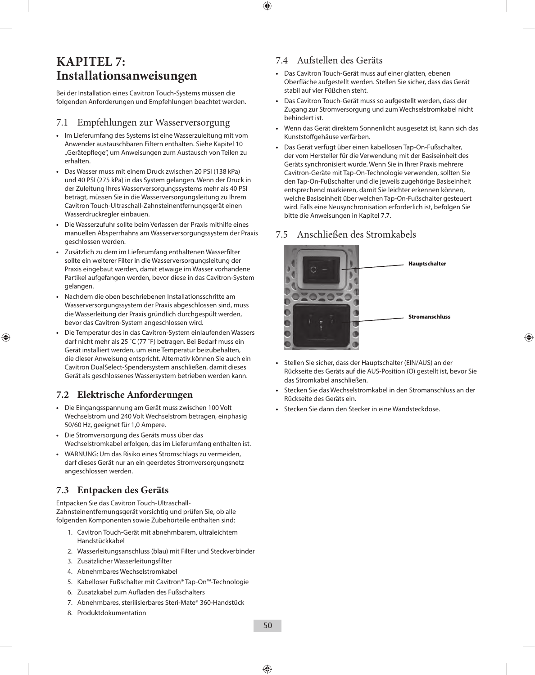## **KAPITEL 7: Installationsanweisungen**

Bei der Installation eines Cavitron Touch-Systems müssen die folgenden Anforderungen und Empfehlungen beachtet werden.

### 7.1 Empfehlungen zur Wasserversorgung

- **•**  Im Lieferumfang des Systems ist eine Wasserzuleitung mit vom Anwender austauschbaren Filtern enthalten. Siehe Kapitel 10 "Gerätepflege", um Anweisungen zum Austausch von Teilen zu erhalten.
- **•**  Das Wasser muss mit einem Druck zwischen 20 PSI (138 kPa) und 40 PSI (275 kPa) in das System gelangen. Wenn der Druck in der Zuleitung Ihres Wasserversorgungssystems mehr als 40 PSI beträgt, müssen Sie in die Wasserversorgungsleitung zu Ihrem Cavitron Touch-Ultraschall-Zahnsteinentfernungsgerät einen Wasserdruckregler einbauen.
- **•**  Die Wasserzufuhr sollte beim Verlassen der Praxis mithilfe eines manuellen Absperrhahns am Wasserversorgungssystem der Praxis geschlossen werden.
- **•**  Zusätzlich zu dem im Lieferumfang enthaltenen Wasserfilter sollte ein weiterer Filter in die Wasserversorgungsleitung der Praxis eingebaut werden, damit etwaige im Wasser vorhandene Partikel aufgefangen werden, bevor diese in das Cavitron-System gelangen.
- **•**  Nachdem die oben beschriebenen Installationsschritte am Wasserversorgungssystem der Praxis abgeschlossen sind, muss die Wasserleitung der Praxis gründlich durchgespült werden, bevor das Cavitron-System angeschlossen wird.
- **•**  Die Temperatur des in das Cavitron-System einlaufenden Wassers darf nicht mehr als 25 ˚C (77 ˚F) betragen. Bei Bedarf muss ein Gerät installiert werden, um eine Temperatur beizubehalten, die dieser Anweisung entspricht. Alternativ können Sie auch ein Cavitron DualSelect-Spendersystem anschließen, damit dieses Gerät als geschlossenes Wassersystem betrieben werden kann.

## **7.2 Elektrische Anforderungen**

- **•**  Die Eingangsspannung am Gerät muss zwischen 100 Volt Wechselstrom und 240 Volt Wechselstrom betragen, einphasig 50/60 Hz, geeignet für 1,0 Ampere.
- **•**  Die Stromversorgung des Geräts muss über das Wechselstromkabel erfolgen, das im Lieferumfang enthalten ist.
- **•**  WARNUNG: Um das Risiko eines Stromschlags zu vermeiden, darf dieses Gerät nur an ein geerdetes Stromversorgungsnetz angeschlossen werden.

### **7.3 Entpacken des Geräts**

Entpacken Sie das Cavitron Touch-Ultraschall-Zahnsteinentfernungsgerät vorsichtig und prüfen Sie, ob alle folgenden Komponenten sowie Zubehörteile enthalten sind:

- 1. Cavitron Touch-Gerät mit abnehmbarem, ultraleichtem Handstückkabel
- 2. Wasserleitungsanschluss (blau) mit Filter und Steckverbinder
- 3. Zusätzlicher Wasserleitungsfilter
- 4. Abnehmbares Wechselstromkabel
- 5. Kabelloser Fußschalter mit Cavitron® Tap-On™-Technologie
- 6. Zusatzkabel zum Aufladen des Fußschalters
- 7. Abnehmbares, sterilisierbares Steri-Mate® 360-Handstück
- 8. Produktdokumentation

## 7.4 Aufstellen des Geräts

- **•**  Das Cavitron Touch-Gerät muss auf einer glatten, ebenen Oberfläche aufgestellt werden. Stellen Sie sicher, dass das Gerät stabil auf vier Füßchen steht.
- Das Cavitron Touch-Gerät muss so aufgestellt werden, dass der Zugang zur Stromversorgung und zum Wechselstromkabel nicht behindert ist.
- **•**  Wenn das Gerät direktem Sonnenlicht ausgesetzt ist, kann sich das Kunststoffgehäuse verfärben.
- **•**  Das Gerät verfügt über einen kabellosen Tap-On-Fußschalter, der vom Hersteller für die Verwendung mit der Basiseinheit des Geräts synchronisiert wurde. Wenn Sie in Ihrer Praxis mehrere Cavitron-Geräte mit Tap-On-Technologie verwenden, sollten Sie den Tap-On-Fußschalter und die jeweils zugehörige Basiseinheit entsprechend markieren, damit Sie leichter erkennen können, welche Basiseinheit über welchen Tap-On-Fußschalter gesteuert wird. Falls eine Neusynchronisation erforderlich ist, befolgen Sie bitte die Anweisungen in Kapitel 7.7.

### 7.5 Anschließen des Stromkabels



- **•**  Stellen Sie sicher, dass der Hauptschalter (EIN/AUS) an der Rückseite des Geräts auf die AUS-Position (O) gestellt ist, bevor Sie das Stromkabel anschließen.
- Stecken Sie das Wechselstromkabel in den Stromanschluss an der Rückseite des Geräts ein.
- Stecken Sie dann den Stecker in eine Wandsteckdose.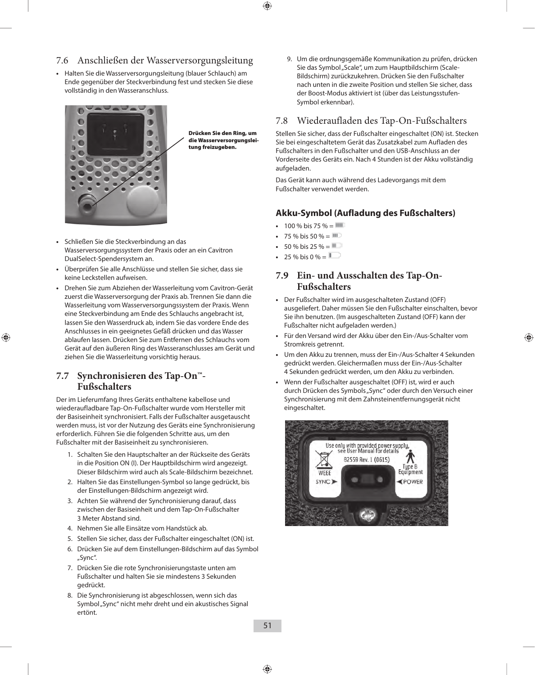## 7.6 Anschließen der Wasserversorgungsleitung

**•**  Halten Sie die Wasserversorgungsleitung (blauer Schlauch) am Ende gegenüber der Steckverbindung fest und stecken Sie diese vollständig in den Wasseranschluss.



Drücken Sie den Ring, um die Wasserversorgungsleitung freizugeben.

- **•**  Schließen Sie die Steckverbindung an das Wasserversorgungssystem der Praxis oder an ein Cavitron DualSelect-Spendersystem an.
- **•**  Überprüfen Sie alle Anschlüsse und stellen Sie sicher, dass sie keine Leckstellen aufweisen.
- **•**  Drehen Sie zum Abziehen der Wasserleitung vom Cavitron-Gerät zuerst die Wasserversorgung der Praxis ab. Trennen Sie dann die Wasserleitung vom Wasserversorgungssystem der Praxis. Wenn eine Steckverbindung am Ende des Schlauchs angebracht ist, lassen Sie den Wasserdruck ab, indem Sie das vordere Ende des Anschlusses in ein geeignetes Gefäß drücken und das Wasser ablaufen lassen. Drücken Sie zum Entfernen des Schlauchs vom Gerät auf den äußeren Ring des Wasseranschlusses am Gerät und ziehen Sie die Wasserleitung vorsichtig heraus.

### **7.7 Synchronisieren des Tap-On™- Fußschalters**

Der im Lieferumfang Ihres Geräts enthaltene kabellose und wiederaufladbare Tap-On-Fußschalter wurde vom Hersteller mit der Basiseinheit synchronisiert. Falls der Fußschalter ausgetauscht werden muss, ist vor der Nutzung des Geräts eine Synchronisierung erforderlich. Führen Sie die folgenden Schritte aus, um den Fußschalter mit der Basiseinheit zu synchronisieren.

- 1. Schalten Sie den Hauptschalter an der Rückseite des Geräts in die Position ON (I). Der Hauptbildschirm wird angezeigt. Dieser Bildschirm wird auch als Scale-Bildschirm bezeichnet.
- 2. Halten Sie das Einstellungen-Symbol so lange gedrückt, bis der Einstellungen-Bildschirm angezeigt wird.
- 3. Achten Sie während der Synchronisierung darauf, dass zwischen der Basiseinheit und dem Tap-On-Fußschalter 3 Meter Abstand sind.
- 4. Nehmen Sie alle Einsätze vom Handstück ab.
- 5. Stellen Sie sicher, dass der Fußschalter eingeschaltet (ON) ist.
- 6. Drücken Sie auf dem Einstellungen-Bildschirm auf das Symbol "Sync".
- 7. Drücken Sie die rote Synchronisierungstaste unten am Fußschalter und halten Sie sie mindestens 3 Sekunden gedrückt.
- 8. Die Synchronisierung ist abgeschlossen, wenn sich das Symbol "Sync" nicht mehr dreht und ein akustisches Signal ertönt.

9. Um die ordnungsgemäße Kommunikation zu prüfen, drücken Sie das Symbol "Scale", um zum Hauptbildschirm (Scale-Bildschirm) zurückzukehren. Drücken Sie den Fußschalter nach unten in die zweite Position und stellen Sie sicher, dass der Boost-Modus aktiviert ist (über das Leistungsstufen-Symbol erkennbar).

## 7.8 Wiederaufladen des Tap-On-Fußschalters

Stellen Sie sicher, dass der Fußschalter eingeschaltet (ON) ist. Stecken Sie bei eingeschaltetem Gerät das Zusatzkabel zum Aufladen des Fußschalters in den Fußschalter und den USB-Anschluss an der Vorderseite des Geräts ein. Nach 4 Stunden ist der Akku vollständig aufgeladen.

Das Gerät kann auch während des Ladevorgangs mit dem Fußschalter verwendet werden.

## **Akku-Symbol (Aufladung des Fußschalters)**

- $100 \%$  bis 75 % =  $\blacksquare$
- 75 % bis 50 %  $=$  IIII
- $50 \%$  bis 25 % =  $\blacksquare$
- 25 % bis 0 % =  $\blacksquare$

## **7.9 Ein- und Ausschalten des Tap-On-Fußschalters**

- **•**  Der Fußschalter wird im ausgeschalteten Zustand (OFF) ausgeliefert. Daher müssen Sie den Fußschalter einschalten, bevor Sie ihn benutzen. (Im ausgeschalteten Zustand (OFF) kann der Fußschalter nicht aufgeladen werden.)
- **•**  Für den Versand wird der Akku über den Ein-/Aus-Schalter vom Stromkreis getrennt.
- **•**  Um den Akku zu trennen, muss der Ein-/Aus-Schalter 4 Sekunden gedrückt werden. Gleichermaßen muss der Ein-/Aus-Schalter 4 Sekunden gedrückt werden, um den Akku zu verbinden.
- Wenn der Fußschalter ausgeschaltet (OFF) ist, wird er auch durch Drücken des Symbols "Sync" oder durch den Versuch einer Synchronisierung mit dem Zahnsteinentfernungsgerät nicht eingeschaltet.

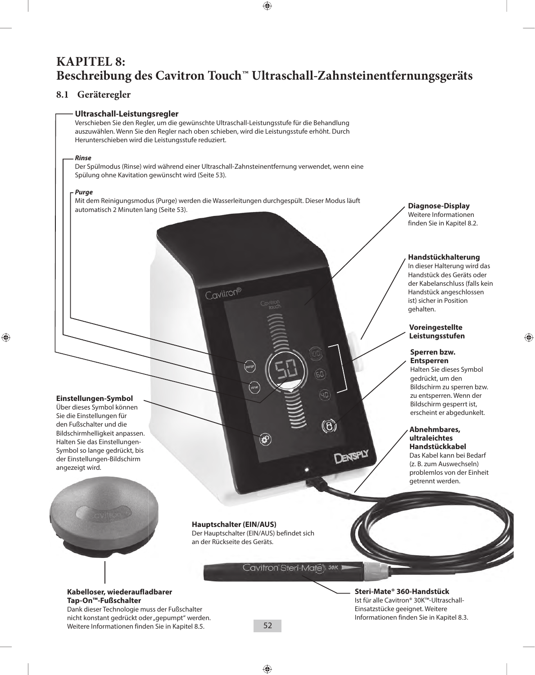## **KAPITEL 8: Beschreibung des Cavitron Touch™ Ultraschall-Zahnsteinentfernungsgeräts**

## **8.1 Geräteregler**

#### **Ultraschall-Leistungsregler**

Verschieben Sie den Regler, um die gewünschte Ultraschall-Leistungsstufe für die Behandlung auszuwählen. Wenn Sie den Regler nach oben schieben, wird die Leistungsstufe erhöht. Durch Herunterschieben wird die Leistungsstufe reduziert.

#### *Rinse*

Der Spülmodus (Rinse) wird während einer Ultraschall-Zahnsteinentfernung verwendet, wenn eine Spülung ohne Kavitation gewünscht wird (Seite 53).

#### *Purge*

Mit dem Reinigungsmodus (Purge) werden die Wasserleitungen durchgespült. Dieser Modus läuft automatisch 2 Minuten lang (Seite 53).<br>automatisch 2 Minuten lang (Seite 53).

Cavitron®

### **Einstellungen-Symbol**

Über dieses Symbol können Sie die Einstellungen für den Fußschalter und die Bildschirmhelligkeit anpassen. Halten Sie das Einstellungen-Symbol so lange gedrückt, bis der Einstellungen-Bildschirm angezeigt wird.



**Hauptschalter (EIN/AUS)** Der Hauptschalter (EIN/AUS) befindet sich an der Rückseite des Geräts.

 $\circledast$ 

Cavitron Steri-Mates 30K 1

**DENTSPLY** 

## Weitere Informationen finden Sie in Kapitel 8.2.

#### **Handstückhalterung**

In dieser Halterung wird das Handstück des Geräts oder der Kabelanschluss (falls kein Handstück angeschlossen ist) sicher in Position gehalten.

**Voreingestellte Leistungsstufen**

#### **Sperren bzw. Entsperren**

Halten Sie dieses Symbol gedrückt, um den Bildschirm zu sperren bzw. zu entsperren. Wenn der Bildschirm gesperrt ist, erscheint er abgedunkelt.

#### **Abnehmbares, ultraleichtes Handstückkabel**

Das Kabel kann bei Bedarf (z. B. zum Auswechseln) problemlos von der Einheit getrennt werden.

#### **Kabelloser, wiederaufladbarer Tap-On™-Fußschalter** Dank dieser Technologie muss der Fußschalter

nicht konstant gedrückt oder "gepumpt" werden. Weitere Informationen finden Sie in Kapitel 8.5.

**Steri-Mate® 360-Handstück**  Ist für alle Cavitron® 30K™-Ultraschall-Einsatzstücke geeignet. Weitere Informationen finden Sie in Kapitel 8.3.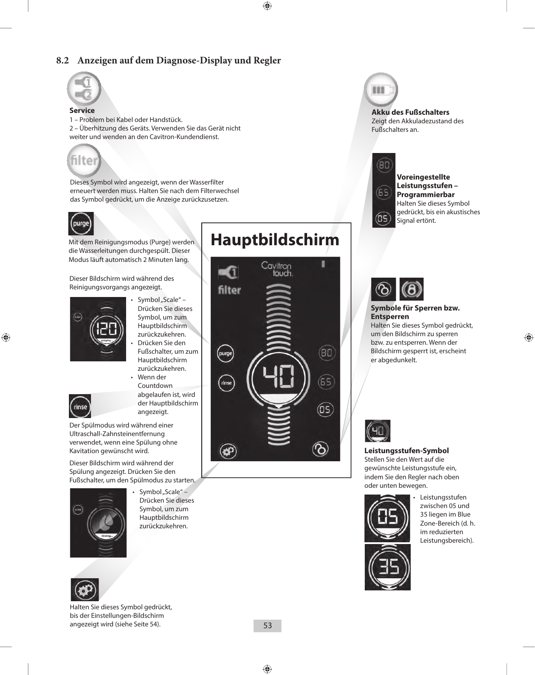## **8.2 Anzeigen auf dem Diagnose-Display und Regler**



#### **Service**

1 – Problem bei Kabel oder Handstück. 2 – Überhitzung des Geräts. Verwenden Sie das Gerät nicht weiter und wenden an den Cavitron-Kundendienst.



Dieses Symbol wird angezeigt, wenn der Wasserfilter erneuert werden muss. Halten Sie nach dem Filterwechsel das Symbol gedrückt, um die Anzeige zurückzusetzen.



Mit dem Reinigungsmodus (Purge) werden die Wasserleitungen durchgespült. Dieser Modus läuft automatisch 2 Minuten lang.

Dieser Bildschirm wird während des Reinigungsvorgangs angezeigt.



- $\cdot$  Symbol "Scale" Drücken Sie dieses Symbol, um zum Hauptbildschirm zurückzukehren.
- Drücken Sie den Fußschalter, um zum Hauptbildschirm zurückzukehren. • Wenn der



Countdown abgelaufen ist, wird der Hauptbildschirm angezeigt.

Der Spülmodus wird während einer Ultraschall-Zahnsteinentfernung verwendet, wenn eine Spülung ohne Kavitation gewünscht wird.

Dieser Bildschirm wird während der Spülung angezeigt. Drücken Sie den Fußschalter, um den Spülmodus zu starten.



Symbol "Scale" – Drücken Sie dieses Symbol, um zum Hauptbildschirm zurückzukehren.



rinse

Halten Sie dieses Symbol gedrückt, bis der Einstellungen-Bildschirm angezeigt wird (siehe Seite 54).

# **Hauptbildschirm**





**Akku des Fußschalters**

Zeigt den Akkuladezustand des Fußschalters an.



**Voreingestellte Leistungsstufen – Programmierbar** Halten Sie dieses Symbol gedrückt, bis ein akustisches Signal ertönt.



#### **Symbole für Sperren bzw. Entsperren**

Halten Sie dieses Symbol gedrückt, um den Bildschirm zu sperren bzw. zu entsperren. Wenn der Bildschirm gesperrt ist, erscheint er abgedunkelt.



**Leistungsstufen-Symbol**

Stellen Sie den Wert auf die gewünschte Leistungsstufe ein, indem Sie den Regler nach oben oder unten bewegen.



**Leistungsstufen** zwischen 05 und 35 liegen im Blue Zone-Bereich (d. h. im reduzierten Leistungsbereich).

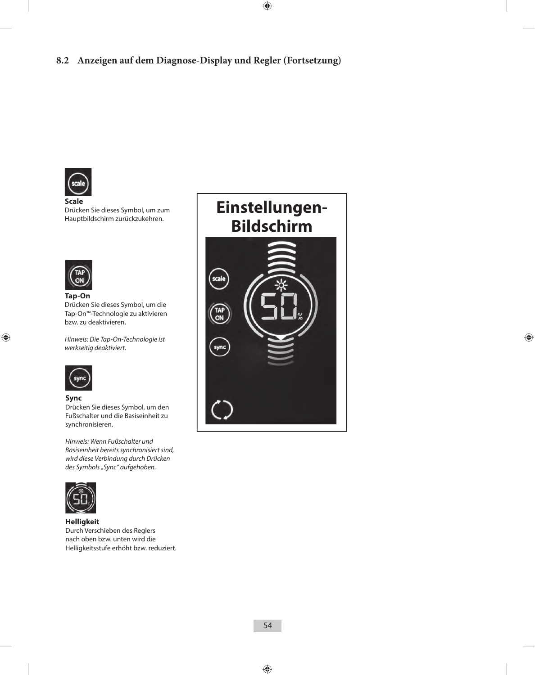## **8.2 Anzeigen auf dem Diagnose-Display und Regler (Fortsetzung)**



**Scale**  Drücken Sie dieses Symbol, um zum Hauptbildschirm zurückzukehren.



**Tap-On** Drücken Sie dieses Symbol, um die Tap-On™-Technologie zu aktivieren bzw. zu deaktivieren.

*Hinweis: Die Tap-On-Technologie ist werkseitig deaktiviert.*



#### **Sync**

Drücken Sie dieses Symbol, um den Fußschalter und die Basiseinheit zu synchronisieren.

*Hinweis: Wenn Fußschalter und Basiseinheit bereits synchronisiert sind, wird diese Verbindung durch Drücken des Symbols "Sync" aufgehoben.*



**Helligkeit** Durch Verschieben des Reglers nach oben bzw. unten wird die Helligkeitsstufe erhöht bzw. reduziert.

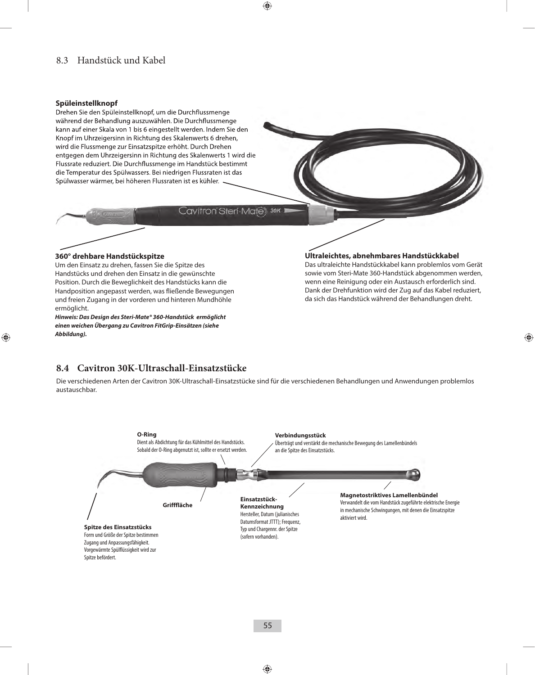## 8.3 Handstück und Kabel

#### **Spüleinstellknopf**

Drehen Sie den Spüleinstellknopf, um die Durchflussmenge während der Behandlung auszuwählen. Die Durchflussmenge kann auf einer Skala von 1 bis 6 eingestellt werden. Indem Sie den Knopf im Uhrzeigersinn in Richtung des Skalenwerts 6 drehen, wird die Flussmenge zur Einsatzspitze erhöht. Durch Drehen entgegen dem Uhrzeigersinn in Richtung des Skalenwerts 1 wird die Flussrate reduziert. Die Durchflussmenge im Handstück bestimmt die Temperatur des Spülwassers. Bei niedrigen Flussraten ist das Spülwasser wärmer, bei höheren Flussraten ist es kühler.

Cavitron Steri Mate 30K

#### **360° drehbare Handstückspitze**

Um den Einsatz zu drehen, fassen Sie die Spitze des Handstücks und drehen den Einsatz in die gewünschte Position. Durch die Beweglichkeit des Handstücks kann die Handposition angepasst werden, was fließende Bewegungen und freien Zugang in der vorderen und hinteren Mundhöhle ermöglicht.

*Hinweis: Das Design des Steri-Mate® 360-Handstück ermöglicht einen weichen Übergang zu Cavitron FitGrip-Einsätzen (siehe Abbildung).*

#### **Ultraleichtes, abnehmbares Handstückkabel**

Das ultraleichte Handstückkabel kann problemlos vom Gerät sowie vom Steri-Mate 360-Handstück abgenommen werden, wenn eine Reinigung oder ein Austausch erforderlich sind. Dank der Drehfunktion wird der Zug auf das Kabel reduziert, da sich das Handstück während der Behandlungen dreht.

### **8.4 Cavitron 30K-Ultraschall-Einsatzstücke**

Die verschiedenen Arten der Cavitron 30K-Ultraschall-Einsatzstücke sind für die verschiedenen Behandlungen und Anwendungen problemlos austauschbar.

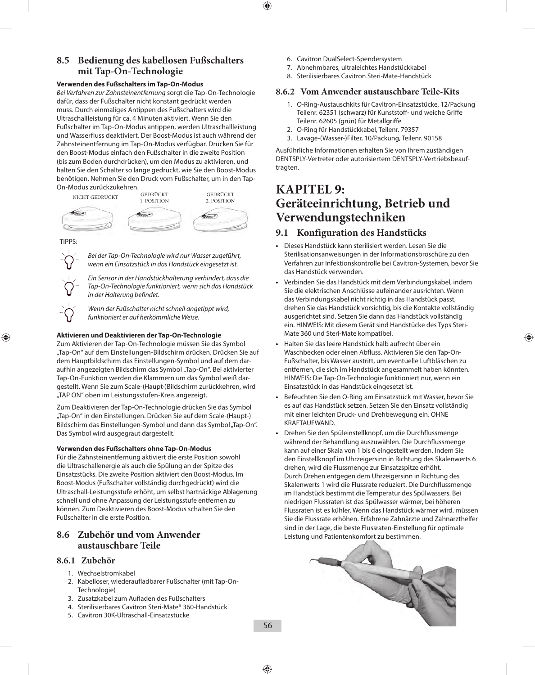## **8.5 Bedienung des kabellosen Fußschalters mit Tap-On-Technologie**

#### **Verwenden des Fußschalters im Tap-On-Modus**

*Bei Verfahren zur Zahnsteinentfernung* sorgt die Tap-On-Technologie dafür, dass der Fußschalter nicht konstant gedrückt werden muss. Durch einmaliges Antippen des Fußschalters wird die Ultraschallleistung für ca. 4 Minuten aktiviert. Wenn Sie den Fußschalter im Tap-On-Modus antippen, werden Ultraschallleistung und Wasserfluss deaktiviert. Der Boost-Modus ist auch während der Zahnsteinentfernung im Tap-On-Modus verfügbar. Drücken Sie für den Boost-Modus einfach den Fußschalter in die zweite Position (bis zum Boden durchdrücken), um den Modus zu aktivieren, und halten Sie den Schalter so lange gedrückt, wie Sie den Boost-Modus benötigen. Nehmen Sie den Druck vom Fußschalter, um in den Tap-On-Modus zurückzukehren.



#### TIPPS:



*Bei der Tap-On-Technologie wird nur Wasser zugeführt, wenn ein Einsatzstück in das Handstück eingesetzt ist.*

*Ein Sensor in der Handstückhalterung verhindert, dass die Tap-On-Technologie funktioniert, wenn sich das Handstück in der Halterung befindet.*

*Wenn der Fußschalter nicht schnell angetippt wird, funktioniert er auf herkömmliche Weise.*

#### **Aktivieren und Deaktivieren der Tap-On-Technologie**

Zum Aktivieren der Tap-On-Technologie müssen Sie das Symbol "Tap-On" auf dem Einstellungen-Bildschirm drücken. Drücken Sie auf dem Hauptbildschirm das Einstellungen-Symbol und auf dem daraufhin angezeigten Bildschirm das Symbol "Tap-On". Bei aktivierter Tap-On-Funktion werden die Klammern um das Symbol weiß dargestellt. Wenn Sie zum Scale-(Haupt-)Bildschirm zurückkehren, wird "TAP ON" oben im Leistungsstufen-Kreis angezeigt.

Zum Deaktivieren der Tap-On-Technologie drücken Sie das Symbol "Tap-On" in den Einstellungen. Drücken Sie auf dem Scale-(Haupt-) Bildschirm das Einstellungen-Symbol und dann das Symbol "Tap-On". Das Symbol wird ausgegraut dargestellt.

#### **Verwenden des Fußschalters ohne Tap-On-Modus**

Für die Zahnsteinentfernung aktiviert die erste Position sowohl die Ultraschallenergie als auch die Spülung an der Spitze des Einsatzstücks. Die zweite Position aktiviert den Boost-Modus. Im Boost-Modus (Fußschalter vollständig durchgedrückt) wird die Ultraschall-Leistungsstufe erhöht, um selbst hartnäckige Ablagerung schnell und ohne Anpassung der Leistungsstufe entfernen zu können. Zum Deaktivieren des Boost-Modus schalten Sie den Fußschalter in die erste Position.

### **8.6 Zubehör und vom Anwender austauschbare Teile**

#### **8.6.1 Zubehör**

- 1. Wechselstromkabel
- 2. Kabelloser, wiederaufladbarer Fußschalter (mit Tap-On-Technologie)
- 3. Zusatzkabel zum Aufladen des Fußschalters
- 4. Sterilisierbares Cavitron Steri-Mate® 360-Handstück
- 5. Cavitron 30K-Ultraschall-Einsatzstücke
- 6. Cavitron DualSelect-Spendersystem
- 7. Abnehmbares, ultraleichtes Handstückkabel
- 8. Sterilisierbares Cavitron Steri-Mate-Handstück

#### **8.6.2 Vom Anwender austauschbare Teile-Kits**

- 1. O-Ring-Austauschkits für Cavitron-Einsatzstücke, 12/Packung Teilenr. 62351 (schwarz) für Kunststoff- und weiche Griffe Teilenr. 62605 (grün) für Metallgriffe
- 2. O-Ring für Handstückkabel, Teilenr. 79357
- 3. Lavage-(Wasser-)Filter, 10/Packung, Teilenr. 90158

Ausführliche Informationen erhalten Sie von Ihrem zuständigen DENTSPLY-Vertreter oder autorisiertem DENTSPLY-Vertriebsbeauftragten.

## **KAPITEL 9: Geräteeinrichtung, Betrieb und Verwendungstechniken**

### **9.1 Konfiguration des Handstücks**

- **•**  Dieses Handstück kann sterilisiert werden. Lesen Sie die Sterilisationsanweisungen in der Informationsbroschüre zu den Verfahren zur Infektionskontrolle bei Cavitron-Systemen, bevor Sie das Handstück verwenden.
- Verbinden Sie das Handstück mit dem Verbindungskabel, indem Sie die elektrischen Anschlüsse aufeinander ausrichten. Wenn das Verbindungskabel nicht richtig in das Handstück passt, drehen Sie das Handstück vorsichtig, bis die Kontakte vollständig ausgerichtet sind. Setzen Sie dann das Handstück vollständig ein. HINWEIS: Mit diesem Gerät sind Handstücke des Typs Steri-Mate 360 und Steri-Mate kompatibel.
- **•**  Halten Sie das leere Handstück halb aufrecht über ein Waschbecken oder einen Abfluss. Aktivieren Sie den Tap-On-Fußschalter, bis Wasser austritt, um eventuelle Luftbläschen zu entfernen, die sich im Handstück angesammelt haben könnten. HINWEIS: Die Tap-On-Technologie funktioniert nur, wenn ein Einsatzstück in das Handstück eingesetzt ist.
- **•**  Befeuchten Sie den O-Ring am Einsatzstück mit Wasser, bevor Sie es auf das Handstück setzen. Setzen Sie den Einsatz vollständig mit einer leichten Druck- und Drehbewegung ein. OHNE KRAFTAUFWAND.
- **•**  Drehen Sie den Spüleinstellknopf, um die Durchflussmenge während der Behandlung auszuwählen. Die Durchflussmenge kann auf einer Skala von 1 bis 6 eingestellt werden. Indem Sie den Einstellknopf im Uhrzeigersinn in Richtung des Skalenwerts 6 drehen, wird die Flussmenge zur Einsatzspitze erhöht. Durch Drehen entgegen dem Uhrzeigersinn in Richtung des Skalenwerts 1 wird die Flussrate reduziert. Die Durchflussmenge im Handstück bestimmt die Temperatur des Spülwassers. Bei niedrigen Flussraten ist das Spülwasser wärmer, bei höheren Flussraten ist es kühler. Wenn das Handstück wärmer wird, müssen Sie die Flussrate erhöhen. Erfahrene Zahnärzte und Zahnarzthelfer sind in der Lage, die beste Flussraten-Einstellung für optimale Leistung und Patientenkomfort zu bestimmen.

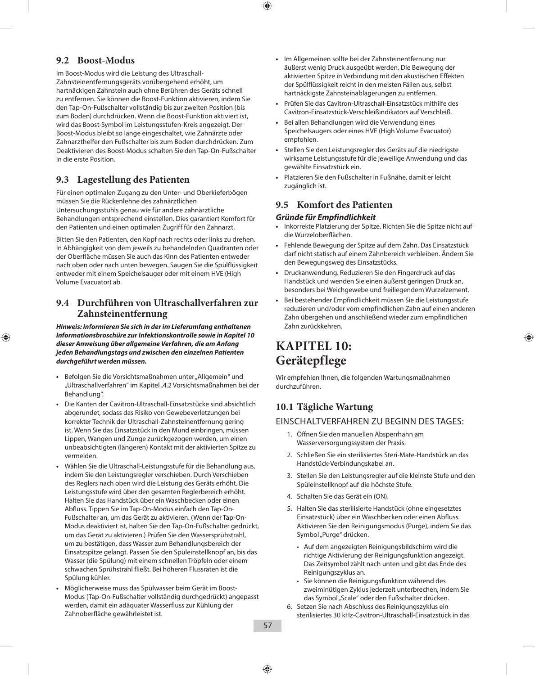## **9.2 Boost-Modus**

Im Boost-Modus wird die Leistung des Ultraschall-Zahnsteinentfernungsgeräts vorübergehend erhöht, um hartnäckigen Zahnstein auch ohne Berühren des Geräts schnell zu entfernen. Sie können die Boost-Funktion aktivieren, indem Sie den Tap-On-Fußschalter vollständig bis zur zweiten Position (bis zum Boden) durchdrücken. Wenn die Boost-Funktion aktiviert ist, wird das Boost-Symbol im Leistungsstufen-Kreis angezeigt. Der Boost-Modus bleibt so lange eingeschaltet, wie Zahnärzte oder Zahnarzthelfer den Fußschalter bis zum Boden durchdrücken. Zum Deaktivieren des Boost-Modus schalten Sie den Tap-On-Fußschalter in die erste Position.

## **9.3 Lagestellung des Patienten**

Für einen optimalen Zugang zu den Unter- und Oberkieferbögen müssen Sie die Rückenlehne des zahnärztlichen Untersuchungsstuhls genau wie für andere zahnärztliche Behandlungen entsprechend einstellen. Dies garantiert Komfort für den Patienten und einen optimalen Zugriff für den Zahnarzt.

Bitten Sie den Patienten, den Kopf nach rechts oder links zu drehen. In Abhängigkeit von dem jeweils zu behandelnden Quadranten oder der Oberfläche müssen Sie auch das Kinn des Patienten entweder nach oben oder nach unten bewegen. Saugen Sie die Spülflüssigkeit entweder mit einem Speichelsauger oder mit einem HVE (High Volume Evacuator) ab.

## **9.4 Durchführen von Ultraschallverfahren zur Zahnsteinentfernung**

*Hinweis: Informieren Sie sich in der im Lieferumfang enthaltenen Informationsbroschüre zur Infektionskontrolle sowie in Kapitel 10 dieser Anweisung über allgemeine Verfahren, die am Anfang jeden Behandlungstags und zwischen den einzelnen Patienten durchgeführt werden müssen.*

- Befolgen Sie die Vorsichtsmaßnahmen unter "Allgemein" und "Ultraschallverfahren" im Kapitel "4.2 Vorsichtsmaßnahmen bei der Behandlung".
- **•**  Die Kanten der Cavitron-Ultraschall-Einsatzstücke sind absichtlich abgerundet, sodass das Risiko von Gewebeverletzungen bei korrekter Technik der Ultraschall-Zahnsteinentfernung gering ist. Wenn Sie das Einsatzstück in den Mund einbringen, müssen Lippen, Wangen und Zunge zurückgezogen werden, um einen unbeabsichtigten (längeren) Kontakt mit der aktivierten Spitze zu vermeiden.
- **•**  Wählen Sie die Ultraschall-Leistungsstufe für die Behandlung aus, indem Sie den Leistungsregler verschieben. Durch Verschieben des Reglers nach oben wird die Leistung des Geräts erhöht. Die Leistungsstufe wird über den gesamten Reglerbereich erhöht. Halten Sie das Handstück über ein Waschbecken oder einen Abfluss. Tippen Sie im Tap-On-Modus einfach den Tap-On-Fußschalter an, um das Gerät zu aktivieren. (Wenn der Tap-On-Modus deaktiviert ist, halten Sie den Tap-On-Fußschalter gedrückt, um das Gerät zu aktivieren.) Prüfen Sie den Wassersprühstrahl, um zu bestätigen, dass Wasser zum Behandlungsbereich der Einsatzspitze gelangt. Passen Sie den Spüleinstellknopf an, bis das Wasser (die Spülung) mit einem schnellen Tröpfeln oder einem schwachen Sprühstrahl fließt. Bei höheren Flussraten ist die Spülung kühler.
- **•**  Möglicherweise muss das Spülwasser beim Gerät im Boost-Modus (Tap-On-Fußschalter vollständig durchgedrückt) angepasst werden, damit ein adäquater Wasserfluss zur Kühlung der Zahnoberfläche gewährleistet ist.
- **•**  Im Allgemeinen sollte bei der Zahnsteinentfernung nur äußerst wenig Druck ausgeübt werden. Die Bewegung der aktivierten Spitze in Verbindung mit den akustischen Effekten der Spülflüssigkeit reicht in den meisten Fällen aus, selbst hartnäckigste Zahnsteinablagerungen zu entfernen.
- **•**  Prüfen Sie das Cavitron-Ultraschall-Einsatzstück mithilfe des Cavitron-Einsatzstück-Verschleißindikators auf Verschleiß.
- Bei allen Behandlungen wird die Verwendung eines Speichelsaugers oder eines HVE (High Volume Evacuator) empfohlen.
- Stellen Sie den Leistungsregler des Geräts auf die niedrigste wirksame Leistungsstufe für die jeweilige Anwendung und das gewählte Einsatzstück ein.
- **•**  Platzieren Sie den Fußschalter in Fußnähe, damit er leicht zugänglich ist.

### **9.5 Komfort des Patienten**

#### *Gründe für Empfindlichkeit*

- **•**  Inkorrekte Platzierung der Spitze. Richten Sie die Spitze nicht auf die Wurzeloberflächen.
- **•**  Fehlende Bewegung der Spitze auf dem Zahn. Das Einsatzstück darf nicht statisch auf einem Zahnbereich verbleiben. Ändern Sie den Bewegungsweg des Einsatzstücks.
- **•**  Druckanwendung. Reduzieren Sie den Fingerdruck auf das Handstück und wenden Sie einen äußerst geringen Druck an, besonders bei Weichgewebe und freiliegendem Wurzelzement.
- Bei bestehender Empfindlichkeit müssen Sie die Leistungsstufe reduzieren und/oder vom empfindlichen Zahn auf einen anderen Zahn übergehen und anschließend wieder zum empfindlichen Zahn zurückkehren.

## **KAPITEL 10: Gerätepflege**

Wir empfehlen Ihnen, die folgenden Wartungsmaßnahmen durchzuführen.

## **10.1 Tägliche Wartung**

### EINSCHALTVERFAHREN ZU BEGINN DES TAGES:

- 1. Öffnen Sie den manuellen Absperrhahn am Wasserversorgungssystem der Praxis.
- 2. Schließen Sie ein sterilisiertes Steri-Mate-Handstück an das Handstück-Verbindungskabel an.
- 3. Stellen Sie den Leistungsregler auf die kleinste Stufe und den Spüleinstellknopf auf die höchste Stufe.
- 4. Schalten Sie das Gerät ein (ON).
- 5. Halten Sie das sterilisierte Handstück (ohne eingesetztes Einsatzstück) über ein Waschbecken oder einen Abfluss. Aktivieren Sie den Reinigungsmodus (Purge), indem Sie das Symbol "Purge" drücken.
	- Auf dem angezeigten Reinigungsbildschirm wird die richtige Aktivierung der Reinigungsfunktion angezeigt. Das Zeitsymbol zählt nach unten und gibt das Ende des Reinigungszyklus an.
	- Sie können die Reinigungsfunktion während des zweiminütigen Zyklus jederzeit unterbrechen, indem Sie das Symbol "Scale" oder den Fußschalter drücken.
- 6. Setzen Sie nach Abschluss des Reinigungszyklus ein sterilisiertes 30 kHz-Cavitron-Ultraschall-Einsatzstück in das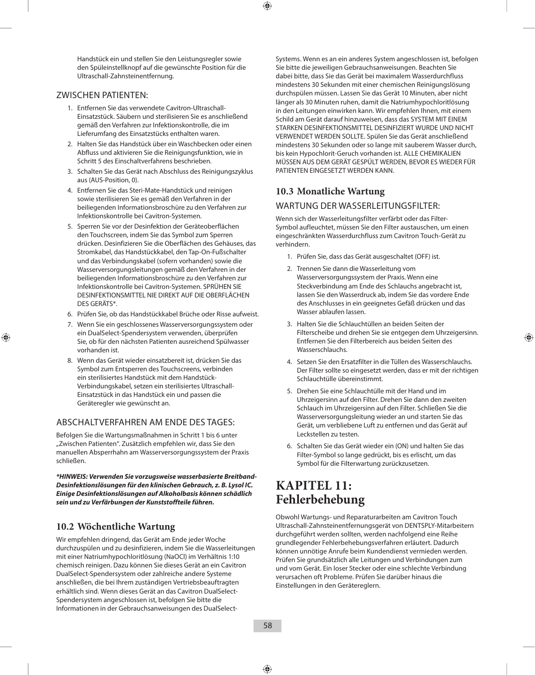Handstück ein und stellen Sie den Leistungsregler sowie den Spüleinstellknopf auf die gewünschte Position für die Ultraschall-Zahnsteinentfernung.

#### ZWISCHEN PATIENTEN:

- 1. Entfernen Sie das verwendete Cavitron-Ultraschall-Einsatzstück. Säubern und sterilisieren Sie es anschließend gemäß den Verfahren zur Infektionskontrolle, die im Lieferumfang des Einsatzstücks enthalten waren.
- 2. Halten Sie das Handstück über ein Waschbecken oder einen Abfluss und aktivieren Sie die Reinigungsfunktion, wie in Schritt 5 des Einschaltverfahrens beschrieben.
- 3. Schalten Sie das Gerät nach Abschluss des Reinigungszyklus aus (AUS-Position, 0).
- 4. Entfernen Sie das Steri-Mate-Handstück und reinigen sowie sterilisieren Sie es gemäß den Verfahren in der beiliegenden Informationsbroschüre zu den Verfahren zur Infektionskontrolle bei Cavitron-Systemen.
- 5. Sperren Sie vor der Desinfektion der Geräteoberflächen den Touchscreen, indem Sie das Symbol zum Sperren drücken. Desinfizieren Sie die Oberflächen des Gehäuses, das Stromkabel, das Handstückkabel, den Tap-On-Fußschalter und das Verbindungskabel (sofern vorhanden) sowie die Wasserversorgungsleitungen gemäß den Verfahren in der beiliegenden Informationsbroschüre zu den Verfahren zur Infektionskontrolle bei Cavitron-Systemen. SPRÜHEN SIE DESINFEKTIONSMITTEL NIE DIREKT AUF DIE OBERFLÄCHEN DES GERÄTS\*.
- 6. Prüfen Sie, ob das Handstückkabel Brüche oder Risse aufweist.
- 7. Wenn Sie ein geschlossenes Wasserversorgungssystem oder ein DualSelect-Spendersystem verwenden, überprüfen Sie, ob für den nächsten Patienten ausreichend Spülwasser vorhanden ist.
- 8. Wenn das Gerät wieder einsatzbereit ist, drücken Sie das Symbol zum Entsperren des Touchscreens, verbinden ein sterilisiertes Handstück mit dem Handstück-Verbindungskabel, setzen ein sterilisiertes Ultraschall-Einsatzstück in das Handstück ein und passen die Geräteregler wie gewünscht an.

### ABSCHALTVERFAHREN AM ENDE DES TAGES:

Befolgen Sie die Wartungsmaßnahmen in Schritt 1 bis 6 unter "Zwischen Patienten". Zusätzlich empfehlen wir, dass Sie den manuellen Absperrhahn am Wasserversorgungssystem der Praxis schließen.

*\*HINWEIS: Verwenden Sie vorzugsweise wasserbasierte Breitband-Desinfektionslösungen für den klinischen Gebrauch, z. B. Lysol IC. Einige Desinfektionslösungen auf Alkoholbasis können schädlich sein und zu Verfärbungen der Kunststoffteile führen.*

### **10.2 Wöchentliche Wartung**

Wir empfehlen dringend, das Gerät am Ende jeder Woche durchzuspülen und zu desinfizieren, indem Sie die Wasserleitungen mit einer Natriumhypochloritlösung (NaOCl) im Verhältnis 1:10 chemisch reinigen. Dazu können Sie dieses Gerät an ein Cavitron DualSelect-Spendersystem oder zahlreiche andere Systeme anschließen, die bei Ihrem zuständigen Vertriebsbeauftragten erhältlich sind. Wenn dieses Gerät an das Cavitron DualSelect-Spendersystem angeschlossen ist, befolgen Sie bitte die Informationen in der Gebrauchsanweisungen des DualSelect-

Systems. Wenn es an ein anderes System angeschlossen ist, befolgen Sie bitte die jeweiligen Gebrauchsanweisungen. Beachten Sie dabei bitte, dass Sie das Gerät bei maximalem Wasserdurchfluss mindestens 30 Sekunden mit einer chemischen Reinigungslösung durchspülen müssen. Lassen Sie das Gerät 10 Minuten, aber nicht länger als 30 Minuten ruhen, damit die Natriumhypochloritlösung in den Leitungen einwirken kann. Wir empfehlen Ihnen, mit einem Schild am Gerät darauf hinzuweisen, dass das SYSTEM MIT EINEM STARKEN DESINFEKTIONSMITTEL DESINFIZIERT WURDE UND NICHT VERWENDET WERDEN SOLLTE. Spülen Sie das Gerät anschließend mindestens 30 Sekunden oder so lange mit sauberem Wasser durch, bis kein Hypochlorit-Geruch vorhanden ist. ALLE CHEMIKALIEN MÜSSEN AUS DEM GERÄT GESPÜLT WERDEN, BEVOR ES WIEDER FÜR PATIENTEN EINGESETZT WERDEN KANN.

### **10.3 Monatliche Wartung**

#### WARTUNG DER WASSERLEITUNGSFILTER:

Wenn sich der Wasserleitungsfilter verfärbt oder das Filter-Symbol aufleuchtet, müssen Sie den Filter austauschen, um einen eingeschränkten Wasserdurchfluss zum Cavitron Touch-Gerät zu verhindern.

- 1. Prüfen Sie, dass das Gerät ausgeschaltet (OFF) ist.
- 2. Trennen Sie dann die Wasserleitung vom Wasserversorgungssystem der Praxis. Wenn eine Steckverbindung am Ende des Schlauchs angebracht ist, lassen Sie den Wasserdruck ab, indem Sie das vordere Ende des Anschlusses in ein geeignetes Gefäß drücken und das Wasser ablaufen lassen.
- 3. Halten Sie die Schlauchtüllen an beiden Seiten der Filterscheibe und drehen Sie sie entgegen dem Uhrzeigersinn. Entfernen Sie den Filterbereich aus beiden Seiten des Wasserschlauchs.
- 4. Setzen Sie den Ersatzfilter in die Tüllen des Wasserschlauchs. Der Filter sollte so eingesetzt werden, dass er mit der richtigen Schlauchtülle übereinstimmt.
- 5. Drehen Sie eine Schlauchtülle mit der Hand und im Uhrzeigersinn auf den Filter. Drehen Sie dann den zweiten Schlauch im Uhrzeigersinn auf den Filter. Schließen Sie die Wasserversorgungsleitung wieder an und starten Sie das Gerät, um verbliebene Luft zu entfernen und das Gerät auf Leckstellen zu testen.
- 6. Schalten Sie das Gerät wieder ein (ON) und halten Sie das Filter-Symbol so lange gedrückt, bis es erlischt, um das Symbol für die Filterwartung zurückzusetzen.

## **KAPITEL 11: Fehlerbehebung**

Obwohl Wartungs- und Reparaturarbeiten am Cavitron Touch Ultraschall-Zahnsteinentfernungsgerät von DENTSPLY-Mitarbeitern durchgeführt werden sollten, werden nachfolgend eine Reihe grundlegender Fehlerbehebungsverfahren erläutert. Dadurch können unnötige Anrufe beim Kundendienst vermieden werden. Prüfen Sie grundsätzlich alle Leitungen und Verbindungen zum und vom Gerät. Ein loser Stecker oder eine schlechte Verbindung verursachen oft Probleme. Prüfen Sie darüber hinaus die Einstellungen in den Gerätereglern.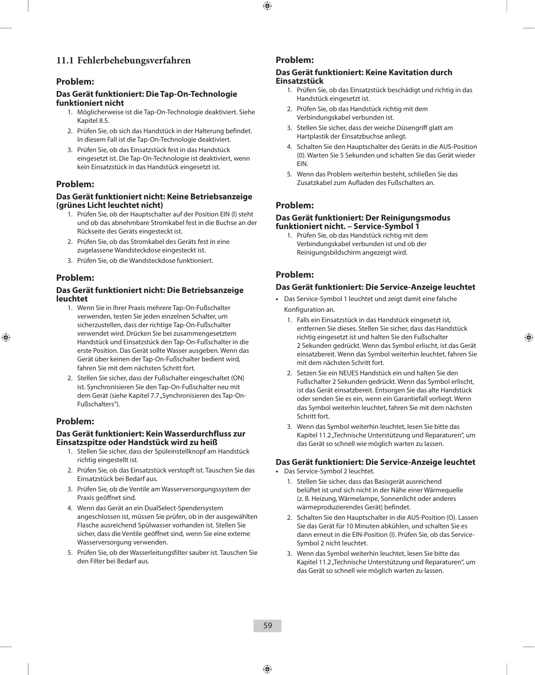## **11.1 Fehlerbehebungsverfahren**

### **Problem:**

#### **Das Gerät funktioniert: Die Tap-On-Technologie funktioniert nicht**

- 1. Möglicherweise ist die Tap-On-Technologie deaktiviert. Siehe Kapitel 8.5.
- 2. Prüfen Sie, ob sich das Handstück in der Halterung befindet. In diesem Fall ist die Tap-On-Technologie deaktiviert.
- 3. Prüfen Sie, ob das Einsatzstück fest in das Handstück eingesetzt ist. Die Tap-On-Technologie ist deaktiviert, wenn kein Einsatzstück in das Handstück eingesetzt ist.

### **Problem:**

#### **Das Gerät funktioniert nicht: Keine Betriebsanzeige (grünes Licht leuchtet nicht)**

- 1. Prüfen Sie, ob der Hauptschalter auf der Position EIN (l) steht und ob das abnehmbare Stromkabel fest in die Buchse an der Rückseite des Geräts eingesteckt ist.
- 2. Prüfen Sie, ob das Stromkabel des Geräts fest in eine zugelassene Wandsteckdose eingesteckt ist.
- 3. Prüfen Sie, ob die Wandsteckdose funktioniert.

### **Problem:**

#### **Das Gerät funktioniert nicht: Die Betriebsanzeige leuchtet**

- 1. Wenn Sie in Ihrer Praxis mehrere Tap-On-Fußschalter verwenden, testen Sie jeden einzelnen Schalter, um sicherzustellen, dass der richtige Tap-On-Fußschalter verwendet wird. Drücken Sie bei zusammengesetztem Handstück und Einsatzstück den Tap-On-Fußschalter in die erste Position. Das Gerät sollte Wasser ausgeben. Wenn das Gerät über keinen der Tap-On-Fußschalter bedient wird, fahren Sie mit dem nächsten Schritt fort.
- 2. Stellen Sie sicher, dass der Fußschalter eingeschaltet (ON) ist. Synchronisieren Sie den Tap-On-Fußschalter neu mit dem Gerät (siehe Kapitel 7.7 "Synchronisieren des Tap-On-Fußschalters").

### **Problem:**

#### **Das Gerät funktioniert: Kein Wasserdurchfluss zur Einsatzspitze oder Handstück wird zu heiß**

- 1. Stellen Sie sicher, dass der Spüleinstellknopf am Handstück richtig eingestellt ist.
- 2. Prüfen Sie, ob das Einsatzstück verstopft ist. Tauschen Sie das Einsatzstück bei Bedarf aus.
- 3. Prüfen Sie, ob die Ventile am Wasserversorgungssystem der Praxis geöffnet sind.
- 4. Wenn das Gerät an ein DualSelect-Spendersystem angeschlossen ist, müssen Sie prüfen, ob in der ausgewählten Flasche ausreichend Spülwasser vorhanden ist. Stellen Sie sicher, dass die Ventile geöffnet sind, wenn Sie eine externe Wasserversorgung verwenden.
- 5. Prüfen Sie, ob der Wasserleitungsfilter sauber ist. Tauschen Sie den Filter bei Bedarf aus.

### **Problem:**

#### **Das Gerät funktioniert: Keine Kavitation durch Einsatzstück**

- 1. Prüfen Sie, ob das Einsatzstück beschädigt und richtig in das Handstück eingesetzt ist.
- 2. Prüfen Sie, ob das Handstück richtig mit dem Verbindungskabel verbunden ist.
- 3. Stellen Sie sicher, dass der weiche Düsengriff glatt am Hartplastik der Einsatzbuchse anliegt.
- 4. Schalten Sie den Hauptschalter des Geräts in die AUS-Position (0). Warten Sie 5 Sekunden und schalten Sie das Gerät wieder EIN.
- 5. Wenn das Problem weiterhin besteht, schließen Sie das Zusatzkabel zum Aufladen des Fußschalters an.

## **Problem:**

#### **Das Gerät funktioniert: Der Reinigungsmodus funktioniert nicht. – Service-Symbol 1**

1. Prüfen Sie, ob das Handstück richtig mit dem Verbindungskabel verbunden ist und ob der Reinigungsbildschirm angezeigt wird.

### **Problem:**

### **Das Gerät funktioniert: Die Service-Anzeige leuchtet**

- **•**  Das Service-Symbol 1 leuchtet und zeigt damit eine falsche Konfiguration an.
	- 1. Falls ein Einsatzstück in das Handstück eingesetzt ist, entfernen Sie dieses. Stellen Sie sicher, dass das Handstück richtig eingesetzt ist und halten Sie den Fußschalter 2 Sekunden gedrückt. Wenn das Symbol erlischt, ist das Gerät einsatzbereit. Wenn das Symbol weiterhin leuchtet, fahren Sie mit dem nächsten Schritt fort.
	- 2. Setzen Sie ein NEUES Handstück ein und halten Sie den Fußschalter 2 Sekunden gedrückt. Wenn das Symbol erlischt, ist das Gerät einsatzbereit. Entsorgen Sie das alte Handstück oder senden Sie es ein, wenn ein Garantiefall vorliegt. Wenn das Symbol weiterhin leuchtet, fahren Sie mit dem nächsten Schritt fort.
	- 3. Wenn das Symbol weiterhin leuchtet, lesen Sie bitte das Kapitel 11.2 "Technische Unterstützung und Reparaturen", um das Gerät so schnell wie möglich warten zu lassen.

### **Das Gerät funktioniert: Die Service-Anzeige leuchtet**

- **•**  Das Service-Symbol 2 leuchtet.
	- 1. Stellen Sie sicher, dass das Basisgerät ausreichend belüftet ist und sich nicht in der Nähe einer Wärmequelle (z. B. Heizung, Wärmelampe, Sonnenlicht oder anderes wärmeproduzierendes Gerät) befindet.
	- 2. Schalten Sie den Hauptschalter in die AUS-Position (O). Lassen Sie das Gerät für 10 Minuten abkühlen, und schalten Sie es dann erneut in die EIN-Position (I). Prüfen Sie, ob das Service-Symbol 2 nicht leuchtet.
	- 3. Wenn das Symbol weiterhin leuchtet, lesen Sie bitte das Kapitel 11.2 "Technische Unterstützung und Reparaturen", um das Gerät so schnell wie möglich warten zu lassen.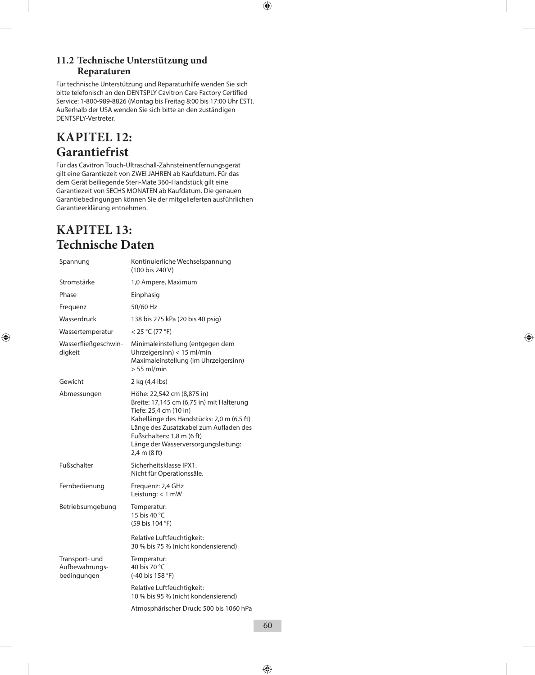## **11.2 Technische Unterstützung und Reparaturen**

Für technische Unterstützung und Reparaturhilfe wenden Sie sich bitte telefonisch an den DENTSPLY Cavitron Care Factory Certified Service: 1-800-989-8826 (Montag bis Freitag 8:00 bis 17:00 Uhr EST). Außerhalb der USA wenden Sie sich bitte an den zuständigen DENTSPLY-Vertreter.

## **KAPITEL 12: Garantiefrist**

Für das Cavitron Touch-Ultraschall-Zahnsteinentfernungsgerät gilt eine Garantiezeit von ZWEI JAHREN ab Kaufdatum. Für das dem Gerät beiliegende Steri-Mate 360-Handstück gilt eine Garantiezeit von SECHS MONATEN ab Kaufdatum. Die genauen Garantiebedingungen können Sie der mitgelieferten ausführlichen Garantieerklärung entnehmen.

## **KAPITEL 13: Technische Daten**

| Spannung                                        | Kontinuierliche Wechselspannung<br>(100 bis 240 V)                                                                                                                                                                                                                            |
|-------------------------------------------------|-------------------------------------------------------------------------------------------------------------------------------------------------------------------------------------------------------------------------------------------------------------------------------|
| Stromstärke                                     | 1,0 Ampere, Maximum                                                                                                                                                                                                                                                           |
| Phase                                           | Einphasig                                                                                                                                                                                                                                                                     |
| Frequenz                                        | 50/60 Hz                                                                                                                                                                                                                                                                      |
| Wasserdruck                                     | 138 bis 275 kPa (20 bis 40 psig)                                                                                                                                                                                                                                              |
| Wassertemperatur                                | $<$ 25 °C (77 °F)                                                                                                                                                                                                                                                             |
| Wasserfließgeschwin-<br>digkeit                 | Minimaleinstellung (entgegen dem<br>Uhrzeigersinn) < 15 ml/min<br>Maximaleinstellung (im Uhrzeigersinn)<br>$> 55$ ml/min                                                                                                                                                      |
| Gewicht                                         | 2 kg (4,4 lbs)                                                                                                                                                                                                                                                                |
| Abmessungen                                     | Höhe: 22,542 cm (8,875 in)<br>Breite: 17,145 cm (6,75 in) mit Halterung<br>Tiefe: 25,4 cm (10 in)<br>Kabellänge des Handstücks: 2,0 m (6,5 ft)<br>Länge des Zusatzkabel zum Aufladen des<br>Fußschalters: 1,8 m (6 ft)<br>Länge der Wasserversorgungsleitung:<br>2,4 m (8 ft) |
| Fußschalter                                     | Sicherheitsklasse IPX1.<br>Nicht für Operationssäle.                                                                                                                                                                                                                          |
| Fernbedienung                                   | Frequenz: 2,4 GHz<br>Leistung: $<$ 1 mW                                                                                                                                                                                                                                       |
| Betriebsumgebung                                | Temperatur:<br>15 bis 40 °C<br>(59 bis 104 °F)                                                                                                                                                                                                                                |
|                                                 | Relative Luftfeuchtigkeit:<br>30 % bis 75 % (nicht kondensierend)                                                                                                                                                                                                             |
| Transport- und<br>Aufbewahrungs-<br>bedingungen | Temperatur:<br>40 bis 70 °C<br>(-40 bis 158 °F)                                                                                                                                                                                                                               |
|                                                 | Relative Luftfeuchtigkeit:<br>10 % bis 95 % (nicht kondensierend)                                                                                                                                                                                                             |
|                                                 | Atmosphärischer Druck: 500 bis 1060 hPa                                                                                                                                                                                                                                       |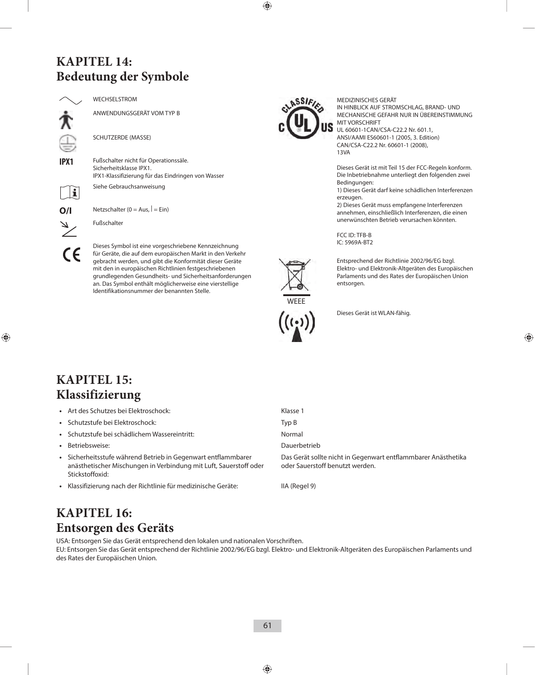## **KAPITEL 14: Bedeutung der Symbole**



 $\mathbf i$ 

WECHSELSTROM

ANWENDUNGSGERÄT VOM TYP B

SCHUTZERDE (MASSE)

**IPX1** Fußschalter nicht für Operationssäle. Sicherheitsklasse IPX1. IPX1-Klassifizierung für das Eindringen von Wasser

Siehe Gebrauchsanweisung

 $O/I$  Netzschalter (0 = Aus,  $| = \text{Ein}$ )

Fußschalter

Dieses Symbol ist eine vorgeschriebene Kennzeichnung für Geräte, die auf dem europäischen Markt in den Verkehr gebracht werden, und gibt die Konformität dieser Geräte mit den in europäischen Richtlinien festgeschriebenen grundlegenden Gesundheits- und Sicherheitsanforderungen an. Das Symbol enthält möglicherweise eine vierstellige Identifikationsnummer der benannten Stelle.



MEDIZINISCHES GERÄT IN HINBLICK AUF STROMSCHLAG, BRAND- UND MECHANISCHE GEFAHR NUR IN ÜBEREINSTIMMUNG MIT VORSCHRIFT UL 60601-1CAN/CSA-C22.2 Nr. 601.1, ANSI/AAMI ES60601-1 (2005, 3. Edition)

CAN/CSA-C22.2 Nr. 60601-1 (2008), 13VA

Dieses Gerät ist mit Teil 15 der FCC-Regeln konform. Die Inbetriebnahme unterliegt den folgenden zwei Bedingungen:

1) Dieses Gerät darf keine schädlichen Interferenzen erzeugen.

2) Dieses Gerät muss empfangene Interferenzen annehmen, einschließlich Interferenzen, die einen unerwünschten Betrieb verursachen könnten.

FCC ID: TFB-B IC: 5969A-BT2



Entsprechend der Richtlinie 2002/96/EG bzgl. Elektro- und Elektronik-Altgeräten des Europäischen Parlaments und des Rates der Europäischen Union entsorgen.



Dieses Gerät ist WLAN-fähig.

## **KAPITEL 15: Klassifizierung**

- Art des Schutzes bei Elektroschock:
- Schutzstufe bei Elektroschock:
- Schutzstufe bei schädlichem Wassereintritt:
- Betriebsweise:
- **•**  Sicherheitsstufe während Betrieb in Gegenwart entflammbarer anästhetischer Mischungen in Verbindung mit Luft, Sauerstoff oder Stickstoffoxid:
- **•**  Klassifizierung nach der Richtlinie für medizinische Geräte: IIA (Regel 9)

| Klasse 1     |
|--------------|
| Typ B        |
| Normal       |
| Dauerbetrieb |
|              |

Das Gerät sollte nicht in Gegenwart entflammbarer Anästhetika oder Sauerstoff benutzt werden.

## **KAPITEL 16: Entsorgen des Geräts**

USA: Entsorgen Sie das Gerät entsprechend den lokalen und nationalen Vorschriften. EU: Entsorgen Sie das Gerät entsprechend der Richtlinie 2002/96/EG bzgl. Elektro- und Elektronik-Altgeräten des Europäischen Parlaments und des Rates der Europäischen Union.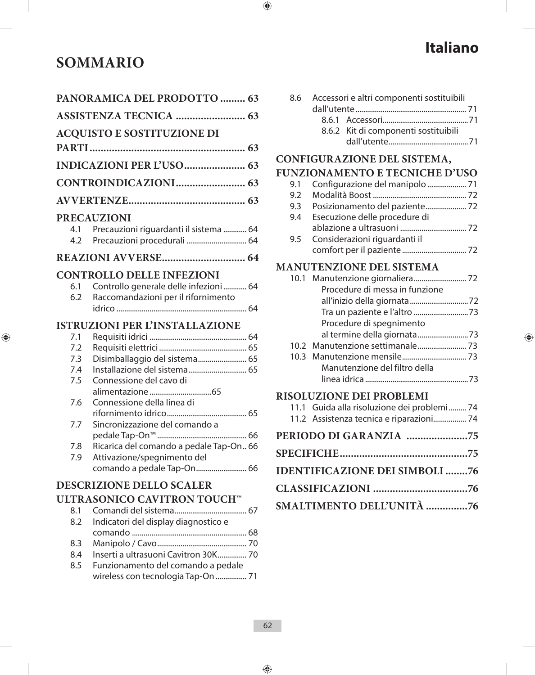## **SOMMARIO**

| PANORAMICA DEL PRODOTTO  63   |                                                                           |  |
|-------------------------------|---------------------------------------------------------------------------|--|
| <b>ASSISTENZA TECNICA  63</b> |                                                                           |  |
|                               | <b>ACQUISTO E SOSTITUZIONE DI</b>                                         |  |
|                               |                                                                           |  |
|                               | <b>INDICAZIONI PER L'USO 63</b>                                           |  |
|                               |                                                                           |  |
|                               |                                                                           |  |
|                               | <b>PRECAUZIONI</b>                                                        |  |
| 4.2                           | 4.1 Precauzioni riguardanti il sistema  64<br>Precauzioni procedurali  64 |  |
|                               |                                                                           |  |
|                               | <b>CONTROLLO DELLE INFEZIONI</b>                                          |  |
| 6.1                           | Controllo generale delle infezioni 64                                     |  |
| 6.2                           | Raccomandazioni per il rifornimento                                       |  |
|                               |                                                                           |  |
|                               | <b>ISTRUZIONI PER L'INSTALLAZIONE</b>                                     |  |
| 7.1                           |                                                                           |  |
| 7.2                           |                                                                           |  |
| 7.3                           | Disimballaggio del sistema 65                                             |  |
| 7.4                           | Installazione del sistema 65                                              |  |
| 7.5                           | Connessione del cavo di                                                   |  |
| 7.6                           | Connessione della linea di                                                |  |
|                               |                                                                           |  |
| 7.7                           | Sincronizzazione del comando a                                            |  |
|                               |                                                                           |  |
| 7.8                           | Ricarica del comando a pedale Tap-On 66                                   |  |
| 7.9                           | Attivazione/spegnimento del                                               |  |
|                               | comando a pedale Tap-On 66                                                |  |
|                               | <b>DESCRIZIONE DELLO SCALER</b>                                           |  |
|                               | <b>ULTRASONICO CAVITRON TOUCH™</b>                                        |  |
| 8.1                           |                                                                           |  |
| 8.2                           | Indicatori del display diagnostico e                                      |  |
|                               |                                                                           |  |
| 8.3                           |                                                                           |  |

|  | 8.4 Inserti a ultrasuoni Cavitron 30K 70 |  |  |
|--|------------------------------------------|--|--|
|  |                                          |  |  |

8.5 Funzionamento del comando a pedale wireless con tecnologia Tap-On ................ 71

**Italiano**

|  | 8.6 Accessori e altri componenti sostituibili |
|--|-----------------------------------------------|
|  |                                               |
|  |                                               |
|  | 8.6.2 Kit di componenti sostituibili          |
|  |                                               |

# **CONFIGURAZIONE DEL SISTEMA,**

## **FUNZIONAMENTO E TECNICHE D'USO**

| 9.2 |                                   |  |
|-----|-----------------------------------|--|
| 9.3 | Posizionamento del paziente 72    |  |
|     | 9.4 Esecuzione delle procedure di |  |
|     |                                   |  |
|     | 9.5 Considerazioni riguardanti il |  |
|     |                                   |  |

## **MANUTENZIONE DEL SISTEMA**

| Procedure di messa in funzione |  |
|--------------------------------|--|
|                                |  |
|                                |  |
| Procedure di spegnimento       |  |
|                                |  |
|                                |  |
|                                |  |
| Manutenzione del filtro della  |  |
|                                |  |

## **RISOLUZIONE DEI PROBLEMI**

|  | 11.1 Guida alla risoluzione dei problemi74<br>11.2 Assistenza tecnica e riparazioni 74 |  |
|--|----------------------------------------------------------------------------------------|--|
|  |                                                                                        |  |
|  |                                                                                        |  |
|  | <b>IDENTIFICAZIONE DEI SIMBOLI 76</b>                                                  |  |
|  |                                                                                        |  |
|  | SMALTIMENTO DELL'UNITÀ 76                                                              |  |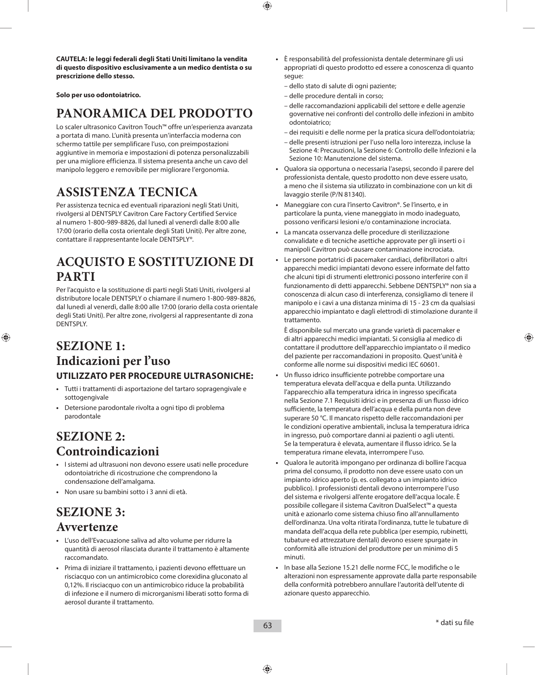**CAUTELA: le leggi federali degli Stati Uniti limitano la vendita di questo dispositivo esclusivamente a un medico dentista o su prescrizione dello stesso.**

**Solo per uso odontoiatrico.**

## **PANORAMICA DEL PRODOTTO**

Lo scaler ultrasonico Cavitron Touch™ offre un'esperienza avanzata a portata di mano. L'unità presenta un'interfaccia moderna con schermo tattile per semplificare l'uso, con preimpostazioni aggiuntive in memoria e impostazioni di potenza personalizzabili per una migliore efficienza. Il sistema presenta anche un cavo del manipolo leggero e removibile per migliorare l'ergonomia.

## **ASSISTENZA TECNICA**

Per assistenza tecnica ed eventuali riparazioni negli Stati Uniti, rivolgersi al DENTSPLY Cavitron Care Factory Certified Service al numero 1-800-989-8826, dal lunedì al venerdì dalle 8:00 alle 17:00 (orario della costa orientale degli Stati Uniti). Per altre zone, contattare il rappresentante locale DENTSPLY®.

## **ACQUISTO E SOSTITUZIONE DI PARTI**

Per l'acquisto e la sostituzione di parti negli Stati Uniti, rivolgersi al distributore locale DENTSPLY o chiamare il numero 1-800-989-8826, dal lunedì al venerdì, dalle 8:00 alle 17:00 (orario della costa orientale degli Stati Uniti). Per altre zone, rivolgersi al rappresentante di zona DENTSPLY.

## **SEZIONE 1: Indicazioni per l'uso UTILIZZATO PER PROCEDURE ULTRASONICHE:**

- **•**  Tutti i trattamenti di asportazione del tartaro sopragengivale e sottogengivale
- **•**  Detersione parodontale rivolta a ogni tipo di problema parodontale

## **SEZIONE 2: Controindicazioni**

- **•**  I sistemi ad ultrasuoni non devono essere usati nelle procedure odontoiatriche di ricostruzione che comprendono la condensazione dell'amalgama.
- **•**  Non usare su bambini sotto i 3 anni di età.

## **SEZIONE 3: Avvertenze**

- **•**  L'uso dell'Evacuazione saliva ad alto volume per ridurre la quantità di aerosol rilasciata durante il trattamento è altamente raccomandato.
- **•**  Prima di iniziare il trattamento, i pazienti devono effettuare un risciacquo con un antimicrobico come clorexidina gluconato al 0,12%. Il risciacquo con un antimicrobico riduce la probabilità di infezione e il numero di microrganismi liberati sotto forma di aerosol durante il trattamento.
- **•**  È responsabilità del professionista dentale determinare gli usi appropriati di questo prodotto ed essere a conoscenza di quanto segue:
	- dello stato di salute di ogni paziente;
	- delle procedure dentali in corso;
	- delle raccomandazioni applicabili del settore e delle agenzie governative nei confronti del controllo delle infezioni in ambito odontoiatrico;
	- dei requisiti e delle norme per la pratica sicura dell'odontoiatria;
	- delle presenti istruzioni per l'uso nella loro interezza, incluse la Sezione 4: Precauzioni, la Sezione 6: Controllo delle Infezioni e la Sezione 10: Manutenzione del sistema.
- **•**  Qualora sia opportuna o necessaria l'asepsi, secondo il parere del professionista dentale, questo prodotto non deve essere usato, a meno che il sistema sia utilizzato in combinazione con un kit di lavaggio sterile (P/N 81340).
- **•**  Maneggiare con cura l'inserto Cavitron®. Se l'inserto, e in particolare la punta, viene maneggiato in modo inadeguato, possono verificarsi lesioni e/o contaminazione incrociata.
- La mancata osservanza delle procedure di sterilizzazione convalidate e di tecniche asettiche approvate per gli inserti o i manipoli Cavitron può causare contaminazione incrociata.
- **•**  Le persone portatrici di pacemaker cardiaci, defibrillatori o altri apparecchi medici impiantati devono essere informate del fatto che alcuni tipi di strumenti elettronici possono interferire con il funzionamento di detti apparecchi. Sebbene DENTSPLY® non sia a conoscenza di alcun caso di interferenza, consigliamo di tenere il manipolo e i cavi a una distanza minima di 15 - 23 cm da qualsiasi apparecchio impiantato e dagli elettrodi di stimolazione durante il trattamento.

 È disponibile sul mercato una grande varietà di pacemaker e di altri apparecchi medici impiantati. Si consiglia al medico di contattare il produttore dell'apparecchio impiantato o il medico del paziente per raccomandazioni in proposito. Quest'unità è conforme alle norme sui dispositivi medici IEC 60601.

- Un flusso idrico insufficiente potrebbe comportare una temperatura elevata dell'acqua e della punta. Utilizzando l'apparecchio alla temperatura idrica in ingresso specificata nella Sezione 7.1 Requisiti idrici e in presenza di un flusso idrico sufficiente, la temperatura dell'acqua e della punta non deve superare 50 °C. Il mancato rispetto delle raccomandazioni per le condizioni operative ambientali, inclusa la temperatura idrica in ingresso, può comportare danni ai pazienti o agli utenti. Se la temperatura è elevata, aumentare il flusso idrico. Se la temperatura rimane elevata, interrompere l'uso.
- **•**  Qualora le autorità impongano per ordinanza di bollire l'acqua prima del consumo, il prodotto non deve essere usato con un impianto idrico aperto (p. es. collegato a un impianto idrico pubblico). I professionisti dentali devono interrompere l'uso del sistema e rivolgersi all'ente erogatore dell'acqua locale. È possibile collegare il sistema Cavitron DualSelect™ a questa unità e azionarlo come sistema chiuso fino all'annullamento dell'ordinanza. Una volta ritirata l'ordinanza, tutte le tubature di mandata dell'acqua della rete pubblica (per esempio, rubinetti, tubature ed attrezzature dentali) devono essere spurgate in conformità alle istruzioni del produttore per un minimo di 5 minuti.
- **•**  In base alla Sezione 15.21 delle norme FCC, le modifiche o le alterazioni non espressamente approvate dalla parte responsabile della conformità potrebbero annullare l'autorità dell'utente di azionare questo apparecchio.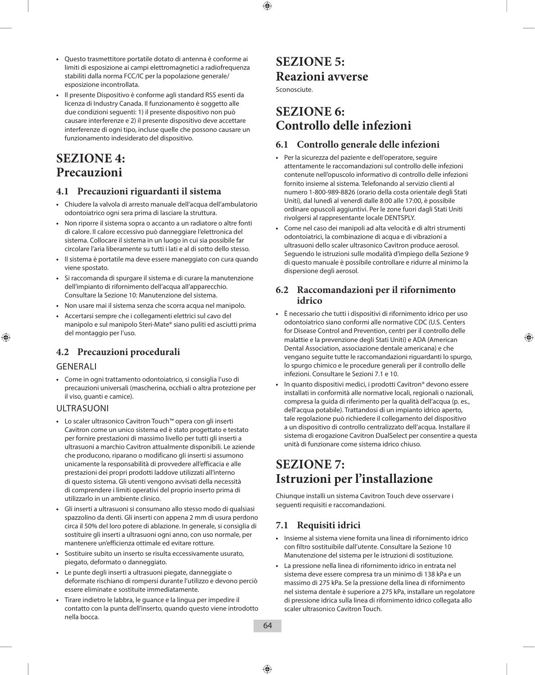- **•**  Questo trasmettitore portatile dotato di antenna è conforme ai limiti di esposizione ai campi elettromagnetici a radiofrequenza stabiliti dalla norma FCC/IC per la popolazione generale/ esposizione incontrollata.
- **•**  Il presente Dispositivo è conforme agli standard RSS esenti da licenza di Industry Canada. Il funzionamento è soggetto alle due condizioni seguenti: 1) il presente dispositivo non può causare interferenze e 2) il presente dispositivo deve accettare interferenze di ogni tipo, incluse quelle che possono causare un funzionamento indesiderato del dispositivo.

## **SEZIONE 4: Precauzioni**

### **4.1 Precauzioni riguardanti il sistema**

- **•**  Chiudere la valvola di arresto manuale dell'acqua dell'ambulatorio odontoiatrico ogni sera prima di lasciare la struttura.
- **•**  Non riporre il sistema sopra o accanto a un radiatore o altre fonti di calore. Il calore eccessivo può danneggiare l'elettronica del sistema. Collocare il sistema in un luogo in cui sia possibile far circolare l'aria liberamente su tutti i lati e al di sotto dello stesso.
- **•**  Il sistema è portatile ma deve essere maneggiato con cura quando viene spostato.
- **•**  Si raccomanda di spurgare il sistema e di curare la manutenzione dell'impianto di rifornimento dell'acqua all'apparecchio. Consultare la Sezione 10: Manutenzione del sistema.
- **•**  Non usare mai il sistema senza che scorra acqua nel manipolo.
- **•**  Accertarsi sempre che i collegamenti elettrici sul cavo del manipolo e sul manipolo Steri-Mate® siano puliti ed asciutti prima del montaggio per l'uso.

## **4.2 Precauzioni procedurali**

### GENERALI

**•**  Come in ogni trattamento odontoiatrico, si consiglia l'uso di precauzioni universali (mascherina, occhiali o altra protezione per il viso, guanti e camice).

### ULTRASUONI

- **•**  Lo scaler ultrasonico Cavitron Touch™ opera con gli inserti Cavitron come un unico sistema ed è stato progettato e testato per fornire prestazioni di massimo livello per tutti gli inserti a ultrasuoni a marchio Cavitron attualmente disponibili. Le aziende che producono, riparano o modificano gli inserti si assumono unicamente la responsabilità di provvedere all'efficacia e alle prestazioni dei propri prodotti laddove utilizzati all'interno di questo sistema. Gli utenti vengono avvisati della necessità di comprendere i limiti operativi del proprio inserto prima di utilizzarlo in un ambiente clinico.
- **•**  Gli inserti a ultrasuoni si consumano allo stesso modo di qualsiasi spazzolino da denti. Gli inserti con appena 2 mm di usura perdono circa il 50% del loro potere di ablazione. In generale, si consiglia di sostituire gli inserti a ultrasuoni ogni anno, con uso normale, per mantenere un'efficienza ottimale ed evitare rotture.
- **•**  Sostituire subito un inserto se risulta eccessivamente usurato, piegato, deformato o danneggiato.
- **•**  Le punte degli inserti a ultrasuoni piegate, danneggiate o deformate rischiano di rompersi durante l'utilizzo e devono perciò essere eliminate e sostituite immediatamente.
- **•**  Tirare indietro le labbra, le guance e la lingua per impedire il contatto con la punta dell'inserto, quando questo viene introdotto nella bocca.

## **SEZIONE 5: Reazioni avverse**

Sconosciute.

## **SEZIONE 6: Controllo delle infezioni**

## **6.1 Controllo generale delle infezioni**

- **•**  Per la sicurezza del paziente e dell'operatore, seguire attentamente le raccomandazioni sul controllo delle infezioni contenute nell'opuscolo informativo di controllo delle infezioni fornito insieme al sistema. Telefonando al servizio clienti al numero 1-800-989-8826 (orario della costa orientale degli Stati Uniti), dal lunedì al venerdì dalle 8:00 alle 17:00, è possibile ordinare opuscoli aggiuntivi. Per le zone fuori dagli Stati Uniti rivolgersi al rappresentante locale DENTSPLY.
- **•**  Come nel caso dei manipoli ad alta velocità e di altri strumenti odontoiatrici, la combinazione di acqua e di vibrazioni a ultrasuoni dello scaler ultrasonico Cavitron produce aerosol. Seguendo le istruzioni sulle modalità d'impiego della Sezione 9 di questo manuale è possibile controllare e ridurre al minimo la dispersione degli aerosol.

### **6.2 Raccomandazioni per il rifornimento idrico**

- **•**  È necessario che tutti i dispositivi di rifornimento idrico per uso odontoiatrico siano conformi alle normative CDC (U.S. Centers for Disease Control and Prevention, centri per il controllo delle malattie e la prevenzione degli Stati Uniti) e ADA (American Dental Association, associazione dentale americana) e che vengano seguite tutte le raccomandazioni riguardanti lo spurgo, lo spurgo chimico e le procedure generali per il controllo delle infezioni. Consultare le Sezioni 7.1 e 10.
- In quanto dispositivi medici, i prodotti Cavitron<sup>®</sup> devono essere installati in conformità alle normative locali, regionali o nazionali, compresa la guida di riferimento per la qualità dell'acqua (p. es., dell'acqua potabile). Trattandosi di un impianto idrico aperto, tale regolazione può richiedere il collegamento del dispositivo a un dispositivo di controllo centralizzato dell'acqua. Installare il sistema di erogazione Cavitron DualSelect per consentire a questa unità di funzionare come sistema idrico chiuso.

## **SEZIONE 7: Istruzioni per l'installazione**

Chiunque installi un sistema Cavitron Touch deve osservare i seguenti requisiti e raccomandazioni.

## **7.1 Requisiti idrici**

- **•**  Insieme al sistema viene fornita una linea di rifornimento idrico con filtro sostituibile dall'utente. Consultare la Sezione 10 Manutenzione del sistema per le istruzioni di sostituzione.
- **•**  La pressione nella linea di rifornimento idrico in entrata nel sistema deve essere compresa tra un minimo di 138 kPa e un massimo di 275 kPa. Se la pressione della linea di rifornimento nel sistema dentale è superiore a 275 kPa, installare un regolatore di pressione idrica sulla linea di rifornimento idrico collegata allo scaler ultrasonico Cavitron Touch.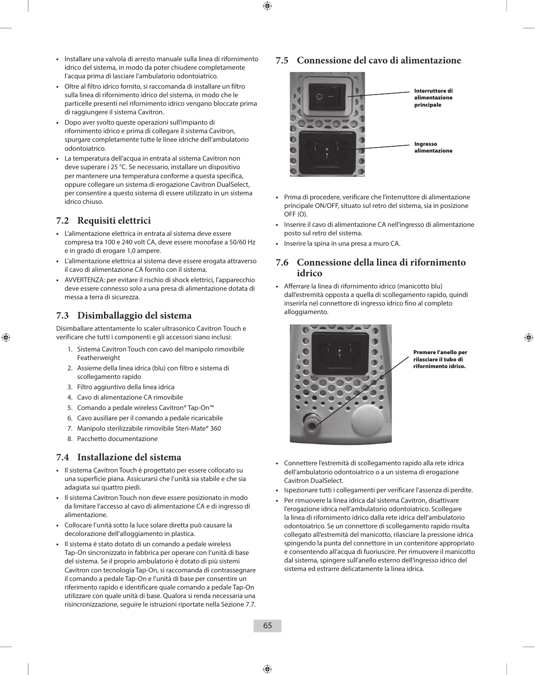- **•**  Installare una valvola di arresto manuale sulla linea di rifornimento idrico del sistema, in modo da poter chiudere completamente l'acqua prima di lasciare l'ambulatorio odontoiatrico.
- **•**  Oltre al filtro idrico fornito, si raccomanda di installare un filtro sulla linea di rifornimento idrico del sistema, in modo che le particelle presenti nel rifornimento idrico vengano bloccate prima di raggiungere il sistema Cavitron.
- **•**  Dopo aver svolto queste operazioni sull'impianto di rifornimento idrico e prima di collegare il sistema Cavitron, spurgare completamente tutte le linee idriche dell'ambulatorio odontoiatrico.
- **•**  La temperatura dell'acqua in entrata al sistema Cavitron non deve superare i 25 °C. Se necessario, installare un dispositivo per mantenere una temperatura conforme a questa specifica, oppure collegare un sistema di erogazione Cavitron DualSelect, per consentire a questo sistema di essere utilizzato in un sistema idrico chiuso.

## **7.2 Requisiti elettrici**

- **•**  L'alimentazione elettrica in entrata al sistema deve essere compresa tra 100 e 240 volt CA, deve essere monofase a 50/60 Hz e in grado di erogare 1,0 ampere.
- **•**  L'alimentazione elettrica al sistema deve essere erogata attraverso il cavo di alimentazione CA fornito con il sistema.
- **•**  AVVERTENZA: per evitare il rischio di shock elettrici, l'apparecchio deve essere connesso solo a una presa di alimentazione dotata di messa a terra di sicurezza.

## **7.3 Disimballaggio del sistema**

Disimballare attentamente lo scaler ultrasonico Cavitron Touch e verificare che tutti i componenti e gli accessori siano inclusi:

- 1. Sistema Cavitron Touch con cavo del manipolo rimovibile Featherweight
- 2. Assieme della linea idrica (blu) con filtro e sistema di scollegamento rapido
- 3. Filtro aggiuntivo della linea idrica
- 4. Cavo di alimentazione CA rimovibile
- 5. Comando a pedale wireless Cavitron® Tap-On™
- 6. Cavo ausiliare per il comando a pedale ricaricabile
- 7. Manipolo sterilizzabile rimovibile Steri-Mate® 360
- 8. Pacchetto documentazione

## **7.4 Installazione del sistema**

- **•**  Il sistema Cavitron Touch è progettato per essere collocato su una superficie piana. Assicurarsi che l'unità sia stabile e che sia adagiata sui quattro piedi.
- **•**  Il sistema Cavitron Touch non deve essere posizionato in modo da limitare l'accesso al cavo di alimentazione CA e di ingresso di alimentazione.
- **•**  Collocare l'unità sotto la luce solare diretta può causare la decolorazione dell'alloggiamento in plastica.
- **•**  Il sistema è stato dotato di un comando a pedale wireless Tap-On sincronizzato in fabbrica per operare con l'unità di base del sistema. Se il proprio ambulatorio è dotato di più sistemi Cavitron con tecnologia Tap-On, si raccomanda di contrassegnare il comando a pedale Tap-On e l'unità di base per consentire un riferimento rapido e identificare quale comando a pedale Tap-On utilizzare con quale unità di base. Qualora si renda necessaria una risincronizzazione, seguire le istruzioni riportate nella Sezione 7.7.

### **7.5 Connessione del cavo di alimentazione**



- **•**  Prima di procedere, verificare che l'interruttore di alimentazione principale ON/OFF, situato sul retro del sistema, sia in posizione OFF (O).
- **•**  Inserire il cavo di alimentazione CA nell'ingresso di alimentazione posto sul retro del sistema.
- **•**  Inserire la spina in una presa a muro CA.

### **7.6 Connessione della linea di rifornimento idrico**

**•**  Afferrare la linea di rifornimento idrico (manicotto blu) dall'estremità opposta a quella di scollegamento rapido, quindi inserirla nel connettore di ingresso idrico fino al completo alloggiamento.



Premere l'anello per rilasciare il tubo di rifornimento idrico.

- Connettere l'estremità di scollegamento rapido alla rete idrica dell'ambulatorio odontoiatrico o a un sistema di erogazione Cavitron DualSelect.
- **•**  Ispezionare tutti i collegamenti per verificare l'assenza di perdite.
- Per rimuovere la linea idrica dal sistema Cavitron, disattivare l'erogazione idrica nell'ambulatorio odontoiatrico. Scollegare la linea di rifornimento idrico dalla rete idrica dell'ambulatorio odontoiatrico. Se un connettore di scollegamento rapido risulta collegato all'estremità del manicotto, rilasciare la pressione idrica spingendo la punta del connettore in un contenitore appropriato e consentendo all'acqua di fuoriuscire. Per rimuovere il manicotto dal sistema, spingere sull'anello esterno dell'ingresso idrico del sistema ed estrarre delicatamente la linea idrica.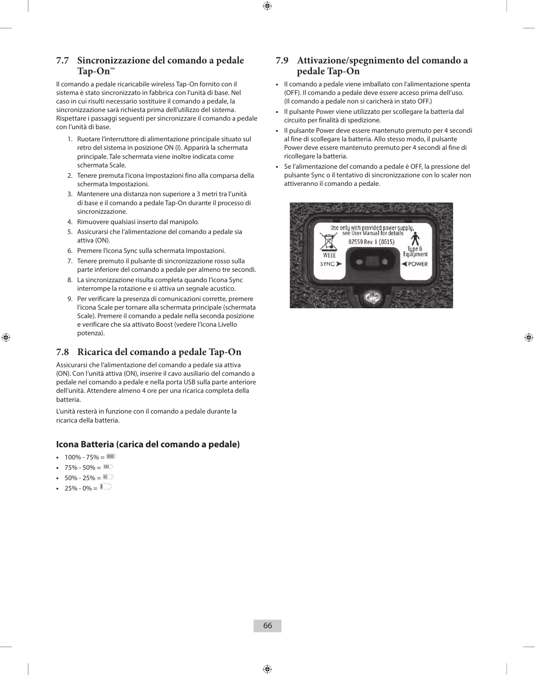## **7.7 Sincronizzazione del comando a pedale Tap-On™**

Il comando a pedale ricaricabile wireless Tap-On fornito con il sistema è stato sincronizzato in fabbrica con l'unità di base. Nel caso in cui risulti necessario sostituire il comando a pedale, la sincronizzazione sarà richiesta prima dell'utilizzo del sistema. Rispettare i passaggi seguenti per sincronizzare il comando a pedale con l'unità di base.

- 1. Ruotare l'interruttore di alimentazione principale situato sul retro del sistema in posizione ON (I). Apparirà la schermata principale. Tale schermata viene inoltre indicata come schermata Scale.
- 2. Tenere premuta l'icona Impostazioni fino alla comparsa della schermata Impostazioni.
- 3. Mantenere una distanza non superiore a 3 metri tra l'unità di base e il comando a pedale Tap-On durante il processo di sincronizzazione.
- 4. Rimuovere qualsiasi inserto dal manipolo.
- 5. Assicurarsi che l'alimentazione del comando a pedale sia attiva (ON).
- 6. Premere l'icona Sync sulla schermata Impostazioni.
- 7. Tenere premuto il pulsante di sincronizzazione rosso sulla parte inferiore del comando a pedale per almeno tre secondi.
- 8. La sincronizzazione risulta completa quando l'icona Sync interrompe la rotazione e si attiva un segnale acustico.
- 9. Per verificare la presenza di comunicazioni corrette, premere l'icona Scale per tornare alla schermata principale (schermata Scale). Premere il comando a pedale nella seconda posizione e verificare che sia attivato Boost (vedere l'icona Livello potenza).

## **7.8 Ricarica del comando a pedale Tap-On**

Assicurarsi che l'alimentazione del comando a pedale sia attiva (ON). Con l'unità attiva (ON), inserire il cavo ausiliario del comando a pedale nel comando a pedale e nella porta USB sulla parte anteriore dell'unità. Attendere almeno 4 ore per una ricarica completa della batteria.

L'unità resterà in funzione con il comando a pedale durante la ricarica della batteria.

### **Icona Batteria (carica del comando a pedale)**

- $100\% 75\% =$
- $75\% 50\% = 11$
- $50\% 25\% = 11$
- $25\% 0\% =$

## **7.9 Attivazione/spegnimento del comando a pedale Tap-On**

- **•**  Il comando a pedale viene imballato con l'alimentazione spenta (OFF). Il comando a pedale deve essere acceso prima dell'uso. (Il comando a pedale non si caricherà in stato OFF.)
- **•**  Il pulsante Power viene utilizzato per scollegare la batteria dal circuito per finalità di spedizione.
- **•**  Il pulsante Power deve essere mantenuto premuto per 4 secondi al fine di scollegare la batteria. Allo stesso modo, il pulsante Power deve essere mantenuto premuto per 4 secondi al fine di ricollegare la batteria.
- **•**  Se l'alimentazione del comando a pedale è OFF, la pressione del pulsante Sync o il tentativo di sincronizzazione con lo scaler non attiveranno il comando a pedale.

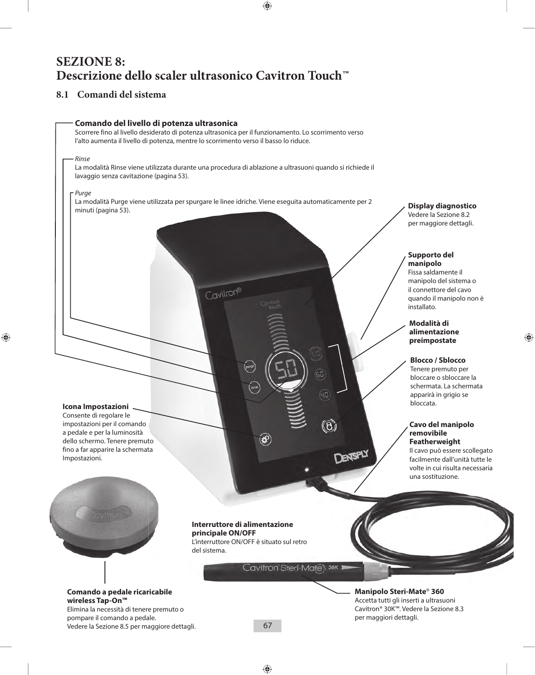## **SEZIONE 8: Descrizione dello scaler ultrasonico Cavitron Touch™**

## **8.1 Comandi del sistema**

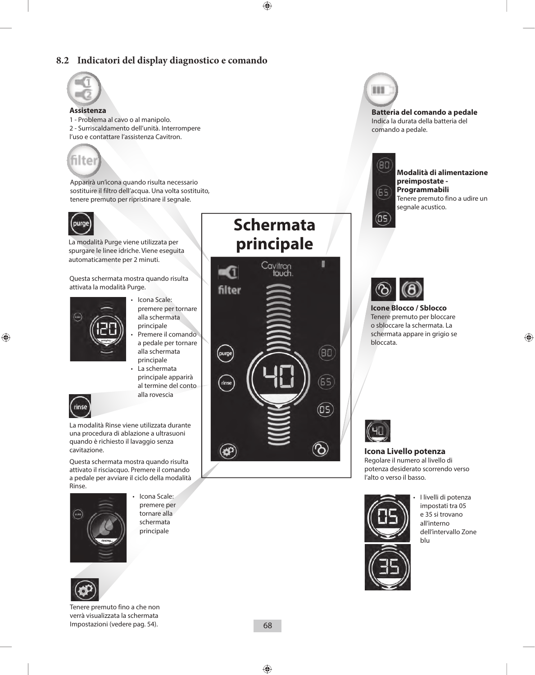## **8.2 Indicatori del display diagnostico e comando**



**Assistenza**  1 - Problema al cavo o al manipolo. 2 - Surriscaldamento dell'unità. Interrompere l'uso e contattare l'assistenza Cavitron.



Apparirà un'icona quando risulta necessario sostituire il filtro dell'acqua. Una volta sostituito, tenere premuto per ripristinare il segnale.



La modalità Purge viene utilizzata per spurgare le linee idriche. Viene eseguita automaticamente per 2 minuti.

Questa schermata mostra quando risulta attivata la modalità Purge.



- Icona Scale: premere per tornare alla schermata principale
- Premere il comando a pedale per tornare alla schermata principale
- La schermata principale apparirà al termine del conto alla rovescia



La modalità Rinse viene utilizzata durante una procedura di ablazione a ultrasuoni quando è richiesto il lavaggio senza cavitazione.

Questa schermata mostra quando risulta attivato il risciacquo. Premere il comando a pedale per avviare il ciclo della modalità Rinse.



lcona Scale: premere per tornare alla schermata principale



Tenere premuto fino a che non verrà visualizzata la schermata Impostazioni (vedere pag. 54).

# **Schermata principale**



111

**Batteria del comando a pedale** Indica la durata della batteria del comando a pedale.



(OS

**Modalità di alimentazione preimpostate - Programmabili** Tenere premuto fino a udire un segnale acustico.



**Icone Blocco / Sblocco** Tenere premuto per bloccare o sbloccare la schermata. La schermata appare in grigio se bloccata.



#### **Icona Livello potenza**

Regolare il numero al livello di potenza desiderato scorrendo verso l'alto o verso il basso.



I livelli di potenza impostati tra 05 e 35 si trovano all'interno dell'intervallo Zone blu

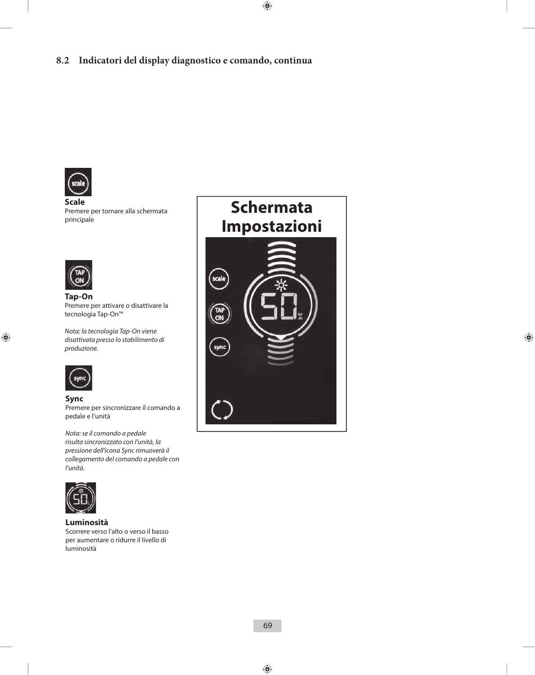

**Scale**  Premere per tornare alla schermata principale



**Tap-On** Premere per attivare o disattivare la tecnologia Tap-On™

*Nota: la tecnologia Tap-On viene disattivata presso lo stabilimento di produzione.*



#### **Sync**

Premere per sincronizzare il comando a pedale e l'unità

*Nota: se il comando a pedale risulta sincronizzato con l'unità, la pressione dell'icona Sync rimuoverà il collegamento del comando a pedale con l'unità.*



**Luminosità**

Scorrere verso l'alto o verso il basso per aumentare o ridurre il livello di luminosità

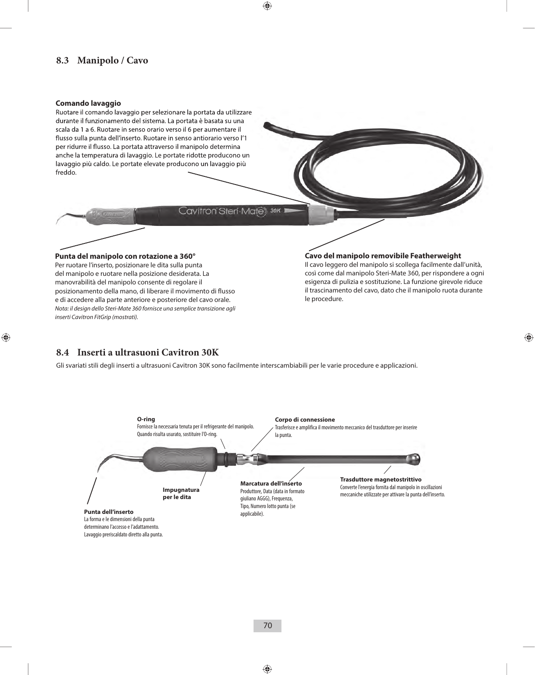## **8.3 Manipolo / Cavo**

#### **Comando lavaggio**

Ruotare il comando lavaggio per selezionare la portata da utilizzare durante il funzionamento del sistema. La portata è basata su una scala da 1 a 6. Ruotare in senso orario verso il 6 per aumentare il flusso sulla punta dell'inserto. Ruotare in senso antiorario verso l'1 per ridurre il flusso. La portata attraverso il manipolo determina anche la temperatura di lavaggio. Le portate ridotte producono un lavaggio più caldo. Le portate elevate producono un lavaggio più freddo.

Cavitron Steri-Mates 30K

#### **Punta del manipolo con rotazione a 360°**

Per ruotare l'inserto, posizionare le dita sulla punta del manipolo e ruotare nella posizione desiderata. La manovrabilità del manipolo consente di regolare il posizionamento della mano, di liberare il movimento di flusso e di accedere alla parte anteriore e posteriore del cavo orale. *Nota: il design dello Steri-Mate 360 fornisce una semplice transizione agli inserti Cavitron FitGrip (mostrati).*

#### **Cavo del manipolo removibile Featherweight**

Il cavo leggero del manipolo si scollega facilmente dall'unità, così come dal manipolo Steri-Mate 360, per rispondere a ogni esigenza di pulizia e sostituzione. La funzione girevole riduce il trascinamento del cavo, dato che il manipolo ruota durante le procedure.

### **8.4 Inserti a ultrasuoni Cavitron 30K**

Gli svariati stili degli inserti a ultrasuoni Cavitron 30K sono facilmente interscambiabili per le varie procedure e applicazioni.

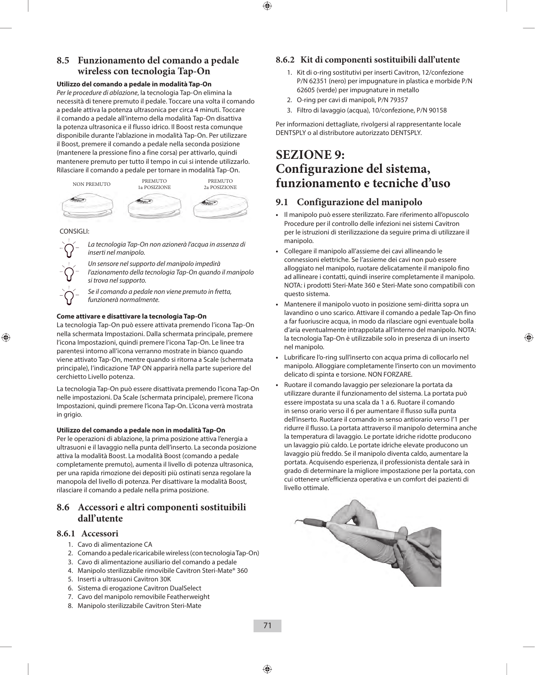## **8.5 Funzionamento del comando a pedale wireless con tecnologia Tap-On**

#### **Utilizzo del comando a pedale in modalità Tap-On**

*Per le procedure di ablazione*, la tecnologia Tap-On elimina la necessità di tenere premuto il pedale. Toccare una volta il comando a pedale attiva la potenza ultrasonica per circa 4 minuti. Toccare il comando a pedale all'interno della modalità Tap-On disattiva la potenza ultrasonica e il flusso idrico. Il Boost resta comunque disponibile durante l'ablazione in modalità Tap-On. Per utilizzare il Boost, premere il comando a pedale nella seconda posizione (mantenere la pressione fino a fine corsa) per attivarlo, quindi mantenere premuto per tutto il tempo in cui si intende utilizzarlo. Rilasciare il comando a pedale per tornare in modalità Tap-On.



CONSIGLI:



*La tecnologia Tap-On non azionerà l'acqua in assenza di inserti nel manipolo.*

*Un sensore nel supporto del manipolo impedirà l'azionamento della tecnologia Tap-On quando il manipolo si trova nel supporto.*

*Se il comando a pedale non viene premuto in fretta, funzionerà normalmente.*

#### **Come attivare e disattivare la tecnologia Tap-On**

La tecnologia Tap-On può essere attivata premendo l'icona Tap-On nella schermata Impostazioni. Dalla schermata principale, premere l'icona Impostazioni, quindi premere l'icona Tap-On. Le linee tra parentesi intorno all'icona verranno mostrate in bianco quando viene attivato Tap-On, mentre quando si ritorna a Scale (schermata principale), l'indicazione TAP ON apparirà nella parte superiore del cerchietto Livello potenza.

La tecnologia Tap-On può essere disattivata premendo l'icona Tap-On nelle impostazioni. Da Scale (schermata principale), premere l'icona Impostazioni, quindi premere l'icona Tap-On. L'icona verrà mostrata in grigio.

#### **Utilizzo del comando a pedale non in modalità Tap-On**

Per le operazioni di ablazione, la prima posizione attiva l'energia a ultrasuoni e il lavaggio nella punta dell'inserto. La seconda posizione attiva la modalità Boost. La modalità Boost (comando a pedale completamente premuto), aumenta il livello di potenza ultrasonica, per una rapida rimozione dei depositi più ostinati senza regolare la manopola del livello di potenza. Per disattivare la modalità Boost, rilasciare il comando a pedale nella prima posizione.

### **8.6 Accessori e altri componenti sostituibili dall'utente**

### **8.6.1 Accessori**

- 1. Cavo di alimentazione CA
- 2. Comando a pedale ricaricabile wireless (con tecnologia Tap-On)
- 3. Cavo di alimentazione ausiliario del comando a pedale
- 4. Manipolo sterilizzabile rimovibile Cavitron Steri-Mate® 360
- 5. Inserti a ultrasuoni Cavitron 30K
- 6. Sistema di erogazione Cavitron DualSelect
- 7. Cavo del manipolo removibile Featherweight
- 8. Manipolo sterilizzabile Cavitron Steri-Mate

### **8.6.2 Kit di componenti sostituibili dall'utente**

- 1. Kit di o-ring sostitutivi per inserti Cavitron, 12/confezione P/N 62351 (nero) per impugnature in plastica e morbide P/N 62605 (verde) per impugnature in metallo
- 2. O-ring per cavi di manipoli, P/N 79357
- 3. Filtro di lavaggio (acqua), 10/confezione, P/N 90158

Per informazioni dettagliate, rivolgersi al rappresentante locale DENTSPLY o al distributore autorizzato DENTSPLY.

## **SEZIONE 9: Configurazione del sistema, funzionamento e tecniche d'uso**

## **9.1 Configurazione del manipolo**

- **•**  Il manipolo può essere sterilizzato. Fare riferimento all'opuscolo Procedure per il controllo delle infezioni nei sistemi Cavitron per le istruzioni di sterilizzazione da seguire prima di utilizzare il manipolo.
- **•**  Collegare il manipolo all'assieme dei cavi allineando le connessioni elettriche. Se l'assieme dei cavi non può essere alloggiato nel manipolo, ruotare delicatamente il manipolo fino ad allineare i contatti, quindi inserire completamente il manipolo. NOTA: i prodotti Steri-Mate 360 e Steri-Mate sono compatibili con questo sistema.
- **•**  Mantenere il manipolo vuoto in posizione semi-diritta sopra un lavandino o uno scarico. Attivare il comando a pedale Tap-On fino a far fuoriuscire acqua, in modo da rilasciare ogni eventuale bolla d'aria eventualmente intrappolata all'interno del manipolo. NOTA: la tecnologia Tap-On è utilizzabile solo in presenza di un inserto nel manipolo.
- **•**  Lubrificare l'o-ring sull'inserto con acqua prima di collocarlo nel manipolo. Alloggiare completamente l'inserto con un movimento delicato di spinta e torsione. NON FORZARE.
- **•**  Ruotare il comando lavaggio per selezionare la portata da utilizzare durante il funzionamento del sistema. La portata può essere impostata su una scala da 1 a 6. Ruotare il comando in senso orario verso il 6 per aumentare il flusso sulla punta dell'inserto. Ruotare il comando in senso antiorario verso l'1 per ridurre il flusso. La portata attraverso il manipolo determina anche la temperatura di lavaggio. Le portate idriche ridotte producono un lavaggio più caldo. Le portate idriche elevate producono un lavaggio più freddo. Se il manipolo diventa caldo, aumentare la portata. Acquisendo esperienza, il professionista dentale sarà in grado di determinare la migliore impostazione per la portata, con cui ottenere un'efficienza operativa e un comfort dei pazienti di livello ottimale.

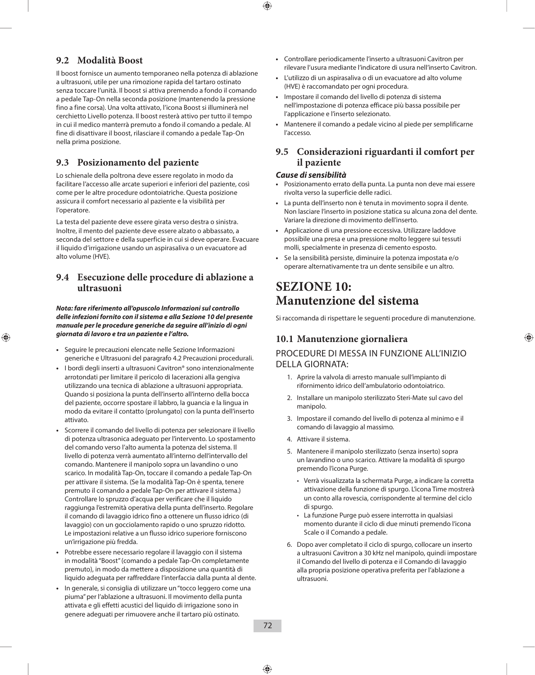## **9.2 Modalità Boost**

Il boost fornisce un aumento temporaneo nella potenza di ablazione a ultrasuoni, utile per una rimozione rapida del tartaro ostinato senza toccare l'unità. Il boost si attiva premendo a fondo il comando a pedale Tap-On nella seconda posizione (mantenendo la pressione fino a fine corsa). Una volta attivato, l'icona Boost si illuminerà nel cerchietto Livello potenza. Il boost resterà attivo per tutto il tempo in cui il medico manterrà premuto a fondo il comando a pedale. Al fine di disattivare il boost, rilasciare il comando a pedale Tap-On nella prima posizione.

## **9.3 Posizionamento del paziente**

Lo schienale della poltrona deve essere regolato in modo da facilitare l'accesso alle arcate superiori e inferiori del paziente, così come per le altre procedure odontoiatriche. Questa posizione assicura il comfort necessario al paziente e la visibilità per l'operatore.

La testa del paziente deve essere girata verso destra o sinistra. Inoltre, il mento del paziente deve essere alzato o abbassato, a seconda del settore e della superficie in cui si deve operare. Evacuare il liquido d'irrigazione usando un aspirasaliva o un evacuatore ad alto volume (HVE).

## **9.4 Esecuzione delle procedure di ablazione a ultrasuoni**

*Nota: fare riferimento all'opuscolo Informazioni sul controllo delle infezioni fornito con il sistema e alla Sezione 10 del presente manuale per le procedure generiche da seguire all'inizio di ogni giornata di lavoro e tra un paziente e l'altro.*

- **•**  Seguire le precauzioni elencate nelle Sezione Informazioni generiche e Ultrasuoni del paragrafo 4.2 Precauzioni procedurali.
- **•**  I bordi degli inserti a ultrasuoni Cavitron® sono intenzionalmente arrotondati per limitare il pericolo di lacerazioni alla gengiva utilizzando una tecnica di ablazione a ultrasuoni appropriata. Quando si posiziona la punta dell'inserto all'interno della bocca del paziente, occorre spostare il labbro, la guancia e la lingua in modo da evitare il contatto (prolungato) con la punta dell'inserto attivato.
- **•**  Scorrere il comando del livello di potenza per selezionare il livello di potenza ultrasonica adeguato per l'intervento. Lo spostamento del comando verso l'alto aumenta la potenza del sistema. Il livello di potenza verrà aumentato all'interno dell'intervallo del comando. Mantenere il manipolo sopra un lavandino o uno scarico. In modalità Tap-On, toccare il comando a pedale Tap-On per attivare il sistema. (Se la modalità Tap-On è spenta, tenere premuto il comando a pedale Tap-On per attivare il sistema.) Controllare lo spruzzo d'acqua per verificare che il liquido raggiunga l'estremità operativa della punta dell'inserto. Regolare il comando di lavaggio idrico fino a ottenere un flusso idrico (di lavaggio) con un gocciolamento rapido o uno spruzzo ridotto. Le impostazioni relative a un flusso idrico superiore forniscono un'irrigazione più fredda.
- **•**  Potrebbe essere necessario regolare il lavaggio con il sistema in modalità "Boost" (comando a pedale Tap-On completamente premuto), in modo da mettere a disposizione una quantità di liquido adeguata per raffreddare l'interfaccia dalla punta al dente.
- **•**  In generale, si consiglia di utilizzare un "tocco leggero come una piuma" per l'ablazione a ultrasuoni. Il movimento della punta attivata e gli effetti acustici del liquido di irrigazione sono in genere adeguati per rimuovere anche il tartaro più ostinato.
- **•**  Controllare periodicamente l'inserto a ultrasuoni Cavitron per rilevare l'usura mediante l'indicatore di usura nell'inserto Cavitron.
- **•**  L'utilizzo di un aspirasaliva o di un evacuatore ad alto volume (HVE) è raccomandato per ogni procedura.
- **•**  Impostare il comando del livello di potenza di sistema nell'impostazione di potenza efficace più bassa possibile per l'applicazione e l'inserto selezionato.
- **•**  Mantenere il comando a pedale vicino al piede per semplificarne l'accesso.

## **9.5 Considerazioni riguardanti il comfort per il paziente**

### *Cause di sensibilità*

- Posizionamento errato della punta. La punta non deve mai essere rivolta verso la superficie delle radici.
- **•**  La punta dell'inserto non è tenuta in movimento sopra il dente. Non lasciare l'inserto in posizione statica su alcuna zona del dente. Variare la direzione di movimento dell'inserto.
- **•**  Applicazione di una pressione eccessiva. Utilizzare laddove possibile una presa e una pressione molto leggere sui tessuti molli, specialmente in presenza di cemento esposto.
- **•**  Se la sensibilità persiste, diminuire la potenza impostata e/o operare alternativamente tra un dente sensibile e un altro.

## **SEZIONE 10: Manutenzione del sistema**

Si raccomanda di rispettare le seguenti procedure di manutenzione.

## **10.1 Manutenzione giornaliera**

## PROCEDURE DI MESSA IN FUNZIONE ALL'INIZIO DELLA GIORNATA:

- 1. Aprire la valvola di arresto manuale sull'impianto di rifornimento idrico dell'ambulatorio odontoiatrico.
- 2. Installare un manipolo sterilizzato Steri-Mate sul cavo del manipolo.
- 3. Impostare il comando del livello di potenza al minimo e il comando di lavaggio al massimo.
- 4. Attivare il sistema.
- 5. Mantenere il manipolo sterilizzato (senza inserto) sopra un lavandino o uno scarico. Attivare la modalità di spurgo premendo l'icona Purge.
	- Verrà visualizzata la schermata Purge, a indicare la corretta attivazione della funzione di spurgo. L'icona Time mostrerà un conto alla rovescia, corrispondente al termine del ciclo di spurgo.
	- La funzione Purge può essere interrotta in qualsiasi momento durante il ciclo di due minuti premendo l'icona Scale o il Comando a pedale.
- 6. Dopo aver completato il ciclo di spurgo, collocare un inserto a ultrasuoni Cavitron a 30 kHz nel manipolo, quindi impostare il Comando del livello di potenza e il Comando di lavaggio alla propria posizione operativa preferita per l'ablazione a ultrasuoni.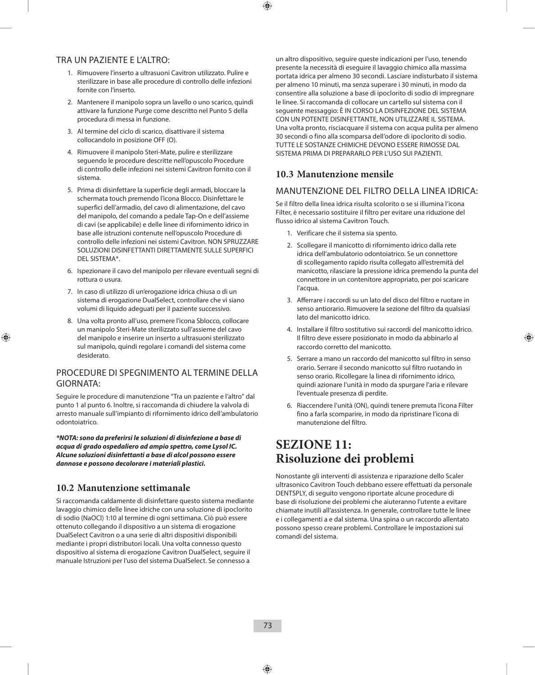#### TRA UN PAZIENTE E L'ALTRO:

- 1. Rimuovere l'inserto a ultrasuoni Cavitron utilizzato. Pulire e sterilizzare in base alle procedure di controllo delle infezioni fornite con l'inserto.
- 2. Mantenere il manipolo sopra un lavello o uno scarico, quindi attivare la funzione Purge come descritto nel Punto 5 della procedura di messa in funzione.
- 3. Al termine del ciclo di scarico, disattivare il sistema collocandolo in posizione OFF (O).
- 4. Rimuovere il manipolo Steri-Mate, pulire e sterilizzare seguendo le procedure descritte nell'opuscolo Procedure di controllo delle infezioni nei sistemi Cavitron fornito con il sistema.
- 5. Prima di disinfettare la superficie degli armadi, bloccare la schermata touch premendo l'icona Blocco. Disinfettare le superfici dell'armadio, del cavo di alimentazione, del cavo del manipolo, del comando a pedale Tap-On e dell'assieme di cavi (se applicabile) e delle linee di rifornimento idrico in base alle istruzioni contenute nell'opuscolo Procedure di controllo delle infezioni nei sistemi Cavitron. NON SPRUZZARE SOLUZIONI DISINFETTANTI DIRETTAMENTE SULLE SUPERFICI DEL SISTEMA\*.
- 6. Ispezionare il cavo del manipolo per rilevare eventuali segni di rottura o usura.
- 7. In caso di utilizzo di un'erogazione idrica chiusa o di un sistema di erogazione DualSelect, controllare che vi siano volumi di liquido adeguati per il paziente successivo.
- 8. Una volta pronto all'uso, premere l'icona Sblocco, collocare un manipolo Steri-Mate sterilizzato sull'assieme del cavo del manipolo e inserire un inserto a ultrasuoni sterilizzato sul manipolo, quindi regolare i comandi del sistema come desiderato.

#### PROCEDURE DI SPEGNIMENTO AL TERMINE DELLA GIORNATA:

Seguire le procedure di manutenzione "Tra un paziente e l'altro" dal punto 1 al punto 6. Inoltre, si raccomanda di chiudere la valvola di arresto manuale sull'impianto di rifornimento idrico dell'ambulatorio odontoiatrico.

*\*NOTA: sono da preferirsi le soluzioni di disinfezione a base di acqua di grado ospedaliero ad ampio spettro, come Lysol IC. Alcune soluzioni disinfettanti a base di alcol possono essere dannose e possono decolorare i materiali plastici.*

### **10.2 Manutenzione settimanale**

Si raccomanda caldamente di disinfettare questo sistema mediante lavaggio chimico delle linee idriche con una soluzione di ipoclorito di sodio (NaOCl) 1:10 al termine di ogni settimana. Ciò può essere ottenuto collegando il dispositivo a un sistema di erogazione DualSelect Cavitron o a una serie di altri dispositivi disponibili mediante i propri distributori locali. Una volta connesso questo dispositivo al sistema di erogazione Cavitron DualSelect, seguire il manuale Istruzioni per l'uso del sistema DualSelect. Se connesso a

un altro dispositivo, seguire queste indicazioni per l'uso, tenendo presente la necessità di eseguire il lavaggio chimico alla massima portata idrica per almeno 30 secondi. Lasciare indisturbato il sistema per almeno 10 minuti, ma senza superare i 30 minuti, in modo da consentire alla soluzione a base di ipoclorito di sodio di impregnare le linee. Si raccomanda di collocare un cartello sul sistema con il seguente messaggio: È IN CORSO LA DISINFEZIONE DEL SISTEMA CON UN POTENTE DISINFETTANTE, NON UTILIZZARE IL SISTEMA. Una volta pronto, risciacquare il sistema con acqua pulita per almeno 30 secondi o fino alla scomparsa dell'odore di ipoclorito di sodio. TUTTE LE SOSTANZE CHIMICHE DEVONO ESSERE RIMOSSE DAL SISTEMA PRIMA DI PREPARARLO PER L'USO SUI PAZIENTI.

#### **10.3 Manutenzione mensile**

#### MANUTENZIONE DEL FILTRO DELLA LINEA IDRICA:

Se il filtro della linea idrica risulta scolorito o se si illumina l'icona Filter, è necessario sostituire il filtro per evitare una riduzione del flusso idrico al sistema Cavitron Touch.

- 1. Verificare che il sistema sia spento.
- 2. Scollegare il manicotto di rifornimento idrico dalla rete idrica dell'ambulatorio odontoiatrico. Se un connettore di scollegamento rapido risulta collegato all'estremità del manicotto, rilasciare la pressione idrica premendo la punta del connettore in un contenitore appropriato, per poi scaricare l'acqua.
- 3. Afferrare i raccordi su un lato del disco del filtro e ruotare in senso antiorario. Rimuovere la sezione del filtro da qualsiasi lato del manicotto idrico.
- 4. Installare il filtro sostitutivo sui raccordi del manicotto idrico. Il filtro deve essere posizionato in modo da abbinarlo al raccordo corretto del manicotto.
- 5. Serrare a mano un raccordo del manicotto sul filtro in senso orario. Serrare il secondo manicotto sul filtro ruotando in senso orario. Ricollegare la linea di rifornimento idrico, quindi azionare l'unità in modo da spurgare l'aria e rilevare l'eventuale presenza di perdite.
- 6. Riaccendere l'unità (ON), quindi tenere premuta l'icona Filter fino a farla scomparire, in modo da ripristinare l'icona di manutenzione del filtro.

### **SEZIONE 11: Risoluzione dei problemi**

Nonostante gli interventi di assistenza e riparazione dello Scaler ultrasonico Cavitron Touch debbano essere effettuati da personale DENTSPLY, di seguito vengono riportate alcune procedure di base di risoluzione dei problemi che aiuteranno l'utente a evitare chiamate inutili all'assistenza. In generale, controllare tutte le linee e i collegamenti a e dal sistema. Una spina o un raccordo allentato possono spesso creare problemi. Controllare le impostazioni sui comandi del sistema.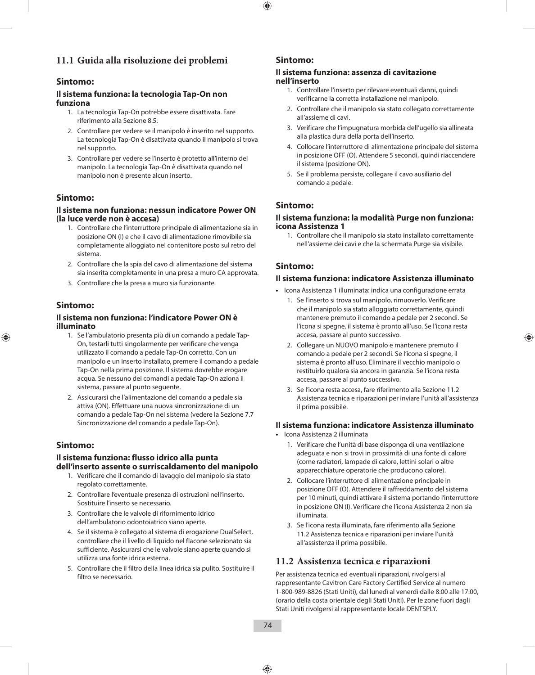#### **11.1 Guida alla risoluzione dei problemi**

#### **Sintomo:**

#### **Il sistema funziona: la tecnologia Tap-On non funziona**

- 1. La tecnologia Tap-On potrebbe essere disattivata. Fare riferimento alla Sezione 8.5.
- 2. Controllare per vedere se il manipolo è inserito nel supporto. La tecnologia Tap-On è disattivata quando il manipolo si trova nel supporto.
- 3. Controllare per vedere se l'inserto è protetto all'interno del manipolo. La tecnologia Tap-On è disattivata quando nel manipolo non è presente alcun inserto.

#### **Sintomo:**

#### **Il sistema non funziona: nessun indicatore Power ON (la luce verde non è accesa)**

- 1. Controllare che l'interruttore principale di alimentazione sia in posizione ON (I) e che il cavo di alimentazione rimovibile sia completamente alloggiato nel contenitore posto sul retro del sistema.
- 2. Controllare che la spia del cavo di alimentazione del sistema sia inserita completamente in una presa a muro CA approvata.
- 3. Controllare che la presa a muro sia funzionante.

#### **Sintomo:**

#### **Il sistema non funziona: l'indicatore Power ON è illuminato**

- 1. Se l'ambulatorio presenta più di un comando a pedale Tap-On, testarli tutti singolarmente per verificare che venga utilizzato il comando a pedale Tap-On corretto. Con un manipolo e un inserto installato, premere il comando a pedale Tap-On nella prima posizione. Il sistema dovrebbe erogare acqua. Se nessuno dei comandi a pedale Tap-On aziona il sistema, passare al punto seguente.
- 2. Assicurarsi che l'alimentazione del comando a pedale sia attiva (ON). Effettuare una nuova sincronizzazione di un comando a pedale Tap-On nel sistema (vedere la Sezione 7.7 Sincronizzazione del comando a pedale Tap-On).

#### **Sintomo:**

#### **Il sistema funziona: flusso idrico alla punta dell'inserto assente o surriscaldamento del manipolo**

- 1. Verificare che il comando di lavaggio del manipolo sia stato regolato correttamente.
- 2. Controllare l'eventuale presenza di ostruzioni nell'inserto. Sostituire l'inserto se necessario.
- 3. Controllare che le valvole di rifornimento idrico dell'ambulatorio odontoiatrico siano aperte.
- 4. Se il sistema è collegato al sistema di erogazione DualSelect, controllare che il livello di liquido nel flacone selezionato sia sufficiente. Assicurarsi che le valvole siano aperte quando si utilizza una fonte idrica esterna.
- 5. Controllare che il filtro della linea idrica sia pulito. Sostituire il filtro se necessario.

#### **Sintomo:**

#### **Il sistema funziona: assenza di cavitazione nell'inserto**

- 1. Controllare l'inserto per rilevare eventuali danni, quindi verificarne la corretta installazione nel manipolo.
- 2. Controllare che il manipolo sia stato collegato correttamente all'assieme di cavi.
- 3. Verificare che l'impugnatura morbida dell'ugello sia allineata alla plastica dura della porta dell'inserto.
- 4. Collocare l'interruttore di alimentazione principale del sistema in posizione OFF (O). Attendere 5 secondi, quindi riaccendere il sistema (posizione ON).
- 5. Se il problema persiste, collegare il cavo ausiliario del comando a pedale.

#### **Sintomo:**

#### **Il sistema funziona: la modalità Purge non funziona: icona Assistenza 1**

1. Controllare che il manipolo sia stato installato correttamente nell'assieme dei cavi e che la schermata Purge sia visibile.

#### **Sintomo:**

#### **Il sistema funziona: indicatore Assistenza illuminato**

- **•**  Icona Assistenza 1 illuminata: indica una configurazione errata
	- 1. Se l'inserto si trova sul manipolo, rimuoverlo. Verificare che il manipolo sia stato alloggiato correttamente, quindi mantenere premuto il comando a pedale per 2 secondi. Se l'icona si spegne, il sistema è pronto all'uso. Se l'icona resta accesa, passare al punto successivo.
	- 2. Collegare un NUOVO manipolo e mantenere premuto il comando a pedale per 2 secondi. Se l'icona si spegne, il sistema è pronto all'uso. Eliminare il vecchio manipolo o restituirlo qualora sia ancora in garanzia. Se l'icona resta accesa, passare al punto successivo.
	- 3. Se l'icona resta accesa, fare riferimento alla Sezione 11.2 Assistenza tecnica e riparazioni per inviare l'unità all'assistenza il prima possibile.

#### **Il sistema funziona: indicatore Assistenza illuminato**

- **•**  Icona Assistenza 2 illuminata
	- 1. Verificare che l'unità di base disponga di una ventilazione adeguata e non si trovi in prossimità di una fonte di calore (come radiatori, lampade di calore, lettini solari o altre apparecchiature operatorie che producono calore).
	- 2. Collocare l'interruttore di alimentazione principale in posizione OFF (O). Attendere il raffreddamento del sistema per 10 minuti, quindi attivare il sistema portando l'interruttore in posizione ON (I). Verificare che l'icona Assistenza 2 non sia illuminata.
	- 3. Se l'icona resta illuminata, fare riferimento alla Sezione 11.2 Assistenza tecnica e riparazioni per inviare l'unità all'assistenza il prima possibile.

#### **11.2 Assistenza tecnica e riparazioni**

Per assistenza tecnica ed eventuali riparazioni, rivolgersi al rappresentante Cavitron Care Factory Certified Service al numero 1-800-989-8826 (Stati Uniti), dal lunedì al venerdì dalle 8:00 alle 17:00, (orario della costa orientale degli Stati Uniti). Per le zone fuori dagli Stati Uniti rivolgersi al rappresentante locale DENTSPLY.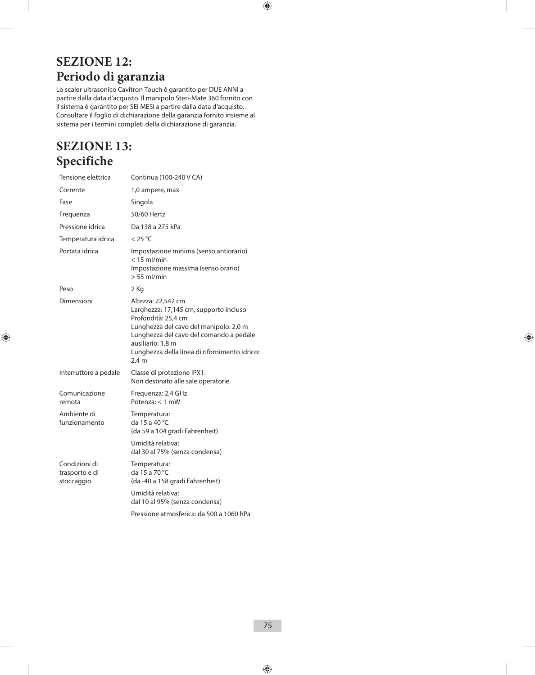### **SEZIONE 12: Periodo di garanzia**

Lo scaler ultrasonico Cavitron Touch è garantito per DUE ANNI a partire dalla data d'acquisto. Il manipolo Steri-Mate 360 fornito con il sistema è garantito per SEI MESI a partire dalla data d'acquisto. Consultare il foglio di dichiarazione della garanzia fornito insieme al sistema per i termini completi della dichiarazione di garanzia.

### **SEZIONE 13: Specifiche**

| Tensione elettrica                            | Continua (100-240 V CA)                                                                                                                                                                                                                                 |
|-----------------------------------------------|---------------------------------------------------------------------------------------------------------------------------------------------------------------------------------------------------------------------------------------------------------|
| Corrente                                      | 1,0 ampere, max                                                                                                                                                                                                                                         |
| Fase                                          | Singola                                                                                                                                                                                                                                                 |
| Frequenza                                     | 50/60 Hertz                                                                                                                                                                                                                                             |
| Pressione idrica                              | Da 138 a 275 kPa                                                                                                                                                                                                                                        |
| Temperatura idrica                            | $<$ 25 °C                                                                                                                                                                                                                                               |
| Portata idrica                                | Impostazione minima (senso antiorario)<br>$<$ 15 ml/min<br>Impostazione massima (senso orario)<br>$> 55$ ml/min                                                                                                                                         |
| Peso                                          | 2 Kg                                                                                                                                                                                                                                                    |
| Dimensioni                                    | Altezza: 22,542 cm<br>Larghezza: 17,145 cm, supporto incluso<br>Profondità: 25,4 cm<br>Lunghezza del cavo del manipolo: 2,0 m<br>Lunghezza del cavo del comando a pedale<br>ausiliario: 1,8 m<br>Lunghezza della linea di rifornimento idrico:<br>2.4 m |
| Interruttore a pedale                         | Classe di protezione IPX1.<br>Non destinato alle sale operatorie.                                                                                                                                                                                       |
| Comunicazione<br>remota                       | Frequenza: 2,4 GHz<br>Potenza: $<$ 1 mW                                                                                                                                                                                                                 |
| Ambiente di<br>funzionamento                  | Temperatura:<br>da 15 a 40 °C<br>(da 59 a 104 gradi Fahrenheit)                                                                                                                                                                                         |
|                                               | Umidità relativa:<br>dal 30 al 75% (senza condensa)                                                                                                                                                                                                     |
| Condizioni di<br>trasporto e di<br>stoccaggio | Temperatura:<br>da 15 a 70 °C<br>(da -40 a 158 gradi Fahrenheit)                                                                                                                                                                                        |
|                                               | Umidità relativa:<br>dal 10 al 95% (senza condensa)                                                                                                                                                                                                     |
|                                               | Pressione atmosferica: da 500 a 1060 hPa                                                                                                                                                                                                                |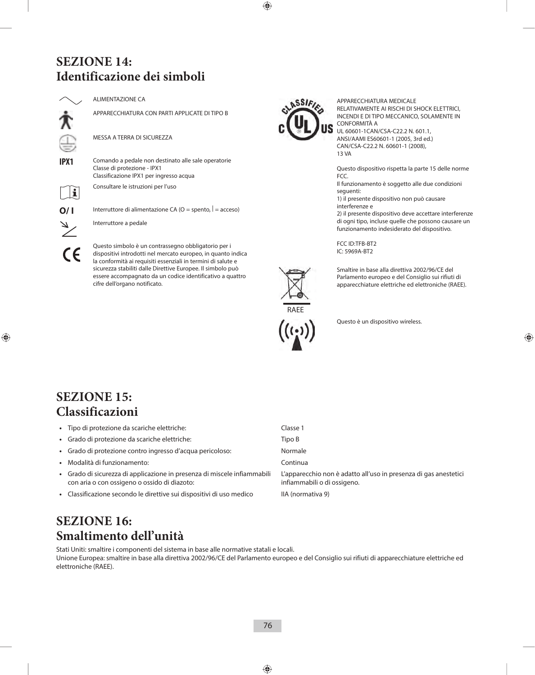### **SEZIONE 14: Identificazione dei simboli**

ALIMENTAZIONE CA

APPARECCHIATURA CON PARTI APPLICATE DI TIPO B

MESSA A TERRA DI SICUREZZA

**IPX1** Comando a pedale non destinato alle sale operatorie Classe di protezione - IPX1 Classificazione IPX1 per ingresso acqua

Consultare le istruzioni per l'uso



**O/ I** Interruttore di alimentazione CA ( $O =$  spento,  $| =$  acceso)

Interruttore a pedale

Questo simbolo è un contrassegno obbligatorio per i dispositivi introdotti nel mercato europeo, in quanto indica la conformità ai requisiti essenziali in termini di salute e sicurezza stabiliti dalle Direttive Europee. Il simbolo può essere accompagnato da un codice identificativo a quattro cifre dell'organo notificato.



APPARECCHIATURA MEDICALE RELATIVAMENTE AI RISCHI DI SHOCK ELETTRICI, INCENDI E DI TIPO MECCANICO, SOLAMENTE IN CONFORMITÀ A UL 60601-1CAN/CSA-C22.2 N. 601.1, ANSI/AAMI ES60601-1 (2005, 3rd ed.) CAN/CSA-C22.2 N. 60601-1 (2008), 13 VA

Questo dispositivo rispetta la parte 15 delle norme FCC.

Il funzionamento è soggetto alle due condizioni seguenti:

1) il presente dispositivo non può causare interferenze e

2) il presente dispositivo deve accettare interferenze di ogni tipo, incluse quelle che possono causare un funzionamento indesiderato del dispositivo.

FCC ID:TFB-BT2 IC: 5969A-BT2



Smaltire in base alla direttiva 2002/96/CE del Parlamento europeo e del Consiglio sui rifiuti di apparecchiature elettriche ed elettroniche (RAEE).



Questo è un dispositivo wireless.

### **SEZIONE 15: Classificazioni**

| • Tipo di protezione da scariche elettriche:                                                                             | Classe 1                                                                                        |
|--------------------------------------------------------------------------------------------------------------------------|-------------------------------------------------------------------------------------------------|
| · Grado di protezione da scariche elettriche:                                                                            | Tipo B                                                                                          |
| · Grado di protezione contro ingresso d'acqua pericoloso:                                                                | Normale                                                                                         |
| · Modalità di funzionamento:                                                                                             | Continua                                                                                        |
| · Grado di sicurezza di applicazione in presenza di miscele infiammabili<br>con aria o con ossigeno o ossido di diazoto: | L'apparecchio non è adatto all'uso in presenza di gas anestetici<br>infiammabili o di ossigeno. |
| • Classificazione secondo le direttive sui dispositivi di uso medico                                                     | IIA (normativa 9)                                                                               |
|                                                                                                                          |                                                                                                 |

### **SEZIONE 16: Smaltimento dell'unità**

Stati Uniti: smaltire i componenti del sistema in base alle normative statali e locali. Unione Europea: smaltire in base alla direttiva 2002/96/CE del Parlamento europeo e del Consiglio sui rifiuti di apparecchiature elettriche ed elettroniche (RAEE).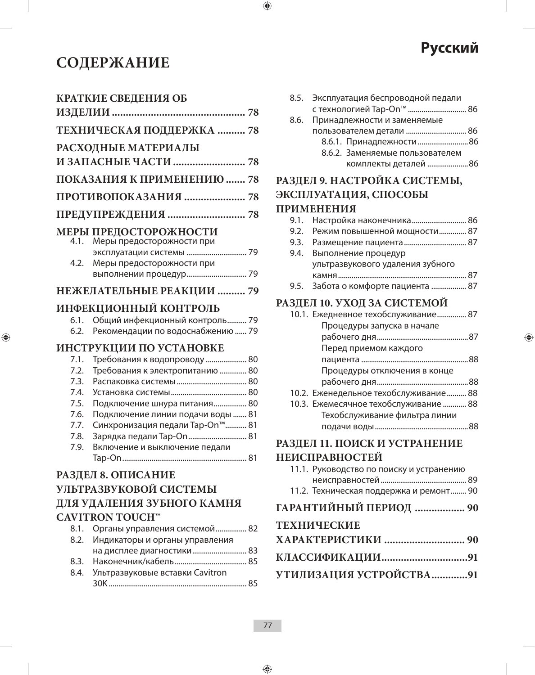# **СОДЕРЖАНИЕ**

### **КРАТКИЕ СВЕДЕНИЯ ОБ ИЗДЕЛИИ ................................................ 78 ТЕХНИЧЕСКАЯ ПОДДЕРЖКА .......... 78 РАСХОДНЫЕ МАТЕРИАЛЫ И ЗАПАСНЫЕ ЧАСТИ .......................... 78 ПОКАЗАНИЯ К ПРИМЕНЕНИЮ ....... 78 ПРОТИВОПОКАЗАНИЯ ...................... 78 ПРЕДУПРЕЖДЕНИЯ ............................ 78 МЕРЫ ПРЕДОСТОРОЖНОСТИ** 4.1. Меры предосторожности при эксплуатации системы ............................... 79 4.2. Меры предосторожности при выполнении процедур ............................... 79 **НЕЖЕЛАТЕЛЬНЫЕ РЕАКЦИИ .......... 79 ИНФЕКЦИОННЫЙ КОНТРОЛЬ** 6.1. Общий инфекционный контроль .......... 79 6.2. Рекомендации по водоснабжению ...... 79 **ИНСТРУКЦИИ ПО УСТАНОВКЕ** 7.1. Требования к водопроводу ..................... 80 7.2. Требования к электропитанию .............. 80 7.3. Распаковка системы .................................... 80 7.4. Установка системы ....................................... 80 7.5. Подключение шнура питания................. 80 7.6. Подключение линии подачи воды ....... 81 7.7. Синхронизация педали Tap-On™ ........... 81 7.8. Зарядка педали Tap-On .............................. 81 7.9. Включение и выключение педали Tap-On ................................................................ 81 **РАЗДЕЛ 8. ОПИСАНИЕ УЛЬТРАЗВУКОВОЙ СИСТЕМЫ ДЛЯ УДАЛЕНИЯ ЗУБНОГО КАМНЯ CAVITRON TOUCH™**

| 8.1. Органы управления системой 82   |
|--------------------------------------|
| 8.2. Индикаторы и органы управления  |
|                                      |
|                                      |
| 8.4. Ультразвуковые вставки Cavitron |
|                                      |

| 8.5. Эксплуатация беспроводной педали |                                 |  |
|---------------------------------------|---------------------------------|--|
|                                       | с технологией Тар-Оп™  86       |  |
| 8.6. Принадлежности и заменяемые      |                                 |  |
|                                       |                                 |  |
|                                       | 8.6.1. Принадлежности 86        |  |
|                                       | 8.6.2. Заменяемые пользователем |  |
|                                       | комплекты деталей 86            |  |

**Русский**

# **РАЗДЕЛ 9. НАСТРОЙКА СИСТЕМЫ,**

# **ЭКСПЛУАТАЦИЯ, СПОСОБЫ**

### **ПРИМЕНЕНИЯ**

| 9.1. Настройка наконечника 86       |
|-------------------------------------|
| 9.2. Режим повышенной мощности 87   |
|                                     |
| 9.4. Выполнение процедур            |
| ультразвукового удаления зубного    |
|                                     |
| 9.5. Забота о комфорте пациента  87 |

### **РАЗДЕЛ 10. УХОД ЗА СИСТЕМОЙ**

| 10.1. Ежедневное техобслуживание 87                                                                                                                       |
|-----------------------------------------------------------------------------------------------------------------------------------------------------------|
| Процедуры запуска в начале                                                                                                                                |
|                                                                                                                                                           |
| Перед приемом каждого                                                                                                                                     |
|                                                                                                                                                           |
| Процедуры отключения в конце                                                                                                                              |
|                                                                                                                                                           |
| 10.2. Еженедельное техобслуживание 88                                                                                                                     |
| 10.3. Ежемесячное техобслуживание  88                                                                                                                     |
| Техобслуживание фильтра линии                                                                                                                             |
|                                                                                                                                                           |
| $\pi$ $\rightarrow$ $\pi$ $\land$ $\pi$ $\land$ $\pi$ $\rightarrow$ $\pi$ $\rightarrow$ $\pi$ $\rightarrow$ $\pi$ $\rightarrow$ $\pi$ $\rightarrow$ $\pi$ |

### **РАЗДЕЛ 11. ПОИСК И УСТРАНЕНИЕ НЕИСПРАВНОСТЕЙ**

| <b>HEACHTADHOCTEA</b>                    |  |  |
|------------------------------------------|--|--|
| 11.1. Руководство по поиску и устранению |  |  |
|                                          |  |  |
| 11.2. Техническая поддержка и ремонт 90  |  |  |
| ГАРАНТИЙНЫЙ ПЕРИОД  90                   |  |  |
| <b>ТЕХНИЧЕСКИЕ</b>                       |  |  |
|                                          |  |  |
|                                          |  |  |

# **УТИЛИЗАЦИЯ УСТРОЙСТВА .............91**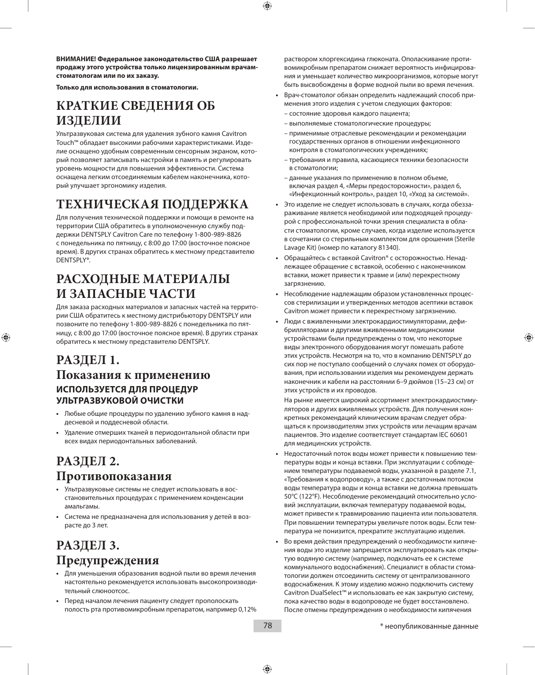**ВНИМАНИЕ! Федеральное законодательство США разрешает продажу этого устройства только лицензированным врачамстоматологам или по их заказу.**

**Только для использования в стоматологии.**

### **КРАТКИЕ СВЕДЕНИЯ ОБ ИЗДЕЛИИ**

Ультразвуковая система для удаления зубного камня Cavitron Touch™ обладает высокими рабочими характеристиками. Изделие оснащено удобным современным сенсорным экраном, который позволяет записывать настройки в память и регулировать уровень мощности для повышения эффективности. Система оснащена легким отсоединяемым кабелем наконечника, который улучшает эргономику изделия.

## **ТЕХНИЧЕСКАЯ ПОДДЕРЖКА**

Для получения технической поддержки и помощи в ремонте на территории США обратитесь в уполномоченную службу поддержки DENTSPLY Cavitron Care по телефону 1-800-989-8826 с понедельника по пятницу, с 8:00 до 17:00 (восточное поясное время). В других странах обратитесь к местному представителю DENTSPLY®.

### **РАСХОДНЫЕ МАТЕРИАЛЫ И ЗАПАСНЫЕ ЧАСТИ**

Для заказа расходных материалов и запасных частей на территории США обратитесь к местному дистрибьютору DENTSPLY или позвоните по телефону 1-800-989-8826 с понедельника по пятницу, с 8:00 до 17:00 (восточное поясное время). В других странах обратитесь к местному представителю DENTSPLY.

### **РАЗДЕЛ 1. Показания к применению ИСПОЛЬЗУЕТСЯ ДЛЯ ПРОЦЕДУР УЛЬТРАЗВУКОВОЙ ОЧИСТКИ**

- **•**  Любые общие процедуры по удалению зубного камня в наддесневой и поддесневой области.
- **•**  Удаление отмерших тканей в периодонтальной области при всех видах периодонтальных заболеваний.

### **РАЗДЕЛ 2. Противопоказания**

- **•** Ультразвуковые системы не следует использовать в восстановительных процедурах с применением конденсации амальгамы.
- **•** Система не предназначена для использования у детей в возрасте до 3 лет.

### **РАЗДЕЛ 3. Предупреждения**

- **•**  Для уменьшения образования водной пыли во время лечения настоятельно рекомендуется использовать высокопроизводительный слюноотсос.
- **•**  Перед началом лечения пациенту следует прополоскать полость рта противомикробным препаратом, например 0,12%

раствором хлоргексидина глюконата. Ополаскивание противомикробным препаратом снижает вероятность инфицирования и уменьшает количество микроорганизмов, которые могут быть высвобождены в форме водной пыли во время лечения.

- **•**  Врач-стоматолог обязан определить надлежащий способ применения этого изделия с учетом следующих факторов:
	- состояние здоровья каждого пациента;
	- выполняемые стоматологические процедуры;
	- применимые отраслевые рекомендации и рекомендации государственных органов в отношении инфекционного контроля в стоматологических учреждениях;
	- требования и правила, касающиеся техники безопасности в стоматологии;
	- данные указания по применению в полном объеме, включая раздел 4, «Меры предосторожности», раздел 6, «Инфекционный контроль», раздел 10, «Уход за системой».
- **•**  Это изделие не следует использовать в случаях, когда обеззараживание является необходимой или подходящей процедурой с профессиональной точки зрения специалиста в области стоматологии, кроме случаев, когда изделие используется в сочетании со стерильным комплектом для орошения (Sterile Lavage Kit) (номер по каталогу 81340).
- **•**  Обращайтесь с вставкой Cavitron® с осторожностью. Ненадлежащее обращение с вставкой, особенно с наконечником вставки, может привести к травме и (или) перекрестному загрязнению.
- **•**  Несоблюдение надлежащим образом установленных процессов стерилизации и утвержденных методов асептики вставок Cavitron может привести к перекрестному загрязнению.
- **•**  Люди с вживленными электрокардиостимуляторами, дефибрилляторами и другими вживленными медицинскими устройствами были предупреждены о том, что некоторые виды электронного оборудования могут помешать работе этих устройств. Несмотря на то, что в компанию DENTSPLY до сих пор не поступало сообщений о случаях помех от оборудования, при использовании изделия мы рекомендуем держать наконечник и кабели на расстоянии 6–9 дюймов (15–23 см) от этих устройств и их проводов.

 На рынке имеется широкий ассортимент электрокардиостимуляторов и других вживляемых устройств. Для получения конкретных рекомендаций клиническим врачам следует обращаться к производителям этих устройств или лечащим врачам пациентов. Это изделие соответствует стандартам IEC 60601 для медицинских устройств.

- **•**  Недостаточный поток воды может привести к повышению температуры воды и конца вставки. При эксплуатации с соблюдением температуры подаваемой воды, указанной в разделе 7.1, «Требования к водопроводу», а также с достаточным потоком воды температура воды и конца вставки не должна превышать 50°C (122°F). Несоблюдение рекомендаций относительно условий эксплуатации, включая температуру подаваемой воды, может привести к травмированию пациента или пользователя. При повышении температуры увеличьте поток воды. Если температура не понизится, прекратите эксплуатацию изделия.
- **•**  Во время действия предупреждений о необходимости кипячения воды это изделие запрещается эксплуатировать как открытую водяную систему (например, подключать ее к системе коммунального водоснабжения). Специалист в области стоматологии должен отсоединить систему от централизованного водоснабжения. К этому изделию можно подключить систему Cavitron DualSelect™ и использовать ее как закрытую систему, пока качество воды в водопроводе не будет восстановлено. После отмены предупреждения о необходимости кипячения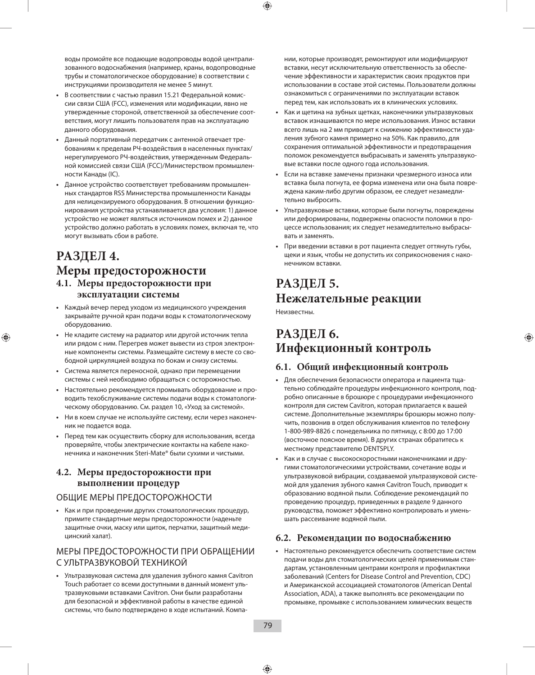воды промойте все подающие водопроводы водой централизованного водоснабжения (например, краны, водопроводные трубы и стоматологическое оборудование) в соответствии с инструкциями производителя не менее 5 минут.

- **•**  В соответствии с частью правил 15.21 Федеральной комиссии связи США (FCC), изменения или модификации, явно не утвержденные стороной, ответственной за обеспечение соответствия, могут лишить пользователя прав на эксплуатацию данного оборудования.
- **•**  Данный портативный передатчик с антенной отвечает требованиям к пределам РЧ-воздействия в населенных пунктах/ нерегулируемого РЧ-воздействия, утвержденным Федеральной комиссией связи США (FCC)/Министерством промышленности Канады (IC).
- **•**  Данное устройство соответствует требованиям промышленных стандартов RSS Министерства промышленности Канады для нелицензируемого оборудования. В отношении функционирования устройства устанавливается два условия: 1) данное устройство не может являться источником помех и 2) данное устройство должно работать в условиях помех, включая те, что могут вызывать сбои в работе.

### **РАЗДЕЛ 4. Меры предосторожности 4.1. Меры предосторожности при эксплуатации системы**

- **•**  Каждый вечер перед уходом из медицинского учреждения закрывайте ручной кран подачи воды к стоматологическому оборудованию.
- **•**  Не кладите систему на радиатор или другой источник тепла или рядом с ним. Перегрев может вывести из строя электронные компоненты системы. Размещайте систему в месте со свободной циркуляцией воздуха по бокам и снизу системы.
- **•**  Система является переносной, однако при перемещении системы с ней необходимо обращаться с осторожностью.
- **Настоятельно рекомендуется промывать оборудование и про**водить техобслуживание системы подачи воды к стоматологическому оборудованию. См. раздел 10, «Уход за системой».
- **•**  Ни в коем случае не используйте систему, если через наконечник не подается вода.
- **•**  Перед тем как осуществить сборку для использования, всегда проверяйте, чтобы электрические контакты на кабеле наконечника и наконечник Steri-Mate® были сухими и чистыми.

#### **4.2. Меры предосторожности при выполнении процедур**

#### ОБЩИЕ МЕРЫ ПРЕДОСТОРОЖНОСТИ

**•**  Как и при проведении других стоматологических процедур, примите стандартные меры предосторожности (наденьте защитные очки, маску или щиток, перчатки, защитный медицинский халат).

#### МЕРЫ ПРЕДОСТОРОЖНОСТИ ПРИ ОБРАЩЕНИИ С УЛЬТРАЗВУКОВОЙ ТЕХНИКОЙ

**•**  Ультразвуковая система для удаления зубного камня Cavitron Touch работает со всеми доступными в данный момент ультразвуковыми вставками Cavitron. Они были разработаны для безопасной и эффективной работы в качестве единой системы, что было подтверждено в ходе испытаний. Компании, которые производят, ремонтируют или модифицируют вставки, несут исключительную ответственность за обеспечение эффективности и характеристик своих продуктов при использовании в составе этой системы. Пользователи должны ознакомиться с ограничениями по эксплуатации вставок перед тем, как использовать их в клинических условиях.

- **•**  Как и щетина на зубных щетках, наконечники ультразвуковых вставок изнашиваются по мере использования. Износ вставки всего лишь на 2 мм приводит к снижению эффективности удаления зубного камня примерно на 50%. Как правило, для сохранения оптимальной эффективности и предотвращения поломок рекомендуется выбрасывать и заменять ультразвуковые вставки после одного года использования.
- **•**  Если на вставке замечены признаки чрезмерного износа или вставка была погнута, ее форма изменена или она была повреждена каким-либо другим образом, ее следует незамедлительно выбросить.
- **•**  Ультразвуковые вставки, которые были погнуты, повреждены или деформированы, подвержены опасности поломки в процессе использования; их следует незамедлительно выбрасывать и заменять.
- **•**  При введении вставки в рот пациента следует оттянуть губы, щеки и язык, чтобы не допустить их соприкосновения с наконечником вставки.

### **РАЗДЕЛ 5. Нежелательные реакции**

Неизвестны.

### **РАЗДЕЛ 6. Инфекционный контроль**

#### **6.1. Общий инфекционный контроль**

- **•**  Для обеспечения безопасности оператора и пациента тщательно соблюдайте процедуры инфекционного контроля, подробно описанные в брошюре с процедурами инфекционного контроля для систем Cavitron, которая прилагается к вашей системе. Дополнительные экземпляры брошюры можно получить, позвонив в отдел обслуживания клиентов по телефону 1-800-989-8826 с понедельника по пятницу, с 8:00 до 17:00 (восточное поясное время). В других странах обратитесь к местному представителю DENTSPLY.
- **•**  Как и в случае с высокоскоростными наконечниками и другими стоматологическими устройствами, сочетание воды и ультразвуковой вибрации, создаваемой ультразвуковой системой для удаления зубного камня Cavitron Touch, приводит к образованию водяной пыли. Соблюдение рекомендаций по проведению процедур, приведенных в разделе 9 данного руководства, поможет эффективно контролировать и уменьшать рассеивание водяной пыли.

#### **6.2. Рекомендации по водоснабжению**

**•**  Настоятельно рекомендуется обеспечить соответствие систем подачи воды для стоматологических целей применимым стандартам, установленным центрами контроля и профилактики заболеваний (Centers for Disease Control and Prevention, CDC) и Американской ассоциацией стоматологов (American Dental Association, ADA), а также выполнять все рекомендации по промывке, промывке с использованием химических веществ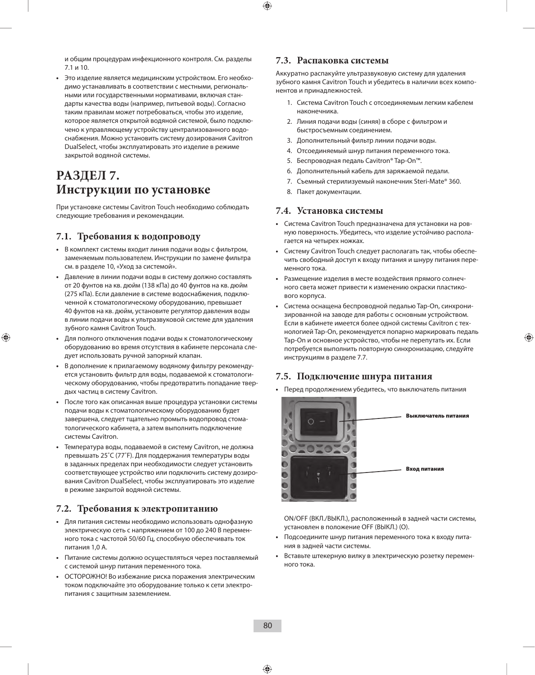и общим процедурам инфекционного контроля. См. разделы 7.1 и 10.

**•**  Это изделие является медицинским устройством. Его необходимо устанавливать в соответствии с местными, региональными или государственными нормативами, включая стандарты качества воды (например, питьевой воды). Согласно таким правилам может потребоваться, чтобы это изделие, которое является открытой водяной системой, было подключено к управляющему устройству централизованного водоснабжения. Можно установить систему дозирования Cavitron DualSelect, чтобы эксплуатировать это изделие в режиме закрытой водяной системы.

### **РАЗДЕЛ 7. Инструкции по установке**

При установке системы Cavitron Touch необходимо соблюдать следующие требования и рекомендации.

#### **7.1. Требования к водопроводу**

- **•**  В комплект системы входит линия подачи воды с фильтром, заменяемым пользователем. Инструкции по замене фильтра см. в разделе 10, «Уход за системой».
- **•**  Давление в линии подачи воды в систему должно составлять от 20 фунтов на кв. дюйм (138 кПа) до 40 фунтов на кв. дюйм (275 кПа). Если давление в системе водоснабжения, подключенной к стоматологическому оборудованию, превышает 40 фунтов на кв. дюйм, установите регулятор давления воды в линии подачи воды к ультразвуковой системе для удаления зубного камня Cavitron Touch.
- **•**  Для полного отключения подачи воды к стоматологическому оборудованию во время отсутствия в кабинете персонала следует использовать ручной запорный клапан.
- **•**  В дополнение к прилагаемому водяному фильтру рекомендуется установить фильтр для воды, подаваемой к стоматологическому оборудованию, чтобы предотвратить попадание твердых частиц в систему Cavitron.
- **•**  После того как описанная выше процедура установки системы подачи воды к стоматологическому оборудованию будет завершена, следует тщательно промыть водопровод стоматологического кабинета, а затем выполнить подключение системы Cavitron.
- **•**  Температура воды, подаваемой в систему Cavitron, не должна превышать 25˚C (77˚F). Для поддержания температуры воды в заданных пределах при необходимости следует установить соответствующее устройство или подключить систему дозирования Cavitron DualSelect, чтобы эксплуатировать это изделие в режиме закрытой водяной системы.

#### **7.2. Требования к электропитанию**

- **•**  Для питания системы необходимо использовать однофазную электрическую сеть с напряжением от 100 до 240 В переменного тока с частотой 50/60 Гц, способную обеспечивать ток питания 1,0 А.
- **•**  Питание системы должно осуществляться через поставляемый с системой шнур питания переменного тока.
- **•**  ОСТОРОЖНО! Во избежание риска поражения электрическим током подключайте это оборудование только к сети электропитания с защитным заземлением.

#### **7.3. Распаковка системы**

Аккуратно распакуйте ультразвуковую систему для удаления зубного камня Cavitron Touch и убедитесь в наличии всех компонентов и принадлежностей.

- 1. Система Cavitron Touch с отсоединяемым легким кабелем наконечника.
- 2. Линия подачи воды (синяя) в сборе с фильтром и быстросъемным соединением.
- 3. Дополнительный фильтр линии подачи воды.
- 4. Отсоединяемый шнур питания переменного тока.
- 5. Беспроводная педаль Cavitron® Tap-On™.
- 6. Дополнительный кабель для заряжаемой педали.
- 7. Съемный стерилизуемый наконечник Steri-Mate® 360.
- 8. Пакет документации.

#### **7.4. Установка системы**

- **•**  Система Cavitron Touch предназначена для установки на ровную поверхность. Убедитесь, что изделие устойчиво располагается на четырех ножках.
- Систему Cavitron Touch следует располагать так, чтобы обеспечить свободный доступ к входу питания и шнуру питания переменного тока.
- **•**  Размещение изделия в месте воздействия прямого солнечного света может привести к изменению окраски пластикового корпуса.
- **•**  Система оснащена беспроводной педалью Tap-On, синхронизированной на заводе для работы с основным устройством. Если в кабинете имеется более одной системы Cavitron с технологией Tap-On, рекомендуется попарно маркировать педаль Tap-On и основное устройство, чтобы не перепутать их. Если потребуется выполнить повторную синхронизацию, следуйте инструкциям в разделе 7.7.

#### **7.5. Подключение шнура питания**



**•**  Перед продолжением убедитесь, что выключатель питания

ON/OFF (ВКЛ./ВЫКЛ.), расположенный в задней части системы, установлен в положение OFF (ВЫКЛ.) (O).

- **•**  Подсоедините шнур питания переменного тока к входу питания в задней части системы.
- **•**  Вставьте штекерную вилку в электрическую розетку переменного тока.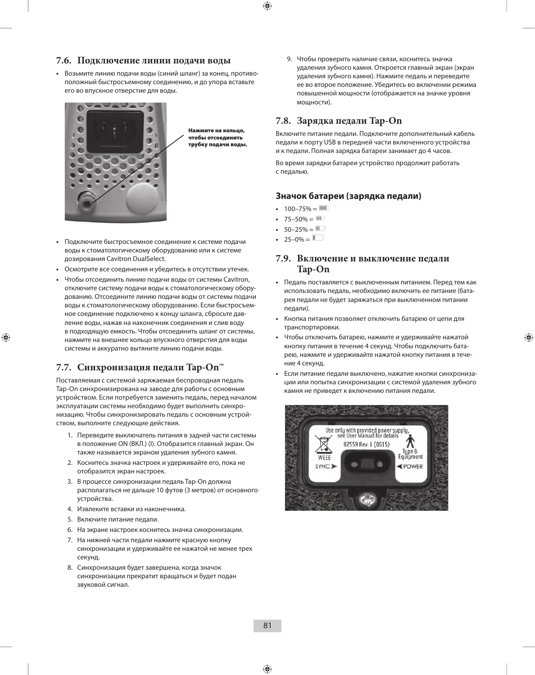#### **7.6. Подключение линии подачи воды**

**•**  Возьмите линию подачи воды (синий шланг) за конец, противоположный быстросъемному соединению, и до упора вставьте его во впускное отверстие для воды.



Нажмите на кольцо, чтобы отсоединить трубку подачи воды.

- **•**  Подключите быстросъемное соединение к системе подачи воды к стоматологическому оборудованию или к системе дозирования Cavitron DualSelect.
- **•**  Осмотрите все соединения и убедитесь в отсутствии утечек.
- **•**  Чтобы отсоединить линию подачи воды от системы Cavitron, отключите систему подачи воды к стоматологическому оборудованию. Отсоедините линию подачи воды от системы подачи воды к стоматологическому оборудованию. Если быстросъемное соединение подключено к концу шланга, сбросьте давление воды, нажав на наконечник соединения и слив воду в подходящую емкость. Чтобы отсоединить шланг от системы, нажмите на внешнее кольцо впускного отверстия для воды системы и аккуратно вытяните линию подачи воды.

#### **7.7. Синхронизация педали Tap-On™**

Поставляемая с системой заряжаемая беспроводная педаль Tap-On синхронизирована на заводе для работы с основным устройством. Если потребуется заменить педаль, перед началом эксплуатации системы необходимо будет выполнить синхронизацию. Чтобы синхронизировать педаль с основным устройством, выполните следующие действия.

- 1. Переведите выключатель питания в задней части системы в положение ON (ВКЛ.) (I). Отобразится главный экран. Он также называется экраном удаления зубного камня.
- 2. Коснитесь значка настроек и удерживайте его, пока не отобразится экран настроек.
- 3. В процессе синхронизации педаль Tap-On должна располагаться не дальше 10 футов (3 метров) от основного устройства.
- 4. Извлеките вставки из наконечника.
- 5. Включите питание педали.
- 6. На экране настроек коснитесь значка синхронизации.
- 7. На нижней части педали нажмите красную кнопку синхронизации и удерживайте ее нажатой не менее трех секунд.
- 8. Синхронизация будет завершена, когда значок синхронизации прекратит вращаться и будет подан звуковой сигнал.

9. Чтобы проверить наличие связи, коснитесь значка удаления зубного камня. Откроется главный экран (экран удаления зубного камня). Нажмите педаль и переведите ее во второе положение. Убедитесь во включении режима повышенной мощности (отображается на значке уровня мощности).

#### **7.8. Зарядка педали Tap-On**

Включите питание педали. Подключите дополнительный кабель педали к порту USB в передней части включенного устройства и к педали. Полная зарядка батареи занимает до 4 часов.

Во время зарядки батареи устройство продолжит работать с педалью.

#### **Значок батареи (зарядка педали)**

- $100 75\% = 111$
- $75 50\% =$
- $50-25% = 1$
- $25-0% =$

#### **7.9. Включение и выключение педали Tap-On**

- **•**  Педаль поставляется с выключенным питанием. Перед тем как использовать педаль, необходимо включить ее питание (батарея педали не будет заряжаться при выключенном питании педали).
- **•**  Кнопка питания позволяет отключить батарею от цепи для транспортировки.
- **•**  Чтобы отключить батарею, нажмите и удерживайте нажатой кнопку питания в течение 4 секунд. Чтобы подключить батарею, нажмите и удерживайте нажатой кнопку питания в течение 4 секунд.
- Если питание педали выключено, нажатие кнопки синхронизации или попытка синхронизации с системой удаления зубного камня не приведет к включению питания педали.

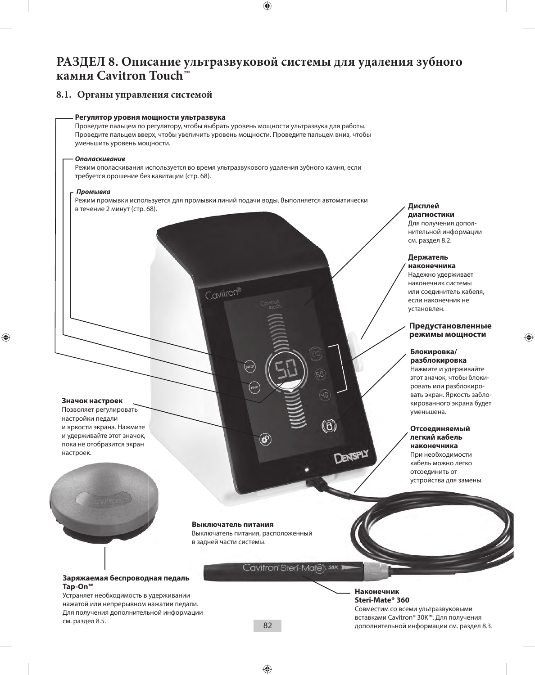### **РАЗДЕЛ 8. Описание ультразвуковой системы для удаления зубного камня Cavitron Touch™**

#### **8.1. Органы управления системой**



#### **Заряжаемая беспроводная педаль Tap-On™**

Устраняет необходимость в удерживании нажатой или непрерывном нажатии педали. Для получения дополнительной информации см. раздел 8.5.

**Наконечник Steri-Mate® 360**  Совместим со всеми ультразвуковыми вставками Cavitron® 30K™. Для получения дополнительной информации см. раздел 8.3.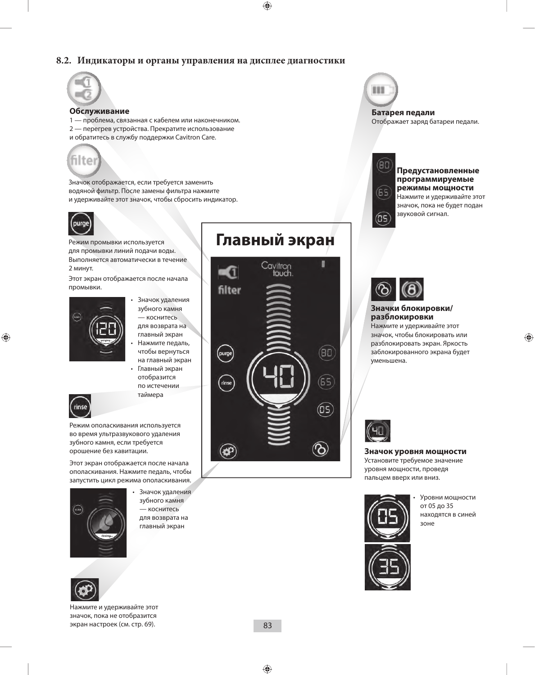#### **8.2. Индикаторы и органы управления на дисплее диагностики**



#### **Обслуживание**

1 — проблема, связанная с кабелем или наконечником. 2 — перегрев устройства. Прекратите использование и обратитесь в службу поддержки Cavitron Care.



Значок отображается, если требуется заменить водяной фильтр. После замены фильтра нажмите и удерживайте этот значок, чтобы сбросить индикатор.



Режим промывки используется для промывки линий подачи воды. Выполняется автоматически в течение 2 минут.

Этот экран отображается после начала промывки.



- Значок удаления зубного камня — коснитесь для возврата на главный экран
- Нажмите педаль, чтобы вернуться на главный экран
- Главный экран отобразится по истечении таймера



Режим ополаскивания используется во время ультразвукового удаления зубного камня, если требуется орошение без кавитации.

Этот экран отображается после начала ополаскивания. Нажмите педаль, чтобы запустить цикл режима ополаскивания.



Нажмите и удерживайте этот значок, пока не отобразится экран настроек (см. стр. 69).

зубного камня — коснитесь для возврата на главный экран



Значок удаления







**Батарея педали** Отображает заряд батареи педали.



#### **Предустановленные программируемые режимы мощности** Нажмите и удерживайте этот значок, пока не будет подан звуковой сигнал.



#### **Значки блокировки/ разблокировки**

Нажмите и удерживайте этот значок, чтобы блокировать или разблокировать экран. Яркость заблокированного экрана будет уменьшена.



**Значок уровня мощности**

Установите требуемое значение уровня мощности, проведя пальцем вверх или вниз.



Уровни мощности от 05 до 35 находятся в синей зоне

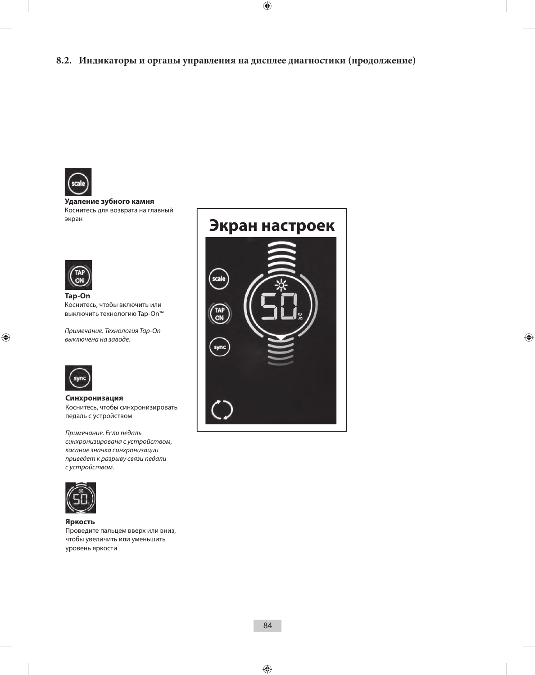

**Удаление зубного камня**  Коснитесь для возврата на главный экран



**Tap-On** Коснитесь, чтобы включить или выключить технологию Tap-On™

*Примечание. Технология Tap-On выключена на заводе.*



**Синхронизация** Коснитесь, чтобы синхронизировать педаль с устройством

*Примечание. Если педаль синхронизирована с устройством, касание значка синхронизации приведет к разрыву связи педали с устройством.*



**Яркость**

Проведите пальцем вверх или вниз, чтобы увеличить или уменьшить уровень яркости

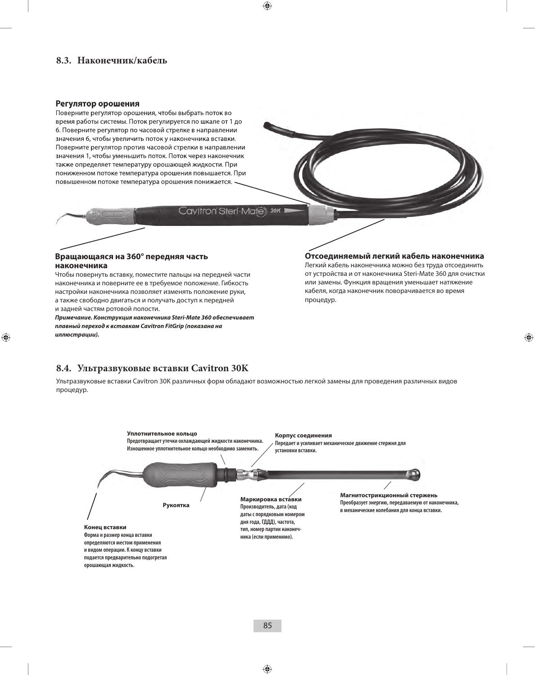#### **Регулятор орошения**

Поверните регулятор орошения, чтобы выбрать поток во время работы системы. Поток регулируется по шкале от 1 до 6. Поверните регулятор по часовой стрелке в направлении значения 6, чтобы увеличить поток у наконечника вставки. Поверните регулятор против часовой стрелки в направлении значения 1, чтобы уменьшить поток. Поток через наконечник также определяет температуру орошающей жидкости. При пониженном потоке температура орошения повышается. При повышенном потоке температура орошения понижается. **8.3. Наконечник/кабель**<br>**Регулятор орошения**<br>Поверните регулятор орошения, чтобы выбрать поток во<br>время работы системы. Поток регулируется по шкале от 1<br>6. Поверните регулятор по часовой стрелке в направлени<br>значения 6,

Cavitron Steri-Mates 30K 1

#### **Вращающаяся на 360° передняя часть наконечника**

Чтобы повернуть вставку, поместите пальцы на передней части наконечника и поверните ее в требуемое положение. Гибкость настройки наконечника позволяет изменять положение руки, а также свободно двигаться и получать доступ к передней и задней частям ротовой полости.

*Примечание. Конструкция наконечника Steri-Mate 360 обеспечивает плавный переход к вставкам Cavitron FitGrip (показана на иллюстрации).*

#### **Отсоединяемый легкий кабель наконечника**

Легкий кабель наконечника можно без труда отсоединить от устройства и от наконечника Steri-Mate 360 для очистки или замены. Функция вращения уменьшает натяжение кабеля, когда наконечник поворачивается во время процедур.

#### **8.4. Ультразвуковые вставки Cavitron 30K**

Ультразвуковые вставки Cavitron 30K различных форм обладают возможностью легкой замены для проведения различных видов процедур.

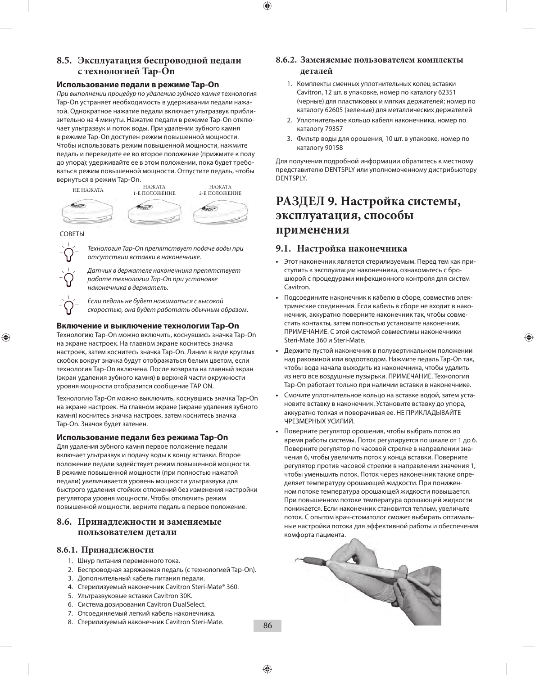#### **8.5. Эксплуатация беспроводной педали с технологией Tap-On**

#### **Использование педали в режиме Tap-On**

*При выполнении процедур по удалению зубного камня* технология Tap-On устраняет необходимость в удерживании педали нажатой. Однократное нажатие педали включает ультразвук приблизительно на 4 минуты. Нажатие педали в режиме Tap-On отключает ультразвук и поток воды. При удалении зубного камня в режиме Tap-On доступен режим повышенной мощности. Чтобы использовать режим повышенной мощности, нажмите педаль и переведите ее во второе положение (прижмите к полу до упора); удерживайте ее в этом положении, пока будет требоваться режим повышенной мощности. Отпустите педаль, чтобы вернуться в режим Tap-On.





*Технология Tap-On препятствует подаче воды при отсутствии вставки в наконечнике.*

*Датчик в держателе наконечника препятствует работе технологии Tap-On при установке наконечника в держатель.*

*Если педаль не будет нажиматься с высокой скоростью, она будет работать обычным образом.*

#### **Включение и выключение технологии Tap-On**

Технологию Tap-On можно включить, коснувшись значка Tap-On на экране настроек. На главном экране коснитесь значка настроек, затем коснитесь значка Tap-On. Линии в виде круглых скобок вокруг значка будут отображаться белым цветом, если технология Tap-On включена. После возврата на главный экран (экран удаления зубного камня) в верхней части окружности уровня мощности отобразится сообщение TAP ON.

Технологию Tap-On можно выключить, коснувшись значка Tap-On на экране настроек. На главном экране (экране удаления зубного камня) коснитесь значка настроек, затем коснитесь значка Tap-On. Значок будет затенен.

#### **Использование педали без режима Tap-On**

Для удаления зубного камня первое положение педали включает ультразвук и подачу воды к концу вставки. Второе положение педали задействует режим повышенной мощности. В режиме повышенной мощности (при полностью нажатой педали) увеличивается уровень мощности ультразвука для быстрого удаления стойких отложений без изменения настройки регулятора уровня мощности. Чтобы отключить режим повышенной мощности, верните педаль в первое положение.

#### **8.6. Принадлежности и заменяемые пользователем детали**

#### **8.6.1. Принадлежности**

- 1. Шнур питания переменного тока.
- 2. Беспроводная заряжаемая педаль (с технологией Tap-On).
- 3. Дополнительный кабель питания педали.
- 4. Стерилизуемый наконечник Cavitron Steri-Mate® 360.
- 5. Ультразвуковые вставки Cavitron 30K.
- 6. Система дозирования Cavitron DualSelect.
- 7. Отсоединяемый легкий кабель наконечника.
- 8. Стерилизуемый наконечник Cavitron Steri-Mate.

#### **8.6.2. Заменяемые пользователем комплекты деталей**

- 1. Комплекты сменных уплотнительных колец вставки Cavitron, 12 шт. в упаковке, номер по каталогу 62351 (черные) для пластиковых и мягких держателей; номер по каталогу 62605 (зеленые) для металлических держателей
- 2. Уплотнительное кольцо кабеля наконечника, номер по каталогу 79357
- 3. Фильтр воды для орошения, 10 шт. в упаковке, номер по каталогу 90158

Для получения подробной информации обратитесь к местному представителю DENTSPLY или уполномоченному дистрибьютору DENTSPLY.

### **РАЗДЕЛ 9. Настройка системы, эксплуатация, способы применения**

#### **9.1. Настройка наконечника**

- **•**  Этот наконечник является стерилизуемым. Перед тем как приступить к эксплуатации наконечника, ознакомьтесь с брошюрой с процедурами инфекционного контроля для систем Cavitron.
- **•**  Подсоедините наконечник к кабелю в сборе, совместив электрические соединения. Если кабель в сборе не входит в наконечник, аккуратно поверните наконечник так, чтобы совместить контакты, затем полностью установите наконечник. ПРИМЕЧАНИЕ. С этой системой совместимы наконечники Steri-Mate 360 и Steri-Mate.
- **•**  Держите пустой наконечник в полувертикальном положении над раковиной или водоотводом. Нажмите педаль Tap-On так, чтобы вода начала выходить из наконечника, чтобы удалить из него все воздушные пузырьки. ПРИМЕЧАНИЕ. Технология Tap-On работает только при наличии вставки в наконечнике.
- **•**  Смочите уплотнительное кольцо на вставке водой, затем установите вставку в наконечник. Установите вставку до упора, аккуратно толкая и поворачивая ее. НЕ ПРИКЛАДЫВАЙТЕ ЧРЕЗМЕРНЫХ УСИЛИЙ.
- **•**  Поверните регулятор орошения, чтобы выбрать поток во время работы системы. Поток регулируется по шкале от 1 до 6. Поверните регулятор по часовой стрелке в направлении значения 6, чтобы увеличить поток у конца вставки. Поверните регулятор против часовой стрелки в направлении значения 1, чтобы уменьшить поток. Поток через наконечник также определяет температуру орошающей жидкости. При пониженном потоке температура орошающей жидкости повышается. При повышенном потоке температура орошающей жидкости понижается. Если наконечник становится теплым, увеличьте поток. С опытом врач-стоматолог сможет выбирать оптимальные настройки потока для эффективной работы и обеспечения комфорта пациента.

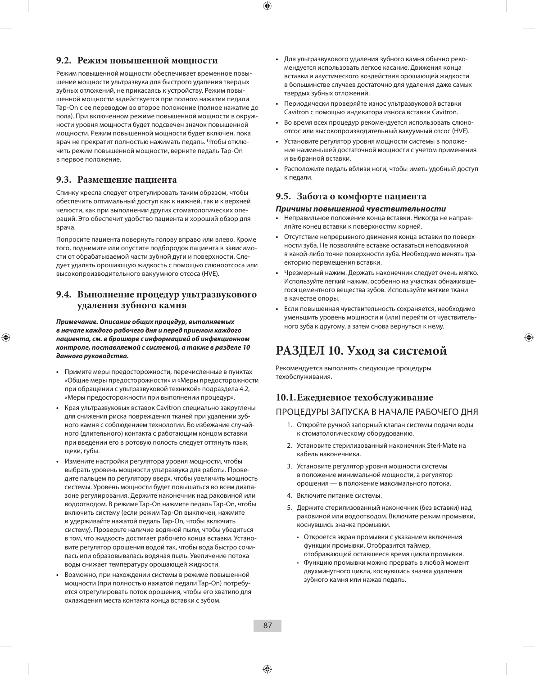#### **9.2. Режим повышенной мощности**

Режим повышенной мощности обеспечивает временное повышение мощности ультразвука для быстрого удаления твердых зубных отложений, не прикасаясь к устройству. Режим повышенной мощности задействуется при полном нажатии педали Tap-On с ее переводом во второе положение (полное нажатие до пола). При включенном режиме повышенной мощности в окружности уровня мощности будет подсвечен значок повышенной мощности. Режим повышенной мощности будет включен, пока врач не прекратит полностью нажимать педаль. Чтобы отключить режим повышенной мощности, верните педаль Tap-On в первое положение.

#### **9.3. Размещение пациента**

Спинку кресла следует отрегулировать таким образом, чтобы обеспечить оптимальный доступ как к нижней, так и к верхней челюсти, как при выполнении других стоматологических операций. Это обеспечит удобство пациента и хороший обзор для врача.

Попросите пациента повернуть голову вправо или влево. Кроме того, поднимите или опустите подбородок пациента в зависимости от обрабатываемой части зубной дуги и поверхности. Следует удалять орошающую жидкость с помощью слюноотсоса или высокопроизводительного вакуумного отсоса (HVE).

#### **9.4. Выполнение процедур ультразвукового удаления зубного камня**

*Примечание. Описание общих процедур, выполняемых в начале каждого рабочего дня и перед приемом каждого пациента, см. в брошюре с информацией об инфекционном контроле, поставляемой с системой, а также в разделе 10 данного руководства.*

- **•**  Примите меры предосторожности, перечисленные в пунктах «Общие меры предосторожности» и «Меры предосторожности при обращении с ультразвуковой техникой» подраздела 4.2, «Меры предосторожности при выполнении процедур».
- **•**  Края ультразвуковых вставок Cavitron специально закруглены для снижения риска повреждения тканей при удалении зубного камня с соблюдением технологии. Во избежание случайного (длительного) контакта с работающим концом вставки при введении его в ротовую полость следует оттянуть язык, щеки, губы.
- **•**  Измените настройки регулятора уровня мощности, чтобы выбрать уровень мощности ультразвука для работы. Проведите пальцем по регулятору вверх, чтобы увеличить мощность системы. Уровень мощности будет повышаться во всем диапазоне регулирования. Держите наконечник над раковиной или водоотводом. В режиме Tap-On нажмите педаль Tap-On, чтобы включить систему (если режим Tap-On выключен, нажмите и удерживайте нажатой педаль Tap-On, чтобы включить систему). Проверьте наличие водяной пыли, чтобы убедиться в том, что жидкость достигает рабочего конца вставки. Установите регулятор орошения водой так, чтобы вода быстро сочилась или образовывалась водяная пыль. Увеличение потока воды снижает температуру орошающей жидкости.
- **•**  Возможно, при нахождении системы в режиме повышенной мощности (при полностью нажатой педали Tap-On) потребуется отрегулировать поток орошения, чтобы его хватило для охлаждения места контакта конца вставки с зубом.
- **•**  Для ультразвукового удаления зубного камня обычно рекомендуется использовать легкое касание. Движения конца вставки и акустического воздействия орошающей жидкости в большинстве случаев достаточно для удаления даже самых твердых зубных отложений.
- **•**  Периодически проверяйте износ ультразвуковой вставки Cavitron с помощью индикатора износа вставки Cavitron.
- Во время всех процедур рекомендуется использовать слюноотсос или высокопроизводительный вакуумный отсос (HVE).
- **•**  Установите регулятор уровня мощности системы в положение наименьшей достаточной мощности с учетом применения и выбранной вставки.
- Расположите педаль вблизи ноги, чтобы иметь удобный доступ к педали.

#### **9.5. Забота о комфорте пациента**

#### *Причины повышенной чувствительности*

- **•**  Неправильное положение конца вставки. Никогда не направляйте конец вставки к поверхностям корней.
- **•**  Отсутствие непрерывного движения конца вставки по поверхности зуба. Не позволяйте вставке оставаться неподвижной в какой-либо точке поверхности зуба. Необходимо менять траекторию перемещения вставки.
- **•**  Чрезмерный нажим. Держать наконечник следует очень мягко. Используйте легкий нажим, особенно на участках обнажившегося цементного вещества зубов. Используйте мягкие ткани в качестве опоры.
- **•**  Если повышенная чувствительность сохраняется, необходимо уменьшить уровень мощности и (или) перейти от чувствительного зуба к другому, а затем снова вернуться к нему.

### **РАЗДЕЛ 10. Уход за системой**

Рекомендуется выполнять следующие процедуры техобслуживания.

## **10.1. Ежедневное техобслуживание**

#### ПРОЦЕДУРЫ ЗАПУСКА В НАЧАЛЕ РАБОЧЕГО ДНЯ

- 1. Откройте ручной запорный клапан системы подачи воды к стоматологическому оборудованию.
- 2. Установите стерилизованный наконечник Steri-Mate на кабель наконечника.
- 3. Установите регулятор уровня мощности системы в положение минимальной мощности, а регулятор орошения — в положение максимального потока.
- 4. Включите питание системы.
- 5. Держите стерилизованный наконечник (без вставки) над раковиной или водоотводом. Включите режим промывки, коснувшись значка промывки.
	- Откроется экран промывки с указанием включения функции промывки. Отобразится таймер, отображающий оставшееся время цикла промывки.
	- Функцию промывки можно прервать в любой момент двухминутного цикла, коснувшись значка удаления зубного камня или нажав педаль.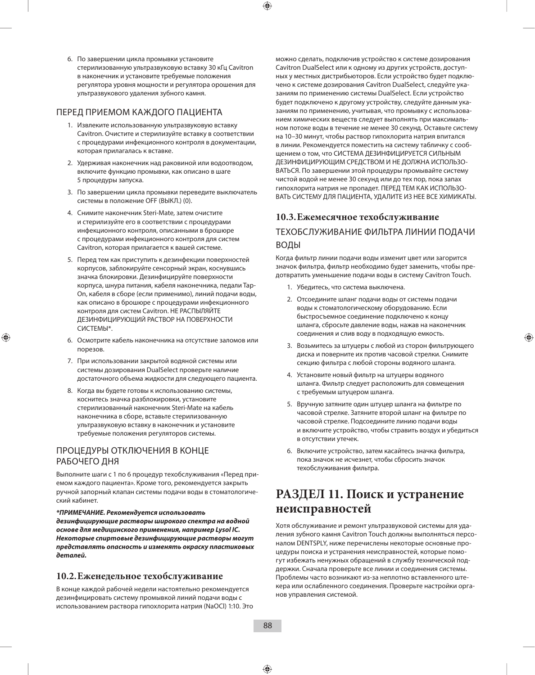6. По завершении цикла промывки установите стерилизованную ультразвуковую вставку 30 кГц Cavitron в наконечник и установите требуемые положения регулятора уровня мощности и регулятора орошения для ультразвукового удаления зубного камня.

#### ПЕРЕД ПРИЕМОМ КАЖДОГО ПАЦИЕНТА

- 1. Извлеките использованную ультразвуковую вставку Cavitron. Очистите и стерилизуйте вставку в соответствии с процедурами инфекционного контроля в документации, которая прилагалась к вставке.
- 2. Удерживая наконечник над раковиной или водоотводом, включите функцию промывки, как описано в шаге 5 процедуры запуска.
- 3. По завершении цикла промывки переведите выключатель системы в положение OFF (ВЫКЛ.) (0).
- 4. Снимите наконечник Steri-Mate, затем очистите и стерилизуйте его в соответствии с процедурами инфекционного контроля, описанными в брошюре с процедурами инфекционного контроля для систем Cavitron, которая прилагается к вашей системе.
- 5. Перед тем как приступить к дезинфекции поверхностей корпусов, заблокируйте сенсорный экран, коснувшись значка блокировки. Дезинфицируйте поверхности корпуса, шнура питания, кабеля наконечника, педали Tap-On, кабеля в сборе (если применимо), линий подачи воды, как описано в брошюре с процедурами инфекционного контроля для систем Cavitron. НЕ РАСПЫЛЯЙТЕ ДЕЗИНФИЦИРУЮЩИЙ РАСТВОР НА ПОВЕРХНОСТИ СИСТЕМЫ\*.
- 6. Осмотрите кабель наконечника на отсутствие заломов или порезов.
- 7. При использовании закрытой водяной системы или системы дозирования DualSelect проверьте наличие достаточного объема жидкости для следующего пациента.
- 8. Когда вы будете готовы к использованию системы, коснитесь значка разблокировки, установите стерилизованный наконечник Steri-Mate на кабель наконечника в сборе, вставьте стерилизованную ультразвуковую вставку в наконечник и установите требуемые положения регуляторов системы.

#### ПРОЦЕДУРЫ ОТКЛЮЧЕНИЯ В КОНЦЕ РАБОЧЕГО ДНЯ

Выполните шаги с 1 по 6 процедур техобслуживания «Перед приемом каждого пациента». Кроме того, рекомендуется закрыть ручной запорный клапан системы подачи воды в стоматологический кабинет.

*\*ПРИМЕЧАНИЕ. Рекомендуется использовать дезинфицирующие растворы широкого спектра на водной основе для медицинского применения, например Lysol IC. Некоторые спиртовые дезинфицирующие растворы могут представлять опасность и изменять окраску пластиковых* 

#### **10.2. Еженедельное техобслуживание**

*деталей.*

В конце каждой рабочей недели настоятельно рекомендуется дезинфицировать систему промывкой линий подачи воды с использованием раствора гипохлорита натрия (NaOCl) 1:10. Это

можно сделать, подключив устройство к системе дозирования Cavitron DualSelect или к одному из других устройств, доступных у местных дистрибьюторов. Если устройство будет подключено к системе дозирования Cavitron DualSelect, следуйте указаниям по применению системы DualSelect. Если устройство будет подключено к другому устройству, следуйте данным указаниям по применению, учитывая, что промывку с использованием химических веществ следует выполнять при максимальном потоке воды в течение не менее 30 секунд. Оставьте систему на 10–30 минут, чтобы раствор гипохлорита натрия впитался в линии. Рекомендуется поместить на систему табличку с сообщением о том, что СИСТЕМА ДЕЗИНФИЦИРУЕТСЯ СИЛЬНЫМ ДЕЗИНФИЦИРУЮЩИМ СРЕДСТВОМ И НЕ ДОЛЖНА ИСПОЛЬЗО-ВАТЬСЯ. По завершении этой процедуры промывайте систему чистой водой не менее 30 секунд или до тех пор, пока запах гипохлорита натрия не пропадет. ПЕРЕД ТЕМ КАК ИСПОЛЬЗО-ВАТЬ СИСТЕМУ ДЛЯ ПАЦИЕНТА, УДАЛИТЕ ИЗ НЕЕ ВСЕ ХИМИКАТЫ.

#### **10.3. Ежемесячное техобслуживание**

#### ТЕХОБСЛУЖИВАНИЕ ФИЛЬТРА ЛИНИИ ПОДАЧИ ВОДЫ

Когда фильтр линии подачи воды изменит цвет или загорится значок фильтра, фильтр необходимо будет заменить, чтобы предотвратить уменьшение подачи воды в систему Cavitron Touch.

- 1. Убедитесь, что система выключена.
- 2. Отсоедините шланг подачи воды от системы подачи воды к стоматологическому оборудованию. Если быстросъемное соединение подключено к концу шланга, сбросьте давление воды, нажав на наконечник соединения и слив воду в подходящую емкость.
- 3. Возьмитесь за штуцеры с любой из сторон фильтрующего диска и поверните их против часовой стрелки. Снимите секцию фильтра с любой стороны водяного шланга.
- 4. Установите новый фильтр на штуцеры водяного шланга. Фильтр следует расположить для совмещения с требуемым штуцером шланга.
- 5. Вручную затяните один штуцер шланга на фильтре по часовой стрелке. Затяните второй шланг на фильтре по часовой стрелке. Подсоедините линию подачи воды и включите устройство, чтобы стравить воздух и убедиться в отсутствии утечек.
- 6. Включите устройство, затем касайтесь значка фильтра, пока значок не исчезнет, чтобы сбросить значок техобслуживания фильтра.

### **РАЗДЕЛ 11. Поиск и устранение неисправностей**

Хотя обслуживание и ремонт ультразвуковой системы для удаления зубного камня Cavitron Touch должны выполняться персоналом DENTSPLY, ниже перечислены некоторые основные процедуры поиска и устранения неисправностей, которые помогут избежать ненужных обращений в службу технической поддержки. Сначала проверьте все линии и соединения системы. Проблемы часто возникают из-за неплотно вставленного штекера или ослабленного соединения. Проверьте настройки органов управления системой.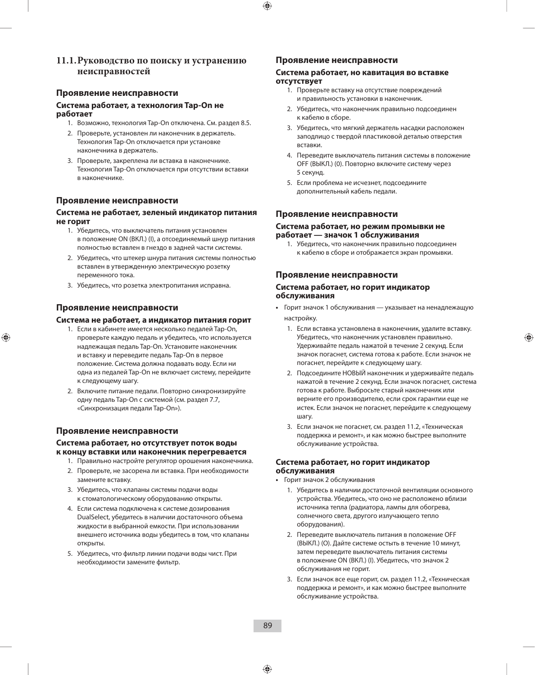#### **11.1. Руководство по поиску и устранению неисправностей**

#### **Проявление неисправности**

#### **Система работает, а технология Tap-On не работает**

- 1. Возможно, технология Tap-On отключена. См. раздел 8.5.
- 2. Проверьте, установлен ли наконечник в держатель. Технология Tap-On отключается при установке наконечника в держатель.
- 3. Проверьте, закреплена ли вставка в наконечнике. Технология Tap-On отключается при отсутствии вставки в наконечнике.

#### **Проявление неисправности**

#### **Система не работает, зеленый индикатор питания не горит**

- 1. Убедитесь, что выключатель питания установлен в положение ON (ВКЛ.) (I), а отсоединяемый шнур питания полностью вставлен в гнездо в задней части системы.
- 2. Убедитесь, что штекер шнура питания системы полностью вставлен в утвержденную электрическую розетку переменного тока.
- 3. Убедитесь, что розетка электропитания исправна.

#### **Проявление неисправности**

#### **Система не работает, а индикатор питания горит**

- 1. Если в кабинете имеется несколько педалей Tap-On, проверьте каждую педаль и убедитесь, что используется надлежащая педаль Tap-On. Установите наконечник и вставку и переведите педаль Tap-On в первое положение. Система должна подавать воду. Если ни одна из педалей Tap-On не включает систему, перейдите к следующему шагу.
- 2. Включите питание педали. Повторно синхронизируйте одну педаль Tap-On с системой (см. раздел 7.7, «Синхронизация педали Tap-On»).

#### **Проявление неисправности**

#### **Система работает, но отсутствует поток воды к концу вставки или наконечник перегревается**

- 1. Правильно настройте регулятор орошения наконечника.
- 2. Проверьте, не засорена ли вставка. При необходимости замените вставку.
- 3. Убедитесь, что клапаны системы подачи воды к стоматологическому оборудованию открыты.
- 4. Если система подключена к системе дозирования DualSelect, убедитесь в наличии достаточного объема жидкости в выбранной емкости. При использовании внешнего источника воды убедитесь в том, что клапаны открыты.
- 5. Убедитесь, что фильтр линии подачи воды чист. При необходимости замените фильтр.

#### **Проявление неисправности**

#### **Система работает, но кавитация во вставке отсутствует**

- 1. Проверьте вставку на отсутствие повреждений и правильность установки в наконечник.
- 2. Убедитесь, что наконечник правильно подсоединен к кабелю в сборе.
- 3. Убедитесь, что мягкий держатель насадки расположен заподлицо с твердой пластиковой деталью отверстия вставки.
- 4. Переведите выключатель питания системы в положение OFF (ВЫКЛ.) (0). Повторно включите систему через 5 секунд.
- 5. Если проблема не исчезнет, подсоедините дополнительный кабель педали.

#### **Проявление неисправности**

#### **Система работает, но режим промывки не работает — значок 1 обслуживания**

1. Убедитесь, что наконечник правильно подсоединен к кабелю в сборе и отображается экран промывки.

#### **Проявление неисправности**

#### **Система работает, но горит индикатор обслуживания**

- **•**  Горит значок 1 обслуживания указывает на ненадлежащую настройку.
	- 1. Если вставка установлена в наконечник, удалите вставку. Убедитесь, что наконечник установлен правильно. Удерживайте педаль нажатой в течение 2 секунд. Если значок погаснет, система готова к работе. Если значок не погаснет, перейдите к следующему шагу.
	- 2. Подсоедините НОВЫЙ наконечник и удерживайте педаль нажатой в течение 2 секунд. Если значок погаснет, система готова к работе. Выбросьте старый наконечник или верните его производителю, если срок гарантии еще не истек. Если значок не погаснет, перейдите к следующему шагу.
	- 3. Если значок не погаснет, см. раздел 11.2, «Техническая поддержка и ремонт», и как можно быстрее выполните обслуживание устройства.

#### **Система работает, но горит индикатор обслуживания**

- **•**  Горит значок 2 обслуживания
	- 1. Убедитесь в наличии достаточной вентиляции основного устройства. Убедитесь, что оно не расположено вблизи источника тепла (радиатора, лампы для обогрева, солнечного света, другого излучающего тепло оборудования).
	- 2. Переведите выключатель питания в положение OFF (ВЫКЛ.) (O). Дайте системе остыть в течение 10 минут, затем переведите выключатель питания системы в положение ON (ВКЛ.) (I). Убедитесь, что значок 2 обслуживания не горит.
	- 3. Если значок все еще горит, см. раздел 11.2, «Техническая поддержка и ремонт», и как можно быстрее выполните обслуживание устройства.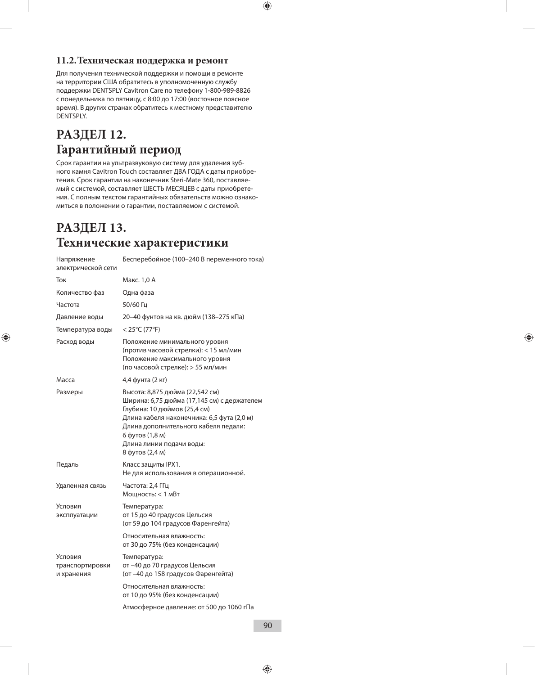#### **11.2. Техническая поддержка и ремонт**

Для получения технической поддержки и помощи в ремонте на территории США обратитесь в уполномоченную службу поддержки DENTSPLY Cavitron Care по телефону 1-800-989-8826 с понедельника по пятницу, с 8:00 до 17:00 (восточное поясное время). В других странах обратитесь к местному представителю DENTSPLY.

### **РАЗДЕЛ 12. Гарантийный период**

Срок гарантии на ультразвуковую систему для удаления зубного камня Cavitron Touch составляет ДВА ГОДА с даты приобретения. Срок гарантии на наконечник Steri-Mate 360, поставляемый с системой, составляет ШЕСТЬ МЕСЯЦЕВ с даты приобретения. С полным текстом гарантийных обязательств можно ознакомиться в положении о гарантии, поставляемом с системой.

### **РАЗДЕЛ 13. Технические характеристики**

| Напряжение<br>электрической сети         | Бесперебойное (100-240 В переменного тока)                                                                                                                                                                                                                             |
|------------------------------------------|------------------------------------------------------------------------------------------------------------------------------------------------------------------------------------------------------------------------------------------------------------------------|
| Ток                                      | Макс. 1,0 А                                                                                                                                                                                                                                                            |
| Количество фаз                           | Одна фаза                                                                                                                                                                                                                                                              |
| Частота                                  | 50/60 Гц                                                                                                                                                                                                                                                               |
| Давление воды                            | 20-40 фунтов на кв. дюйм (138-275 кПа)                                                                                                                                                                                                                                 |
| Температура воды                         | $<$ 25°C (77°F)                                                                                                                                                                                                                                                        |
| Расход воды                              | Положение минимального уровня<br>(против часовой стрелки): < 15 мл/мин<br>Положение максимального уровня<br>(по часовой стрелке): > 55 мл/мин                                                                                                                          |
| Macca                                    | 4,4 фунта (2 кг)                                                                                                                                                                                                                                                       |
| Размеры                                  | Высота: 8,875 дюйма (22,542 см)<br>Ширина: 6,75 дюйма (17,145 см) с держателем<br>Глубина: 10 дюймов (25,4 см)<br>Длина кабеля наконечника: 6,5 фута (2,0 м)<br>Длина дополнительного кабеля педали:<br>6 футов (1,8 м)<br>Длина линии подачи воды:<br>8 футов (2,4 м) |
| Педаль                                   | Класс защиты IPX1.<br>Не для использования в операционной.                                                                                                                                                                                                             |
| Удаленная связь                          | Частота: 2,4 ГГц<br>Мощность: < 1 мВт                                                                                                                                                                                                                                  |
| Условия<br>эксплуатации                  | Температура:<br>от 15 до 40 градусов Цельсия<br>(от 59 до 104 градусов Фаренгейта)                                                                                                                                                                                     |
|                                          | Относительная влажность:<br>от 30 до 75% (без конденсации)                                                                                                                                                                                                             |
| Условия<br>транспортировки<br>и хранения | Температура:<br>от -40 до 70 градусов Цельсия<br>(от -40 до 158 градусов Фаренгейта)                                                                                                                                                                                   |
|                                          | Относительная влажность:<br>от 10 до 95% (без конденсации)                                                                                                                                                                                                             |
|                                          | Атмосферное давление: от 500 до 1060 гПа                                                                                                                                                                                                                               |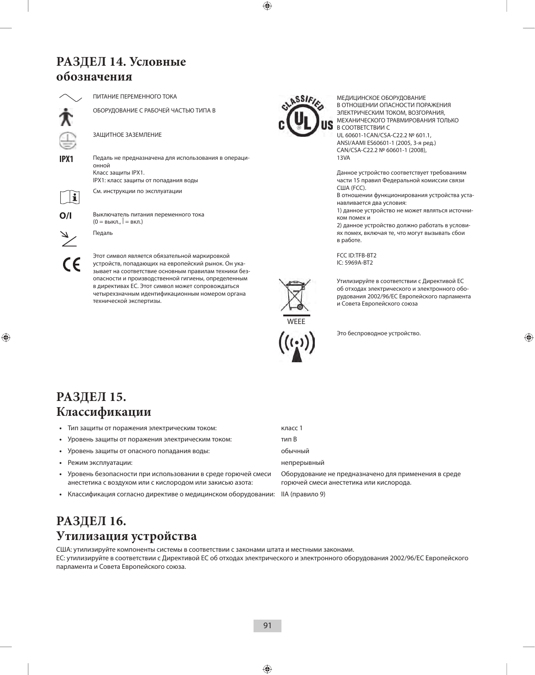### **РАЗДЕЛ 14. Условные обозначения**



ПИТАНИЕ ПЕРЕМЕННОГО ТОКА

ОБОРУДОВАНИЕ С РАБОЧЕЙ ЧАСТЬЮ ТИПА B

ЗАЩИТНОЕ ЗАЗЕМЛЕНИЕ

**IPX1** Педаль не предназначена для использования в операционной Класс защиты IPX1. IPX1: класс защиты от попадания воды

См. инструкции по эксплуатации



**O/I** Выключатель питания переменного тока

 $\epsilon$ 

(0 = выкл., | = вкл.) Педаль

Этот символ является обязательной маркировкой устройств, попадающих на европейский рынок. Он указывает на соответствие основным правилам техники безопасности и производственной гигиены, определенным в директивах ЕС. Этот символ может сопровождаться четырехзначным идентификационным номером органа технической экспертизы.



МЕДИЦИНСКОЕ ОБОРУДОВАНИЕ В ОТНОШЕНИИ ОПАСНОСТИ ПОРАЖЕНИЯ ЭЛЕКТРИЧЕСКИМ ТОКОМ, ВОЗГОРАНИЯ, МЕХАНИЧЕСКОГО ТРАВМИРОВАНИЯ ТОЛЬКО В СООТВЕТСТВИИ С UL 60601-1CAN/CSA-C22.2 № 601.1,

ANSI/AAMI ES60601-1 (2005, 3-я ред.) CAN/CSA-C22.2 № 60601-1 (2008), 13VA

Данное устройство соответствует требованиям части 15 правил Федеральной комиссии связи США (FCC).

В отношении функционирования устройства устанавливается два условия:

1) данное устройство не может являться источником помех и

2) данное устройство должно работать в условиях помех, включая те, что могут вызывать сбои в работе.

FCC ID:TFB-BT2 IC: 5969A-BT2

Утилизируйте в соответствии с Директивой ЕС об отходах электрического и электронного оборудования 2002/96/EC Европейского парламента и Совета Европейского союза



Это беспроводное устройство.

### **РАЗДЕЛ 15. Классификации**

| Тип защиты от поражения электрическим током:                                                                              | класс 1                                                                                         |
|---------------------------------------------------------------------------------------------------------------------------|-------------------------------------------------------------------------------------------------|
| Уровень защиты от поражения электрическим током:                                                                          | тип В                                                                                           |
| Уровень защиты от опасного попадания воды:                                                                                | обычный                                                                                         |
| Режим эксплуатации:                                                                                                       | непрерывный                                                                                     |
| Уровень безопасности при использовании в среде горючей смеси<br>анестетика с воздухом или с кислородом или закисью азота: | Оборудование не предназначено для применения в среде<br>горючей смеси анестетика или кислорода. |
| Классификация согласно директиве о медицинском оборудовании:                                                              | IIA (правило 9)                                                                                 |

### **РАЗДЕЛ 16. Утилизация устройства**

США: утилизируйте компоненты системы в соответствии с законами штата и местными законами. ЕС: утилизируйте в соответствии с Директивой ЕС об отходах электрического и электронного оборудования 2002/96/EC Европейского парламента и Совета Европейского союза.